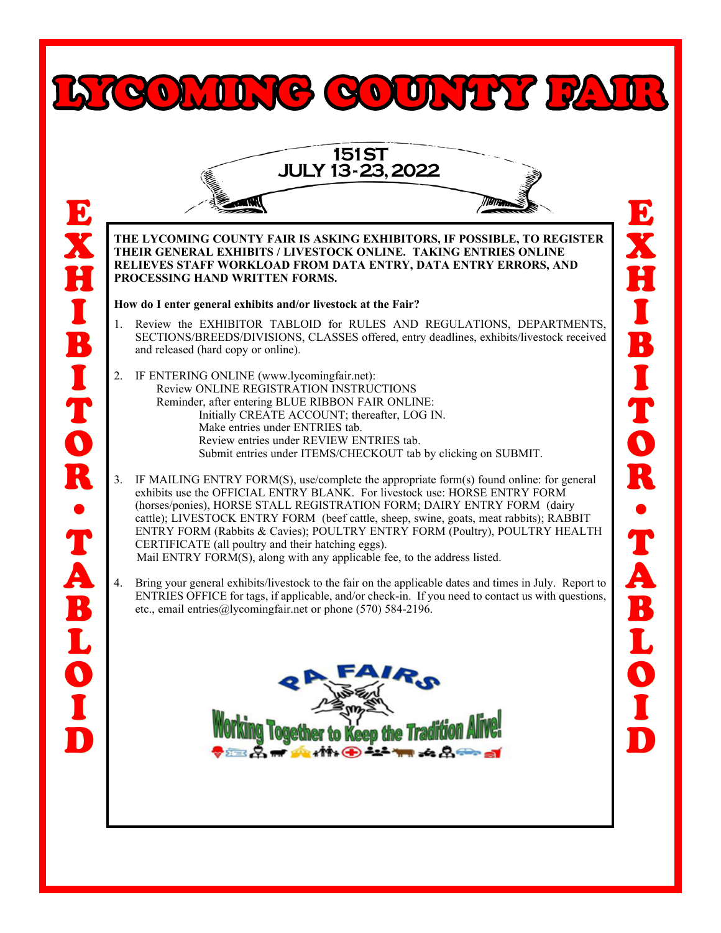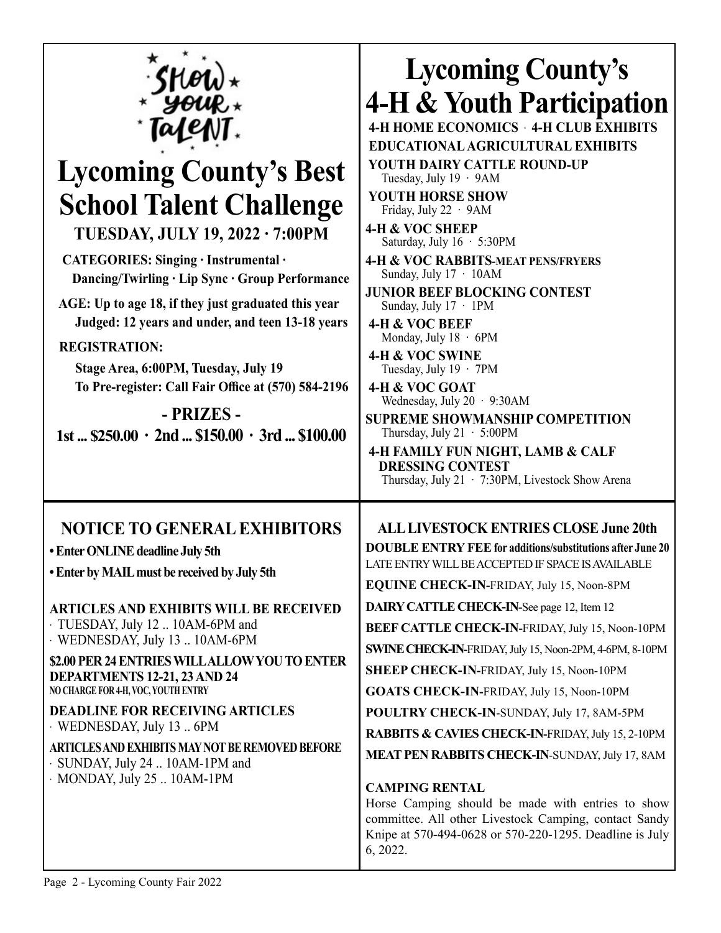

# **Lycoming County's Best School Talent Challenge**

**TUESDAY, JULY 19, 2022 ∙ 7:00PM**

 **CATEGORIES: Singing ∙ Instrumental ∙ Dancing/Twirling ∙ Lip Sync ∙ Group Performance**

 **AGE: Up to age 18, if they just graduated this year Judged: 12 years and under, and teen 13-18 years**

 **REGISTRATION:** 

 **Stage Area, 6:00PM, Tuesday, July 19 To Pre-register: Call Fair Office at (570) 584-2196** 

**- PRIZES - 1st ... \$250.00 ∙ 2nd ... \$150.00 ∙ 3rd ... \$100.00**

# **Lycoming County's 4-H & Youth Participation 4-H HOME ECONOMICS ⋅ 4-H CLUB EXHII**

 **EDUCATIONAL AGRICULTURAL EXHIBITS**

- **YOUTH DAIRY CATTLE ROUND-UP** Tuesday, July 19 ∙ 9AM
- **YOUTH HORSE SHOW** Friday, July 22 ∙ 9AM
- **4-H & VOC SHEEP** Saturday, July 16 ∙ 5:30PM

**4-H & VOC RABBITS-MEAT PENS/FRYERS** Sunday, July 17 ∙ 10AM

**JUNIOR BEEF BLOCKING CONTEST** Sunday, July 17 ∙ 1PM

 **4-H & VOC BEEF** Monday, July 18 ∙ 6PM

 **4-H & VOC SWINE** Tuesday, July 19 ∙ 7PM

 **4-H & VOC GOAT** Wednesday, July 20 ∙ 9:30AM

**SUPREME SHOWMANSHIP COMPETITION** Thursday, July 21 ∙ 5:00PM

 **4-H FAMILY FUN NIGHT, LAMB & CALF DRESSING CONTEST** Thursday, July 21 ∙ 7:30PM, Livestock Show Arena

**EQUINE CHECK-IN-**FRIDAY, July 15, Noon-8PM **DAIRY CATTLE CHECK-IN-**See page 12, Item 12

**SHEEP CHECK-IN-**FRIDAY, July 15, Noon-10PM **GOATS CHECK-IN-**FRIDAY, July 15, Noon-10PM **POULTRY CHECK-IN**-SUNDAY, July 17, 8AM-5PM **RABBITS & CAVIES CHECK-IN-**FRIDAY, July 15, 2-10PM **MEAT PEN RABBITS CHECK-IN**-SUNDAY, July 17, 8AM

**ALL LIVESTOCK ENTRIES CLOSE June 20th DOUBLE ENTRY FEE for additions/substitutions after June 20** LATE ENTRY WILL BE ACCEPTED IF SPACE IS AVAILABLE

**BEEF CATTLE CHECK-IN-**FRIDAY, July 15, Noon-10PM **SWINE CHECK-IN-**FRIDAY, July 15, Noon-2PM, 4-6PM, 8-10PM

## **NOTICE TO GENERAL EXHIBITORS**

**• Enter ONLINE deadline July 5th**

**• Enter by MAIL must be received by July 5th**

### **ARTICLES AND EXHIBITS WILL BE RECEIVED** ∙ TUESDAY, July 12 .. 10AM-6PM and ∙ WEDNESDAY, July 13 .. 10AM-6PM

**\$2.00 PER 24 ENTRIES WILL ALLOW YOU TO ENTER DEPARTMENTS 12-21, 23 AND 24 NO CHARGE FOR 4-H, VOC, YOUTH ENTRY**

### **DEADLINE FOR RECEIVING ARTICLES** ∙ WEDNESDAY, July 13 .. 6PM

### **ARTICLES AND EXHIBITS MAY NOT BE REMOVED BEFORE** ∙ SUNDAY, July 24 .. 10AM-1PM and

∙ MONDAY, July 25 .. 10AM-1PM

**CAMPING RENTAL** Horse Camping should be made with entries to show committee. All other Livestock Camping, contact Sandy Knipe at 570-494-0628 or 570-220-1295. Deadline is July 6, 2022.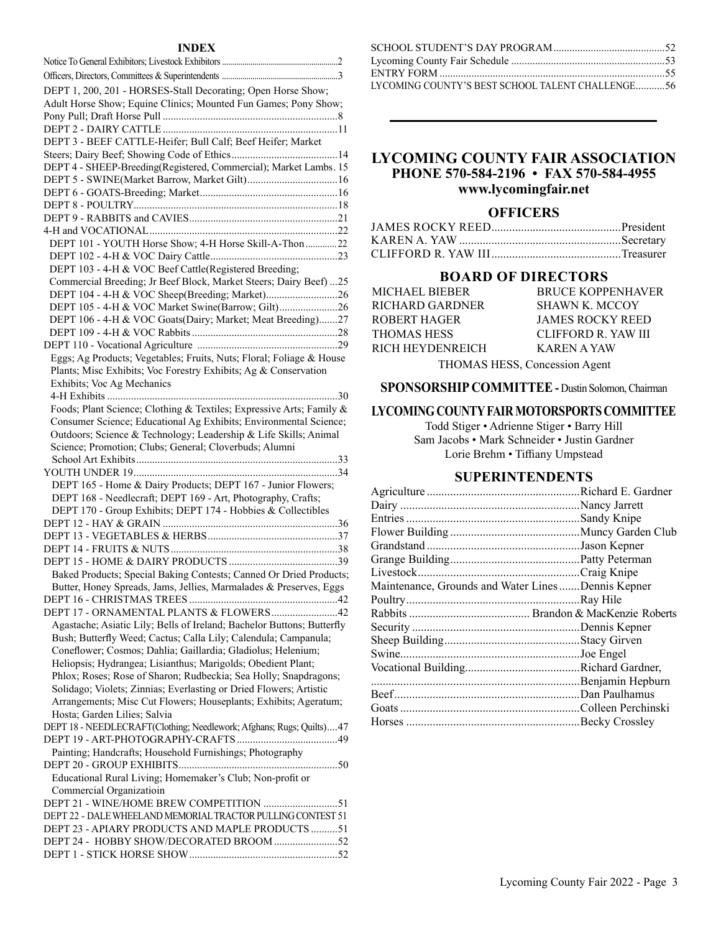#### **INDEX**

| DEPT 1, 200, 201 - HORSES-Stall Decorating; Open Horse Show;                                                                 |
|------------------------------------------------------------------------------------------------------------------------------|
| Adult Horse Show; Equine Clinics; Mounted Fun Games; Pony Show;                                                              |
|                                                                                                                              |
|                                                                                                                              |
| DEPT 3 - BEEF CATTLE-Heifer; Bull Calf; Beef Heifer; Market                                                                  |
|                                                                                                                              |
| DEPT 4 - SHEEP-Breeding(Registered, Commercial); Market Lambs. 15                                                            |
| DEPT 5 - SWINE(Market Barrow, Market Gilt) 16                                                                                |
|                                                                                                                              |
|                                                                                                                              |
|                                                                                                                              |
|                                                                                                                              |
| DEPT 101 - YOUTH Horse Show; 4-H Horse Skill-A-Thon  22                                                                      |
|                                                                                                                              |
| DEPT 103 - 4-H & VOC Beef Cattle(Registered Breeding;                                                                        |
| Commercial Breeding; Jr Beef Block, Market Steers; Dairy Beef) 25                                                            |
|                                                                                                                              |
| DEPT 105 - 4-H & VOC Market Swine(Barrow; Gilt)26                                                                            |
| DEPT 106 - 4-H & VOC Goats(Dairy; Market; Meat Breeding)27                                                                   |
|                                                                                                                              |
|                                                                                                                              |
| Eggs; Ag Products; Vegetables; Fruits, Nuts; Floral; Foliage & House                                                         |
| Plants; Misc Exhibits; Voc Forestry Exhibits; Ag & Conservation                                                              |
| Exhibits; Voc Ag Mechanics                                                                                                   |
|                                                                                                                              |
| Foods; Plant Science; Clothing & Textiles; Expressive Arts; Family &                                                         |
| Consumer Science; Educational Ag Exhibits; Environmental Science;                                                            |
| Outdoors; Science & Technology; Leadership & Life Skills; Animal                                                             |
| Science; Promotion; Clubs; General; Cloverbuds; Alumni                                                                       |
|                                                                                                                              |
|                                                                                                                              |
|                                                                                                                              |
| DEPT 165 - Home & Dairy Products; DEPT 167 - Junior Flowers;                                                                 |
| DEPT 168 - Needlecraft; DEPT 169 - Art, Photography, Crafts;                                                                 |
| DEPT 170 - Group Exhibits; DEPT 174 - Hobbies & Collectibles                                                                 |
|                                                                                                                              |
|                                                                                                                              |
|                                                                                                                              |
|                                                                                                                              |
| Baked Products; Special Baking Contests; Canned Or Dried Products;                                                           |
| Butter, Honey Spreads, Jams, Jellies, Marmalades & Preserves, Eggs                                                           |
|                                                                                                                              |
| DEPT 17 - ORNAMENTAL PLANTS & FLOWERS42                                                                                      |
| Agastache; Asiatic Lily; Bells of Ireland; Bachelor Buttons; Butterfly                                                       |
| Bush; Butterfly Weed; Cactus; Calla Lily; Calendula; Campanula;                                                              |
| Coneflower; Cosmos; Dahlia; Gaillardia; Gladiolus; Helenium;<br>Heliopsis; Hydrangea; Lisianthus; Marigolds; Obedient Plant; |
| Phlox; Roses; Rose of Sharon; Rudbeckia; Sea Holly; Snapdragons;                                                             |
| Solidago; Violets; Zinnias; Everlasting or Dried Flowers; Artistic                                                           |
| Arrangements; Misc Cut Flowers; Houseplants; Exhibits; Ageratum;                                                             |
| Hosta; Garden Lilies; Salvia                                                                                                 |
| DEPT 18 - NEEDLECRAFT(Clothing; Needlework; Afghans; Rugs; Quilts)47                                                         |
|                                                                                                                              |
| Painting; Handcrafts; Household Furnishings; Photography                                                                     |
|                                                                                                                              |
| Educational Rural Living; Homemaker's Club; Non-profit or                                                                    |
| Commercial Organizatioin                                                                                                     |
| DEPT 21 - WINE/HOME BREW COMPETITION 51                                                                                      |
| DEPT 22 - DALE WHEELAND MEMORIAL TRACTOR PULLING CONTEST 51                                                                  |
| DEPT 23 - APIARY PRODUCTS AND MAPLE PRODUCTS 51                                                                              |
| DEPT 24 - HOBBY SHOW/DECORATED BROOM 52                                                                                      |

| LYCOMING COUNTY'S BEST SCHOOL TALENT CHALLENGE56 |  |
|--------------------------------------------------|--|

### **LYCOMING COUNTY FAIR ASSOCIATION PHONE 570-584-2196 • FAX 570-584-4955 www.lycomingfair.net**

#### **OFFICERS**

#### **BOARD OF DIRECTORS**

| MICHAEL BIEBER-  | <b>BRUCE KOPPENHAVER</b> |
|------------------|--------------------------|
| RICHARD GARDNER- | SHAWN K. MCCOY           |
| ROBERT HAGER     | JAMES ROCKY REED         |
| THOMAS HESS      | CLIFFORD R. YAW III      |
| RICH HEYDENREICH | KAREN A YAW              |
|                  |                          |

THOMAS HESS, Concession Agent

**SPONSORSHIP COMMITTEE -** Dustin Solomon, Chairman

#### **LYCOMING COUNTY FAIR MOTORSPORTS COMMITTEE**

Todd Stiger • Adrienne Stiger • Barry Hill Sam Jacobs • Mark Schneider • Justin Gardner Lorie Brehm • Tiffiany Umpstead

#### **SUPERINTENDENTS**

| Maintenance, Grounds and Water Lines Dennis Kepner |  |
|----------------------------------------------------|--|
|                                                    |  |
|                                                    |  |
|                                                    |  |
|                                                    |  |
|                                                    |  |
|                                                    |  |
|                                                    |  |
|                                                    |  |
|                                                    |  |
|                                                    |  |
|                                                    |  |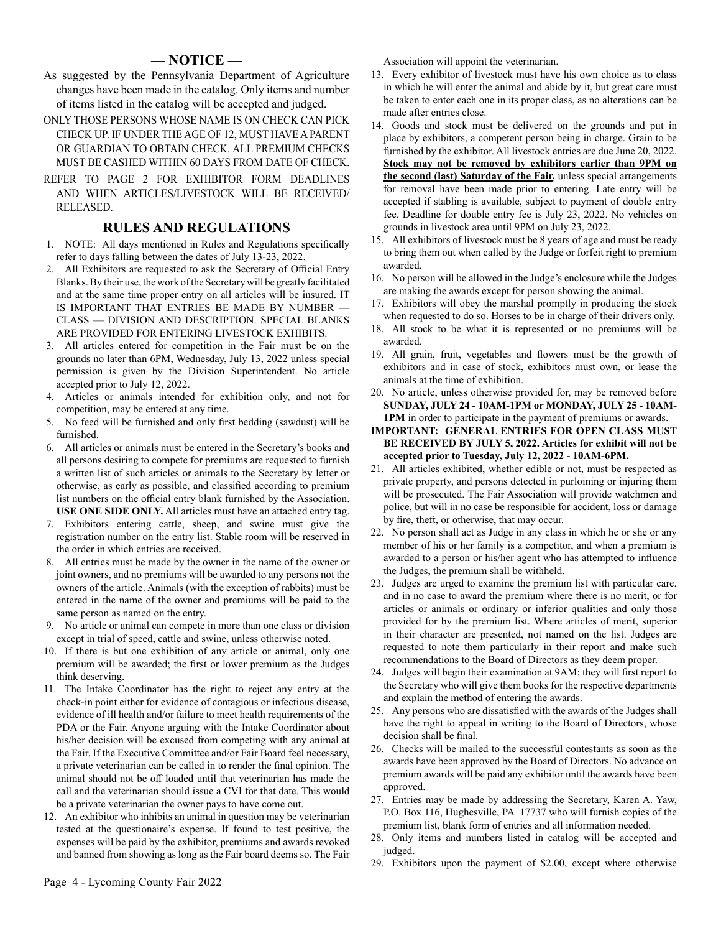### **— NOTICE —**

- As suggested by the Pennsylvania Department of Agriculture changes have been made in the catalog. Only items and number of items listed in the catalog will be accepted and judged.
- ONLY THOSE PERSONS WHOSE NAME IS ON CHECK CAN PICK CHECK UP. IF UNDER THE AGE OF 12, MUST HAVE A PARENT OR GUARDIAN TO OBTAIN CHECK. ALL PREMIUM CHECKS MUST BE CASHED WITHIN 60 DAYS FROM DATE OF CHECK.
- REFER TO PAGE 2 FOR EXHIBITOR FORM DEADLINES AND WHEN ARTICLES/LIVESTOCK WILL BE RECEIVED/ RELEASED.

### **RULES AND REGULATIONS**

- 1. NOTE: All days mentioned in Rules and Regulations specifically refer to days falling between the dates of July 13-23, 2022.
- 2. All Exhibitors are requested to ask the Secretary of Official Entry Blanks. By their use, the work of the Secretary will be greatly facilitated and at the same time proper entry on all articles will be insured. IT IS IMPORTANT THAT ENTRIES BE MADE BY NUMBER — CLASS — DIVISION AND DESCRIPTION. SPECIAL BLANKS ARE PROVIDED FOR ENTERING LIVESTOCK EXHIBITS.
- 3. All articles entered for competition in the Fair must be on the grounds no later than 6PM, Wednesday, July 13, 2022 unless special permission is given by the Division Superintendent. No article accepted prior to July 12, 2022.
- 4. Articles or animals intended for exhibition only, and not for competition, may be entered at any time.
- 5. No feed will be furnished and only first bedding (sawdust) will be furnished.
- 6. All articles or animals must be entered in the Secretary's books and all persons desiring to compete for premiums are requested to furnish a written list of such articles or animals to the Secretary by letter or otherwise, as early as possible, and classified according to premium list numbers on the official entry blank furnished by the Association. **USE ONE SIDE ONLY.** All articles must have an attached entry tag.
- 7. Exhibitors entering cattle, sheep, and swine must give the registration number on the entry list. Stable room will be reserved in the order in which entries are received.
- 8. All entries must be made by the owner in the name of the owner or joint owners, and no premiums will be awarded to any persons not the owners of the article. Animals (with the exception of rabbits) must be entered in the name of the owner and premiums will be paid to the same person as named on the entry.
- 9. No article or animal can compete in more than one class or division except in trial of speed, cattle and swine, unless otherwise noted.
- 10. If there is but one exhibition of any article or animal, only one premium will be awarded; the first or lower premium as the Judges think deserving.
- 11. The Intake Coordinator has the right to reject any entry at the check-in point either for evidence of contagious or infectious disease, evidence of ill health and/or failure to meet health requirements of the PDA or the Fair. Anyone arguing with the Intake Coordinator about his/her decision will be excused from competing with any animal at the Fair. If the Executive Committee and/or Fair Board feel necessary, a private veterinarian can be called in to render the final opinion. The animal should not be off loaded until that veterinarian has made the call and the veterinarian should issue a CVI for that date. This would be a private veterinarian the owner pays to have come out.
- 12. An exhibitor who inhibits an animal in question may be veterinarian tested at the questionaire's expense. If found to test positive, the expenses will be paid by the exhibitor, premiums and awards revoked and banned from showing as long as the Fair board deems so. The Fair

Association will appoint the veterinarian.

- 13. Every exhibitor of livestock must have his own choice as to class in which he will enter the animal and abide by it, but great care must be taken to enter each one in its proper class, as no alterations can be made after entries close.
- 14. Goods and stock must be delivered on the grounds and put in place by exhibitors, a competent person being in charge. Grain to be furnished by the exhibitor. All livestock entries are due June 20, 2022. **Stock may not be removed by exhibitors earlier than 9PM on the second (last) Saturday of the Fair,** unless special arrangements for removal have been made prior to entering. Late entry will be accepted if stabling is available, subject to payment of double entry fee. Deadline for double entry fee is July 23, 2022. No vehicles on grounds in livestock area until 9PM on July 23, 2022.
- 15. All exhibitors of livestock must be 8 years of age and must be ready to bring them out when called by the Judge or forfeit right to premium awarded.
- 16. No person will be allowed in the Judge's enclosure while the Judges are making the awards except for person showing the animal.
- 17. Exhibitors will obey the marshal promptly in producing the stock when requested to do so. Horses to be in charge of their drivers only.
- 18. All stock to be what it is represented or no premiums will be awarded.
- 19. All grain, fruit, vegetables and flowers must be the growth of exhibitors and in case of stock, exhibitors must own, or lease the animals at the time of exhibition.

20. No article, unless otherwise provided for, may be removed before **SUNDAY, JULY 24 - 10AM-1PM or MONDAY, JULY 25 - 10AM-1PM** in order to participate in the payment of premiums or awards.

- **IMPORTANT: GENERAL ENTRIES FOR OPEN CLASS MUST BE RECEIVED BY JULY 5, 2022. Articles for exhibit will not be accepted prior to Tuesday, July 12, 2022 - 10AM-6PM.**
- 21. All articles exhibited, whether edible or not, must be respected as private property, and persons detected in purloining or injuring them will be prosecuted. The Fair Association will provide watchmen and police, but will in no case be responsible for accident, loss or damage by fire, theft, or otherwise, that may occur.
- 22. No person shall act as Judge in any class in which he or she or any member of his or her family is a competitor, and when a premium is awarded to a person or his/her agent who has attempted to influence the Judges, the premium shall be withheld.
- 23. Judges are urged to examine the premium list with particular care, and in no case to award the premium where there is no merit, or for articles or animals or ordinary or inferior qualities and only those provided for by the premium list. Where articles of merit, superior in their character are presented, not named on the list. Judges are requested to note them particularly in their report and make such recommendations to the Board of Directors as they deem proper.
- 24. Judges will begin their examination at 9AM; they will first report to the Secretary who will give them books for the respective departments and explain the method of entering the awards.
- 25. Any persons who are dissatisfied with the awards of the Judges shall have the right to appeal in writing to the Board of Directors, whose decision shall be final.
- 26. Checks will be mailed to the successful contestants as soon as the awards have been approved by the Board of Directors. No advance on premium awards will be paid any exhibitor until the awards have been approved.
- 27. Entries may be made by addressing the Secretary, Karen A. Yaw, P.O. Box 116, Hughesville, PA 17737 who will furnish copies of the premium list, blank form of entries and all information needed.
- 28. Only items and numbers listed in catalog will be accepted and judged.
- 29. Exhibitors upon the payment of \$2.00, except where otherwise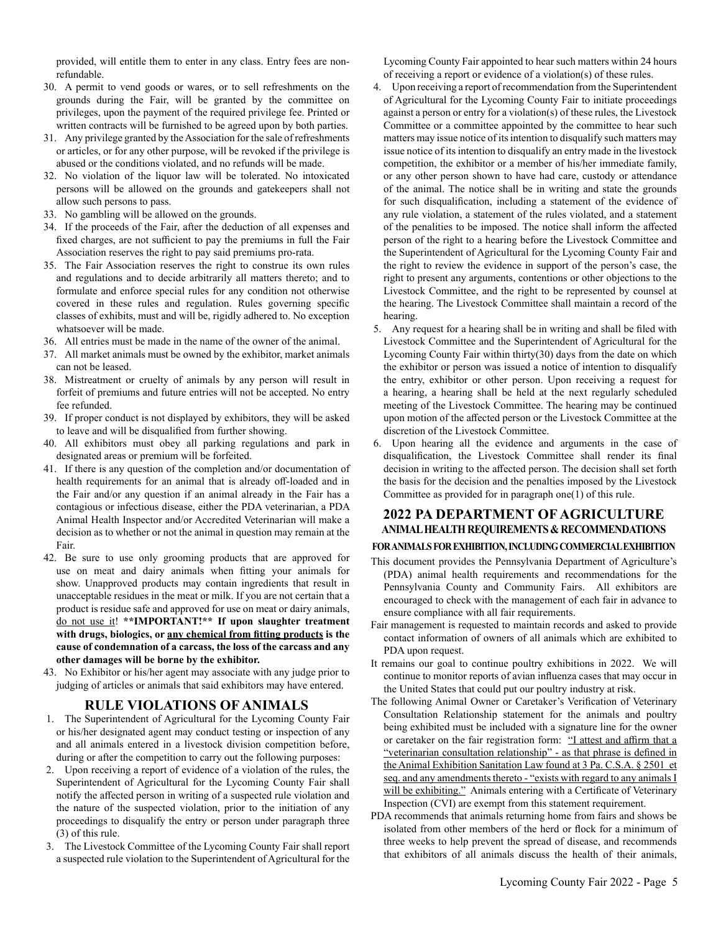provided, will entitle them to enter in any class. Entry fees are nonrefundable.

- 30. A permit to vend goods or wares, or to sell refreshments on the grounds during the Fair, will be granted by the committee on privileges, upon the payment of the required privilege fee. Printed or written contracts will be furnished to be agreed upon by both parties.
- 31. Any privilege granted by the Association for the sale of refreshments or articles, or for any other purpose, will be revoked if the privilege is abused or the conditions violated, and no refunds will be made.
- 32. No violation of the liquor law will be tolerated. No intoxicated persons will be allowed on the grounds and gatekeepers shall not allow such persons to pass.
- 33. No gambling will be allowed on the grounds.
- 34. If the proceeds of the Fair, after the deduction of all expenses and fixed charges, are not sufficient to pay the premiums in full the Fair Association reserves the right to pay said premiums pro-rata.
- 35. The Fair Association reserves the right to construe its own rules and regulations and to decide arbitrarily all matters thereto; and to formulate and enforce special rules for any condition not otherwise covered in these rules and regulation. Rules governing specific classes of exhibits, must and will be, rigidly adhered to. No exception whatsoever will be made.
- 36. All entries must be made in the name of the owner of the animal.
- 37. All market animals must be owned by the exhibitor, market animals can not be leased.
- 38. Mistreatment or cruelty of animals by any person will result in forfeit of premiums and future entries will not be accepted. No entry fee refunded.
- 39. If proper conduct is not displayed by exhibitors, they will be asked to leave and will be disqualified from further showing.
- 40. All exhibitors must obey all parking regulations and park in designated areas or premium will be forfeited.
- 41. If there is any question of the completion and/or documentation of health requirements for an animal that is already off-loaded and in the Fair and/or any question if an animal already in the Fair has a contagious or infectious disease, either the PDA veterinarian, a PDA Animal Health Inspector and/or Accredited Veterinarian will make a decision as to whether or not the animal in question may remain at the Fair.
- 42. Be sure to use only grooming products that are approved for use on meat and dairy animals when fitting your animals for show. Unapproved products may contain ingredients that result in unacceptable residues in the meat or milk. If you are not certain that a product is residue safe and approved for use on meat or dairy animals, do not use it! **\*\*IMPORTANT!\*\* If upon slaughter treatment with drugs, biologics, or any chemical from fitting products is the cause of condemnation of a carcass, the loss of the carcass and any other damages will be borne by the exhibitor.**
- 43. No Exhibitor or his/her agent may associate with any judge prior to judging of articles or animals that said exhibitors may have entered.

#### **RULE VIOLATIONS OF ANIMALS**

- 1. The Superintendent of Agricultural for the Lycoming County Fair or his/her designated agent may conduct testing or inspection of any and all animals entered in a livestock division competition before, during or after the competition to carry out the following purposes:
- 2. Upon receiving a report of evidence of a violation of the rules, the Superintendent of Agricultural for the Lycoming County Fair shall notify the affected person in writing of a suspected rule violation and the nature of the suspected violation, prior to the initiation of any proceedings to disqualify the entry or person under paragraph three (3) of this rule.
- 3. The Livestock Committee of the Lycoming County Fair shall report a suspected rule violation to the Superintendent of Agricultural for the

Lycoming County Fair appointed to hear such matters within 24 hours of receiving a report or evidence of a violation(s) of these rules.

- 4. Upon receiving a report of recommendation from the Superintendent of Agricultural for the Lycoming County Fair to initiate proceedings against a person or entry for a violation(s) of these rules, the Livestock Committee or a committee appointed by the committee to hear such matters may issue notice of its intention to disqualify such matters may issue notice of its intention to disqualify an entry made in the livestock competition, the exhibitor or a member of his/her immediate family, or any other person shown to have had care, custody or attendance of the animal. The notice shall be in writing and state the grounds for such disqualification, including a statement of the evidence of any rule violation, a statement of the rules violated, and a statement of the penalities to be imposed. The notice shall inform the affected person of the right to a hearing before the Livestock Committee and the Superintendent of Agricultural for the Lycoming County Fair and the right to review the evidence in support of the person's case, the right to present any arguments, contentions or other objections to the Livestock Committee, and the right to be represented by counsel at the hearing. The Livestock Committee shall maintain a record of the hearing.
- 5. Any request for a hearing shall be in writing and shall be filed with Livestock Committee and the Superintendent of Agricultural for the Lycoming County Fair within thirty(30) days from the date on which the exhibitor or person was issued a notice of intention to disqualify the entry, exhibitor or other person. Upon receiving a request for a hearing, a hearing shall be held at the next regularly scheduled meeting of the Livestock Committee. The hearing may be continued upon motion of the affected person or the Livestock Committee at the discretion of the Livestock Committee.
- 6. Upon hearing all the evidence and arguments in the case of disqualification, the Livestock Committee shall render its final decision in writing to the affected person. The decision shall set forth the basis for the decision and the penalties imposed by the Livestock Committee as provided for in paragraph one(1) of this rule.

#### **2022 PA DEPARTMENT OF AGRICULTURE ANIMAL HEALTH REQUIREMENTS & RECOMMENDATIONS**

#### **FOR ANIMALS FOR EXHIBITION, INCLUDING COMMERCIAL EXHIBITION**

- This document provides the Pennsylvania Department of Agriculture's (PDA) animal health requirements and recommendations for the Pennsylvania County and Community Fairs. All exhibitors are encouraged to check with the management of each fair in advance to ensure compliance with all fair requirements.
- Fair management is requested to maintain records and asked to provide contact information of owners of all animals which are exhibited to PDA upon request.
- It remains our goal to continue poultry exhibitions in 2022. We will continue to monitor reports of avian influenza cases that may occur in the United States that could put our poultry industry at risk.
- The following Animal Owner or Caretaker's Verification of Veterinary Consultation Relationship statement for the animals and poultry being exhibited must be included with a signature line for the owner or caretaker on the fair registration form: "I attest and affirm that a "veterinarian consultation relationship" - as that phrase is defined in the Animal Exhibition Sanitation Law found at 3 Pa. C.S.A. § 2501 et seq. and any amendments thereto - "exists with regard to any animals I will be exhibiting." Animals entering with a Certificate of Veterinary Inspection (CVI) are exempt from this statement requirement.
- PDA recommends that animals returning home from fairs and shows be isolated from other members of the herd or flock for a minimum of three weeks to help prevent the spread of disease, and recommends that exhibitors of all animals discuss the health of their animals,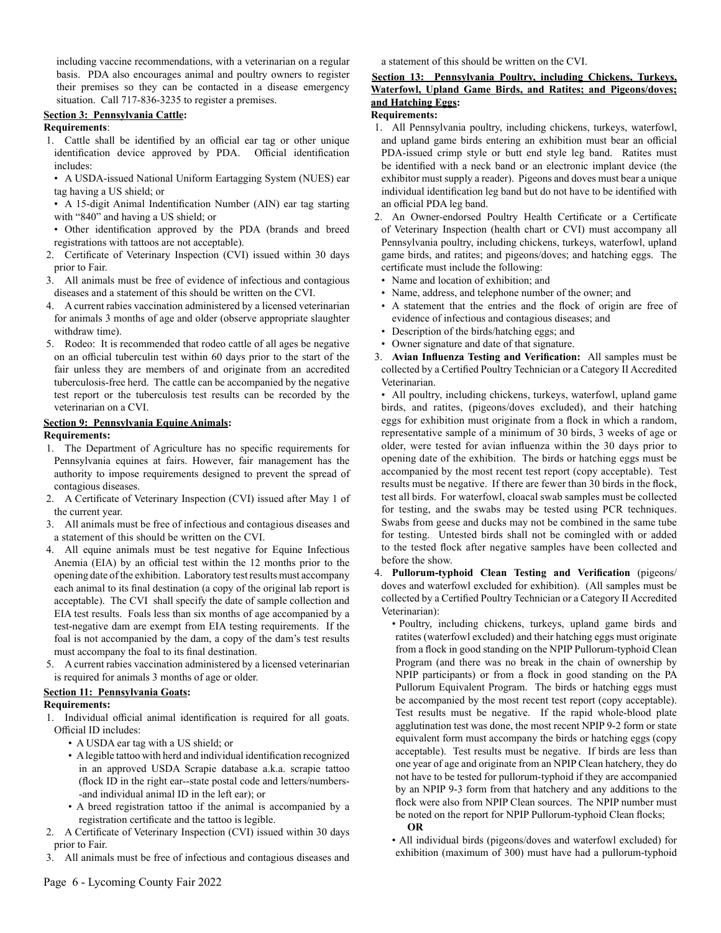including vaccine recommendations, with a veterinarian on a regular basis. PDA also encourages animal and poultry owners to register their premises so they can be contacted in a disease emergency situation. Call 717-836-3235 to register a premises.

#### **Section 3: Pennsylvania Cattle:**

#### **Requirements**:

 1. Cattle shall be identified by an official ear tag or other unique identification device approved by PDA. Official identification includes:

• A USDA-issued National Uniform Eartagging System (NUES) ear tag having a US shield; or

• A 15-digit Animal Indentification Number (AIN) ear tag starting with "840" and having a US shield; or

- Other identification approved by the PDA (brands and breed registrations with tattoos are not acceptable).
- 2. Certificate of Veterinary Inspection (CVI) issued within 30 days prior to Fair.
- 3. All animals must be free of evidence of infectious and contagious diseases and a statement of this should be written on the CVI.
- 4. A current rabies vaccination administered by a licensed veterinarian for animals 3 months of age and older (observe appropriate slaughter withdraw time).
- 5. Rodeo: It is recommended that rodeo cattle of all ages be negative on an official tuberculin test within 60 days prior to the start of the fair unless they are members of and originate from an accredited tuberculosis-free herd. The cattle can be accompanied by the negative test report or the tuberculosis test results can be recorded by the veterinarian on a CVI.

#### **Section 9: Pennsylvania Equine Animals:**

#### **Requirements:**

- 1. The Department of Agriculture has no specific requirements for Pennsylvania equines at fairs. However, fair management has the authority to impose requirements designed to prevent the spread of contagious diseases.
- 2. A Certificate of Veterinary Inspection (CVI) issued after May 1 of the current year.
- 3. All animals must be free of infectious and contagious diseases and a statement of this should be written on the CVI.
- 4. All equine animals must be test negative for Equine Infectious Anemia (EIA) by an official test within the 12 months prior to the opening date of the exhibition. Laboratory test results must accompany each animal to its final destination (a copy of the original lab report is acceptable). The CVI shall specify the date of sample collection and EIA test results. Foals less than six months of age accompanied by a test-negative dam are exempt from EIA testing requirements. If the foal is not accompanied by the dam, a copy of the dam's test results must accompany the foal to its final destination.
- 5. A current rabies vaccination administered by a licensed veterinarian is required for animals 3 months of age or older.

#### **Section 11: Pennsylvania Goats:**

#### **Requirements:**

- 1. Individual official animal identification is required for all goats. Official ID includes:
	- A USDA ear tag with a US shield; or
	- A legible tattoo with herd and individual identification recognized in an approved USDA Scrapie database a.k.a. scrapie tattoo (flock ID in the right ear--state postal code and letters/numbers- -and individual animal ID in the left ear); or
	- A breed registration tattoo if the animal is accompanied by a registration certificate and the tattoo is legible.

 2. A Certificate of Veterinary Inspection (CVI) issued within 30 days prior to Fair.

3. All animals must be free of infectious and contagious diseases and

a statement of this should be written on the CVI.

#### **Section 13: Pennsylvania Poultry, including Chickens, Turkeys, Waterfowl, Upland Game Birds, and Ratites; and Pigeons/doves; and Hatching Eggs:**

#### **Requirements:**

- 1. All Pennsylvania poultry, including chickens, turkeys, waterfowl, and upland game birds entering an exhibition must bear an official PDA-issued crimp style or butt end style leg band. Ratites must be identified with a neck band or an electronic implant device (the exhibitor must supply a reader). Pigeons and doves must bear a unique individual identification leg band but do not have to be identified with an official PDA leg band.
- 2. An Owner-endorsed Poultry Health Certificate or a Certificate of Veterinary Inspection (health chart or CVI) must accompany all Pennsylvania poultry, including chickens, turkeys, waterfowl, upland game birds, and ratites; and pigeons/doves; and hatching eggs. The certificate must include the following:
- Name and location of exhibition; and
- Name, address, and telephone number of the owner; and
- A statement that the entries and the flock of origin are free of evidence of infectious and contagious diseases; and
- Description of the birds/hatching eggs; and
- Owner signature and date of that signature.
- 3. **Avian Influenza Testing and Verification:** All samples must be collected by a Certified Poultry Technician or a Category II Accredited Veterinarian.

• All poultry, including chickens, turkeys, waterfowl, upland game birds, and ratites, (pigeons/doves excluded), and their hatching eggs for exhibition must originate from a flock in which a random, representative sample of a minimum of 30 birds, 3 weeks of age or older, were tested for avian influenza within the 30 days prior to opening date of the exhibition. The birds or hatching eggs must be accompanied by the most recent test report (copy acceptable). Test results must be negative. If there are fewer than 30 birds in the flock, test all birds. For waterfowl, cloacal swab samples must be collected for testing, and the swabs may be tested using PCR techniques. Swabs from geese and ducks may not be combined in the same tube for testing. Untested birds shall not be comingled with or added to the tested flock after negative samples have been collected and before the show.

 4. **Pullorum-typhoid Clean Testing and Verification** (pigeons/ doves and waterfowl excluded for exhibition). (All samples must be collected by a Certified Poultry Technician or a Category II Accredited Veterinarian):

• Poultry, including chickens, turkeys, upland game birds and ratites (waterfowl excluded) and their hatching eggs must originate from a flock in good standing on the NPIP Pullorum-typhoid Clean Program (and there was no break in the chain of ownership by NPIP participants) or from a flock in good standing on the PA Pullorum Equivalent Program. The birds or hatching eggs must be accompanied by the most recent test report (copy acceptable). Test results must be negative. If the rapid whole-blood plate agglutination test was done, the most recent NPIP 9-2 form or state equivalent form must accompany the birds or hatching eggs (copy acceptable). Test results must be negative. If birds are less than one year of age and originate from an NPIP Clean hatchery, they do not have to be tested for pullorum-typhoid if they are accompanied by an NPIP 9-3 form from that hatchery and any additions to the flock were also from NPIP Clean sources. The NPIP number must be noted on the report for NPIP Pullorum-typhoid Clean flocks;

#### **OR**

• All individual birds (pigeons/doves and waterfowl excluded) for exhibition (maximum of 300) must have had a pullorum-typhoid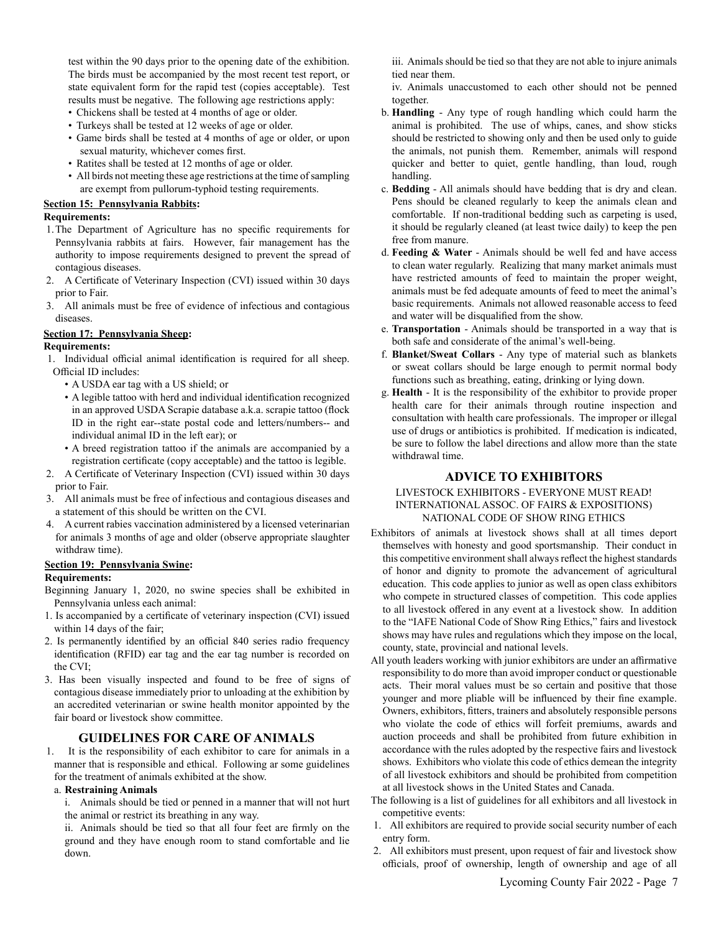test within the 90 days prior to the opening date of the exhibition. The birds must be accompanied by the most recent test report, or state equivalent form for the rapid test (copies acceptable). Test results must be negative. The following age restrictions apply:

- Chickens shall be tested at 4 months of age or older.
- Turkeys shall be tested at 12 weeks of age or older.
- Game birds shall be tested at 4 months of age or older, or upon sexual maturity, whichever comes first.
- Ratites shall be tested at 12 months of age or older.
- All birds not meeting these age restrictions at the time of sampling are exempt from pullorum-typhoid testing requirements.

#### **Section 15: Pennsylvania Rabbits:**

#### **Requirements:**

- 1.The Department of Agriculture has no specific requirements for Pennsylvania rabbits at fairs. However, fair management has the authority to impose requirements designed to prevent the spread of contagious diseases.
- 2. A Certificate of Veterinary Inspection (CVI) issued within 30 days prior to Fair.
- 3. All animals must be free of evidence of infectious and contagious diseases.

#### **Section 17: Pennsylvania Sheep:**

#### **Requirements:**

- 1. Individual official animal identification is required for all sheep. Official ID includes:
	- A USDA ear tag with a US shield; or
	- A legible tattoo with herd and individual identification recognized in an approved USDA Scrapie database a.k.a. scrapie tattoo (flock ID in the right ear--state postal code and letters/numbers-- and individual animal ID in the left ear); or
	- A breed registration tattoo if the animals are accompanied by a registration certificate (copy acceptable) and the tattoo is legible.
- 2. A Certificate of Veterinary Inspection (CVI) issued within 30 days prior to Fair.
- 3. All animals must be free of infectious and contagious diseases and a statement of this should be written on the CVI.
- 4. A current rabies vaccination administered by a licensed veterinarian for animals 3 months of age and older (observe appropriate slaughter withdraw time).

#### **Section 19: Pennsylvania Swine:**

#### **Requirements:**

- Beginning January 1, 2020, no swine species shall be exhibited in Pennsylvania unless each animal:
- 1. Is accompanied by a certificate of veterinary inspection (CVI) issued within 14 days of the fair;
- 2. Is permanently identified by an official 840 series radio frequency identification (RFID) ear tag and the ear tag number is recorded on the CVI;
- 3. Has been visually inspected and found to be free of signs of contagious disease immediately prior to unloading at the exhibition by an accredited veterinarian or swine health monitor appointed by the fair board or livestock show committee.

#### **GUIDELINES FOR CARE OF ANIMALS**

 1. It is the responsibility of each exhibitor to care for animals in a manner that is responsible and ethical. Following ar some guidelines for the treatment of animals exhibited at the show.

#### a. **Restraining Animals**

 i. Animals should be tied or penned in a manner that will not hurt the animal or restrict its breathing in any way.

ii. Animals should be tied so that all four feet are firmly on the ground and they have enough room to stand comfortable and lie down.

 iii. Animals should be tied so that they are not able to injure animals tied near them.

 iv. Animals unaccustomed to each other should not be penned together.

- b. **Handling** Any type of rough handling which could harm the animal is prohibited. The use of whips, canes, and show sticks should be restricted to showing only and then be used only to guide the animals, not punish them. Remember, animals will respond quicker and better to quiet, gentle handling, than loud, rough handling.
- c. **Bedding** All animals should have bedding that is dry and clean. Pens should be cleaned regularly to keep the animals clean and comfortable. If non-traditional bedding such as carpeting is used, it should be regularly cleaned (at least twice daily) to keep the pen free from manure.
- d. **Feeding & Water** Animals should be well fed and have access to clean water regularly. Realizing that many market animals must have restricted amounts of feed to maintain the proper weight, animals must be fed adequate amounts of feed to meet the animal's basic requirements. Animals not allowed reasonable access to feed and water will be disqualified from the show.
- e. **Transportation** Animals should be transported in a way that is both safe and considerate of the animal's well-being.
- f. **Blanket/Sweat Collars** Any type of material such as blankets or sweat collars should be large enough to permit normal body functions such as breathing, eating, drinking or lying down.
- g. **Health** It is the responsibility of the exhibitor to provide proper health care for their animals through routine inspection and consultation with health care professionals. The improper or illegal use of drugs or antibiotics is prohibited. If medication is indicated, be sure to follow the label directions and allow more than the state withdrawal time.

#### **ADVICE TO EXHIBITORS**

#### LIVESTOCK EXHIBITORS - EVERYONE MUST READ! INTERNATIONAL ASSOC. OF FAIRS & EXPOSITIONS) NATIONAL CODE OF SHOW RING ETHICS

- Exhibitors of animals at livestock shows shall at all times deport themselves with honesty and good sportsmanship. Their conduct in this competitive environment shall always reflect the highest standards of honor and dignity to promote the advancement of agricultural education. This code applies to junior as well as open class exhibitors who compete in structured classes of competition. This code applies to all livestock offered in any event at a livestock show. In addition to the "IAFE National Code of Show Ring Ethics," fairs and livestock shows may have rules and regulations which they impose on the local, county, state, provincial and national levels.
- All youth leaders working with junior exhibitors are under an affirmative responsibility to do more than avoid improper conduct or questionable acts. Their moral values must be so certain and positive that those younger and more pliable will be influenced by their fine example. Owners, exhibitors, fitters, trainers and absolutely responsible persons who violate the code of ethics will forfeit premiums, awards and auction proceeds and shall be prohibited from future exhibition in accordance with the rules adopted by the respective fairs and livestock shows. Exhibitors who violate this code of ethics demean the integrity of all livestock exhibitors and should be prohibited from competition at all livestock shows in the United States and Canada.
- The following is a list of guidelines for all exhibitors and all livestock in competitive events:
- 1. All exhibitors are required to provide social security number of each entry form.
- 2. All exhibitors must present, upon request of fair and livestock show officials, proof of ownership, length of ownership and age of all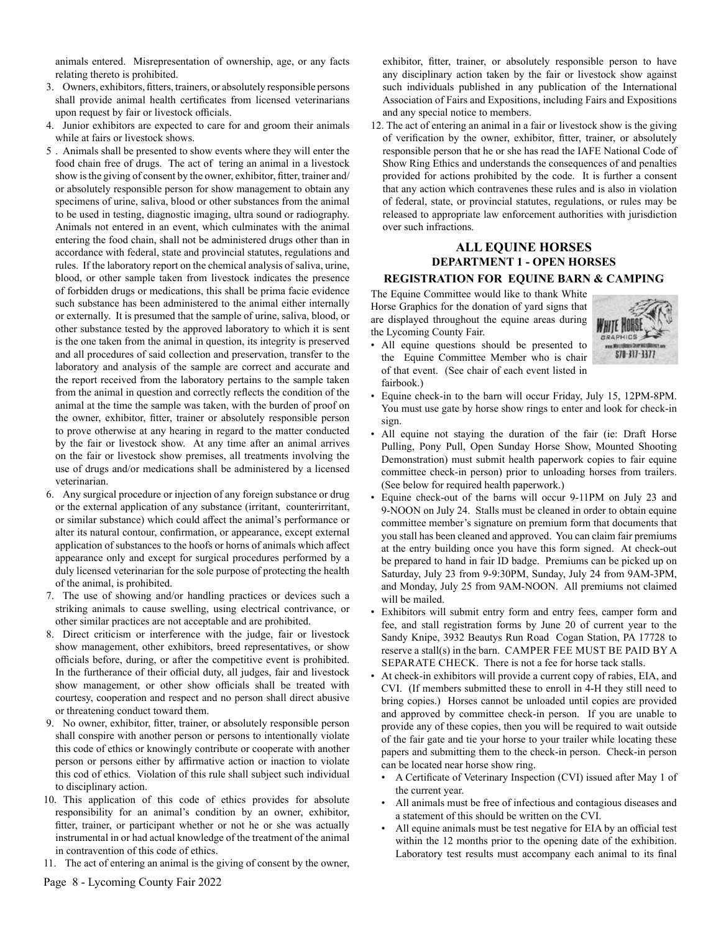animals entered. Misrepresentation of ownership, age, or any facts relating thereto is prohibited.

- 3. Owners, exhibitors, fitters, trainers, or absolutely responsible persons shall provide animal health certificates from licensed veterinarians upon request by fair or livestock officials.
- 4. Junior exhibitors are expected to care for and groom their animals while at fairs or livestock shows.
- 5 . Animals shall be presented to show events where they will enter the food chain free of drugs. The act of tering an animal in a livestock show is the giving of consent by the owner, exhibitor, fitter, trainer and/ or absolutely responsible person for show management to obtain any specimens of urine, saliva, blood or other substances from the animal to be used in testing, diagnostic imaging, ultra sound or radiography. Animals not entered in an event, which culminates with the animal entering the food chain, shall not be administered drugs other than in accordance with federal, state and provincial statutes, regulations and rules. If the laboratory report on the chemical analysis of saliva, urine, blood, or other sample taken from livestock indicates the presence of forbidden drugs or medications, this shall be prima facie evidence such substance has been administered to the animal either internally or externally. It is presumed that the sample of urine, saliva, blood, or other substance tested by the approved laboratory to which it is sent is the one taken from the animal in question, its integrity is preserved and all procedures of said collection and preservation, transfer to the laboratory and analysis of the sample are correct and accurate and the report received from the laboratory pertains to the sample taken from the animal in question and correctly reflects the condition of the animal at the time the sample was taken, with the burden of proof on the owner, exhibitor, fitter, trainer or absolutely responsible person to prove otherwise at any hearing in regard to the matter conducted by the fair or livestock show. At any time after an animal arrives on the fair or livestock show premises, all treatments involving the use of drugs and/or medications shall be administered by a licensed veterinarian.
- 6. Any surgical procedure or injection of any foreign substance or drug or the external application of any substance (irritant, counterirritant, or similar substance) which could affect the animal's performance or alter its natural contour, confirmation, or appearance, except external application of substances to the hoofs or horns of animals which affect appearance only and except for surgical procedures performed by a duly licensed veterinarian for the sole purpose of protecting the health of the animal, is prohibited.
- 7. The use of showing and/or handling practices or devices such a striking animals to cause swelling, using electrical contrivance, or other similar practices are not acceptable and are prohibited.
- 8. Direct criticism or interference with the judge, fair or livestock show management, other exhibitors, breed representatives, or show officials before, during, or after the competitive event is prohibited. In the furtherance of their official duty, all judges, fair and livestock show management, or other show officials shall be treated with courtesy, cooperation and respect and no person shall direct abusive or threatening conduct toward them.
- 9. No owner, exhibitor, fitter, trainer, or absolutely responsible person shall conspire with another person or persons to intentionally violate this code of ethics or knowingly contribute or cooperate with another person or persons either by affirmative action or inaction to violate this cod of ethics. Violation of this rule shall subject such individual to disciplinary action.
- 10. This application of this code of ethics provides for absolute responsibility for an animal's condition by an owner, exhibitor, fitter, trainer, or participant whether or not he or she was actually instrumental in or had actual knowledge of the treatment of the animal in contravention of this code of ethics.
- 11. The act of entering an animal is the giving of consent by the owner,

exhibitor, fitter, trainer, or absolutely responsible person to have any disciplinary action taken by the fair or livestock show against such individuals published in any publication of the International Association of Fairs and Expositions, including Fairs and Expositions and any special notice to members.

12. The act of entering an animal in a fair or livestock show is the giving of verification by the owner, exhibitor, fitter, trainer, or absolutely responsible person that he or she has read the IAFE National Code of Show Ring Ethics and understands the consequences of and penalties provided for actions prohibited by the code. It is further a consent that any action which contravenes these rules and is also in violation of federal, state, or provincial statutes, regulations, or rules may be released to appropriate law enforcement authorities with jurisdiction over such infractions.

### **ALL EQUINE HORSES DEPARTMENT 1 - OPEN HORSES**

#### **REGISTRATION FOR EQUINE BARN & CAMPING**

The Equine Committee would like to thank White Horse Graphics for the donation of yard signs that are displayed throughout the equine areas during the Lycoming County Fair.



- All equine questions should be presented to the Equine Committee Member who is chair of that event. (See chair of each event listed in fairbook.)
- Equine check-in to the barn will occur Friday, July 15, 12PM-8PM. You must use gate by horse show rings to enter and look for check-in sign.
- All equine not staying the duration of the fair (ie: Draft Horse Pulling, Pony Pull, Open Sunday Horse Show, Mounted Shooting Demonstration) must submit health paperwork copies to fair equine committee check-in person) prior to unloading horses from trailers. (See below for required health paperwork.)
- Equine check-out of the barns will occur 9-11PM on July 23 and 9-NOON on July 24. Stalls must be cleaned in order to obtain equine committee member's signature on premium form that documents that you stall has been cleaned and approved. You can claim fair premiums at the entry building once you have this form signed. At check-out be prepared to hand in fair ID badge. Premiums can be picked up on Saturday, July 23 from 9-9:30PM, Sunday, July 24 from 9AM-3PM, and Monday, July 25 from 9AM-NOON. All premiums not claimed will be mailed.
- Exhibitors will submit entry form and entry fees, camper form and fee, and stall registration forms by June 20 of current year to the Sandy Knipe, 3932 Beautys Run Road Cogan Station, PA 17728 to reserve a stall(s) in the barn. CAMPER FEE MUST BE PAID BY A SEPARATE CHECK. There is not a fee for horse tack stalls.
- At check-in exhibitors will provide a current copy of rabies, EIA, and CVI. (If members submitted these to enroll in 4-H they still need to bring copies.) Horses cannot be unloaded until copies are provided and approved by committee check-in person. If you are unable to provide any of these copies, then you will be required to wait outside of the fair gate and tie your horse to your trailer while locating these papers and submitting them to the check-in person. Check-in person can be located near horse show ring.
	- A Certificate of Veterinary Inspection (CVI) issued after May 1 of the current year.
	- All animals must be free of infectious and contagious diseases and a statement of this should be written on the CVI.
	- All equine animals must be test negative for EIA by an official test within the 12 months prior to the opening date of the exhibition. Laboratory test results must accompany each animal to its final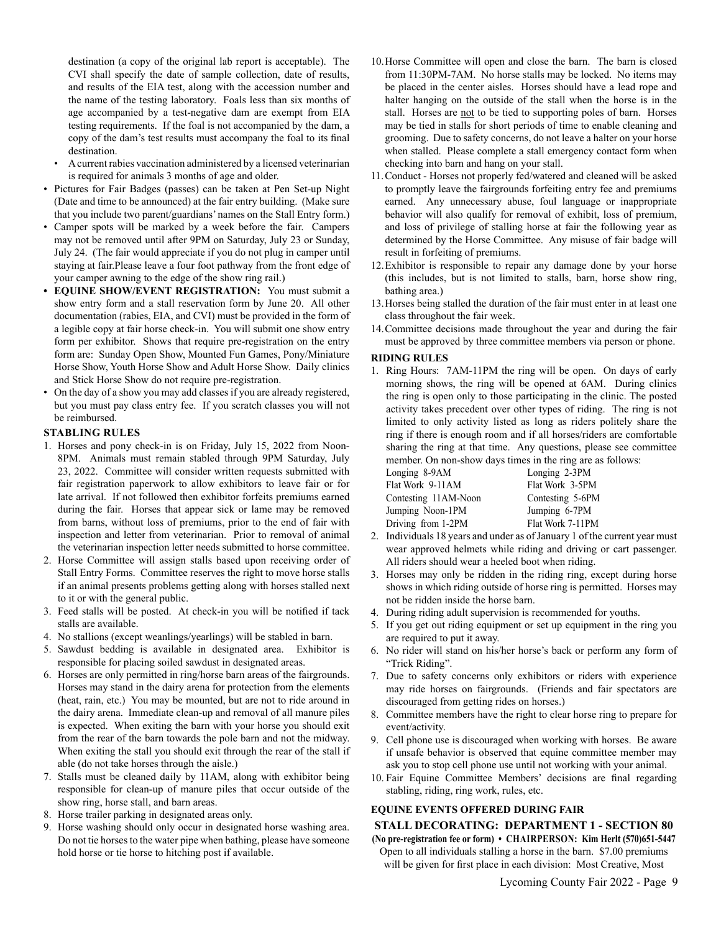destination (a copy of the original lab report is acceptable). The CVI shall specify the date of sample collection, date of results, and results of the EIA test, along with the accession number and the name of the testing laboratory. Foals less than six months of age accompanied by a test-negative dam are exempt from EIA testing requirements. If the foal is not accompanied by the dam, a copy of the dam's test results must accompany the foal to its final destination.

- A current rabies vaccination administered by a licensed veterinarian is required for animals 3 months of age and older.
- Pictures for Fair Badges (passes) can be taken at Pen Set-up Night (Date and time to be announced) at the fair entry building. (Make sure that you include two parent/guardians' names on the Stall Entry form.)
- Camper spots will be marked by a week before the fair. Campers may not be removed until after 9PM on Saturday, July 23 or Sunday, July 24. (The fair would appreciate if you do not plug in camper until staying at fair.Please leave a four foot pathway from the front edge of your camper awning to the edge of the show ring rail.)
- **• EQUINE SHOW/EVENT REGISTRATION:** You must submit a show entry form and a stall reservation form by June 20. All other documentation (rabies, EIA, and CVI) must be provided in the form of a legible copy at fair horse check-in. You will submit one show entry form per exhibitor. Shows that require pre-registration on the entry form are: Sunday Open Show, Mounted Fun Games, Pony/Miniature Horse Show, Youth Horse Show and Adult Horse Show. Daily clinics and Stick Horse Show do not require pre-registration.
- On the day of a show you may add classes if you are already registered, but you must pay class entry fee. If you scratch classes you will not be reimbursed.

#### **STABLING RULES**

- 1. Horses and pony check-in is on Friday, July 15, 2022 from Noon-8PM. Animals must remain stabled through 9PM Saturday, July 23, 2022. Committee will consider written requests submitted with fair registration paperwork to allow exhibitors to leave fair or for late arrival. If not followed then exhibitor forfeits premiums earned during the fair. Horses that appear sick or lame may be removed from barns, without loss of premiums, prior to the end of fair with inspection and letter from veterinarian. Prior to removal of animal the veterinarian inspection letter needs submitted to horse committee.
- 2. Horse Committee will assign stalls based upon receiving order of Stall Entry Forms. Committee reserves the right to move horse stalls if an animal presents problems getting along with horses stalled next to it or with the general public.
- 3. Feed stalls will be posted. At check-in you will be notified if tack stalls are available.
- 4. No stallions (except weanlings/yearlings) will be stabled in barn.
- 5. Sawdust bedding is available in designated area. Exhibitor is responsible for placing soiled sawdust in designated areas.
- 6. Horses are only permitted in ring/horse barn areas of the fairgrounds. Horses may stand in the dairy arena for protection from the elements (heat, rain, etc.) You may be mounted, but are not to ride around in the dairy arena. Immediate clean-up and removal of all manure piles is expected. When exiting the barn with your horse you should exit from the rear of the barn towards the pole barn and not the midway. When exiting the stall you should exit through the rear of the stall if able (do not take horses through the aisle.)
- 7. Stalls must be cleaned daily by 11AM, along with exhibitor being responsible for clean-up of manure piles that occur outside of the show ring, horse stall, and barn areas.
- 8. Horse trailer parking in designated areas only.
- 9. Horse washing should only occur in designated horse washing area. Do not tie horses to the water pipe when bathing, please have someone hold horse or tie horse to hitching post if available.
- 10.Horse Committee will open and close the barn. The barn is closed from 11:30PM-7AM. No horse stalls may be locked. No items may be placed in the center aisles. Horses should have a lead rope and halter hanging on the outside of the stall when the horse is in the stall. Horses are not to be tied to supporting poles of barn. Horses may be tied in stalls for short periods of time to enable cleaning and grooming. Due to safety concerns, do not leave a halter on your horse when stalled. Please complete a stall emergency contact form when checking into barn and hang on your stall.
- 11.Conduct Horses not properly fed/watered and cleaned will be asked to promptly leave the fairgrounds forfeiting entry fee and premiums earned. Any unnecessary abuse, foul language or inappropriate behavior will also qualify for removal of exhibit, loss of premium, and loss of privilege of stalling horse at fair the following year as determined by the Horse Committee. Any misuse of fair badge will result in forfeiting of premiums.
- 12.Exhibitor is responsible to repair any damage done by your horse (this includes, but is not limited to stalls, barn, horse show ring, bathing area.)
- 13.Horses being stalled the duration of the fair must enter in at least one class throughout the fair week.
- 14.Committee decisions made throughout the year and during the fair must be approved by three committee members via person or phone.

#### **RIDING RULES**

1. Ring Hours: 7AM-11PM the ring will be open. On days of early morning shows, the ring will be opened at 6AM. During clinics the ring is open only to those participating in the clinic. The posted activity takes precedent over other types of riding. The ring is not limited to only activity listed as long as riders politely share the ring if there is enough room and if all horses/riders are comfortable sharing the ring at that time. Any questions, please see committee member. On non-show days times in the ring are as follows:

| Longing 8-9AM        | Longing 2-3PM    |
|----------------------|------------------|
| Flat Work 9-11AM     | Flat Work 3-5PM  |
| Contesting 11AM-Noon | Contesting 5-6PM |
| Jumping Noon-1PM     | Jumping 6-7PM    |
| Driving from 1-2PM   | Flat Work 7-11PM |

- 2. Individuals 18 years and under as of January 1 of the current year must wear approved helmets while riding and driving or cart passenger. All riders should wear a heeled boot when riding.
- 3. Horses may only be ridden in the riding ring, except during horse shows in which riding outside of horse ring is permitted. Horses may not be ridden inside the horse barn.
- 4. During riding adult supervision is recommended for youths.
- 5. If you get out riding equipment or set up equipment in the ring you are required to put it away.
- 6. No rider will stand on his/her horse's back or perform any form of "Trick Riding".
- 7. Due to safety concerns only exhibitors or riders with experience may ride horses on fairgrounds. (Friends and fair spectators are discouraged from getting rides on horses.)
- 8. Committee members have the right to clear horse ring to prepare for event/activity.
- 9. Cell phone use is discouraged when working with horses. Be aware if unsafe behavior is observed that equine committee member may ask you to stop cell phone use until not working with your animal.
- 10. Fair Equine Committee Members' decisions are final regarding stabling, riding, ring work, rules, etc.

#### **EQUINE EVENTS OFFERED DURING FAIR**

#### **STALL DECORATING: DEPARTMENT 1 - SECTION 80**

**(No pre-registration fee or form) • CHAIRPERSON: Kim Herlt (570)651-5447** Open to all individuals stalling a horse in the barn. \$7.00 premiums will be given for first place in each division: Most Creative, Most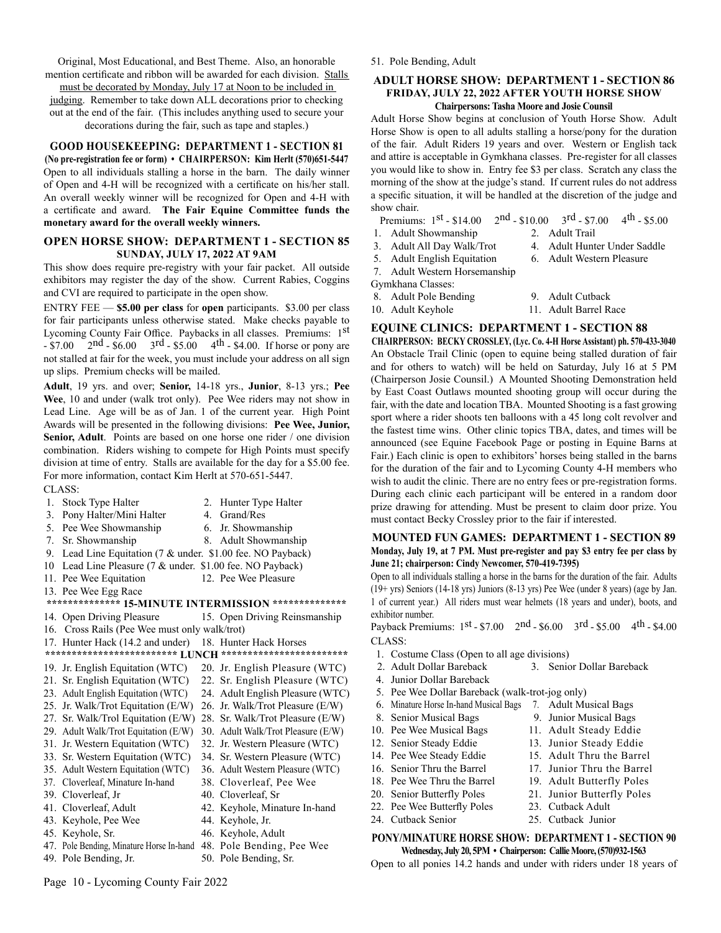Original, Most Educational, and Best Theme. Also, an honorable mention certificate and ribbon will be awarded for each division. Stalls

must be decorated by Monday, July 17 at Noon to be included in judging. Remember to take down ALL decorations prior to checking out at the end of the fair. (This includes anything used to secure your

decorations during the fair, such as tape and staples.)

### **GOOD HOUSEKEEPING: DEPARTMENT 1 - SECTION 81**

**(No pre-registration fee or form) • CHAIRPERSON: Kim Herlt (570)651-5447** Open to all individuals stalling a horse in the barn. The daily winner of Open and 4-H will be recognized with a certificate on his/her stall. An overall weekly winner will be recognized for Open and 4-H with a certificate and award. **The Fair Equine Committee funds the monetary award for the overall weekly winners.**

#### **OPEN HORSE SHOW: DEPARTMENT 1 - SECTION 85 SUNDAY, JULY 17, 2022 AT 9AM**

This show does require pre-registry with your fair packet. All outside exhibitors may register the day of the show. Current Rabies, Coggins and CVI are required to participate in the open show.

ENTRY FEE — **\$5.00 per class** for **open** participants. \$3.00 per class for fair participants unless otherwise stated. Make checks payable to Lycoming County Fair Office. Paybacks in all classes. Premiums: 1st  $-$  \$7.00  $-$  2<sup>nd</sup> - \$6.00  $-$  3<sup>rd</sup> - \$5.00  $-$  4<sup>th</sup> - \$4.00. If horse or pony are not stalled at fair for the week, you must include your address on all sign up slips. Premium checks will be mailed.

**Adult**, 19 yrs. and over; **Senior,** 14-18 yrs., **Junior**, 8-13 yrs.; **Pee Wee**, 10 and under (walk trot only). Pee Wee riders may not show in Lead Line. Age will be as of Jan. 1 of the current year. High Point Awards will be presented in the following divisions: **Pee Wee, Junior, Senior, Adult**. Points are based on one horse one rider / one division combination. Riders wishing to compete for High Points must specify division at time of entry. Stalls are available for the day for a \$5.00 fee. For more information, contact Kim Herlt at 570-651-5447.

- 1. Stock Type Halter 2. Hunter Type Halter 3. Pony Halter/Mini Halter 4. Grand/Res 5. Pee Wee Showmanship 6. Jr. Showmanship 7. Sr. Showmanship 8. Adult Showmanship 9. Lead Line Equitation (7 & under. \$1.00 fee. NO Payback) 10 Lead Line Pleasure (7 & under. \$1.00 fee. NO Payback) 11. Pee Wee Equitation 12. Pee Wee Pleasure 13. Pee Wee Egg Race **\*\*\*\*\*\*\*\*\*\*\*\*\*\* 15-MINUTE INTERMISSION \*\*\*\*\*\*\*\*\*\*\*\*\*\*** 14. Open Driving Pleasure 15. Open Driving Reinsmanship 16. Cross Rails (Pee Wee must only walk/trot)<br>17. Hunter Hack (14.2 and under) 18. Hunter Hack Horses 17. Hunter Hack (14.2 and under) **\*\*\*\*\*\*\*\*\*\*\*\*\*\*\*\*\*\*\*\*\*\*\*\*\* LUNCH \*\*\*\*\*\*\*\*\*\*\*\*\*\*\*\*\*\*\*\*\*\*\*\*** 19. Jr. English Equitation (WTC) 20. Jr. English Pleasure (WTC) 21. Sr. English Equitation (WTC) 22. Sr. English Pleasure (WTC) 23. Adult English Equitation (WTC) 24. Adult English Pleasure (WTC) 25. Jr. Walk/Trot Equitation (E/W) 26. Jr. Walk/Trot Pleasure (E/W) 27. Sr. Walk/Trol Equitation (E/W) 28. Sr. Walk/Trot Pleasure (E/W) 29. Adult Walk/Trot Equitation (E/W) 30. Adult Walk/Trot Pleasure (E/W) 31. Jr. Western Equitation (WTC) 32. Jr. Western Pleasure (WTC) 33. Sr. Western Equitation (WTC) 34. Sr. Western Pleasure (WTC)
- 
- 
- 
- 
- 
- 
- 
- 49. Pole Bending, Jr. 50. Pole Bending, Sr.

51. Pole Bending, Adult

#### **ADULT HORSE SHOW: DEPARTMENT 1 - SECTION 86 FRIDAY, JULY 22, 2022 AFTER YOUTH HORSE SHOW Chairpersons: Tasha Moore and Josie Counsil**

Adult Horse Show begins at conclusion of Youth Horse Show. Adult Horse Show is open to all adults stalling a horse/pony for the duration of the fair. Adult Riders 19 years and over. Western or English tack and attire is acceptable in Gymkhana classes. Pre-register for all classes you would like to show in. Entry fee \$3 per class. Scratch any class the morning of the show at the judge's stand. If current rules do not address a specific situation, it will be handled at the discretion of the judge and show chair.

Premiums:  $1^{st} - $14.00$   $2^{nd} - $10.00$   $3^{rd} - $7.00$   $4^{th} - $5.00$ 

- 1. Adult Showmanship 2. Adult Trail
- 3. Adult All Day Walk/Trot 4. Adult Hunter Under Saddle
- 5. Adult English Equitation 6. Adult Western Pleasure
- 7. Adult Western Horsemanship
- Gymkhana Classes:
- 8. Adult Pole Bending 9. Adult Cutback
- 10. Adult Keyhole 11. Adult Barrel Race

#### **EQUINE CLINICS: DEPARTMENT 1 - SECTION 88**

**CHAIRPERSON: BECKY CROSSLEY, (Lyc. Co. 4-H Horse Assistant) ph. 570-433-3040** An Obstacle Trail Clinic (open to equine being stalled duration of fair and for others to watch) will be held on Saturday, July 16 at 5 PM (Chairperson Josie Counsil.) A Mounted Shooting Demonstration held by East Coast Outlaws mounted shooting group will occur during the fair, with the date and location TBA. Mounted Shooting is a fast growing sport where a rider shoots ten balloons with a 45 long colt revolver and the fastest time wins. Other clinic topics TBA, dates, and times will be announced (see Equine Facebook Page or posting in Equine Barns at Fair.) Each clinic is open to exhibitors' horses being stalled in the barns for the duration of the fair and to Lycoming County 4-H members who wish to audit the clinic. There are no entry fees or pre-registration forms. During each clinic each participant will be entered in a random door prize drawing for attending. Must be present to claim door prize. You must contact Becky Crossley prior to the fair if interested.

#### **MOUNTED FUN GAMES: DEPARTMENT 1 - SECTION 89 Monday, July 19, at 7 PM. Must pre-register and pay \$3 entry fee per class by June 21; chairperson: Cindy Newcomer, 570-419-7395)**

Open to all individuals stalling a horse in the barns for the duration of the fair. Adults (19+ yrs) Seniors (14-18 yrs) Juniors (8-13 yrs) Pee Wee (under 8 years) (age by Jan. 1 of current year.) All riders must wear helmets (18 years and under), boots, and exhibitor number.

Payback Premiums: 1st - \$7.00 2nd - \$6.00 3rd - \$5.00 4th - \$4.00 CLASS:

- 1. Costume Class (Open to all age divisions)
- 2. Adult Dollar Bareback 3. Senior Dollar Bareback
- 4. Junior Dollar Bareback
- 5. Pee Wee Dollar Bareback (walk-trot-jog only)
- 6. Minature Horse In-hand Musical Bags 7. Adult Musical Bags
- 8. Senior Musical Bags 9. Junior Musical Bags
- 10. Pee Wee Musical Bags 11. Adult Steady Eddie
- 12. Senior Steady Eddie 13. Junior Steady Eddie
- 14. Pee Wee Steady Eddie 15. Adult Thru the Barrel
- 16. Senior Thru the Barrel 17. Junior Thru the Barrel
- 18. Pee Wee Thru the Barrel 19. Adult Butterfly Poles
- 20. Senior Butterfly Poles 21. Junior Butterfly Poles
- 22. Pee Wee Butterfly Poles 23. Cutback Adult
- 24. Cutback Senior 25. Cutback Junior

#### **PONY/MINATURE HORSE SHOW: DEPARTMENT 1 - SECTION 90 Wednesday, July 20, 5PM • Chairperson: Callie Moore, (570)932-1563**

Open to all ponies 14.2 hands and under with riders under 18 years of

Page 10 - Lycoming County Fair 2022

35. Adult Western Equitation (WTC) 36. Adult Western Pleasure (WTC)

- 37. Cloverleaf, Minature In-hand 38. Cloverleaf, Pee Wee 39. Cloverleaf, Jr 40. Cloverleaf, Sr
- 41. Cloverleaf, Adult 42. Keyhole, Minature In-hand
- 43. Keyhole, Pee Wee 44. Keyhole, Jr.
- 45. Keyhole, Sr. 46. Keyhole, Adult
- 47. Pole Bending, Minature Horse In-hand 48. Pole Bending, Pee Wee
	-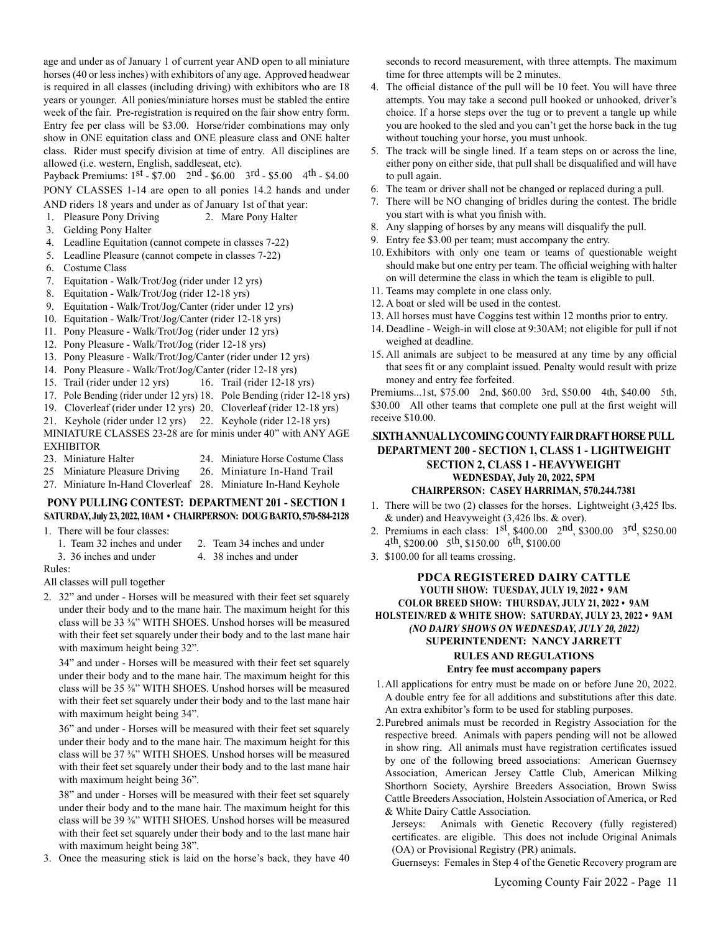age and under as of January 1 of current year AND open to all miniature horses (40 or less inches) with exhibitors of any age. Approved headwear is required in all classes (including driving) with exhibitors who are 18 years or younger. All ponies/miniature horses must be stabled the entire week of the fair. Pre-registration is required on the fair show entry form. Entry fee per class will be \$3.00. Horse/rider combinations may only show in ONE equitation class and ONE pleasure class and ONE halter class. Rider must specify division at time of entry. All disciplines are allowed (i.e. western, English, saddleseat, etc).

Payback Premiums: 1st - \$7.00 2nd - \$6.00 3rd - \$5.00 4th - \$4.00 PONY CLASSES 1-14 are open to all ponies 14.2 hands and under

AND riders 18 years and under as of January 1st of that year:

- 1. Pleasure Pony Driving 2. Mare Pony Halter
- 3. Gelding Pony Halter
- 4. Leadline Equitation (cannot compete in classes 7-22)
- 5. Leadline Pleasure (cannot compete in classes 7-22)
- 6. Costume Class
- 7. Equitation Walk/Trot/Jog (rider under 12 yrs)
- 8. Equitation Walk/Trot/Jog (rider 12-18 yrs)
- 9. Equitation Walk/Trot/Jog/Canter (rider under 12 yrs)
- 10. Equitation Walk/Trot/Jog/Canter (rider 12-18 yrs)
- 11. Pony Pleasure Walk/Trot/Jog (rider under 12 yrs)
- 12. Pony Pleasure Walk/Trot/Jog (rider 12-18 yrs)
- 13. Pony Pleasure Walk/Trot/Jog/Canter (rider under 12 yrs)
- 14. Pony Pleasure Walk/Trot/Jog/Canter (rider 12-18 yrs)
- 15. Trail (rider under 12 yrs) 16. Trail (rider 12-18 yrs)
- 17. Pole Bending (rider under 12 yrs) 18. Pole Bending (rider 12-18 yrs)
- 19. Cloverleaf (rider under 12 yrs) 20. Cloverleaf (rider 12-18 yrs)
- 21. Keyhole (rider under 12 yrs) 22. Keyhole (rider 12-18 yrs)

MINIATURE CLASSES 23-28 are for minis under 40" with ANY AGE EXHIBITOR

- 23. Miniature Halter 24. Miniature Horse Costume Class
- 25 Miniature Pleasure Driving 26. Miniature In-Hand Trail
- 27. Miniature In-Hand Cloverleaf 28. Miniature In-Hand Keyhole

#### **PONY PULLING CONTEST: DEPARTMENT 201 - SECTION 1 SATURDAY, July 23, 2022, 10AM • CHAIRPERSON: DOUG BARTO, 570-584-2128**

- 1. There will be four classes:
	- 1. Team 32 inches and under 2. Team 34 inches and under
	- 3. 36 inches and under 4. 38 inches and under
- -
- Rules:
- 
- 
- 

All classes will pull together

2. 32" and under - Horses will be measured with their feet set squarely under their body and to the mane hair. The maximum height for this class will be 33 ⅜" WITH SHOES. Unshod horses will be measured with their feet set squarely under their body and to the last mane hair with maximum height being 32".

34" and under - Horses will be measured with their feet set squarely under their body and to the mane hair. The maximum height for this class will be 35 ⅜" WITH SHOES. Unshod horses will be measured with their feet set squarely under their body and to the last mane hair with maximum height being 34".

36" and under - Horses will be measured with their feet set squarely under their body and to the mane hair. The maximum height for this class will be 37 ⅜" WITH SHOES. Unshod horses will be measured with their feet set squarely under their body and to the last mane hair with maximum height being 36".

38" and under - Horses will be measured with their feet set squarely under their body and to the mane hair. The maximum height for this class will be 39 ⅜" WITH SHOES. Unshod horses will be measured with their feet set squarely under their body and to the last mane hair with maximum height being 38".

3. Once the measuring stick is laid on the horse's back, they have 40

seconds to record measurement, with three attempts. The maximum time for three attempts will be 2 minutes.

- 4. The official distance of the pull will be 10 feet. You will have three attempts. You may take a second pull hooked or unhooked, driver's choice. If a horse steps over the tug or to prevent a tangle up while you are hooked to the sled and you can't get the horse back in the tug without touching your horse, you must unhook.
- 5. The track will be single lined. If a team steps on or across the line, either pony on either side, that pull shall be disqualified and will have to pull again.
- 6. The team or driver shall not be changed or replaced during a pull.
- 7. There will be NO changing of bridles during the contest. The bridle you start with is what you finish with.
- 8. Any slapping of horses by any means will disqualify the pull.
- 9. Entry fee \$3.00 per team; must accompany the entry.
- 10. Exhibitors with only one team or teams of questionable weight should make but one entry per team. The official weighing with halter on will determine the class in which the team is eligible to pull.
- 11. Teams may complete in one class only.
- 12. A boat or sled will be used in the contest.
- 13. All horses must have Coggins test within 12 months prior to entry.
- 14. Deadline Weigh-in will close at 9:30AM; not eligible for pull if not weighed at deadline.
- 15. All animals are subject to be measured at any time by any official that sees fit or any complaint issued. Penalty would result with prize money and entry fee forfeited.

Premiums...1st, \$75.00 2nd, \$60.00 3rd, \$50.00 4th, \$40.00 5th, \$30.00 All other teams that complete one pull at the first weight will receive \$10.00.

#### .**SIXTH ANNUAL LYCOMING COUNTY FAIR DRAFT HORSE PULL DEPARTMENT 200 - SECTION 1, CLASS 1 - LIGHTWEIGHT SECTION 2, CLASS 1 - HEAVYWEIGHT WEDNESDAY, July 20, 2022, 5PM CHAIRPERSON: CASEY HARRIMAN, 570.244.7381**

- 1. There will be two (2) classes for the horses. Lightweight (3,425 lbs. & under) and Heavyweight (3,426 lbs. & over).
- 2. Premiums in each class: 1<sup>st</sup>, \$400.00 2<sup>nd</sup>, \$300.00 3<sup>rd</sup>, \$250.00  $4<sup>th</sup>$ , \$200.00  $5<sup>th</sup>$ , \$150.00  $6<sup>th</sup>$ , \$100.00
- 3. \$100.00 for all teams crossing.

#### **PDCA REGISTERED DAIRY CATTLE YOUTH SHOW: TUESDAY, JULY 19, 2022 • 9AM COLOR BREED SHOW: THURSDAY, JULY 21, 2022 • 9AM HOLSTEIN/RED & WHITE SHOW: SATURDAY, JULY 23, 2022 • 9AM (NO DAIRY SHOWS ON WEDNESDAY, JULY 20, 2022) SUPERINTENDENT: NANCY JARRETT RULES AND REGULATIONS Entry fee must accompany papers**

- 1.All applications for entry must be made on or before June 20, 2022. A double entry fee for all additions and substitutions after this date. An extra exhibitor's form to be used for stabling purposes.
- 2.Purebred animals must be recorded in Registry Association for the respective breed. Animals with papers pending will not be allowed in show ring. All animals must have registration certificates issued by one of the following breed associations: American Guernsey Association, American Jersey Cattle Club, American Milking Shorthorn Society, Ayrshire Breeders Association, Brown Swiss Cattle Breeders Association, Holstein Association of America, or Red & White Dairy Cattle Association.

Jerseys: Animals with Genetic Recovery (fully registered) certificates. are eligible. This does not include Original Animals (OA) or Provisional Registry (PR) animals.

Guernseys: Females in Step 4 of the Genetic Recovery program are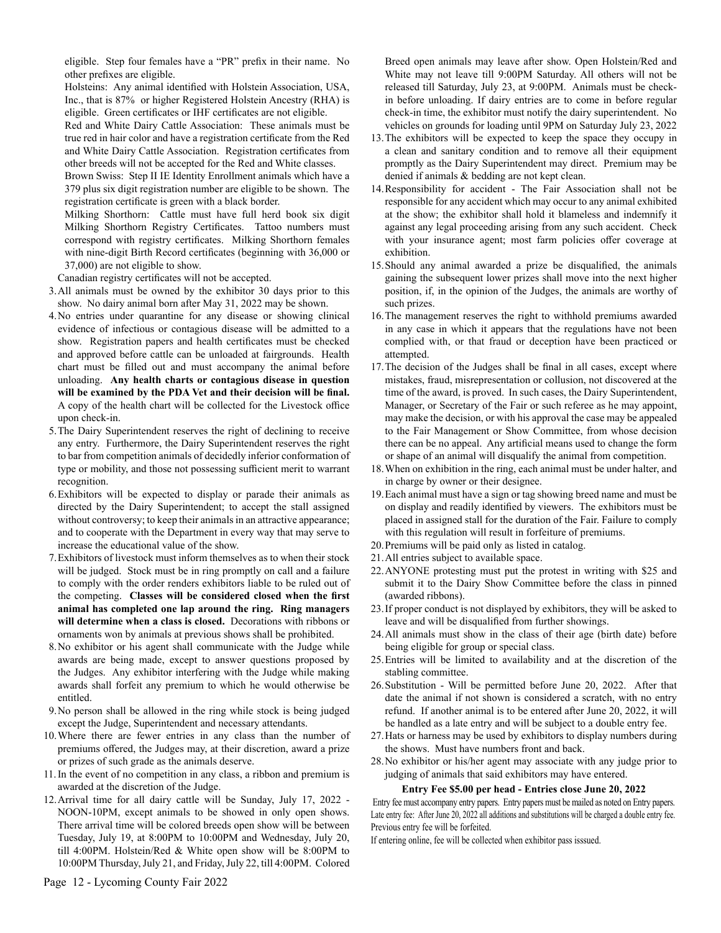eligible. Step four females have a "PR" prefix in their name. No other prefixes are eligible.

Holsteins: Any animal identified with Holstein Association, USA, Inc., that is 87% or higher Registered Holstein Ancestry (RHA) is eligible. Green certificates or IHF certificates are not eligible.

Red and White Dairy Cattle Association: These animals must be true red in hair color and have a registration certificate from the Red and White Dairy Cattle Association. Registration certificates from other breeds will not be accepted for the Red and White classes.

Brown Swiss: Step II IE Identity Enrollment animals which have a 379 plus six digit registration number are eligible to be shown. The registration certificate is green with a black border.

Milking Shorthorn: Cattle must have full herd book six digit Milking Shorthorn Registry Certificates. Tattoo numbers must correspond with registry certificates. Milking Shorthorn females with nine-digit Birth Record certificates (beginning with 36,000 or 37,000) are not eligible to show.

Canadian registry certificates will not be accepted.

- 3.All animals must be owned by the exhibitor 30 days prior to this show. No dairy animal born after May 31, 2022 may be shown.
- 4.No entries under quarantine for any disease or showing clinical evidence of infectious or contagious disease will be admitted to a show. Registration papers and health certificates must be checked and approved before cattle can be unloaded at fairgrounds. Health chart must be filled out and must accompany the animal before unloading. **Any health charts or contagious disease in question will be examined by the PDA Vet and their decision will be final.**  A copy of the health chart will be collected for the Livestock office upon check-in.
- 5.The Dairy Superintendent reserves the right of declining to receive any entry. Furthermore, the Dairy Superintendent reserves the right to bar from competition animals of decidedly inferior conformation of type or mobility, and those not possessing sufficient merit to warrant recognition.
- 6.Exhibitors will be expected to display or parade their animals as directed by the Dairy Superintendent; to accept the stall assigned without controversy; to keep their animals in an attractive appearance; and to cooperate with the Department in every way that may serve to increase the educational value of the show.
- 7.Exhibitors of livestock must inform themselves as to when their stock will be judged. Stock must be in ring promptly on call and a failure to comply with the order renders exhibitors liable to be ruled out of the competing. **Classes will be considered closed when the first animal has completed one lap around the ring. Ring managers will determine when a class is closed.** Decorations with ribbons or ornaments won by animals at previous shows shall be prohibited.
- 8.No exhibitor or his agent shall communicate with the Judge while awards are being made, except to answer questions proposed by the Judges. Any exhibitor interfering with the Judge while making awards shall forfeit any premium to which he would otherwise be entitled.
- 9.No person shall be allowed in the ring while stock is being judged except the Judge, Superintendent and necessary attendants.
- 10.Where there are fewer entries in any class than the number of premiums offered, the Judges may, at their discretion, award a prize or prizes of such grade as the animals deserve.
- 11.In the event of no competition in any class, a ribbon and premium is awarded at the discretion of the Judge.
- 12.Arrival time for all dairy cattle will be Sunday, July 17, 2022 NOON-10PM, except animals to be showed in only open shows. There arrival time will be colored breeds open show will be between Tuesday, July 19, at 8:00PM to 10:00PM and Wednesday, July 20, till 4:00PM. Holstein/Red & White open show will be 8:00PM to 10:00PM Thursday, July 21, and Friday, July 22, till 4:00PM. Colored

Breed open animals may leave after show. Open Holstein/Red and White may not leave till 9:00PM Saturday. All others will not be released till Saturday, July 23, at 9:00PM. Animals must be checkin before unloading. If dairy entries are to come in before regular check-in time, the exhibitor must notify the dairy superintendent. No vehicles on grounds for loading until 9PM on Saturday July 23, 2022

- 13.The exhibitors will be expected to keep the space they occupy in a clean and sanitary condition and to remove all their equipment promptly as the Dairy Superintendent may direct. Premium may be denied if animals & bedding are not kept clean.
- 14.Responsibility for accident The Fair Association shall not be responsible for any accident which may occur to any animal exhibited at the show; the exhibitor shall hold it blameless and indemnify it against any legal proceeding arising from any such accident. Check with your insurance agent; most farm policies offer coverage at exhibition.
- 15.Should any animal awarded a prize be disqualified, the animals gaining the subsequent lower prizes shall move into the next higher position, if, in the opinion of the Judges, the animals are worthy of such prizes.
- 16.The management reserves the right to withhold premiums awarded in any case in which it appears that the regulations have not been complied with, or that fraud or deception have been practiced or attempted.
- 17.The decision of the Judges shall be final in all cases, except where mistakes, fraud, misrepresentation or collusion, not discovered at the time of the award, is proved. In such cases, the Dairy Superintendent, Manager, or Secretary of the Fair or such referee as he may appoint, may make the decision, or with his approval the case may be appealed to the Fair Management or Show Committee, from whose decision there can be no appeal. Any artificial means used to change the form or shape of an animal will disqualify the animal from competition.
- 18.When on exhibition in the ring, each animal must be under halter, and in charge by owner or their designee.
- 19.Each animal must have a sign or tag showing breed name and must be on display and readily identified by viewers. The exhibitors must be placed in assigned stall for the duration of the Fair. Failure to comply with this regulation will result in forfeiture of premiums.
- 20.Premiums will be paid only as listed in catalog.
- 21.All entries subject to available space.
- 22.ANYONE protesting must put the protest in writing with \$25 and submit it to the Dairy Show Committee before the class in pinned (awarded ribbons).
- 23.If proper conduct is not displayed by exhibitors, they will be asked to leave and will be disqualified from further showings.
- 24.All animals must show in the class of their age (birth date) before being eligible for group or special class.
- 25.Entries will be limited to availability and at the discretion of the stabling committee.
- 26.Substitution Will be permitted before June 20, 2022. After that date the animal if not shown is considered a scratch, with no entry refund. If another animal is to be entered after June 20, 2022, it will be handled as a late entry and will be subject to a double entry fee.
- 27.Hats or harness may be used by exhibitors to display numbers during the shows. Must have numbers front and back.
- 28.No exhibitor or his/her agent may associate with any judge prior to judging of animals that said exhibitors may have entered.

#### **Entry Fee \$5.00 per head - Entries close June 20, 2022**

Entry fee must accompany entry papers. Entry papers must be mailed as noted on Entry papers. Late entry fee: After June 20, 2022 all additions and substitutions will be charged a double entry fee. Previous entry fee will be forfeited.

If entering online, fee will be collected when exhibitor pass isssued.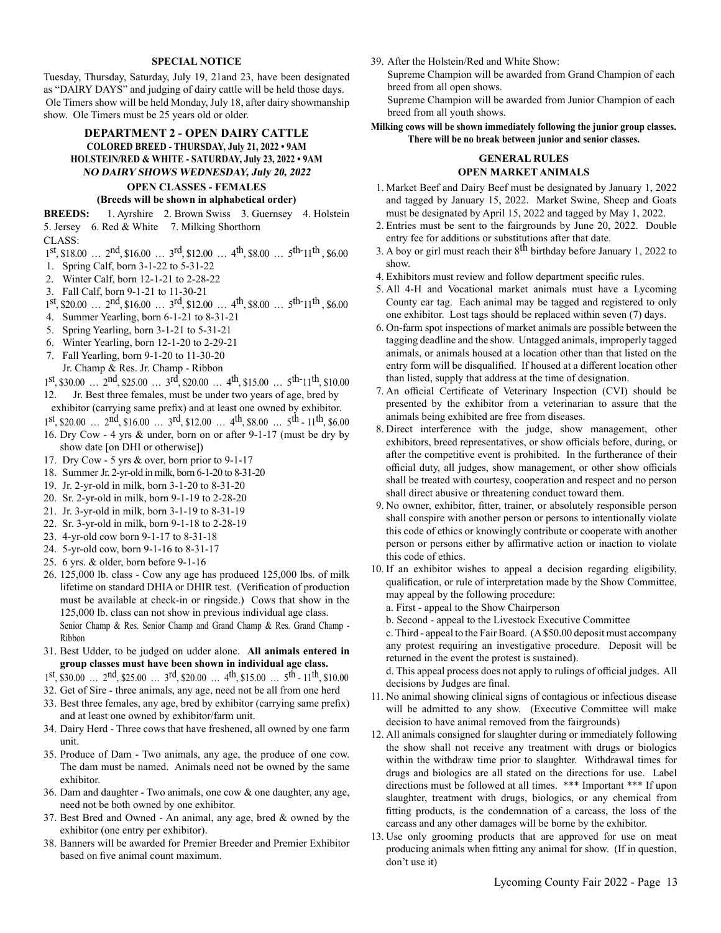#### **SPECIAL NOTICE**

Tuesday, Thursday, Saturday, July 19, 21and 23, have been designated as "DAIRY DAYS" and judging of dairy cattle will be held those days. Ole Timers show will be held Monday, July 18, after dairy showmanship show. Ole Timers must be 25 years old or older.

#### **DEPARTMENT 2 - OPEN DAIRY CATTLE COLORED BREED - THURSDAY, July 21, 2022 • 9AM HOLSTEIN/RED & WHITE - SATURDAY, July 23, 2022 • 9AM NO DAIRY SHOWS WEDNESDAY, July 20, 2022 OPEN CLASSES - FEMALES**

#### **(Breeds will be shown in alphabetical order)**

**BREEDS:** 1. Ayrshire 2. Brown Swiss 3. Guernsey 4. Holstein 5. Jersey 6. Red & White 7. Milking Shorthorn

- CLASS:
- $1^{st}$ , \$18.00 …  $2^{nd}$ , \$16.00 …  $3^{rd}$ , \$12.00 …  $4^{th}$ , \$8.00 …  $5^{th}$ -11<sup>th</sup>, \$6.00
- 1. Spring Calf, born 3-1-22 to 5-31-22
- 2. Winter Calf, born 12-1-21 to 2-28-22
- 3. Fall Calf, born 9-1-21 to 11-30-21
- $1^{st}$ , \$20.00 …  $2^{nd}$ , \$16.00 …  $3^{rd}$ , \$12.00 …  $4^{th}$ , \$8.00 …  $5^{th}$ -11<sup>th</sup>, \$6.00
- 4. Summer Yearling, born 6-1-21 to 8-31-21
- 5. Spring Yearling, born 3-1-21 to 5-31-21
- 6. Winter Yearling, born 12-1-20 to 2-29-21
- 7. Fall Yearling, born 9-1-20 to 11-30-20
- Jr. Champ & Res. Jr. Champ Ribbon  $1^{st}$ , \$30.00 …  $2^{nd}$ , \$25.00 …  $3^{rd}$ , \$20.00 …  $4^{th}$ , \$15.00 …  $5^{th}$ - $11^{th}$ , \$10.00
- 12. Jr. Best three females, must be under two years of age, bred by exhibitor (carrying same prefix) and at least one owned by exhibitor.
- $1^{st}$ , \$20.00 …  $2^{nd}$ , \$16.00 …  $3^{rd}$ , \$12.00 …  $4^{th}$ , \$8.00 …  $5^{th}$   $11^{th}$ , \$6.00
- 16. Dry Cow 4 yrs & under, born on or after 9-1-17 (must be dry by show date [on DHI or otherwise])
- 17. Dry Cow 5 yrs & over, born prior to 9-1-17
- 18. Summer Jr. 2-yr-old in milk, born 6-1-20 to 8-31-20
- 19. Jr. 2-yr-old in milk, born 3-1-20 to 8-31-20
- 20. Sr. 2-yr-old in milk, born 9-1-19 to 2-28-20
- 21. Jr. 3-yr-old in milk, born 3-1-19 to 8-31-19
- 22. Sr. 3-yr-old in milk, born 9-1-18 to 2-28-19
- 23. 4-yr-old cow born 9-1-17 to 8-31-18
- 24. 5-yr-old cow, born 9-1-16 to 8-31-17
- 25. 6 yrs. & older, born before 9-1-16
- 26. 125,000 lb. class Cow any age has produced 125,000 lbs. of milk lifetime on standard DHIA or DHIR test. (Verification of production must be available at check-in or ringside.) Cows that show in the 125,000 lb. class can not show in previous individual age class. Senior Champ & Res. Senior Champ and Grand Champ & Res. Grand Champ - Ribbon
- 31. Best Udder, to be judged on udder alone. **All animals entered in group classes must have been shown in individual age class.**
- $1^{st}$ ,  $\overline{330.00}$  ...  $2^{nd}$ ,  $\overline{325.00}$  ...  $3^{rd}$ ,  $\overline{320.00}$  ...  $4^{th}$ ,  $\overline{315.00}$  ...  $5^{th}$   $11^{th}$ ,  $\overline{310.00}$
- 32. Get of Sire three animals, any age, need not be all from one herd
- 33. Best three females, any age, bred by exhibitor (carrying same prefix) and at least one owned by exhibitor/farm unit.
- 34. Dairy Herd Three cows that have freshened, all owned by one farm unit.
- 35. Produce of Dam Two animals, any age, the produce of one cow. The dam must be named. Animals need not be owned by the same exhibitor.
- 36. Dam and daughter Two animals, one cow & one daughter, any age, need not be both owned by one exhibitor.
- 37. Best Bred and Owned An animal, any age, bred & owned by the exhibitor (one entry per exhibitor).
- 38. Banners will be awarded for Premier Breeder and Premier Exhibitor based on five animal count maximum.

39. After the Holstein/Red and White Show:

Supreme Champion will be awarded from Grand Champion of each breed from all open shows.

Supreme Champion will be awarded from Junior Champion of each breed from all youth shows.

#### **Milking cows will be shown immediately following the junior group classes. There will be no break between junior and senior classes.**

#### **GENERAL RULES OPEN MARKET ANIMALS**

- 1. Market Beef and Dairy Beef must be designated by January 1, 2022 and tagged by January 15, 2022. Market Swine, Sheep and Goats must be designated by April 15, 2022 and tagged by May 1, 2022.
- 2. Entries must be sent to the fairgrounds by June 20, 2022. Double entry fee for additions or substitutions after that date.
- 3. A boy or girl must reach their  $8<sup>th</sup>$  birthday before January 1, 2022 to show.
- 4. Exhibitors must review and follow department specific rules.
- 5. All 4-H and Vocational market animals must have a Lycoming County ear tag. Each animal may be tagged and registered to only one exhibitor. Lost tags should be replaced within seven (7) days.
- 6. On-farm spot inspections of market animals are possible between the tagging deadline and the show. Untagged animals, improperly tagged animals, or animals housed at a location other than that listed on the entry form will be disqualified. If housed at a different location other than listed, supply that address at the time of designation.
- 7. An official Certificate of Veterinary Inspection (CVI) should be presented by the exhibitor from a veterinarian to assure that the animals being exhibited are free from diseases.
- 8. Direct interference with the judge, show management, other exhibitors, breed representatives, or show officials before, during, or after the competitive event is prohibited. In the furtherance of their official duty, all judges, show management, or other show officials shall be treated with courtesy, cooperation and respect and no person shall direct abusive or threatening conduct toward them.
- 9. No owner, exhibitor, fitter, trainer, or absolutely responsible person shall conspire with another person or persons to intentionally violate this code of ethics or knowingly contribute or cooperate with another person or persons either by affirmative action or inaction to violate this code of ethics.
- 10. If an exhibitor wishes to appeal a decision regarding eligibility, qualification, or rule of interpretation made by the Show Committee, may appeal by the following procedure:
	- a. First appeal to the Show Chairperson
	- b. Second appeal to the Livestock Executive Committee

c. Third - appeal to the Fair Board. (A \$50.00 deposit must accompany any protest requiring an investigative procedure. Deposit will be returned in the event the protest is sustained).

d. This appeal process does not apply to rulings of official judges. All decisions by Judges are final.

- 11. No animal showing clinical signs of contagious or infectious disease will be admitted to any show. (Executive Committee will make decision to have animal removed from the fairgrounds)
- 12. All animals consigned for slaughter during or immediately following the show shall not receive any treatment with drugs or biologics within the withdraw time prior to slaughter. Withdrawal times for drugs and biologics are all stated on the directions for use. Label directions must be followed at all times. \*\*\* Important \*\*\* If upon slaughter, treatment with drugs, biologics, or any chemical from fitting products, is the condemnation of a carcass, the loss of the carcass and any other damages will be borne by the exhibitor.
- 13. Use only grooming products that are approved for use on meat producing animals when fitting any animal for show. (If in question, don't use it)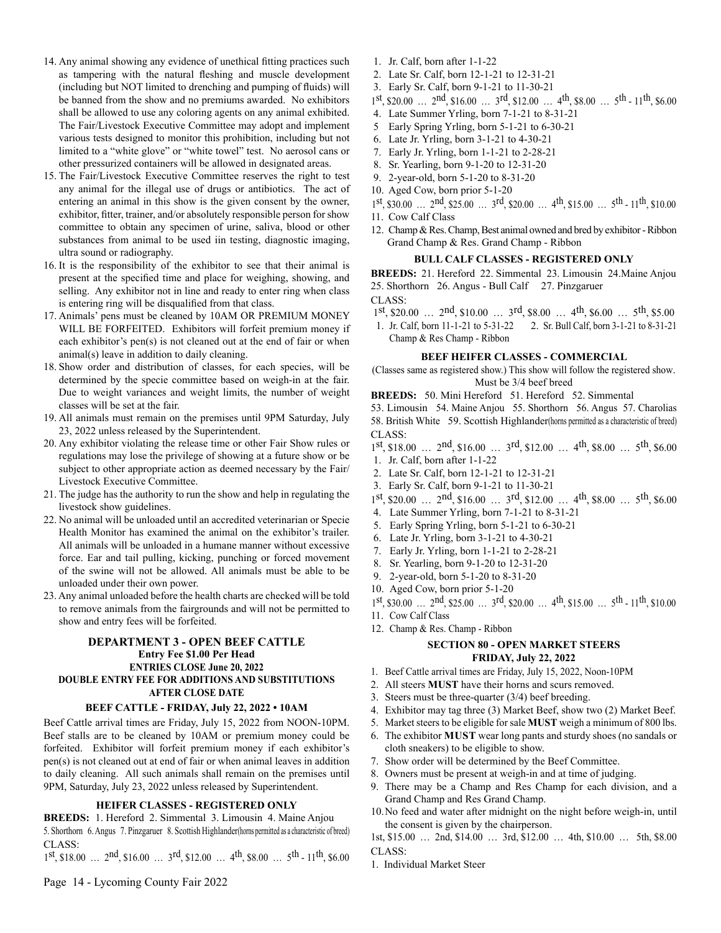- 14. Any animal showing any evidence of unethical fitting practices such as tampering with the natural fleshing and muscle development (including but NOT limited to drenching and pumping of fluids) will be banned from the show and no premiums awarded. No exhibitors shall be allowed to use any coloring agents on any animal exhibited. The Fair/Livestock Executive Committee may adopt and implement various tests designed to monitor this prohibition, including but not limited to a "white glove" or "white towel" test. No aerosol cans or other pressurized containers will be allowed in designated areas.
- 15. The Fair/Livestock Executive Committee reserves the right to test any animal for the illegal use of drugs or antibiotics. The act of entering an animal in this show is the given consent by the owner, exhibitor, fitter, trainer, and/or absolutely responsible person for show committee to obtain any specimen of urine, saliva, blood or other substances from animal to be used iin testing, diagnostic imaging, ultra sound or radiography.
- 16. It is the responsibility of the exhibitor to see that their animal is present at the specified time and place for weighing, showing, and selling. Any exhibitor not in line and ready to enter ring when class is entering ring will be disqualified from that class.
- 17. Animals' pens must be cleaned by 10AM OR PREMIUM MONEY WILL BE FORFEITED. Exhibitors will forfeit premium money if each exhibitor's pen(s) is not cleaned out at the end of fair or when animal(s) leave in addition to daily cleaning.
- 18. Show order and distribution of classes, for each species, will be determined by the specie committee based on weigh-in at the fair. Due to weight variances and weight limits, the number of weight classes will be set at the fair.
- 19. All animals must remain on the premises until 9PM Saturday, July 23, 2022 unless released by the Superintendent.
- 20. Any exhibitor violating the release time or other Fair Show rules or regulations may lose the privilege of showing at a future show or be subject to other appropriate action as deemed necessary by the Fair/ Livestock Executive Committee.
- 21. The judge has the authority to run the show and help in regulating the livestock show guidelines.
- 22. No animal will be unloaded until an accredited veterinarian or Specie Health Monitor has examined the animal on the exhibitor's trailer. All animals will be unloaded in a humane manner without excessive force. Ear and tail pulling, kicking, punching or forced movement of the swine will not be allowed. All animals must be able to be unloaded under their own power.
- 23. Any animal unloaded before the health charts are checked will be told to remove animals from the fairgrounds and will not be permitted to show and entry fees will be forfeited.

#### **DEPARTMENT 3 - OPEN BEEF CATTLE Entry Fee \$1.00 Per Head ENTRIES CLOSE June 20, 2022 DOUBLE ENTRY FEE FOR ADDITIONS AND SUBSTITUTIONS AFTER CLOSE DATE**

#### **BEEF CATTLE - FRIDAY, July 22, 2022 • 10AM**

Beef Cattle arrival times are Friday, July 15, 2022 from NOON-10PM. Beef stalls are to be cleaned by 10AM or premium money could be forfeited. Exhibitor will forfeit premium money if each exhibitor's pen(s) is not cleaned out at end of fair or when animal leaves in addition to daily cleaning. All such animals shall remain on the premises until 9PM, Saturday, July 23, 2022 unless released by Superintendent.

#### **HEIFER CLASSES - REGISTERED ONLY**

**BREEDS:** 1. Hereford 2. Simmental 3. Limousin 4. Maine Anjou 5. Shorthorn 6. Angus 7. Pinzgaruer 8. Scottish Highlander(horns permitted as a characteristic of breed) CLASS:

 $1^{\text{st}}$ , \$18.00 … 2nd, \$16.00 … 3rd, \$12.00 … 4<sup>th</sup>, \$8.00 … 5<sup>th</sup> - 11<sup>th</sup>, \$6.00

- 1. Jr. Calf, born after 1-1-22
- 2. Late Sr. Calf, born 12-1-21 to 12-31-21
- 3. Early Sr. Calf, born 9-1-21 to 11-30-21
- $1^{st}$ , \$20.00 …  $2^{nd}$ , \$16.00 …  $3^{rd}$ , \$12.00 …  $4^{th}$ , \$8.00 …  $5^{th}$   $11^{th}$ , \$6.00
- 4. Late Summer Yrling, born 7-1-21 to 8-31-21
- 5 Early Spring Yrling, born 5-1-21 to 6-30-21
- 6. Late Jr. Yrling, born 3-1-21 to 4-30-21
- 7. Early Jr. Yrling, born 1-1-21 to 2-28-21
- 8. Sr. Yearling, born 9-1-20 to 12-31-20
- 9. 2-year-old, born 5-1-20 to 8-31-20
- 10. Aged Cow, born prior 5-1-20
- $1^{st}$ ,  $\frac{1}{30.00}$  ...  $\frac{1}{2}$ nd,  $\frac{1}{325.00}$  ...  $\frac{1}{3}$ rd,  $\frac{1}{320.00}$  ...  $\frac{1}{4}$ th,  $\frac{1}{315.00}$  ...  $\frac{1}{5}$ th  $11^{th}$ ,  $\frac{1}{310.00}$
- 11. Cow Calf Class
- 12. Champ & Res. Champ, Best animal owned and bred by exhibitor Ribbon Grand Champ & Res. Grand Champ - Ribbon

#### **BULL CALF CLASSES - REGISTERED ONLY**

**BREEDS:** 21. Hereford 22. Simmental 23. Limousin 24.Maine Anjou 25. Shorthorn 26. Angus - Bull Calf 27. Pinzgaruer

- CLASS:
- $1^{st}$ , \$20.00 … 2nd, \$10.00 … 3rd, \$8.00 … 4<sup>th</sup>, \$6.00 … 5<sup>th</sup>, \$5.00
- 1. Jr. Calf, born 11-1-21 to 5-31-22 2. Sr. Bull Calf, born 3-1-21 to 8-31-21 Champ & Res Champ - Ribbon

#### **BEEF HEIFER CLASSES - COMMERCIAL**

(Classes same as registered show.) This show will follow the registered show. Must be 3/4 beef breed

**BREEDS:** 50. Mini Hereford 51. Hereford 52. Simmental

53. Limousin 54. Maine Anjou 55. Shorthorn 56. Angus 57. Charolias 58. British White 59. Scottish Highlander(horns permitted as a characteristic of breed) CLASS:

- 1st, \$18.00 … 2nd, \$16.00 … 3rd, \$12.00 … 4th, \$8.00 … 5th, \$6.00
- 1. Jr. Calf, born after 1-1-22
- 2. Late Sr. Calf, born 12-1-21 to 12-31-21
- 3. Early Sr. Calf, born 9-1-21 to 11-30-21
- $1^{st}$ , \$20.00 …  $2^{nd}$ , \$16.00 …  $3^{rd}$ , \$12.00 …  $4^{th}$ , \$8.00 …  $5^{th}$ , \$6.00
- 4. Late Summer Yrling, born 7-1-21 to 8-31-21
- 5. Early Spring Yrling, born 5-1-21 to 6-30-21
- 6. Late Jr. Yrling, born 3-1-21 to 4-30-21
- 7. Early Jr. Yrling, born 1-1-21 to 2-28-21
- 8. Sr. Yearling, born 9-1-20 to 12-31-20
- 9. 2-year-old, born 5-1-20 to 8-31-20
- 10. Aged Cow, born prior 5-1-20
- 1st, \$30.00 … 2nd, \$25.00 … 3rd, \$20.00 … 4th, \$15.00 … 5th 11th, \$10.00
- 11. Cow Calf Class
- 12. Champ & Res. Champ Ribbon

#### **SECTION 80 - OPEN MARKET STEERS FRIDAY, July 22, 2022**

- 1. Beef Cattle arrival times are Friday, July 15, 2022, Noon-10PM
- 2. All steers **MUST** have their horns and scurs removed.
- 3. Steers must be three-quarter (3/4) beef breeding.
- 4. Exhibitor may tag three (3) Market Beef, show two (2) Market Beef.
- 5. Market steers to be eligible for sale **MUST** weigh a minimum of 800 lbs.
- 6. The exhibitor **MUST** wear long pants and sturdy shoes (no sandals or cloth sneakers) to be eligible to show.
- 7. Show order will be determined by the Beef Committee.
- 8. Owners must be present at weigh-in and at time of judging.
- 9. There may be a Champ and Res Champ for each division, and a Grand Champ and Res Grand Champ.
- 10.No feed and water after midnight on the night before weigh-in, until the consent is given by the chairperson.

1st, \$15.00 … 2nd, \$14.00 … 3rd, \$12.00 … 4th, \$10.00 … 5th, \$8.00 CLASS:

1. Individual Market Steer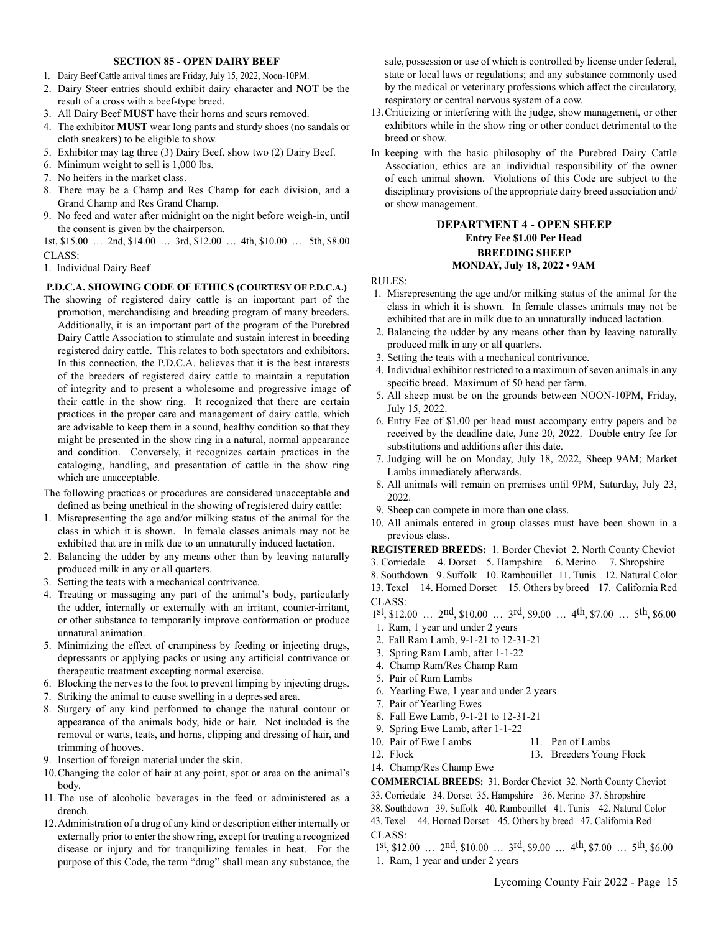#### **SECTION 85 - OPEN DAIRY BEEF**

- 1. Dairy Beef Cattle arrival times are Friday, July 15, 2022, Noon-10PM.
- 2. Dairy Steer entries should exhibit dairy character and **NOT** be the result of a cross with a beef-type breed.
- 3. All Dairy Beef **MUST** have their horns and scurs removed.
- 4. The exhibitor **MUST** wear long pants and sturdy shoes (no sandals or cloth sneakers) to be eligible to show.
- 5. Exhibitor may tag three (3) Dairy Beef, show two (2) Dairy Beef.
- 6. Minimum weight to sell is 1,000 lbs.
- 7. No heifers in the market class.
- 8. There may be a Champ and Res Champ for each division, and a Grand Champ and Res Grand Champ.
- 9. No feed and water after midnight on the night before weigh-in, until the consent is given by the chairperson.

1st, \$15.00 … 2nd, \$14.00 … 3rd, \$12.00 … 4th, \$10.00 … 5th, \$8.00 CLASS:

1. Individual Dairy Beef

#### **P.D.C.A. SHOWING CODE OF ETHICS (COURTESY OF P.D.C.A.)**

- The showing of registered dairy cattle is an important part of the promotion, merchandising and breeding program of many breeders. Additionally, it is an important part of the program of the Purebred Dairy Cattle Association to stimulate and sustain interest in breeding registered dairy cattle. This relates to both spectators and exhibitors. In this connection, the P.D.C.A. believes that it is the best interests of the breeders of registered dairy cattle to maintain a reputation of integrity and to present a wholesome and progressive image of their cattle in the show ring. It recognized that there are certain practices in the proper care and management of dairy cattle, which are advisable to keep them in a sound, healthy condition so that they might be presented in the show ring in a natural, normal appearance and condition. Conversely, it recognizes certain practices in the cataloging, handling, and presentation of cattle in the show ring which are unacceptable.
- The following practices or procedures are considered unacceptable and defined as being unethical in the showing of registered dairy cattle:
- 1. Misrepresenting the age and/or milking status of the animal for the class in which it is shown. In female classes animals may not be exhibited that are in milk due to an unnaturally induced lactation.
- 2. Balancing the udder by any means other than by leaving naturally produced milk in any or all quarters.
- 3. Setting the teats with a mechanical contrivance.
- 4. Treating or massaging any part of the animal's body, particularly the udder, internally or externally with an irritant, counter-irritant, or other substance to temporarily improve conformation or produce unnatural animation.
- 5. Minimizing the effect of crampiness by feeding or injecting drugs, depressants or applying packs or using any artificial contrivance or therapeutic treatment excepting normal exercise.
- 6. Blocking the nerves to the foot to prevent limping by injecting drugs.
- 7. Striking the animal to cause swelling in a depressed area.
- 8. Surgery of any kind performed to change the natural contour or appearance of the animals body, hide or hair. Not included is the removal or warts, teats, and horns, clipping and dressing of hair, and trimming of hooves.
- 9. Insertion of foreign material under the skin.
- 10.Changing the color of hair at any point, spot or area on the animal's body.
- 11.The use of alcoholic beverages in the feed or administered as a drench.
- 12.Administration of a drug of any kind or description either internally or externally prior to enter the show ring, except for treating a recognized disease or injury and for tranquilizing females in heat. For the purpose of this Code, the term "drug" shall mean any substance, the

sale, possession or use of which is controlled by license under federal, state or local laws or regulations; and any substance commonly used by the medical or veterinary professions which affect the circulatory, respiratory or central nervous system of a cow.

- 13.Criticizing or interfering with the judge, show management, or other exhibitors while in the show ring or other conduct detrimental to the breed or show.
- In keeping with the basic philosophy of the Purebred Dairy Cattle Association, ethics are an individual responsibility of the owner of each animal shown. Violations of this Code are subject to the disciplinary provisions of the appropriate dairy breed association and/ or show management.

#### **DEPARTMENT 4 - OPEN SHEEP Entry Fee \$1.00 Per Head BREEDING SHEEP MONDAY, July 18, 2022 • 9AM**

#### RULES:

- 1. Misrepresenting the age and/or milking status of the animal for the class in which it is shown. In female classes animals may not be exhibited that are in milk due to an unnaturally induced lactation.
- 2. Balancing the udder by any means other than by leaving naturally produced milk in any or all quarters.
- 3. Setting the teats with a mechanical contrivance.
- 4. Individual exhibitor restricted to a maximum of seven animals in any specific breed. Maximum of 50 head per farm.
- 5. All sheep must be on the grounds between NOON-10PM, Friday, July 15, 2022.
- 6. Entry Fee of \$1.00 per head must accompany entry papers and be received by the deadline date, June 20, 2022. Double entry fee for substitutions and additions after this date.
- 7. Judging will be on Monday, July 18, 2022, Sheep 9AM; Market Lambs immediately afterwards.
- 8. All animals will remain on premises until 9PM, Saturday, July 23, 2022.
- 9. Sheep can compete in more than one class.
- 10. All animals entered in group classes must have been shown in a previous class.

**REGISTERED BREEDS:** 1. Border Cheviot 2. North County Cheviot

3. Corriedale 4. Dorset 5. Hampshire 6. Merino 7. Shropshire

8. Southdown 9. Suffolk 10. Rambouillet 11. Tunis 12. Natural Color 13. Texel 14. Horned Dorset 15. Others by breed 17. California Red CLASS:

- 1st, \$12.00 … 2nd, \$10.00 … 3rd, \$9.00 … 4th, \$7.00 … 5th, \$6.00
- 1. Ram, 1 year and under 2 years
- 2. Fall Ram Lamb, 9-1-21 to 12-31-21
- 3. Spring Ram Lamb, after 1-1-22
- 4. Champ Ram/Res Champ Ram
- 5. Pair of Ram Lambs
- 6. Yearling Ewe, 1 year and under 2 years
- 7. Pair of Yearling Ewes
- 8. Fall Ewe Lamb, 9-1-21 to 12-31-21
- 9. Spring Ewe Lamb, after 1-1-22
- 10. Pair of Ewe Lambs 11. Pen of Lambs
- 12. Flock 13. Breeders Young Flock
- 14. Champ/Res Champ Ewe

**COMMERCIAL BREEDS:** 31. Border Cheviot 32. North County Cheviot

- 33. Corriedale 34. Dorset 35. Hampshire 36. Merino 37. Shropshire
- 38. Southdown 39. Suffolk 40. Rambouillet 41. Tunis 42. Natural Color

43. Texel 44. Horned Dorset 45. Others by breed 47. California Red CLASS:

1st, \$12.00 … 2nd, \$10.00 … 3rd, \$9.00 … 4th, \$7.00 … 5th, \$6.00 1. Ram, 1 year and under 2 years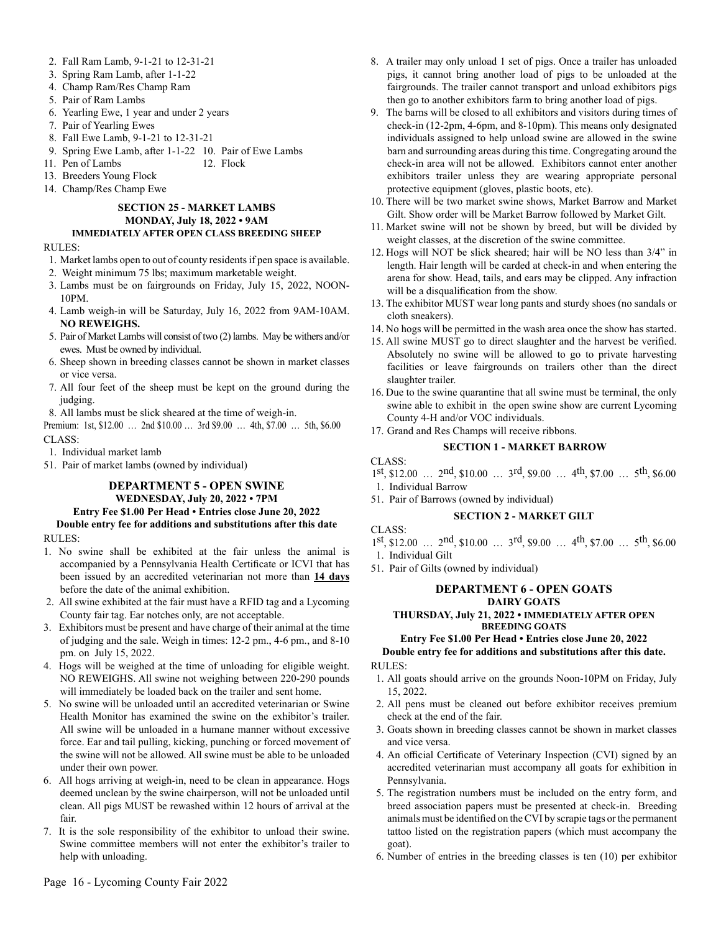- 2. Fall Ram Lamb, 9-1-21 to 12-31-21
- 3. Spring Ram Lamb, after 1-1-22
- 4. Champ Ram/Res Champ Ram
- 5. Pair of Ram Lambs
- 6. Yearling Ewe, 1 year and under 2 years
- 7. Pair of Yearling Ewes
- 8. Fall Ewe Lamb, 9-1-21 to 12-31-21
- 9. Spring Ewe Lamb, after 1-1-22 10. Pair of Ewe Lambs
- 11. Pen of Lambs 12. Flock
- 13. Breeders Young Flock
- 14. Champ/Res Champ Ewe

#### **SECTION 25 - MARKET LAMBS MONDAY, July 18, 2022 • 9AM IMMEDIATELY AFTER OPEN CLASS BREEDING SHEEP**

#### RULES:

- 1. Market lambs open to out of county residents if pen space is available.
- 2. Weight minimum 75 lbs; maximum marketable weight.
- 3. Lambs must be on fairgrounds on Friday, July 15, 2022, NOON-10PM.
- 4. Lamb weigh-in will be Saturday, July 16, 2022 from 9AM-10AM. **NO REWEIGHS.**
- 5. Pair of Market Lambs will consist of two (2) lambs. May be withers and/or ewes. Must be owned by individual.
- 6. Sheep shown in breeding classes cannot be shown in market classes or vice versa.
- 7. All four feet of the sheep must be kept on the ground during the judging.

8. All lambs must be slick sheared at the time of weigh-in.

Premium: 1st, \$12.00 … 2nd \$10.00 … 3rd \$9.00 … 4th, \$7.00 … 5th, \$6.00  $CLASS$ 

- 1. Individual market lamb
- 51. Pair of market lambs (owned by individual)

#### **DEPARTMENT 5 - OPEN SWINE WEDNESDAY, July 20, 2022 • 7PM Entry Fee \$1.00 Per Head • Entries close June 20, 2022**

#### **Double entry fee for additions and substitutions after this date** RULES:

- 1. No swine shall be exhibited at the fair unless the animal is accompanied by a Pennsylvania Health Certificate or ICVI that has been issued by an accredited veterinarian not more than **14 days**  before the date of the animal exhibition.
- 2. All swine exhibited at the fair must have a RFID tag and a Lycoming County fair tag. Ear notches only, are not acceptable.
- 3. Exhibitors must be present and have charge of their animal at the time of judging and the sale. Weigh in times: 12-2 pm., 4-6 pm., and 8-10 pm. on July 15, 2022.
- 4. Hogs will be weighed at the time of unloading for eligible weight. NO REWEIGHS. All swine not weighing between 220-290 pounds will immediately be loaded back on the trailer and sent home.
- 5. No swine will be unloaded until an accredited veterinarian or Swine Health Monitor has examined the swine on the exhibitor's trailer. All swine will be unloaded in a humane manner without excessive force. Ear and tail pulling, kicking, punching or forced movement of the swine will not be allowed. All swine must be able to be unloaded under their own power.
- 6. All hogs arriving at weigh-in, need to be clean in appearance. Hogs deemed unclean by the swine chairperson, will not be unloaded until clean. All pigs MUST be rewashed within 12 hours of arrival at the fair.
- 7. It is the sole responsibility of the exhibitor to unload their swine. Swine committee members will not enter the exhibitor's trailer to help with unloading.
- 8. A trailer may only unload 1 set of pigs. Once a trailer has unloaded pigs, it cannot bring another load of pigs to be unloaded at the fairgrounds. The trailer cannot transport and unload exhibitors pigs then go to another exhibitors farm to bring another load of pigs.
- 9. The barns will be closed to all exhibitors and visitors during times of check-in (12-2pm, 4-6pm, and 8-10pm). This means only designated individuals assigned to help unload swine are allowed in the swine barn and surrounding areas during this time. Congregating around the check-in area will not be allowed. Exhibitors cannot enter another exhibitors trailer unless they are wearing appropriate personal protective equipment (gloves, plastic boots, etc).
- 10. There will be two market swine shows, Market Barrow and Market Gilt. Show order will be Market Barrow followed by Market Gilt.
- 11. Market swine will not be shown by breed, but will be divided by weight classes, at the discretion of the swine committee.
- 12. Hogs will NOT be slick sheared; hair will be NO less than 3/4" in length. Hair length will be carded at check-in and when entering the arena for show. Head, tails, and ears may be clipped. Any infraction will be a disqualification from the show.
- 13. The exhibitor MUST wear long pants and sturdy shoes (no sandals or cloth sneakers).
- 14. No hogs will be permitted in the wash area once the show has started.
- 15. All swine MUST go to direct slaughter and the harvest be verified. Absolutely no swine will be allowed to go to private harvesting facilities or leave fairgrounds on trailers other than the direct slaughter trailer.
- 16. Due to the swine quarantine that all swine must be terminal, the only swine able to exhibit in the open swine show are current Lycoming County 4-H and/or VOC individuals.
- 17. Grand and Res Champs will receive ribbons.

#### **SECTION 1 - MARKET BARROW**

- CLASS: 1st, \$12.00 … 2nd, \$10.00 … 3rd, \$9.00 … 4th, \$7.00 … 5th, \$6.00
- 1. Individual Barrow
- 51. Pair of Barrows (owned by individual)

#### **SECTION 2 - MARKET GILT**

CLASS:

- $1^{st}$ , \$12.00 …  $2^{nd}$ , \$10.00 …  $3^{rd}$ , \$9.00 …  $4^{th}$ , \$7.00 …  $5^{th}$ , \$6.00 1. Individual Gilt
- 51. Pair of Gilts (owned by individual)

#### **DEPARTMENT 6 - OPEN GOATS DAIRY GOATS**

#### **THURSDAY, July 21, 2022 • IMMEDIATELY AFTER OPEN BREEDING GOATS**

#### **Entry Fee \$1.00 Per Head • Entries close June 20, 2022**

#### **Double entry fee for additions and substitutions after this date.**

RULES:

- 1. All goats should arrive on the grounds Noon-10PM on Friday, July 15, 2022.
- 2. All pens must be cleaned out before exhibitor receives premium check at the end of the fair.
- 3. Goats shown in breeding classes cannot be shown in market classes and vice versa.
- 4. An official Certificate of Veterinary Inspection (CVI) signed by an accredited veterinarian must accompany all goats for exhibition in Pennsylvania.
- 5. The registration numbers must be included on the entry form, and breed association papers must be presented at check-in. Breeding animals must be identified on the CVI by scrapie tags or the permanent tattoo listed on the registration papers (which must accompany the goat).
- 6. Number of entries in the breeding classes is ten (10) per exhibitor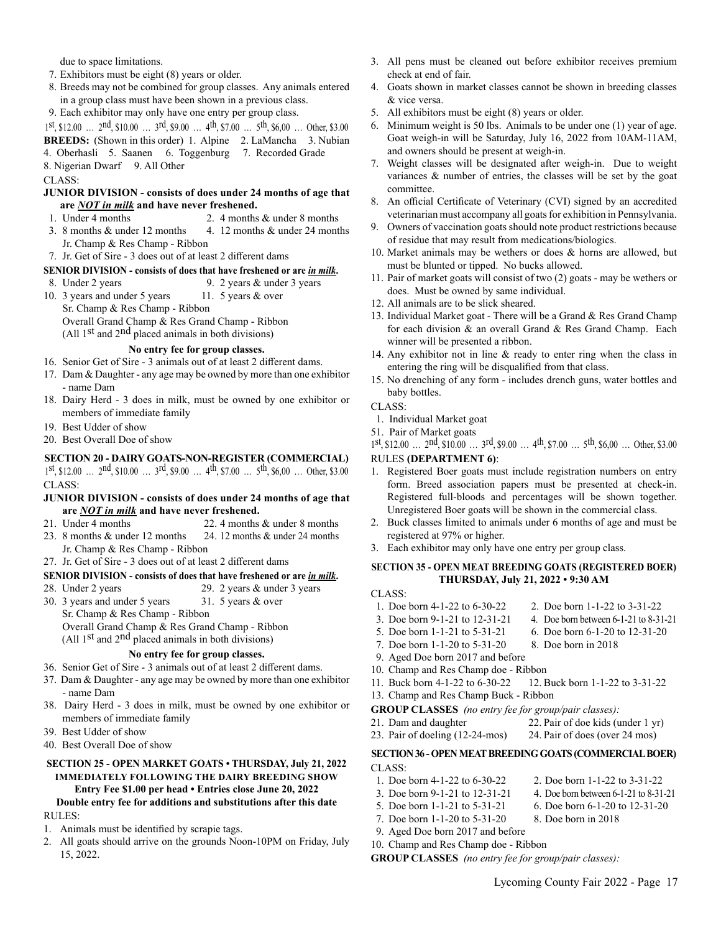due to space limitations.

- 7. Exhibitors must be eight (8) years or older.
- 8. Breeds may not be combined for group classes. Any animals entered in a group class must have been shown in a previous class.

9. Each exhibitor may only have one entry per group class.

## $1^{st}$ , \$12.00 …  $2^{nd}$ , \$10.00 …  $3^{rd}$ , \$9.00 …  $4^{th}$ , \$7.00 …  $5^{th}$ , \$6,00 … Other, \$3.00

**BREEDS:** (Shown in this order) 1. Alpine 2. LaMancha 3. Nubian 4. Oberhasli 5. Saanen 6. Toggenburg 7. Recorded Grade

8. Nigerian Dwarf 9. All Other

CLASS:

#### **JUNIOR DIVISION - consists of does under 24 months of age that are** *NOT in milk* **and have never freshened.**

- 1. Under 4 months 2. 4 months & under 8 months
- 3. 8 months & under 12 months 4. 12 months & under 24 months Jr. Champ & Res Champ - Ribbon

7. Jr. Get of Sire - 3 does out of at least 2 different dams

- **SENIOR DIVISION consists of does that have freshened or are** *in milk***.**
- 8. Under 2 years 9. 2 years & under 3 years 10. 3 years and under 5 years 11. 5 years & over
	- Sr. Champ & Res Champ Ribbon
		- Overall Grand Champ & Res Grand Champ Ribbon

(All  $1<sup>st</sup>$  and  $2<sup>nd</sup>$  placed animals in both divisions)

#### **No entry fee for group classes.**

- 16. Senior Get of Sire 3 animals out of at least 2 different dams.
- 17. Dam & Daughter any age may be owned by more than one exhibitor - name Dam
- 18. Dairy Herd 3 does in milk, must be owned by one exhibitor or members of immediate family
- 19. Best Udder of show
- 20. Best Overall Doe of show

#### **SECTION 20 - DAIRY GOATS-NON-REGISTER (COMMERCIAL)**

- $1^{\text{st}}$ , \$12.00 …  $2^{\text{nd}}$ , \$10.00 …  $3^{\text{rd}}$ , \$9.00 …  $4^{\text{th}}$ , \$7.00 …  $5^{\text{th}}$ , \$6,00 … Other, \$3.00 CLASS:
- **JUNIOR DIVISION consists of does under 24 months of age that are** *NOT in milk* **and have never freshened.**
- 21. Under 4 months 22. 4 months & under 8 months
- 23. 8 months & under 12 months 24. 12 months & under 24 months
- Jr. Champ & Res Champ Ribbon
- 27. Jr. Get of Sire 3 does out of at least 2 different dams

#### **SENIOR DIVISION - consists of does that have freshened or are** *in milk***.**

- 28. Under 2 years 29. 2 years & under 3 years
	-
- 30. 3 years and under 5 years 31. 5 years & over Sr. Champ & Res Champ - Ribbon
	- Overall Grand Champ & Res Grand Champ Ribbon (All  $1<sup>st</sup>$  and  $2<sup>nd</sup>$  placed animals in both divisions)

### **No entry fee for group classes.**

- 36. Senior Get of Sire 3 animals out of at least 2 different dams.
- 37. Dam & Daughter any age may be owned by more than one exhibitor - name Dam
- 38. Dairy Herd 3 does in milk, must be owned by one exhibitor or members of immediate family
- 39. Best Udder of show
- 40. Best Overall Doe of show

#### **SECTION 25 - OPEN MARKET GOATS • THURSDAY, July 21, 2022 IMMEDIATELY FOLLOWING THE DAIRY BREEDING SHOW Entry Fee \$1.00 per head • Entries close June 20, 2022 Double entry fee for additions and substitutions after this date**

## RULES:

- 1. Animals must be identified by scrapie tags.
- 2. All goats should arrive on the grounds Noon-10PM on Friday, July 15, 2022.
- 3. All pens must be cleaned out before exhibitor receives premium check at end of fair.
- 4. Goats shown in market classes cannot be shown in breeding classes & vice versa.
- 5. All exhibitors must be eight (8) years or older.
- 6. Minimum weight is 50 lbs. Animals to be under one (1) year of age. Goat weigh-in will be Saturday, July 16, 2022 from 10AM-11AM, and owners should be present at weigh-in.
- 7. Weight classes will be designated after weigh-in. Due to weight variances & number of entries, the classes will be set by the goat committee.
- 8. An official Certificate of Veterinary (CVI) signed by an accredited veterinarian must accompany all goats for exhibition in Pennsylvania.
- Owners of vaccination goats should note product restrictions because of residue that may result from medications/biologics.
- 10. Market animals may be wethers or does & horns are allowed, but must be blunted or tipped. No bucks allowed.
- 11. Pair of market goats will consist of two (2) goats may be wethers or does. Must be owned by same individual.
- 12. All animals are to be slick sheared.
- 13. Individual Market goat There will be a Grand & Res Grand Champ for each division & an overall Grand & Res Grand Champ. Each winner will be presented a ribbon.
- 14. Any exhibitor not in line & ready to enter ring when the class in entering the ring will be disqualified from that class.
- 15. No drenching of any form includes drench guns, water bottles and baby bottles.

#### CLASS:

- 1. Individual Market goat
- 51. Pair of Market goats
- $1^{st}$ ,  $$12.00$  ...  $2^{nd}$ ,  $$10.00$  ...  $3^{rd}$ ,  $$9.00$  ...  $4^{th}$ ,  $$7.00$  ...  $5^{th}$ ,  $$6.00$  ... Other, \$3.00

### RULES **(DEPARTMENT 6)**:

- 1. Registered Boer goats must include registration numbers on entry form. Breed association papers must be presented at check-in. Registered full-bloods and percentages will be shown together. Unregistered Boer goats will be shown in the commercial class.
- 2. Buck classes limited to animals under 6 months of age and must be registered at 97% or higher.
- 3. Each exhibitor may only have one entry per group class.

#### **SECTION 35 - OPEN MEAT BREEDING GOATS (REGISTERED BOER) THURSDAY, July 21, 2022 • 9:30 AM**

- CLASS:
- 1. Doe born 4-1-22 to 6-30-22 2. Doe born 1-1-22 to 3-31-22
- 3. Doe born 9-1-21 to 12-31-21 4. Doe born between 6-1-21 to 8-31-21
- 5. Doe born 1-1-21 to 5-31-21 6. Doe born 6-1-20 to 12-31-20
- 7. Doe born 1-1-20 to 5-31-20 8. Doe born in 2018
- 9. Aged Doe born 2017 and before
- 10. Champ and Res Champ doe Ribbon
- 11. Buck born 4-1-22 to 6-30-22 12. Buck born 1-1-22 to 3-31-22
- 

- -

#### **SECTION 36 - OPEN MEAT BREEDING GOATS (COMMERCIAL BOER)** CLASS:

- 1. Doe born 4-1-22 to 6-30-22 2. Doe born 1-1-22 to 3-31-22
- 3. Doe born 9-1-21 to 12-31-21 4. Doe born between 6-1-21 to 8-31-21
- 5. Doe born 1-1-21 to 5-31-21 6. Doe born 6-1-20 to 12-31-20
- 7. Doe born 1-1-20 to 5-31-20 8. Doe born in 2018
- 9. Aged Doe born 2017 and before
- 10. Champ and Res Champ doe Ribbon

**GROUP CLASSES** *(no entry fee for group/pair classes):*

- 13. Champ and Res Champ Buck Ribbon
- **GROUP CLASSES** *(no entry fee for group/pair classes):*
- 21. Dam and daughter 22. Pair of doe kids (under 1 yr)
- 23. Pair of doeling (12-24-mos) 24. Pair of does (over 24 mos)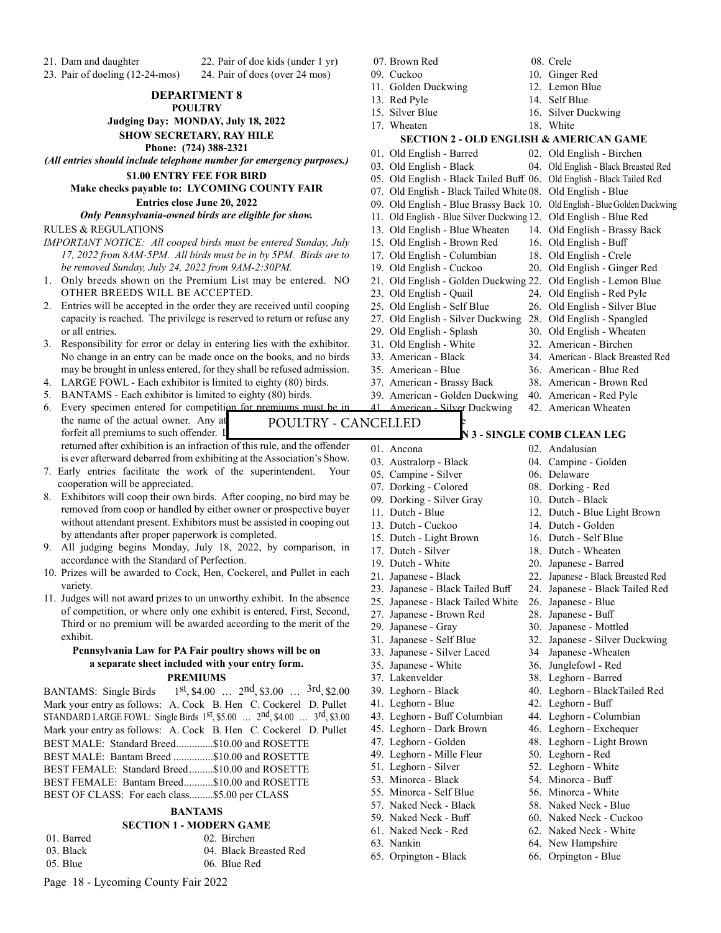| 21. Dam and daughter                                            | 22. Pair of doe kids (under 1 yr)                                                       | 07. Brown Red                                                             | 08. Crele                                          |
|-----------------------------------------------------------------|-----------------------------------------------------------------------------------------|---------------------------------------------------------------------------|----------------------------------------------------|
| 23. Pair of doeling (12-24-mos)                                 | 24. Pair of does (over 24 mos)                                                          | 09. Cuckoo                                                                | 10. Ginger Red                                     |
|                                                                 |                                                                                         | 11. Golden Duckwing                                                       | 12. Lemon Blue                                     |
|                                                                 | <b>DEPARTMENT 8</b>                                                                     | 13. Red Pyle                                                              | 14. Self Blue                                      |
|                                                                 | <b>POULTRY</b>                                                                          | 15. Silver Blue                                                           | 16. Silver Duckwing                                |
|                                                                 | Judging Day: MONDAY, July 18, 2022                                                      | 17. Wheaten                                                               | 18. White                                          |
|                                                                 | <b>SHOW SECRETARY, RAY HILE</b>                                                         | <b>SECTION 2 - OLD ENGLISH &amp; AMERICAN GAME</b>                        |                                                    |
|                                                                 | Phone: (724) 388-2321                                                                   | 01. Old English - Barred                                                  | 02. Old English - Birchen                          |
|                                                                 | (All entries should include telephone number for emergency purposes.)                   | 03. Old English - Black                                                   | 04. Old English - Black Breasted Red               |
|                                                                 | \$1.00 ENTRY FEE FOR BIRD                                                               | 05. Old English - Black Tailed Buff 06. Old English - Black Tailed Red    |                                                    |
|                                                                 | Make checks payable to: LYCOMING COUNTY FAIR                                            | 07. Old English - Black Tailed White 08. Old English - Blue               |                                                    |
|                                                                 | <b>Entries close June 20, 2022</b>                                                      | 09. Old English - Blue Brassy Back 10. Old English - Blue Golden Duckwing |                                                    |
|                                                                 | Only Pennsylvania-owned birds are eligible for show.                                    | 11. Old English - Blue Silver Duckwing 12. Old English - Blue Red         |                                                    |
| <b>RULES &amp; REGULATIONS</b>                                  |                                                                                         | 13. Old English - Blue Wheaten                                            | 14. Old English - Brassy Back                      |
|                                                                 | IMPORTANT NOTICE: All cooped birds must be entered Sunday, July                         | 15. Old English - Brown Red                                               | 16. Old English - Buff                             |
|                                                                 | 17, 2022 from 8AM-5PM. All birds must be in by 5PM. Birds are to                        | 17. Old English - Columbian                                               | 18. Old English - Crele                            |
| be removed Sunday, July 24, 2022 from 9AM-2:30PM.               |                                                                                         | 19. Old English - Cuckoo                                                  | 20. Old English - Ginger Red                       |
|                                                                 | 1. Only breeds shown on the Premium List may be entered. NO                             | 21. Old English - Golden Duckwing 22. Old English - Lemon Blue            |                                                    |
| OTHER BREEDS WILL BE ACCEPTED.                                  |                                                                                         | 23. Old English - Quail                                                   | 24. Old English - Red Pyle                         |
|                                                                 | 2. Entries will be accepted in the order they are received until cooping                | 25. Old English - Self Blue                                               | 26. Old English - Silver Blue                      |
|                                                                 | capacity is reached. The privilege is reserved to return or refuse any                  | 27. Old English - Silver Duckwing 28. Old English - Spangled              |                                                    |
| or all entries.                                                 |                                                                                         | 29. Old English - Splash                                                  | 30. Old English - Wheaten                          |
|                                                                 | 3. Responsibility for error or delay in entering lies with the exhibitor.               | 31. Old English - White                                                   | 32. American - Birchen                             |
|                                                                 | No change in an entry can be made once on the books, and no birds                       | 33. American - Black                                                      | 34. American - Black Breasted Red                  |
|                                                                 | may be brought in unless entered, for they shall be refused admission.                  | 35. American - Blue                                                       | 36. American - Blue Red                            |
| 4. LARGE FOWL - Each exhibitor is limited to eighty (80) birds. |                                                                                         | 37. American - Brassy Back                                                | 38. American - Brown Red                           |
| 5. BANTAMS - Each exhibitor is limited to eighty (80) birds.    | 6. Every specimen entered for competition for premiums must be in                       | 39. American - Golden Duckwing                                            | 40. American - Red Pyle                            |
| the name of the actual owner. Any at                            |                                                                                         | 41 American - Silver Duckwing                                             | 42. American Wheaten                               |
| forfeit all premiums to such offender. I                        | POULTRY - CANCELLED                                                                     |                                                                           |                                                    |
|                                                                 | returned after exhibition is an infraction of this rule, and the offender               |                                                                           | N 3 - SINGLE COMB CLEAN LEG                        |
|                                                                 | is ever afterward debarred from exhibiting at the Association's Show.                   | 01. Ancona                                                                | 02. Andalusian                                     |
| 7. Early entries facilitate the work of the superintendent.     | Your                                                                                    | 03. Australorp - Black                                                    | 04. Campine - Golden                               |
| cooperation will be appreciated.                                |                                                                                         | 05. Campine - Silver                                                      | 06. Delaware                                       |
|                                                                 | 8. Exhibitors will coop their own birds. After cooping, no bird may be                  | 07. Dorking - Colored                                                     | 08. Dorking - Red                                  |
|                                                                 | removed from coop or handled by either owner or prospective buyer                       | 09. Dorking - Silver Gray<br>11. Dutch - Blue                             | 10. Dutch - Black                                  |
|                                                                 | without attendant present. Exhibitors must be assisted in cooping out                   | 13. Dutch - Cuckoo                                                        | 12. Dutch - Blue Light Brown<br>14. Dutch - Golden |
| by attendants after proper paperwork is completed.              |                                                                                         | 15. Dutch - Light Brown                                                   | 16. Dutch - Self Blue                              |
|                                                                 | 9. All judging begins Monday, July 18, 2022, by comparison, in                          | 17. Dutch - Silver                                                        | 18. Dutch - Wheaten                                |
| accordance with the Standard of Perfection.                     |                                                                                         | 19. Dutch - White                                                         | 20. Japanese - Barred                              |
|                                                                 | 10. Prizes will be awarded to Cock, Hen, Cockerel, and Pullet in each                   | 21. Japanese - Black                                                      | 22. Japanese - Black Breasted Red                  |
| variety.                                                        |                                                                                         | 23. Japanese - Black Tailed Buff                                          | 24. Japanese - Black Tailed Red                    |
|                                                                 | 11. Judges will not award prizes to un unworthy exhibit. In the absence                 | 25. Japanese - Black Tailed White                                         | 26. Japanese - Blue                                |
|                                                                 | of competition, or where only one exhibit is entered, First, Second,                    | 27. Japanese - Brown Red                                                  | 28. Japanese - Buff                                |
|                                                                 | Third or no premium will be awarded according to the merit of the                       | 29. Japanese - Gray                                                       | 30. Japanese - Mottled                             |
| exhibit.                                                        |                                                                                         | 31. Japanese - Self Blue                                                  | 32. Japanese - Silver Duckwing                     |
|                                                                 | Pennsylvania Law for PA Fair poultry shows will be on                                   | 33. Japanese - Silver Laced                                               | 34 Japanese - Wheaten                              |
|                                                                 | a separate sheet included with your entry form.                                         | 35. Japanese - White                                                      | 36. Junglefowl - Red                               |
|                                                                 | <b>PREMIUMS</b>                                                                         | 37. Lakenvelder                                                           | 38. Leghorn - Barred                               |
| <b>BANTAMS:</b> Single Birds                                    | $1st$ , \$4.00 $2nd$ , \$3.00 $3rd$ , \$2.00                                            | 39. Leghorn - Black                                                       | 40. Leghorn - BlackTailed Red                      |
|                                                                 | Mark your entry as follows: A. Cock B. Hen C. Cockerel D. Pullet                        | 41. Leghorn - Blue                                                        | 42. Leghorn - Buff                                 |
|                                                                 | STANDARD LARGE FOWL: Single Birds $1^{st}$ , \$5.00 $2^{nd}$ , \$4.00 $3^{rd}$ , \$3.00 | 43. Leghorn - Buff Columbian                                              | 44. Leghorn - Columbian                            |
|                                                                 | Mark your entry as follows: A. Cock B. Hen C. Cockerel D. Pullet                        | 45. Leghorn - Dark Brown                                                  | 46. Leghorn - Exchequer                            |
| BEST MALE: Standard Breed\$10.00 and ROSETTE                    |                                                                                         | 47. Leghorn - Golden                                                      | 48. Leghorn - Light Brown                          |
| BEST MALE: Bantam Breed \$10.00 and ROSETTE                     |                                                                                         | 49. Leghorn - Mille Fleur                                                 | 50. Leghorn - Red                                  |
| BEST FEMALE: Standard Breed\$10.00 and ROSETTE                  |                                                                                         | 51. Leghorn - Silver                                                      | 52. Leghorn - White                                |
|                                                                 |                                                                                         | 53. Minorca - Black                                                       | 54. Minorca - Buff                                 |
| BEST FEMALE: Bantam Breed\$10.00 and ROSETTE                    |                                                                                         |                                                                           |                                                    |
| BEST OF CLASS: For each class\$5.00 per CLASS                   |                                                                                         | 55. Minorca - Self Blue                                                   | 56. Minorca - White                                |
|                                                                 |                                                                                         | 57. Naked Neck - Black                                                    | 58. Naked Neck - Blue                              |
|                                                                 | <b>BANTAMS</b>                                                                          | 59. Naked Neck - Buff                                                     | 60. Naked Neck - Cuckoo                            |
|                                                                 | <b>SECTION 1 - MODERN GAME</b>                                                          | 61. Naked Neck - Red                                                      | 62. Naked Neck - White                             |
| 01. Barred<br>03. Black                                         | 02. Birchen<br>04. Black Breasted Red                                                   | 63. Nankin<br>65. Orpington - Black                                       | 64. New Hampshire<br>66. Orpington - Blue          |

Page 18 - Lycoming County Fair 2022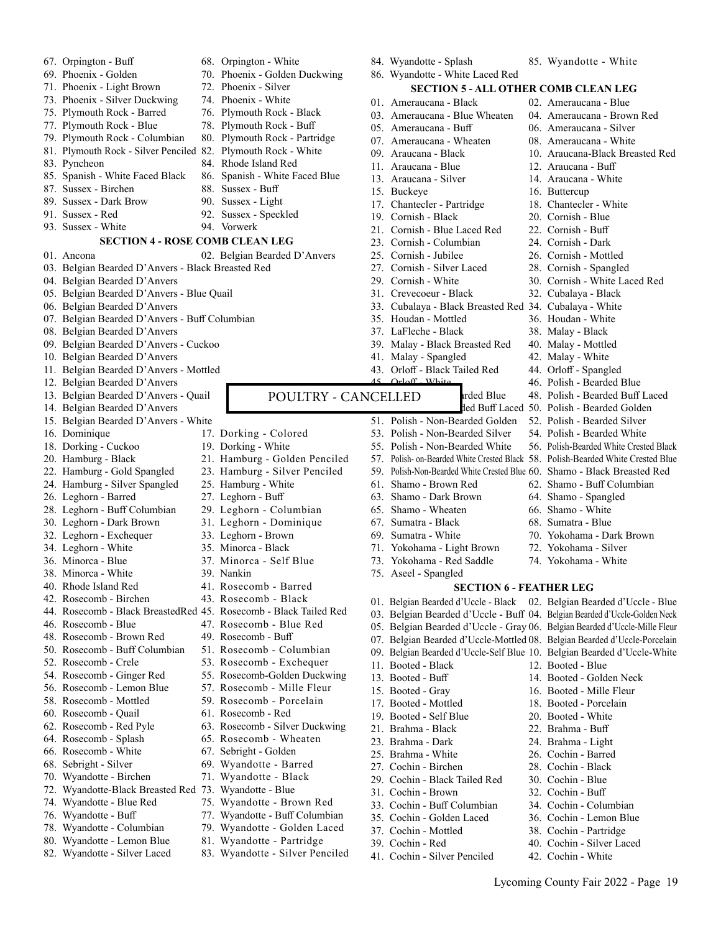| 67. Orpington - Buff                                             | 68. Orpington - White                                     | 84. Wyandotte - Splash                                                           | 85. Wyandotte - White                               |
|------------------------------------------------------------------|-----------------------------------------------------------|----------------------------------------------------------------------------------|-----------------------------------------------------|
| 69. Phoenix - Golden                                             | 70. Phoenix - Golden Duckwing                             | 86. Wyandotte - White Laced Red                                                  |                                                     |
| 71. Phoenix - Light Brown                                        | 72. Phoenix - Silver                                      | <b>SECTION 5 - ALL OTHER COMB CLEAN LEG</b>                                      |                                                     |
| 73. Phoenix - Silver Duckwing                                    | 74. Phoenix - White                                       | 01. Ameraucana - Black                                                           | 02. Ameraucana - Blue                               |
| 75. Plymouth Rock - Barred                                       | 76. Plymouth Rock - Black                                 | 03. Ameraucana - Blue Wheaten                                                    | 04. Ameraucana - Brown Red                          |
| 77. Plymouth Rock - Blue                                         | 78. Plymouth Rock - Buff                                  | 05. Ameraucana - Buff                                                            | 06. Ameraucana - Silver                             |
| 79. Plymouth Rock - Columbian                                    | 80. Plymouth Rock - Partridge                             | 07. Ameraucana - Wheaten                                                         | 08. Ameraucana - White                              |
| 81. Plymouth Rock - Silver Penciled 82. Plymouth Rock - White    |                                                           | 09. Araucana - Black                                                             | 10. Araucana-Black Breasted Red                     |
| 83. Pyncheon                                                     | 84. Rhode Island Red                                      | 11. Araucana - Blue                                                              | 12. Araucana - Buff                                 |
| 85. Spanish - White Faced Black                                  | 86. Spanish - White Faced Blue                            | 13. Araucana - Silver                                                            | 14. Araucana - White                                |
| 87. Sussex - Birchen                                             | 88. Sussex - Buff                                         | 15. Buckeye                                                                      | 16. Buttercup                                       |
| 89. Sussex - Dark Brow                                           | 90. Sussex - Light                                        | 17. Chantecler - Partridge                                                       | 18. Chantecler - White                              |
| 91. Sussex - Red                                                 | 92. Sussex - Speckled                                     | 19. Cornish - Black                                                              | 20. Cornish - Blue                                  |
| 93. Sussex - White                                               | 94. Vorwerk                                               | 21. Cornish - Blue Laced Red                                                     | 22. Cornish - Buff                                  |
| <b>SECTION 4 - ROSE COMB CLEAN LEG</b>                           |                                                           | 23. Cornish - Columbian                                                          | 24. Cornish - Dark                                  |
| 01. Ancona                                                       | 02. Belgian Bearded D'Anvers                              | 25. Cornish - Jubilee                                                            | 26. Cornish - Mottled                               |
| 03. Belgian Bearded D'Anvers - Black Breasted Red                |                                                           | 27. Cornish - Silver Laced                                                       | 28. Cornish - Spangled                              |
| 04. Belgian Bearded D'Anvers                                     |                                                           | 29. Cornish - White                                                              | 30. Cornish - White Laced Red                       |
| 05. Belgian Bearded D'Anvers - Blue Quail                        |                                                           | 31. Crevecoeur - Black                                                           | 32. Cubalaya - Black                                |
| 06. Belgian Bearded D'Anvers                                     |                                                           | 33. Cubalaya - Black Breasted Red 34. Cubalaya - White                           |                                                     |
| 07. Belgian Bearded D'Anvers - Buff Columbian                    |                                                           | 35. Houdan - Mottled                                                             | 36. Houdan - White                                  |
| 08. Belgian Bearded D'Anvers                                     |                                                           | 37. LaFleche - Black                                                             | 38. Malay - Black                                   |
| 09. Belgian Bearded D'Anvers - Cuckoo                            |                                                           | 39. Malay - Black Breasted Red                                                   | 40. Malay - Mottled                                 |
| 10. Belgian Bearded D'Anvers                                     |                                                           | 41. Malay - Spangled                                                             | 42. Malay - White                                   |
| 11. Belgian Bearded D'Anvers - Mottled                           |                                                           | 43. Orloff - Black Tailed Red                                                    | 44. Orloff - Spangled                               |
| 12. Belgian Bearded D'Anvers                                     |                                                           | $45$ Orloff White                                                                | 46. Polish - Bearded Blue                           |
| 13. Belgian Bearded D'Anvers - Quail                             | POULTRY - CANCELLED                                       | ırded Blue                                                                       | 48. Polish - Bearded Buff Laced                     |
| 14. Belgian Bearded D'Anvers                                     |                                                           |                                                                                  | led Buff Laced 50. Polish - Bearded Golden          |
| 15. Belgian Bearded D'Anvers - White                             |                                                           | 51. Polish - Non-Bearded Golden                                                  | 52. Polish - Bearded Silver                         |
| 16. Dominique                                                    | 17. Dorking - Colored                                     | 53. Polish - Non-Bearded Silver                                                  | 54. Polish - Bearded White                          |
| 18. Dorking - Cuckoo                                             | 19. Dorking - White                                       | 55. Polish - Non-Bearded White                                                   | 56. Polish-Bearded White Crested Black              |
| 20. Hamburg - Black                                              | 21. Hamburg - Golden Penciled                             | 57. Polish- on-Bearded White Crested Black 58. Polish-Bearded White Crested Blue |                                                     |
| 22. Hamburg - Gold Spangled                                      | 23. Hamburg - Silver Penciled                             | 59. Polish-Non-Bearded White Crested Blue 60. Shamo - Black Breasted Red         |                                                     |
| 24. Hamburg - Silver Spangled                                    | 25. Hamburg - White                                       | 61. Shamo - Brown Red                                                            | 62. Shamo - Buff Columbian                          |
| 26. Leghorn - Barred                                             | 27. Leghorn - Buff                                        | 63. Shamo - Dark Brown                                                           | 64. Shamo - Spangled                                |
| 28. Leghorn - Buff Columbian                                     | 29. Leghorn - Columbian                                   | 65. Shamo - Wheaten                                                              | 66. Shamo - White                                   |
|                                                                  |                                                           |                                                                                  |                                                     |
|                                                                  |                                                           |                                                                                  |                                                     |
| 30. Leghorn - Dark Brown                                         | 31. Leghorn - Dominique                                   | 67. Sumatra - Black                                                              | 68. Sumatra - Blue                                  |
| 32. Leghorn - Exchequer                                          | 33. Leghorn - Brown                                       | 69. Sumatra - White                                                              | 70. Yokohama - Dark Brown                           |
| 34. Leghorn - White                                              | 35. Minorca - Black                                       | 71. Yokohama - Light Brown                                                       | 72. Yokohama - Silver                               |
| 36. Minorca - Blue                                               | 37. Minorca - Self Blue                                   | 73. Yokohama - Red Saddle                                                        | 74. Yokohama - White                                |
| 38. Minorca - White                                              | 39. Nankin                                                | 75. Aseel - Spangled                                                             |                                                     |
| 40. Rhode Island Red                                             | 41. Rosecomb - Barred                                     | <b>SECTION 6 - FEATHER LEG</b>                                                   |                                                     |
| 42. Rosecomb - Birchen                                           | 43. Rosecomb - Black                                      | 01. Belgian Bearded d'Uccle - Black 02. Belgian Bearded d'Uccle - Blue           |                                                     |
| 44. Rosecomb - Black BreastedRed 45. Rosecomb - Black Tailed Red |                                                           | 03. Belgian Bearded d'Uccle - Buff 04. Belgian Bearded d'Uccle-Golden Neck       |                                                     |
| 46. Rosecomb - Blue                                              | 47. Rosecomb - Blue Red                                   | 05. Belgian Bearded d'Uccle - Gray 06. Belgian Bearded d'Uccle-Mille Fleur       |                                                     |
| 48. Rosecomb - Brown Red                                         | 49. Rosecomb - Buff                                       | 07. Belgian Bearded d'Uccle-Mottled 08. Belgian Bearded d'Uccle-Porcelain        |                                                     |
| 50. Rosecomb - Buff Columbian                                    | 51. Rosecomb - Columbian                                  | 09. Belgian Bearded d'Uccle-Self Blue 10. Belgian Bearded d'Uccle-White          |                                                     |
| 52. Rosecomb - Crele                                             | 53. Rosecomb - Exchequer                                  | 11. Booted - Black                                                               | 12. Booted - Blue                                   |
| 54. Rosecomb - Ginger Red                                        | 55. Rosecomb-Golden Duckwing                              | 13. Booted - Buff                                                                | 14. Booted - Golden Neck                            |
| 56. Rosecomb - Lemon Blue                                        | 57. Rosecomb - Mille Fleur                                | 15. Booted - Gray                                                                | 16. Booted - Mille Fleur                            |
| 58. Rosecomb - Mottled                                           | 59. Rosecomb - Porcelain                                  | 17. Booted - Mottled                                                             | 18. Booted - Porcelain                              |
| 60. Rosecomb - Quail                                             | 61. Rosecomb - Red                                        | 19. Booted - Self Blue                                                           | 20. Booted - White                                  |
| 62. Rosecomb - Red Pyle                                          | 63. Rosecomb - Silver Duckwing                            | 21. Brahma - Black                                                               | 22. Brahma - Buff                                   |
| 64. Rosecomb - Splash                                            | 65. Rosecomb - Wheaten                                    | 23. Brahma - Dark                                                                | 24. Brahma - Light                                  |
| 66. Rosecomb - White                                             | 67. Sebright - Golden                                     | 25. Brahma - White                                                               | 26. Cochin - Barred                                 |
| 68. Sebright - Silver                                            | 69. Wyandotte - Barred                                    | 27. Cochin - Birchen                                                             | 28. Cochin - Black                                  |
| 70. Wyandotte - Birchen                                          | 71. Wyandotte - Black                                     | 29. Cochin - Black Tailed Red                                                    | 30. Cochin - Blue                                   |
| 72. Wyandotte-Black Breasted Red 73. Wyandotte - Blue            |                                                           | 31. Cochin - Brown                                                               | 32. Cochin - Buff                                   |
| 74. Wyandotte - Blue Red                                         | 75. Wyandotte - Brown Red                                 | 33. Cochin - Buff Columbian                                                      | 34. Cochin - Columbian                              |
| 76. Wyandotte - Buff                                             | 77. Wyandotte - Buff Columbian                            | 35. Cochin - Golden Laced                                                        | 36. Cochin - Lemon Blue                             |
| 78. Wyandotte - Columbian<br>80. Wyandotte - Lemon Blue          | 79. Wyandotte - Golden Laced<br>81. Wyandotte - Partridge | 37. Cochin - Mottled<br>39. Cochin - Red                                         | 38. Cochin - Partridge<br>40. Cochin - Silver Laced |

82. Wyandotte - Silver Laced 83. Wyandotte - Silver Penciled

41. Cochin - Silver Penciled 42. Cochin - White

Lycoming County Fair 2022 - Page 19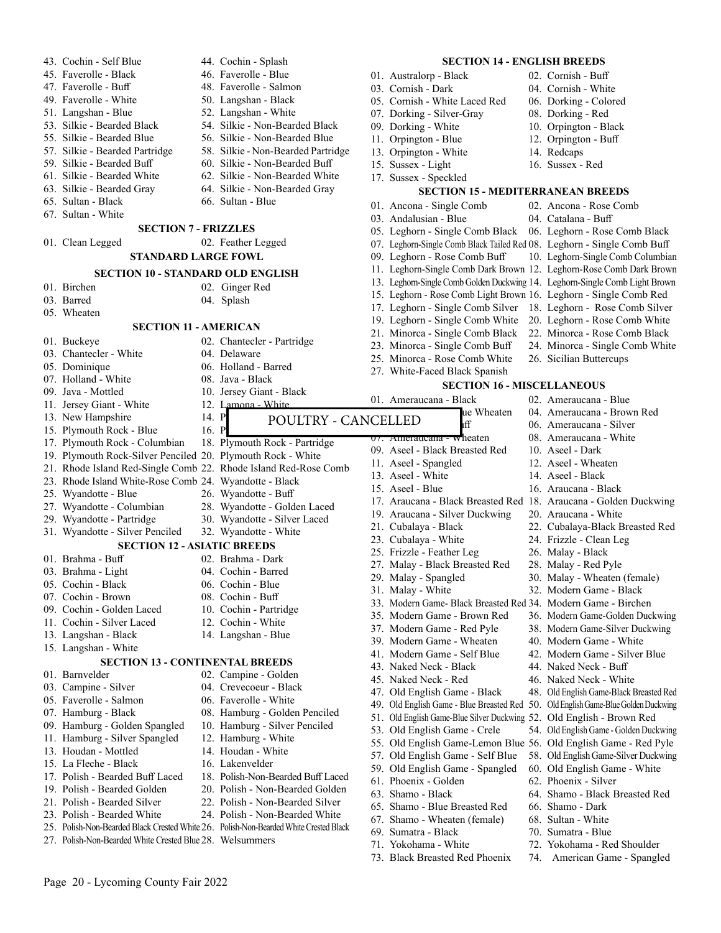| 43. Cochin - Self Blue                                                                |       | 44. Cochin - Splash                | <b>SECTION 14 - ENGLISH BREEDS</b>                                                                                 |                                                             |
|---------------------------------------------------------------------------------------|-------|------------------------------------|--------------------------------------------------------------------------------------------------------------------|-------------------------------------------------------------|
| 45. Faverolle - Black                                                                 |       | 46. Faverolle - Blue               | 01. Australorp - Black                                                                                             | 02. Cornish - Buff                                          |
| 47. Faverolle - Buff                                                                  |       | 48. Faverolle - Salmon             | 03. Cornish - Dark                                                                                                 | 04. Cornish - White                                         |
| 49. Faverolle - White                                                                 |       | 50. Langshan - Black               | 05. Cornish - White Laced Red                                                                                      | 06. Dorking - Colored                                       |
| 51. Langshan - Blue                                                                   |       | 52. Langshan - White               | 07. Dorking - Silver-Gray                                                                                          | 08. Dorking - Red                                           |
| 53. Silkie - Bearded Black                                                            |       | 54. Silkie - Non-Bearded Black     | 09. Dorking - White                                                                                                | 10. Orpington - Black                                       |
| 55. Silkie - Bearded Blue                                                             |       | 56. Silkie - Non-Bearded Blue      | 11. Orpington - Blue                                                                                               | 12. Orpington - Buff                                        |
| 57. Silkie - Bearded Partridge                                                        |       | 58. Silkie - Non-Bearded Partridge | 13. Orpington - White                                                                                              | 14. Redcaps                                                 |
| 59. Silkie - Bearded Buff                                                             |       | 60. Silkie - Non-Bearded Buff      | 15. Sussex - Light                                                                                                 | 16. Sussex - Red                                            |
| 61. Silkie - Bearded White                                                            |       | 62. Silkie - Non-Bearded White     | 17. Sussex - Speckled                                                                                              |                                                             |
| 63. Silkie - Bearded Gray                                                             |       | 64. Silkie - Non-Bearded Gray      | <b>SECTION 15 - MEDITERRANEAN BREEDS</b>                                                                           |                                                             |
| 65. Sultan - Black                                                                    |       | 66. Sultan - Blue                  | 01. Ancona - Single Comb                                                                                           | 02. Ancona - Rose Comb                                      |
| 67. Sultan - White                                                                    |       |                                    | 03. Andalusian - Blue                                                                                              | 04. Catalana - Buff                                         |
| <b>SECTION 7 - FRIZZLES</b>                                                           |       |                                    | 05. Leghorn - Single Comb Black 06. Leghorn - Rose Comb Black                                                      |                                                             |
| 01. Clean Legged                                                                      |       | 02. Feather Legged                 | 07. Leghorn-Single Comb Black Tailed Red 08. Leghorn - Single Comb Buff                                            |                                                             |
| STANDARD LARGE FOWL                                                                   |       |                                    | 09. Leghorn - Rose Comb Buff                                                                                       | 10. Leghorn-Single Comb Columbian                           |
|                                                                                       |       |                                    | 11. Leghorn-Single Comb Dark Brown 12. Leghorn-Rose Comb Dark Brown                                                |                                                             |
| <b>SECTION 10 - STANDARD OLD ENGLISH</b>                                              |       |                                    | 13. Leghorn-Single Comb Golden Duckwing 14. Leghorn-Single Comb Light Brown                                        |                                                             |
| 01. Birchen                                                                           |       | 02. Ginger Red                     | 15. Leghorn - Rose Comb Light Brown 16. Leghorn - Single Comb Red                                                  |                                                             |
| 03. Barred                                                                            |       | 04. Splash                         | 17. Leghorn - Single Comb Silver 18. Leghorn - Rose Comb Silver                                                    |                                                             |
| 05. Wheaten                                                                           |       |                                    | 19. Leghorn - Single Comb White                                                                                    | 20. Leghorn - Rose Comb White                               |
| <b>SECTION 11 - AMERICAN</b>                                                          |       |                                    | 21. Minorca - Single Comb Black                                                                                    | 22. Minorca - Rose Comb Black                               |
| 01. Buckeye                                                                           |       | 02. Chantecler - Partridge         | 23. Minorca - Single Comb Buff                                                                                     | 24. Minorca - Single Comb White                             |
| 03. Chantecler - White                                                                |       | 04. Delaware                       | 25. Minorca - Rose Comb White                                                                                      | 26. Sicilian Buttercups                                     |
| 05. Dominique                                                                         |       | 06. Holland - Barred               | 27. White-Faced Black Spanish                                                                                      |                                                             |
| 07. Holland - White                                                                   |       | 08. Java - Black                   |                                                                                                                    |                                                             |
| 09. Java - Mottled                                                                    |       | 10. Jersey Giant - Black           | <b>SECTION 16 - MISCELLANEOUS</b>                                                                                  |                                                             |
| 11. Jersey Giant - White                                                              |       | 12. Lamona - White                 | 01. Ameraucana - Black                                                                                             | 02. Ameraucana - Blue                                       |
| 13. New Hampshire                                                                     | 14. P | POULTRY - CANCELLED                | ue Wheaten                                                                                                         | 04. Ameraucana - Brown Red                                  |
| 15. Plymouth Rock - Blue                                                              | 16. P |                                    | ıff                                                                                                                | 06. Ameraucana - Silver                                     |
| 17. Plymouth Rock - Columbian                                                         |       | 18. Plymouth Rock - Partridge      | 07. Ameraucana - wheaten                                                                                           | 08. Ameraucana - White                                      |
| 19. Plymouth Rock-Silver Penciled 20. Plymouth Rock - White                           |       |                                    | 09. Aseel - Black Breasted Red                                                                                     | 10. Aseel - Dark                                            |
| 21. Rhode Island Red-Single Comb 22. Rhode Island Red-Rose Comb                       |       |                                    | 11. Aseel - Spangled                                                                                               | 12. Aseel - Wheaten                                         |
| 23. Rhode Island White-Rose Comb 24. Wyandotte - Black                                |       |                                    | 13. Aseel - White                                                                                                  | 14. Aseel - Black                                           |
| 25. Wyandotte - Blue                                                                  |       | 26. Wyandotte - Buff               | 15. Aseel - Blue                                                                                                   | 16. Araucana - Black                                        |
| 27. Wyandotte - Columbian                                                             |       | 28. Wyandotte - Golden Laced       | 17. Araucana - Black Breasted Red 18. Araucana - Golden Duckwing                                                   |                                                             |
| 29. Wyandotte - Partridge                                                             |       | 30. Wyandotte - Silver Laced       | 19. Araucana - Silver Duckwing                                                                                     | 20. Araucana - White                                        |
| 31. Wyandotte - Silver Penciled                                                       |       | 32. Wyandotte - White              | 21. Cubalaya - Black                                                                                               | 22. Cubalaya-Black Breasted Red                             |
| <b>SECTION 12 - ASIATIC BREEDS</b>                                                    |       |                                    | 23. Cubalaya - White                                                                                               | 24. Frizzle - Clean Leg                                     |
| 01. Brahma - Buff                                                                     |       | 02. Brahma - Dark                  | 25. Frizzle - Feather Leg                                                                                          | 26. Malay - Black                                           |
| 03. Brahma - Light                                                                    |       | 04. Cochin - Barred                | 27. Malay - Black Breasted Red                                                                                     | 28. Malay - Red Pyle                                        |
| 05. Cochin - Black                                                                    |       | 06. Cochin - Blue                  | 29. Malay - Spangled                                                                                               | 30. Malay - Wheaten (female)                                |
| 07. Cochin - Brown                                                                    |       | 08. Cochin - Buff                  | 31. Malay - White                                                                                                  | 32. Modern Game - Black                                     |
| 09. Cochin - Golden Laced                                                             |       | 10. Cochin - Partridge             | 33. Modern Game-Black Breasted Red 34. Modern Game - Birchen                                                       |                                                             |
| 11. Cochin - Silver Laced                                                             |       | 12. Cochin - White                 | 35. Modern Game - Brown Red                                                                                        | 36. Modern Game-Golden Duckwing                             |
| 13. Langshan - Black                                                                  |       | 14. Langshan - Blue                | 37. Modern Game - Red Pyle                                                                                         | 38. Modern Game-Silver Duckwing<br>40. Modern Game - White  |
| 15. Langshan - White                                                                  |       |                                    | 39. Modern Game - Wheaten                                                                                          | 42. Modern Game - Silver Blue                               |
| <b>SECTION 13 - CONTINENTAL BREEDS</b>                                                |       |                                    | 41. Modern Game - Self Blue<br>43. Naked Neck - Black                                                              | 44. Naked Neck - Buff                                       |
| 01. Barnvelder                                                                        |       | 02. Campine - Golden               |                                                                                                                    | 46. Naked Neck - White                                      |
| 03. Campine - Silver                                                                  |       | 04. Crevecoeur - Black             | 45. Naked Neck - Red                                                                                               |                                                             |
| 05. Faverolle - Salmon                                                                |       | 06. Faverolle - White              | 47. Old English Game - Black<br>49. Old English Game - Blue Breasted Red 50. Old English Game-Blue Golden Duckwing | 48. Old English Game-Black Breasted Red                     |
| 07. Hamburg - Black                                                                   |       | 08. Hamburg - Golden Penciled      | 51. Old English Game-Blue Silver Duckwing 52. Old English - Brown Red                                              |                                                             |
| 09. Hamburg - Golden Spangled                                                         |       | 10. Hamburg - Silver Penciled      |                                                                                                                    |                                                             |
| 11. Hamburg - Silver Spangled                                                         |       | 12. Hamburg - White                | 53. Old English Game - Crele<br>55. Old English Game-Lemon Blue 56. Old English Game - Red Pyle                    | 54. Old English Game - Golden Duckwing                      |
| 13. Houdan - Mottled                                                                  |       | 14. Houdan - White                 |                                                                                                                    |                                                             |
| 15. La Fleche - Black                                                                 |       | 16. Lakenvelder                    | 57. Old English Game - Self Blue                                                                                   | 58. Old English Game-Silver Duckwing                        |
| 17. Polish - Bearded Buff Laced                                                       |       | 18. Polish-Non-Bearded Buff Laced  | 59. Old English Game - Spangled<br>61. Phoenix - Golden                                                            | 60. Old English Game - White<br>62. Phoenix - Silver        |
| 19. Polish - Bearded Golden                                                           |       | 20. Polish - Non-Bearded Golden    | 63. Shamo - Black                                                                                                  | 64. Shamo - Black Breasted Red                              |
|                                                                                       |       |                                    |                                                                                                                    |                                                             |
| 21. Polish - Bearded Silver                                                           |       | 22. Polish - Non-Bearded Silver    |                                                                                                                    |                                                             |
| 23. Polish - Bearded White                                                            |       | 24. Polish - Non-Bearded White     | 65. Shamo - Blue Breasted Red                                                                                      | 66. Shamo - Dark                                            |
| 25. Polish-Non-Bearded Black Crested White 26. Polish-Non-Bearded White Crested Black |       |                                    | 67. Shamo - Wheaten (female)                                                                                       | 68. Sultan - White                                          |
| 27. Polish-Non-Bearded White Crested Blue 28. Welsummers                              |       |                                    | 69. Sumatra - Black                                                                                                | 70. Sumatra - Blue                                          |
|                                                                                       |       |                                    | 71. Yokohama - White<br>73. Black Breasted Red Phoenix                                                             | 72. Yokohama - Red Shoulder<br>74. American Game - Spangled |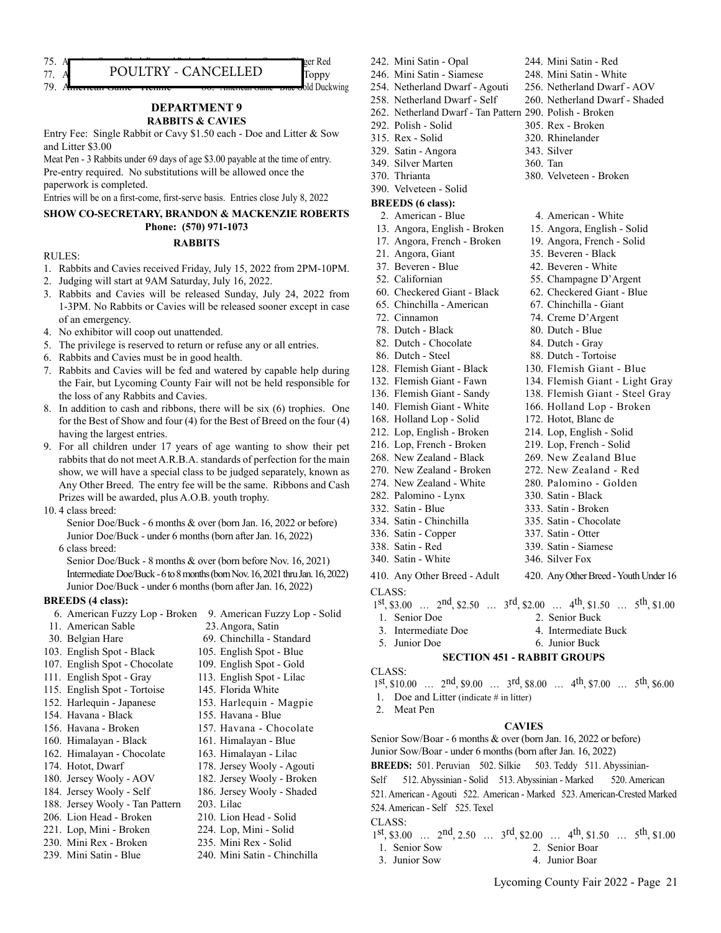#### 75. American Game - Black Breasted Red 75. American Game - Ginger Red 76. American Game - Ginger Red  $77. A$  POULTRY - CANCELLED  $\begin{bmatrix} F_{\text{oppy}} \end{bmatrix}$

#### 79. American Game - Hennie 800. American Game - Blue Gold Duckwing

### **DEPARTMENT 9**

#### **RABBITS & CAVIES**

Entry Fee: Single Rabbit or Cavy \$1.50 each - Doe and Litter & Sow and Litter \$3.00

Meat Pen - 3 Rabbits under 69 days of age \$3.00 payable at the time of entry. Pre-entry required. No substitutions will be allowed once the

paperwork is completed.

Entries will be on a first-come, first-serve basis. Entries close July 8, 2022

#### **SHOW CO-SECRETARY, BRANDON & MACKENZIE ROBERTS Phone: (570) 971-1073**

#### **RABBITS**

#### RULES:

- 1. Rabbits and Cavies received Friday, July 15, 2022 from 2PM-10PM.
- 2. Judging will start at 9AM Saturday, July 16, 2022.
- 3. Rabbits and Cavies will be released Sunday, July 24, 2022 from 1-3PM. No Rabbits or Cavies will be released sooner except in case of an emergency.
- 4. No exhibitor will coop out unattended.
- 5. The privilege is reserved to return or refuse any or all entries.
- 6. Rabbits and Cavies must be in good health.
- 7. Rabbits and Cavies will be fed and watered by capable help during the Fair, but Lycoming County Fair will not be held responsible for the loss of any Rabbits and Cavies.
- 8. In addition to cash and ribbons, there will be six (6) trophies. One for the Best of Show and four (4) for the Best of Breed on the four (4) having the largest entries.
- 9. For all children under 17 years of age wanting to show their pet rabbits that do not meet A.R.B.A. standards of perfection for the main show, we will have a special class to be judged separately, known as Any Other Breed. The entry fee will be the same. Ribbons and Cash Prizes will be awarded, plus A.O.B. youth trophy.
- 10. 4 class breed:
	- Senior Doe/Buck 6 months & over (born Jan. 16, 2022 or before) Junior Doe/Buck - under 6 months (born after Jan. 16, 2022)

6 class breed:

 Senior Doe/Buck - 8 months & over (born before Nov. 16, 2021) Intermediate Doe/Buck - 6 to 8 months (born Nov. 16, 2021 thru Jan. 16, 2022) Junior Doe/Buck - under 6 months (born after Jan. 16, 2022)

#### **BREEDS (4 class):**

|  | 6. American Fuzzy Lop - Broken 9. American Fuzzy Lop - Solid |                              |
|--|--------------------------------------------------------------|------------------------------|
|  | 11. American Sable                                           | 23. Angora, Satin            |
|  | 30. Belgian Hare                                             | 69. Chinchilla - Standard    |
|  | 103. English Spot - Black                                    | 105. English Spot - Blue     |
|  | 107. English Spot - Chocolate                                | 109. English Spot - Gold     |
|  | 111. English Spot - Gray                                     | 113. English Spot - Lilac    |
|  | 115. English Spot - Tortoise                                 | 145. Florida White           |
|  | 152. Harlequin - Japanese                                    | 153. Harlequin - Magpie      |
|  | 154. Havana - Black                                          | 155. Havana - Blue           |
|  | 156. Havana - Broken                                         | 157. Havana - Chocolate      |
|  | 160. Himalayan - Black                                       | 161. Himalayan - Blue        |
|  | 162. Himalayan - Chocolate                                   | 163. Himalayan - Lilac       |
|  | 174. Hotot, Dwarf                                            | 178. Jersey Wooly - Agouti   |
|  | 180. Jersey Wooly - AOV                                      | 182. Jersey Wooly - Broken   |
|  | 184. Jersey Wooly - Self                                     | 186. Jersey Wooly - Shaded   |
|  | 188. Jersey Wooly - Tan Pattern                              | 203. Lilac                   |
|  | 206. Lion Head - Broken                                      | 210. Lion Head - Solid       |
|  | 221. Lop, Mini - Broken                                      | 224. Lop, Mini - Solid       |
|  | 230. Mini Rex - Broken                                       | 235. Mini Rex - Solid        |
|  | 239. Mini Satin - Blue                                       | 240. Mini Satin - Chinchilla |
|  |                                                              |                              |
|  |                                                              |                              |
|  |                                                              |                              |

- 242. Mini Satin Opal 244. Mini Satin Red
- 246. Mini Satin Siamese 248. Mini Satin White
- 254. Netherland Dwarf Agouti 256. Netherland Dwarf AOV
- 258. Netherland Dwarf Self 260. Netherland Dwarf Shaded
- 262. Netherland Dwarf Tan Pattern 290. Polish Broken
- 
- 
- 329. Satin Angora 343. Silver
- 349. Silver Marten 360. Tan
- 
- 

- 
- 13. Angora, English Broken 15. Angora, English Solid
- 17. Angora, French Broken 19. Angora, French Solid
- 21. Angora, Giant 35. Beveren Black
- 37. Beveren Blue 42. Beveren White
- 52. Californian 55. Champagne D'Argent
- 60. Checkered Giant Black 62. Checkered Giant Blue
- 65. Chinchilla American 67. Chinchilla Giant
- 72. Cinnamon 74. Creme D'Argent
- 78. Dutch Black 80. Dutch Blue
- 82. Dutch Chocolate 84. Dutch Gray
- 86. Dutch Steel 88. Dutch Tortoise
- 128. Flemish Giant Black 130. Flemish Giant Blue
- 132. Flemish Giant Fawn 134. Flemish Giant Light Gray
- 136. Flemish Giant Sandy 138. Flemish Giant Steel Gray
- 140. Flemish Giant White 166. Holland Lop Broken
- 168. Holland Lop Solid 172. Hotot, Blanc de
- 212. Lop, English Broken 214. Lop, English Solid
- 216. Lop, French Broken 219. Lop, French Solid
- 268. New Zealand Black 269. New Zealand Blue
- 270. New Zealand Broken 272. New Zealand Red
- 274. New Zealand White 280. Palomino Golden
- 282. Palomino Lynx 330. Satin Black
- 332. Satin Blue 333. Satin Broken
- 334. Satin Chinchilla 335. Satin Chocolate
- 336. Satin Copper 337. Satin Otter 338. Satin - Red 339. Satin - Siamese
	-
- 340. Satin White 346. Silver Fox
- 410. Any Other Breed Adult 420. Any Other Breed Youth Under 16
- CLASS:
- 1st, \$3.00 … 2nd, \$2.50 … 3rd, \$2.00 … 4th, \$1.50 … 5th, \$1.00
- 1. Senior Doe 2. Senior Buck
- 3. Intermediate Doe 4. Intermediate Buck
- 5. Junior Doe 6. Junior Buck

#### **SECTION 451 - RABBIT GROUPS**

CLASS:

- $1^{st}$ , \$10.00 …  $2^{nd}$ , \$9.00 …  $3^{rd}$ , \$8.00 …  $4^{th}$ , \$7.00 …  $5^{th}$ , \$6.00
- 1. Doe and Litter (indicate # in litter)
- 2. Meat Pen

#### **CAVIES**

Senior Sow/Boar - 6 months & over (born Jan. 16, 2022 or before) Junior Sow/Boar - under 6 months (born after Jan. 16, 2022) BREEDS: 501. Peruvian 502. Silkie 503. Teddy 511. Abyssinian-Self 512. Abyssinian - Solid 513. Abyssinian - Marked 520. American 521. American - Agouti 522. American - Marked 523. American-Crested Marked 524. American - Self 525. Texel  $CLASS$  $1^{st}$ , \$3.00 …  $2^{nd}$ , 2.50 …  $3^{rd}$ , \$2.00 …  $4^{th}$ , \$1.50 …  $5^{th}$ , \$1.00<br>1. Senior Sow 2. Senior Boar

- 2. Senior Boar
- 3. Junior Sow 4. Junior Boar
- 292. Polish Solid 305. Rex Broken 315. Rex - Solid 320. Rhinelander
	-
	-
- 370. Thrianta 380. Velveteen Broken
- 390. Velveteen Solid

### **BREEDS (6 class):**

- 2. American Blue 4. American White
- 
- 
- 
- 
- 
- 
- 
- 
-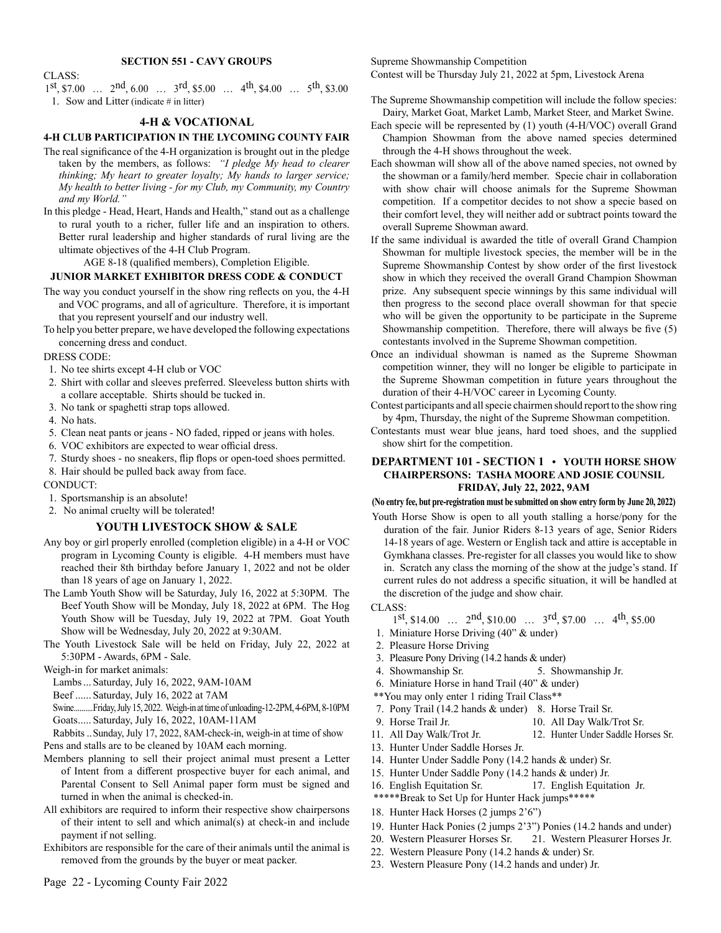#### **SECTION 551 - CAVY GROUPS**

#### CLASS:

1st, \$7.00 … 2nd, 6.00 … 3rd, \$5.00 … 4th, \$4.00 … 5th, \$3.00 1. Sow and Litter (indicate # in litter)

#### **4-H & VOCATIONAL**

#### **4-H CLUB PARTICIPATION IN THE LYCOMING COUNTY FAIR**

- The real significance of the 4-H organization is brought out in the pledge taken by the members, as follows: *"I pledge My head to clearer thinking; My heart to greater loyalty; My hands to larger service; My health to better living - for my Club, my Community, my Country and my World."*
- In this pledge Head, Heart, Hands and Health," stand out as a challenge to rural youth to a richer, fuller life and an inspiration to others. Better rural leadership and higher standards of rural living are the ultimate objectives of the 4-H Club Program.

AGE 8-18 (qualified members), Completion Eligible.

#### **JUNIOR MARKET EXHIBITOR DRESS CODE & CONDUCT**

- The way you conduct yourself in the show ring reflects on you, the 4-H and VOC programs, and all of agriculture. Therefore, it is important that you represent yourself and our industry well.
- To help you better prepare, we have developed the following expectations concerning dress and conduct.

#### DRESS CODE:

- 1. No tee shirts except 4-H club or VOC
- 2. Shirt with collar and sleeves preferred. Sleeveless button shirts with a collare acceptable. Shirts should be tucked in.
- 3. No tank or spaghetti strap tops allowed.
- 4. No hats.
- 5. Clean neat pants or jeans NO faded, ripped or jeans with holes.
- 6. VOC exhibitors are expected to wear official dress.
- 7. Sturdy shoes no sneakers, flip flops or open-toed shoes permitted. 8. Hair should be pulled back away from face.
- CONDUCT:
- 1. Sportsmanship is an absolute!
- 2. No animal cruelty will be tolerated!

#### **YOUTH LIVESTOCK SHOW & SALE**

- Any boy or girl properly enrolled (completion eligible) in a 4-H or VOC program in Lycoming County is eligible. 4-H members must have reached their 8th birthday before January 1, 2022 and not be older than 18 years of age on January 1, 2022.
- The Lamb Youth Show will be Saturday, July 16, 2022 at 5:30PM. The Beef Youth Show will be Monday, July 18, 2022 at 6PM. The Hog Youth Show will be Tuesday, July 19, 2022 at 7PM. Goat Youth Show will be Wednesday, July 20, 2022 at 9:30AM.
- The Youth Livestock Sale will be held on Friday, July 22, 2022 at 5:30PM - Awards, 6PM - Sale.
- Weigh-in for market animals:
	- Lambs... Saturday, July 16, 2022, 9AM-10AM
	- Beef ...... Saturday, July 16, 2022 at 7AM
- Swine..........Friday, July 15, 2022. Weigh-in at time of unloading-12-2PM, 4-6PM, 8-10PM
- Goats..... Saturday, July 16, 2022, 10AM-11AM
- Rabbits ..Sunday, July 17, 2022, 8AM-check-in, weigh-in at time of show
- Pens and stalls are to be cleaned by 10AM each morning.
- Members planning to sell their project animal must present a Letter of Intent from a different prospective buyer for each animal, and Parental Consent to Sell Animal paper form must be signed and turned in when the animal is checked-in.
- All exhibitors are required to inform their respective show chairpersons of their intent to sell and which animal(s) at check-in and include payment if not selling.
- Exhibitors are responsible for the care of their animals until the animal is removed from the grounds by the buyer or meat packer.

Supreme Showmanship Competition

Contest will be Thursday July 21, 2022 at 5pm, Livestock Arena

- The Supreme Showmanship competition will include the follow species: Dairy, Market Goat, Market Lamb, Market Steer, and Market Swine.
- Each specie will be represented by (1) youth (4-H/VOC) overall Grand Champion Showman from the above named species determined through the 4-H shows throughout the week.
- Each showman will show all of the above named species, not owned by the showman or a family/herd member. Specie chair in collaboration with show chair will choose animals for the Supreme Showman competition. If a competitor decides to not show a specie based on their comfort level, they will neither add or subtract points toward the overall Supreme Showman award.
- If the same individual is awarded the title of overall Grand Champion Showman for multiple livestock species, the member will be in the Supreme Showmanship Contest by show order of the first livestock show in which they received the overall Grand Champion Showman prize. Any subsequent specie winnings by this same individual will then progress to the second place overall showman for that specie who will be given the opportunity to be participate in the Supreme Showmanship competition. Therefore, there will always be five (5) contestants involved in the Supreme Showman competition.
- Once an individual showman is named as the Supreme Showman competition winner, they will no longer be eligible to participate in the Supreme Showman competition in future years throughout the duration of their 4-H/VOC career in Lycoming County.
- Contest participants and all specie chairmen should report to the show ring by 4pm, Thursday, the night of the Supreme Showman competition.

Contestants must wear blue jeans, hard toed shoes, and the supplied show shirt for the competition.

#### **DEPARTMENT 101 - SECTION 1 • YOUTH HORSE SHOW CHAIRPERSONS: TASHA MOORE AND JOSIE COUNSIL FRIDAY, July 22, 2022, 9AM**

**(No entry fee, but pre-registration must be submitted on show entry form by June 20, 2022)**

Youth Horse Show is open to all youth stalling a horse/pony for the duration of the fair. Junior Riders 8-13 years of age, Senior Riders 14-18 years of age. Western or English tack and attire is acceptable in Gymkhana classes. Pre-register for all classes you would like to show in. Scratch any class the morning of the show at the judge's stand. If current rules do not address a specific situation, it will be handled at the discretion of the judge and show chair.

CLASS:

- $1^{st}$ , \$14.00 …  $2^{nd}$ , \$10.00 …  $3^{rd}$ , \$7.00 …  $4^{th}$ , \$5.00
- 1. Miniature Horse Driving (40" & under)
- 2. Pleasure Horse Driving
- 3. Pleasure Pony Driving (14.2 hands & under)
- 4. Showmanship Sr. 5. Showmanship Jr.
- 6. Miniature Horse in hand Trail (40" & under)
- \*\*You may only enter 1 riding Trail Class\*\*
- 7. Pony Trail (14.2 hands & under) 8. Horse Trail Sr.
- 9. Horse Trail Jr. 10. All Day Walk/Trot Sr.
- 11. All Day Walk/Trot Jr. 12. Hunter Under Saddle Horses Sr.
- 13. Hunter Under Saddle Horses Jr.
- 14. Hunter Under Saddle Pony (14.2 hands & under) Sr.
- 15. Hunter Under Saddle Pony (14.2 hands & under) Jr.
- 16. English Equitation Sr. 17. English Equitation Jr.
- \*\*\*\*\*Break to Set Up for Hunter Hack jumps\*\*\*\*\*
- 18. Hunter Hack Horses (2 jumps 2'6")
- 19. Hunter Hack Ponies (2 jumps 2'3") Ponies (14.2 hands and under)
- 20. Western Pleasurer Horses Sr. 21. Western Pleasurer Horses Jr.
- 22. Western Pleasure Pony (14.2 hands & under) Sr.
- 23. Western Pleasure Pony (14.2 hands and under) Jr.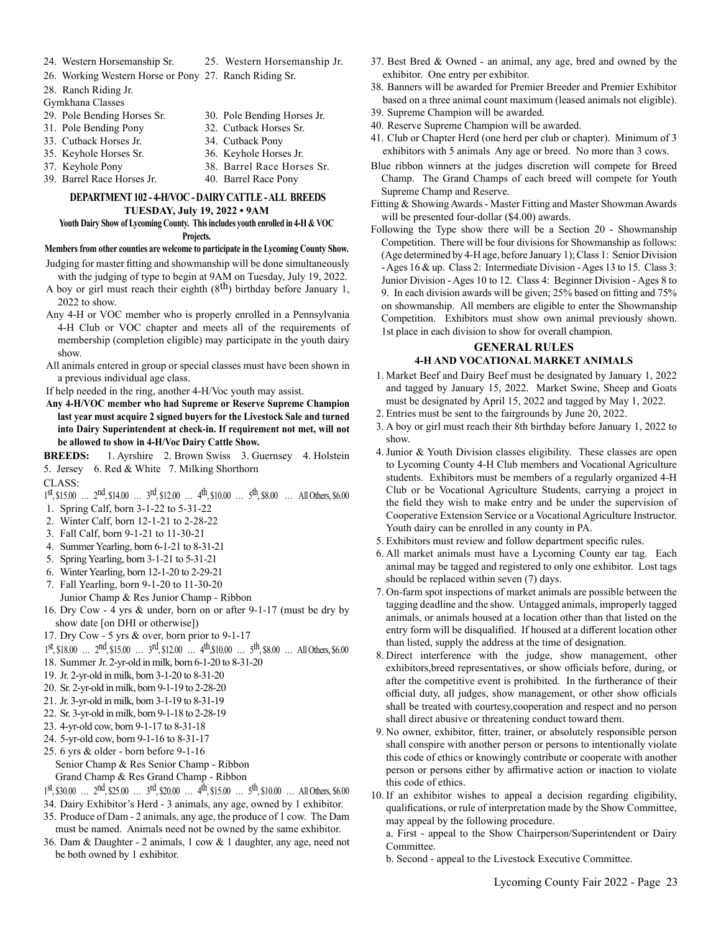- 24. Western Horsemanship Sr. 25. Western Horsemanship Jr.
	-
- 26. Working Western Horse or Pony 27. Ranch Riding Sr.
- 28. Ranch Riding Jr.
- Gymkhana Classes
- 29. Pole Bending Horses Sr. 30. Pole Bending Horses Jr.
- 31. Pole Bending Pony 32. Cutback Horses Sr.
- 33. Cutback Horses Jr. 34. Cutback Pony
- 35. Keyhole Horses Sr. 36. Keyhole Horses Jr.
- 37. Keyhole Pony 38. Barrel Race Horses Sr.
- 39. Barrel Race Horses Jr. 40. Barrel Race Pony

#### **DEPARTMENT 102 - 4-H/VOC - DAIRY CATTLE - ALL BREEDS TUESDAY, July 19, 2022 • 9AM**

#### **Youth Dairy Show of Lycoming County. This includes youth enrolled in 4-H & VOC Projects.**

#### **Members from other counties are welcome to participate in the Lycoming County Show.**

- Judging for master fitting and showmanship will be done simultaneously with the judging of type to begin at 9AM on Tuesday, July 19, 2022. A boy or girl must reach their eighth  $(8<sup>th</sup>)$  birthday before January 1,
- 2022 to show. Any 4-H or VOC member who is properly enrolled in a Pennsylvania 4-H Club or VOC chapter and meets all of the requirements of
- membership (completion eligible) may participate in the youth dairy show.
- All animals entered in group or special classes must have been shown in a previous individual age class.

If help needed in the ring, another 4-H/Voc youth may assist.

**Any 4-H/VOC member who had Supreme or Reserve Supreme Champion last year must acquire 2 signed buyers for the Livestock Sale and turned into Dairy Superintendent at check-in. If requirement not met, will not be allowed to show in 4-H/Voc Dairy Cattle Show.**

**BREEDS:** 1. Ayrshire 2. Brown Swiss 3. Guernsey 4. Holstein 5. Jersey 6. Red & White 7. Milking Shorthorn

CLASS:

- $1^{st}$ , \$15.00 …  $2^{nd}$ , \$14.00 …  $3^{rd}$ , \$12.00 …  $4^{th}$ , \$10.00 …  $5^{th}$ , \$8.00 … All Others, \$6.00
- 1. Spring Calf, born 3-1-22 to 5-31-22
- 2. Winter Calf, born 12-1-21 to 2-28-22
- 3. Fall Calf, born 9-1-21 to 11-30-21
- 4. Summer Yearling, born 6-1-21 to 8-31-21
- 5. Spring Yearling, born 3-1-21 to 5-31-21
- 6. Winter Yearling, born 12-1-20 to 2-29-21
- 7. Fall Yearling, born 9-1-20 to 11-30-20 Junior Champ & Res Junior Champ - Ribbon
- 16. Dry Cow 4 yrs & under, born on or after 9-1-17 (must be dry by show date [on DHI or otherwise])
- 17. Dry Cow 5 yrs & over, born prior to 9-1-17
- 1st, \$18.00 ...  $2<sup>nd</sup>$ , \$15.00 ...  $3<sup>rd</sup>$ , \$12.00 ...  $4<sup>th</sup>$ , \$10.00 ...  $5<sup>th</sup>$ , \$8.00 ... All Others, \$6.00
- 18. Summer Jr. 2-yr-old in milk, born 6-1-20 to 8-31-20
- 19. Jr. 2-yr-old in milk, born 3-1-20 to 8-31-20
- 20. Sr. 2-yr-old in milk, born 9-1-19 to 2-28-20
- 21. Jr. 3-yr-old in milk, born 3-1-19 to 8-31-19
- 22. Sr. 3-yr-old in milk, born 9-1-18 to 2-28-19
- 23. 4-yr-old cow, born 9-1-17 to 8-31-18
- 24. 5-yr-old cow, born 9-1-16 to 8-31-17
- 25. 6 yrs & older born before 9-1-16 Senior Champ & Res Senior Champ - Ribbon
- Grand Champ & Res Grand Champ Ribbon
- $1^{st}$ , \$30.00 …  $2^{nd}$ , \$25.00 …  $3^{rd}$ , \$20.00 …  $4^{th}$ , \$15.00 …  $5^{th}$ , \$10.00 … All Others, \$6.00
- 34. Dairy Exhibitor's Herd 3 animals, any age, owned by 1 exhibitor.
- 35. Produce of Dam 2 animals, any age, the produce of 1 cow. The Dam must be named. Animals need not be owned by the same exhibitor.
- 36. Dam & Daughter 2 animals, 1 cow & 1 daughter, any age, need not be both owned by 1 exhibitor.
- 37. Best Bred & Owned an animal, any age, bred and owned by the exhibitor. One entry per exhibitor.
- 38. Banners will be awarded for Premier Breeder and Premier Exhibitor based on a three animal count maximum (leased animals not eligible).
- 39. Supreme Champion will be awarded.
- 40. Reserve Supreme Champion will be awarded.
- 41. Club or Chapter Herd (one herd per club or chapter). Minimum of 3 exhibitors with 5 animals Any age or breed. No more than 3 cows.
- Blue ribbon winners at the judges discretion will compete for Breed Champ. The Grand Champs of each breed will compete for Youth Supreme Champ and Reserve.
- Fitting & Showing Awards Master Fitting and Master Showman Awards will be presented four-dollar (\$4.00) awards.
- Following the Type show there will be a Section 20 Showmanship Competition. There will be four divisions for Showmanship as follows: (Age determined by 4-H age, before January 1); Class 1: Senior Division - Ages 16 & up. Class 2: Intermediate Division - Ages 13 to 15. Class 3: Junior Division - Ages 10 to 12. Class 4: Beginner Division - Ages 8 to 9. In each division awards will be given; 25% based on fitting and 75% on showmanship. All members are eligible to enter the Showmanship Competition. Exhibitors must show own animal previously shown. 1st place in each division to show for overall champion.

#### **GENERAL RULES 4-H AND VOCATIONAL MARKET ANIMALS**

- 1. Market Beef and Dairy Beef must be designated by January 1, 2022 and tagged by January 15, 2022. Market Swine, Sheep and Goats must be designated by April 15, 2022 and tagged by May 1, 2022.
- 2. Entries must be sent to the fairgrounds by June 20, 2022.
- 3. A boy or girl must reach their 8th birthday before January 1, 2022 to show.
- 4.Junior & Youth Division classes eligibility. These classes are open to Lycoming County 4-H Club members and Vocational Agriculture students. Exhibitors must be members of a regularly organized 4-H Club or be Vocational Agriculture Students, carrying a project in the field they wish to make entry and be under the supervision of Cooperative Extension Service or a Vocational Agriculture Instructor. Youth dairy can be enrolled in any county in PA.
- 5. Exhibitors must review and follow department specific rules.
- 6. All market animals must have a Lycoming County ear tag. Each animal may be tagged and registered to only one exhibitor. Lost tags should be replaced within seven (7) days.
- 7. On-farm spot inspections of market animals are possible between the tagging deadline and the show. Untagged animals, improperly tagged animals, or animals housed at a location other than that listed on the entry form will be disqualified. If housed at a different location other than listed, supply the address at the time of designation.
- 8. Direct interference with the judge, show management, other exhibitors,breed representatives, or show officials before, during, or after the competitive event is prohibited. In the furtherance of their official duty, all judges, show management, or other show officials shall be treated with courtesy,cooperation and respect and no person shall direct abusive or threatening conduct toward them.
- 9. No owner, exhibitor, fitter, trainer, or absolutely responsible person shall conspire with another person or persons to intentionally violate this code of ethics or knowingly contribute or cooperate with another person or persons either by affirmative action or inaction to violate this code of ethics.
- 10. If an exhibitor wishes to appeal a decision regarding eligibility, qualifications, or rule of interpretation made by the Show Committee, may appeal by the following procedure.

a. First - appeal to the Show Chairperson/Superintendent or Dairy Committee.

b. Second - appeal to the Livestock Executive Committee.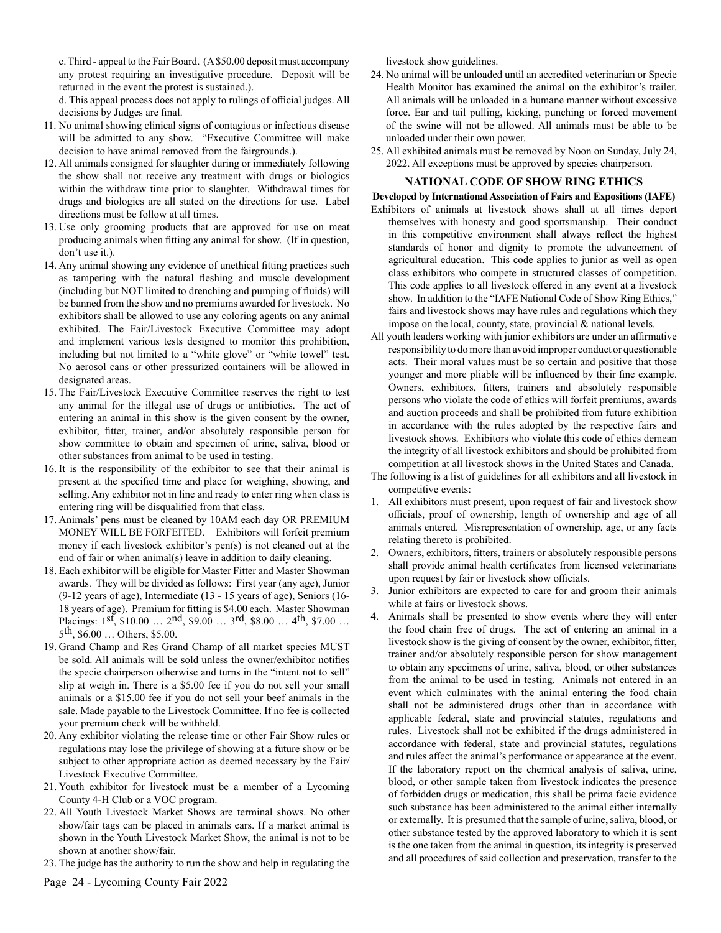c. Third - appeal to the Fair Board. (A \$50.00 deposit must accompany any protest requiring an investigative procedure. Deposit will be returned in the event the protest is sustained.).

d. This appeal process does not apply to rulings of official judges. All decisions by Judges are final.

- 11. No animal showing clinical signs of contagious or infectious disease will be admitted to any show. "Executive Committee will make decision to have animal removed from the fairgrounds.).
- 12. All animals consigned for slaughter during or immediately following the show shall not receive any treatment with drugs or biologics within the withdraw time prior to slaughter. Withdrawal times for drugs and biologics are all stated on the directions for use. Label directions must be follow at all times.
- 13. Use only grooming products that are approved for use on meat producing animals when fitting any animal for show. (If in question, don't use it.).
- 14. Any animal showing any evidence of unethical fitting practices such as tampering with the natural fleshing and muscle development (including but NOT limited to drenching and pumping of fluids) will be banned from the show and no premiums awarded for livestock. No exhibitors shall be allowed to use any coloring agents on any animal exhibited. The Fair/Livestock Executive Committee may adopt and implement various tests designed to monitor this prohibition, including but not limited to a "white glove" or "white towel" test. No aerosol cans or other pressurized containers will be allowed in designated areas.
- 15. The Fair/Livestock Executive Committee reserves the right to test any animal for the illegal use of drugs or antibiotics. The act of entering an animal in this show is the given consent by the owner, exhibitor, fitter, trainer, and/or absolutely responsible person for show committee to obtain and specimen of urine, saliva, blood or other substances from animal to be used in testing.
- 16. It is the responsibility of the exhibitor to see that their animal is present at the specified time and place for weighing, showing, and selling. Any exhibitor not in line and ready to enter ring when class is entering ring will be disqualified from that class.
- 17. Animals' pens must be cleaned by 10AM each day OR PREMIUM MONEY WILL BE FORFEITED. Exhibitors will forfeit premium money if each livestock exhibitor's pen(s) is not cleaned out at the end of fair or when animal(s) leave in addition to daily cleaning.
- 18. Each exhibitor will be eligible for Master Fitter and Master Showman awards. They will be divided as follows: First year (any age), Junior (9-12 years of age), Intermediate (13 - 15 years of age), Seniors (16- 18 years of age). Premium for fitting is \$4.00 each. Master Showman Placings:  $1^{st}$ , \$10.00 ...  $2^{nd}$ , \$9.00 ...  $3^{rd}$ , \$8.00 ...  $4^{th}$ , \$7.00 ...  $5<sup>th</sup>$ , \$6.00 ... Others, \$5.00.
- 19. Grand Champ and Res Grand Champ of all market species MUST be sold. All animals will be sold unless the owner/exhibitor notifies the specie chairperson otherwise and turns in the "intent not to sell" slip at weigh in. There is a \$5.00 fee if you do not sell your small animals or a \$15.00 fee if you do not sell your beef animals in the sale. Made payable to the Livestock Committee. If no fee is collected your premium check will be withheld.
- 20. Any exhibitor violating the release time or other Fair Show rules or regulations may lose the privilege of showing at a future show or be subject to other appropriate action as deemed necessary by the Fair/ Livestock Executive Committee.
- 21. Youth exhibitor for livestock must be a member of a Lycoming County 4-H Club or a VOC program.
- 22. All Youth Livestock Market Shows are terminal shows. No other show/fair tags can be placed in animals ears. If a market animal is shown in the Youth Livestock Market Show, the animal is not to be shown at another show/fair.
- 23. The judge has the authority to run the show and help in regulating the

livestock show guidelines.

- 24. No animal will be unloaded until an accredited veterinarian or Specie Health Monitor has examined the animal on the exhibitor's trailer. All animals will be unloaded in a humane manner without excessive force. Ear and tail pulling, kicking, punching or forced movement of the swine will not be allowed. All animals must be able to be unloaded under their own power.
- 25. All exhibited animals must be removed by Noon on Sunday, July 24, 2022. All exceptions must be approved by species chairperson.

#### **NATIONAL CODE OF SHOW RING ETHICS**

**Developed by International Association of Fairs and Expositions (IAFE)**

- Exhibitors of animals at livestock shows shall at all times deport themselves with honesty and good sportsmanship. Their conduct in this competitive environment shall always reflect the highest standards of honor and dignity to promote the advancement of agricultural education. This code applies to junior as well as open class exhibitors who compete in structured classes of competition. This code applies to all livestock offered in any event at a livestock show. In addition to the "IAFE National Code of Show Ring Ethics," fairs and livestock shows may have rules and regulations which they impose on the local, county, state, provincial & national levels.
- All youth leaders working with junior exhibitors are under an affirmative responsibility to do more than avoid improper conduct or questionable acts. Their moral values must be so certain and positive that those younger and more pliable will be influenced by their fine example. Owners, exhibitors, fitters, trainers and absolutely responsible persons who violate the code of ethics will forfeit premiums, awards and auction proceeds and shall be prohibited from future exhibition in accordance with the rules adopted by the respective fairs and livestock shows. Exhibitors who violate this code of ethics demean the integrity of all livestock exhibitors and should be prohibited from competition at all livestock shows in the United States and Canada.
- The following is a list of guidelines for all exhibitors and all livestock in competitive events:
- 1. All exhibitors must present, upon request of fair and livestock show officials, proof of ownership, length of ownership and age of all animals entered. Misrepresentation of ownership, age, or any facts relating thereto is prohibited.
- 2. Owners, exhibitors, fitters, trainers or absolutely responsible persons shall provide animal health certificates from licensed veterinarians upon request by fair or livestock show officials.
- 3. Junior exhibitors are expected to care for and groom their animals while at fairs or livestock shows.
- 4. Animals shall be presented to show events where they will enter the food chain free of drugs. The act of entering an animal in a livestock show is the giving of consent by the owner, exhibitor, fitter, trainer and/or absolutely responsible person for show management to obtain any specimens of urine, saliva, blood, or other substances from the animal to be used in testing. Animals not entered in an event which culminates with the animal entering the food chain shall not be administered drugs other than in accordance with applicable federal, state and provincial statutes, regulations and rules. Livestock shall not be exhibited if the drugs administered in accordance with federal, state and provincial statutes, regulations and rules affect the animal's performance or appearance at the event. If the laboratory report on the chemical analysis of saliva, urine, blood, or other sample taken from livestock indicates the presence of forbidden drugs or medication, this shall be prima facie evidence such substance has been administered to the animal either internally or externally. It is presumed that the sample of urine, saliva, blood, or other substance tested by the approved laboratory to which it is sent is the one taken from the animal in question, its integrity is preserved and all procedures of said collection and preservation, transfer to the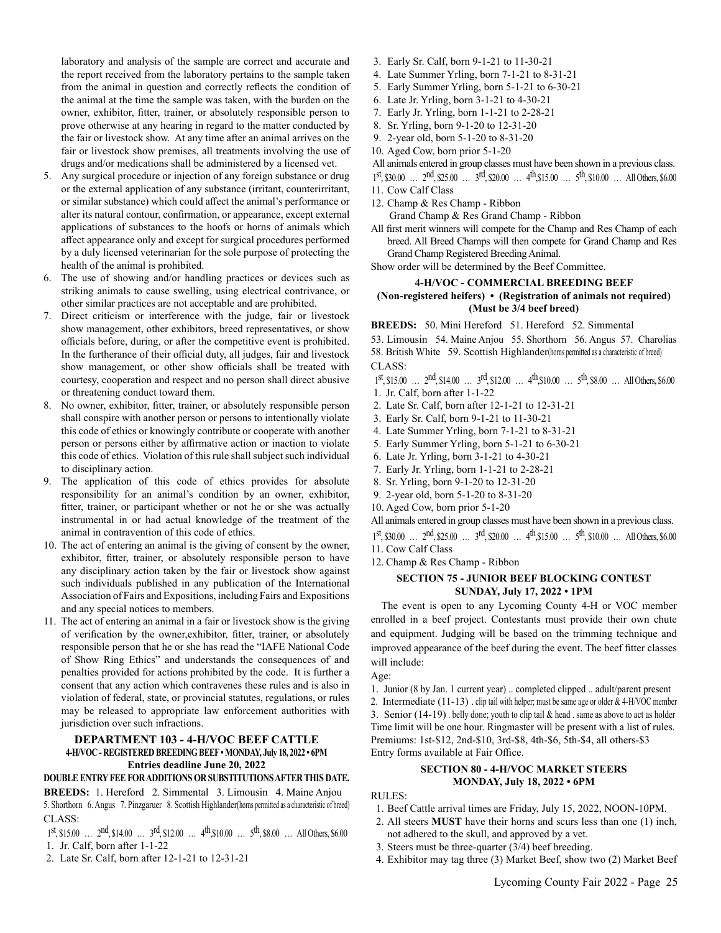laboratory and analysis of the sample are correct and accurate and the report received from the laboratory pertains to the sample taken from the animal in question and correctly reflects the condition of the animal at the time the sample was taken, with the burden on the owner, exhibitor, fitter, trainer, or absolutely responsible person to prove otherwise at any hearing in regard to the matter conducted by the fair or livestock show. At any time after an animal arrives on the fair or livestock show premises, all treatments involving the use of drugs and/or medications shall be administered by a licensed vet.

- 5. Any surgical procedure or injection of any foreign substance or drug or the external application of any substance (irritant, counterirritant, or similar substance) which could affect the animal's performance or alter its natural contour, confirmation, or appearance, except external applications of substances to the hoofs or horns of animals which affect appearance only and except for surgical procedures performed by a duly licensed veterinarian for the sole purpose of protecting the health of the animal is prohibited.
- 6. The use of showing and/or handling practices or devices such as striking animals to cause swelling, using electrical contrivance, or other similar practices are not acceptable and are prohibited.
- 7. Direct criticism or interference with the judge, fair or livestock show management, other exhibitors, breed representatives, or show officials before, during, or after the competitive event is prohibited. In the furtherance of their official duty, all judges, fair and livestock show management, or other show officials shall be treated with courtesy, cooperation and respect and no person shall direct abusive or threatening conduct toward them.
- 8. No owner, exhibitor, fitter, trainer, or absolutely responsible person shall conspire with another person or persons to intentionally violate this code of ethics or knowingly contribute or cooperate with another person or persons either by affirmative action or inaction to violate this code of ethics. Violation of this rule shall subject such individual to disciplinary action.
- 9. The application of this code of ethics provides for absolute responsibility for an animal's condition by an owner, exhibitor, fitter, trainer, or participant whether or not he or she was actually instrumental in or had actual knowledge of the treatment of the animal in contravention of this code of ethics.
- 10. The act of entering an animal is the giving of consent by the owner, exhibitor, fitter, trainer, or absolutely responsible person to have any disciplinary action taken by the fair or livestock show against such individuals published in any publication of the International Association of Fairs and Expositions, including Fairs and Expositions and any special notices to members.
- 11. The act of entering an animal in a fair or livestock show is the giving of verification by the owner,exhibitor, fitter, trainer, or absolutely responsible person that he or she has read the "IAFE National Code of Show Ring Ethics" and understands the consequences of and penalties provided for actions prohibited by the code. It is further a consent that any action which contravenes these rules and is also in violation of federal, state, or provincial statutes, regulations, or rules may be released to appropriate law enforcement authorities with jurisdiction over such infractions.

#### **DEPARTMENT 103 - 4-H/VOC BEEF CATTLE 4-H/VOC - REGISTERED BREEDING BEEF • MONDAY, July 18, 2022 • 6PM Entries deadline June 20, 2022**

#### **DOUBLE ENTRY FEE FOR ADDITIONS OR SUBSTITUTIONS AFTER THIS DATE.**

**BREEDS:** 1. Hereford 2. Simmental 3. Limousin 4. Maine Anjou 5. Shorthorn 6. Angus 7. Pinzgaruer 8. Scottish Highlander(horns permitted as a characteristic of breed) CLASS:

- 1st, \$15.00 … 2nd, \$14.00 … 3rd, \$12.00 … 4th,\$10.00 … 5th, \$8.00 … All Others, \$6.00 1. Jr. Calf, born after 1-1-22
- 2. Late Sr. Calf, born after 12-1-21 to 12-31-21
- 3. Early Sr. Calf, born 9-1-21 to 11-30-21
- 4. Late Summer Yrling, born 7-1-21 to 8-31-21
- 5. Early Summer Yrling, born 5-1-21 to 6-30-21
- 6. Late Jr. Yrling, born 3-1-21 to 4-30-21
- 7. Early Jr. Yrling, born 1-1-21 to 2-28-21
- 8. Sr. Yrling, born 9-1-20 to 12-31-20
- 9. 2-year old, born 5-1-20 to 8-31-20
- 10. Aged Cow, born prior 5-1-20
- All animals entered in group classes must have been shown in a previous class.
- 1st, \$30.00 … 2nd, \$25.00 … 3rd, \$20.00 … 4th,\$15.00 … 5th, \$10.00 … All Others, \$6.00
- 11. Cow Calf Class
- 12. Champ & Res Champ Ribbon
	- Grand Champ & Res Grand Champ Ribbon
- All first merit winners will compete for the Champ and Res Champ of each breed. All Breed Champs will then compete for Grand Champ and Res Grand Champ Registered Breeding Animal.

Show order will be determined by the Beef Committee.

#### **4-H/VOC - COMMERCIAL BREEDING BEEF (Non-registered heifers) • (Registration of animals not required) (Must be 3/4 beef breed)**

**BREEDS:** 50. Mini Hereford 51. Hereford 52. Simmental

53. Limousin 54. Maine Anjou 55. Shorthorn 56. Angus 57. Charolias 58. British White 59. Scottish Highlander(horns permitted as a characteristic of breed) CLASS:

 1st, \$15.00 … 2nd, \$14.00 … 3rd, \$12.00 … 4th,\$10.00 … 5th, \$8.00 … All Others, \$6.00 1. Jr. Calf, born after 1-1-22

- 2. Late Sr. Calf, born after 12-1-21 to 12-31-21
- 3. Early Sr. Calf, born 9-1-21 to 11-30-21
- 4. Late Summer Yrling, born 7-1-21 to 8-31-21
- 5. Early Summer Yrling, born 5-1-21 to 6-30-21
- 6. Late Jr. Yrling, born 3-1-21 to 4-30-21
- 7. Early Jr. Yrling, born 1-1-21 to 2-28-21
- 8. Sr. Yrling, born 9-1-20 to 12-31-20
- 9. 2-year old, born 5-1-20 to 8-31-20
- 10. Aged Cow, born prior 5-1-20

All animals entered in group classes must have been shown in a previous class.

- 1st, \$30.00 … 2nd, \$25.00 … 3rd, \$20.00 … 4th,\$15.00 … 5th, \$10.00 … All Others, \$6.00
- 11. Cow Calf Class
- 12. Champ & Res Champ Ribbon

#### **SECTION 75 - JUNIOR BEEF BLOCKING CONTEST SUNDAY, July 17, 2022 • 1PM**

The event is open to any Lycoming County 4-H or VOC member enrolled in a beef project. Contestants must provide their own chute and equipment. Judging will be based on the trimming technique and improved appearance of the beef during the event. The beef fitter classes will include:

Age:

1. Junior (8 by Jan. 1 current year) .. completed clipped .. adult/parent present 2. Intermediate (11-13) . clip tail with helper; must be same age or older & 4-H/VOC member 3. Senior (14-19) . belly done; youth to clip tail & head . same as above to act as holder Time limit will be one hour. Ringmaster will be present with a list of rules. Premiums: 1st-\$12, 2nd-\$10, 3rd-\$8, 4th-\$6, 5th-\$4, all others-\$3 Entry forms available at Fair Office.

#### **SECTION 80 - 4-H/VOC MARKET STEERS MONDAY, July 18, 2022 • 6PM**

#### RULES:

- 1. Beef Cattle arrival times are Friday, July 15, 2022, NOON-10PM.
- 2. All steers **MUST** have their horns and scurs less than one (1) inch, not adhered to the skull, and approved by a vet.
- 3. Steers must be three-quarter (3/4) beef breeding.
- 4. Exhibitor may tag three (3) Market Beef, show two (2) Market Beef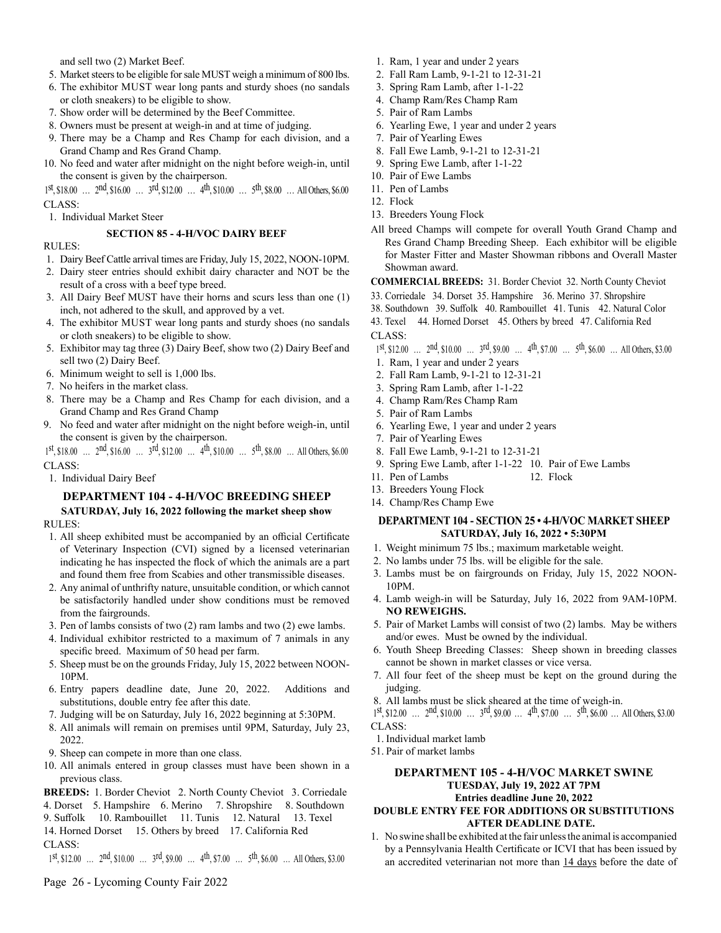and sell two (2) Market Beef.

- 5. Market steers to be eligible for sale MUST weigh a minimum of 800 lbs.
- 6. The exhibitor MUST wear long pants and sturdy shoes (no sandals or cloth sneakers) to be eligible to show.
- 7. Show order will be determined by the Beef Committee.
- 8. Owners must be present at weigh-in and at time of judging.
- 9. There may be a Champ and Res Champ for each division, and a Grand Champ and Res Grand Champ.
- 10. No feed and water after midnight on the night before weigh-in, until the consent is given by the chairperson.

1st, \$18.00 … 2nd, \$16.00 … 3rd, \$12.00 … 4th, \$10.00 … 5th, \$8.00 … All Others, \$6.00  $CLASS$ 

1. Individual Market Steer

#### **SECTION 85 - 4-H/VOC DAIRY BEEF**

#### RULES:

- 1. Dairy Beef Cattle arrival times are Friday, July 15, 2022, NOON-10PM.
- 2. Dairy steer entries should exhibit dairy character and NOT be the result of a cross with a beef type breed.
- 3. All Dairy Beef MUST have their horns and scurs less than one (1) inch, not adhered to the skull, and approved by a vet.
- 4. The exhibitor MUST wear long pants and sturdy shoes (no sandals or cloth sneakers) to be eligible to show.
- 5. Exhibitor may tag three (3) Dairy Beef, show two (2) Dairy Beef and sell two (2) Dairy Beef.
- 6. Minimum weight to sell is 1,000 lbs.
- 7. No heifers in the market class.
- 8. There may be a Champ and Res Champ for each division, and a Grand Champ and Res Grand Champ
- 9. No feed and water after midnight on the night before weigh-in, until the consent is given by the chairperson.
- 1st, \$18.00 … 2nd, \$16.00 … 3rd, \$12.00 … 4th, \$10.00 … 5th, \$8.00 … All Others, \$6.00 CLASS:
- 1. Individual Dairy Beef

#### **DEPARTMENT 104 - 4-H/VOC BREEDING SHEEP**

#### **SATURDAY, July 16, 2022 following the market sheep show** RULES:

- 1. All sheep exhibited must be accompanied by an official Certificate of Veterinary Inspection (CVI) signed by a licensed veterinarian indicating he has inspected the flock of which the animals are a part and found them free from Scabies and other transmissible diseases.
- 2. Any animal of unthrifty nature, unsuitable condition, or which cannot be satisfactorily handled under show conditions must be removed from the fairgrounds.
- 3. Pen of lambs consists of two (2) ram lambs and two (2) ewe lambs.
- 4. Individual exhibitor restricted to a maximum of 7 animals in any specific breed. Maximum of 50 head per farm.
- 5. Sheep must be on the grounds Friday, July 15, 2022 between NOON-10PM.
- 6. Entry papers deadline date, June 20, 2022. Additions and substitutions, double entry fee after this date.
- 7. Judging will be on Saturday, July 16, 2022 beginning at 5:30PM.
- 8. All animals will remain on premises until 9PM, Saturday, July 23, 2022.
- 9. Sheep can compete in more than one class.
- 10. All animals entered in group classes must have been shown in a previous class.
- **BREEDS:** 1. Border Cheviot 2. North County Cheviot 3. Corriedale
- 4. Dorset 5. Hampshire 6. Merino 7. Shropshire 8. Southdown
- 9. Suffolk 10. Rambouillet 11. Tunis 12. Natural 13. Texel
- 14. Horned Dorset 15. Others by breed 17. California Red
- CLASS:
- 1st, \$12.00 … 2nd, \$10.00 … 3rd, \$9.00 … 4th, \$7.00 … 5th, \$6.00 … All Others, \$3.00
- 1. Ram, 1 year and under 2 years
- 2. Fall Ram Lamb, 9-1-21 to 12-31-21
- 3. Spring Ram Lamb, after 1-1-22
- 4. Champ Ram/Res Champ Ram
- 5. Pair of Ram Lambs
- 6. Yearling Ewe, 1 year and under 2 years
- 7. Pair of Yearling Ewes
- 8. Fall Ewe Lamb, 9-1-21 to 12-31-21
- 9. Spring Ewe Lamb, after 1-1-22
- 10. Pair of Ewe Lambs
- 11. Pen of Lambs
- 12. Flock
- 13. Breeders Young Flock
- All breed Champs will compete for overall Youth Grand Champ and Res Grand Champ Breeding Sheep. Each exhibitor will be eligible for Master Fitter and Master Showman ribbons and Overall Master Showman award.

**COMMERCIAL BREEDS:** 31. Border Cheviot 32. North County Cheviot

- 33. Corriedale 34. Dorset 35. Hampshire 36. Merino 37. Shropshire
- 38. Southdown 39. Suffolk 40. Rambouillet 41. Tunis 42. Natural Color
- 43. Texel 44. Horned Dorset 45. Others by breed 47. California Red
- CLASS:
- $1^{st}$ , \$12.00 …  $2^{nd}$ , \$10.00 …  $3^{rd}$ , \$9.00 …  $4^{th}$ , \$7.00 …  $5^{th}$ , \$6.00 … All Others, \$3.00
- 1. Ram, 1 year and under 2 years
- 2. Fall Ram Lamb, 9-1-21 to 12-31-21
- 3. Spring Ram Lamb, after 1-1-22
- 4. Champ Ram/Res Champ Ram
- 5. Pair of Ram Lambs
- 6. Yearling Ewe, 1 year and under 2 years
- 7. Pair of Yearling Ewes
- 8. Fall Ewe Lamb, 9-1-21 to 12-31-21
- 9. Spring Ewe Lamb, after 1-1-22 10. Pair of Ewe Lambs
- 11. Pen of Lambs 12. Flock
- 13. Breeders Young Flock
- 14. Champ/Res Champ Ewe

#### **DEPARTMENT 104 - SECTION 25 • 4-H/VOC MARKET SHEEP SATURDAY, July 16, 2022 • 5:30PM**

- 1. Weight minimum 75 lbs.; maximum marketable weight.
- 2. No lambs under 75 lbs. will be eligible for the sale.
- 3. Lambs must be on fairgrounds on Friday, July 15, 2022 NOON-10PM.
- 4. Lamb weigh-in will be Saturday, July 16, 2022 from 9AM-10PM. **NO REWEIGHS.**
- 5. Pair of Market Lambs will consist of two (2) lambs. May be withers and/or ewes. Must be owned by the individual.
- 6. Youth Sheep Breeding Classes: Sheep shown in breeding classes cannot be shown in market classes or vice versa.
- 7. All four feet of the sheep must be kept on the ground during the judging.
- 8. All lambs must be slick sheared at the time of weigh-in.
- $1^{st}$ ,  $$12.00$  …  $2^{nd}$ ,  $$10.00$  …  $3^{rd}$ ,  $$9.00$  …  $4^{th}$ ,  $$7.00$  …  $5^{th}$ ,  $$6.00$  … All Others,  $$3.00$
- CLASS:
- 1. Individual market lamb
- 51. Pair of market lambs

#### **DEPARTMENT 105 - 4-H/VOC MARKET SWINE TUESDAY, July 19, 2022 AT 7PM Entries deadline June 20, 2022 DOUBLE ENTRY FEE FOR ADDITIONS OR SUBSTITUTIONS AFTER DEADLINE DATE.**

1. No swine shall be exhibited at the fair unless the animal is accompanied by a Pennsylvania Health Certificate or ICVI that has been issued by an accredited veterinarian not more than 14 days before the date of

Page 26 - Lycoming County Fair 2022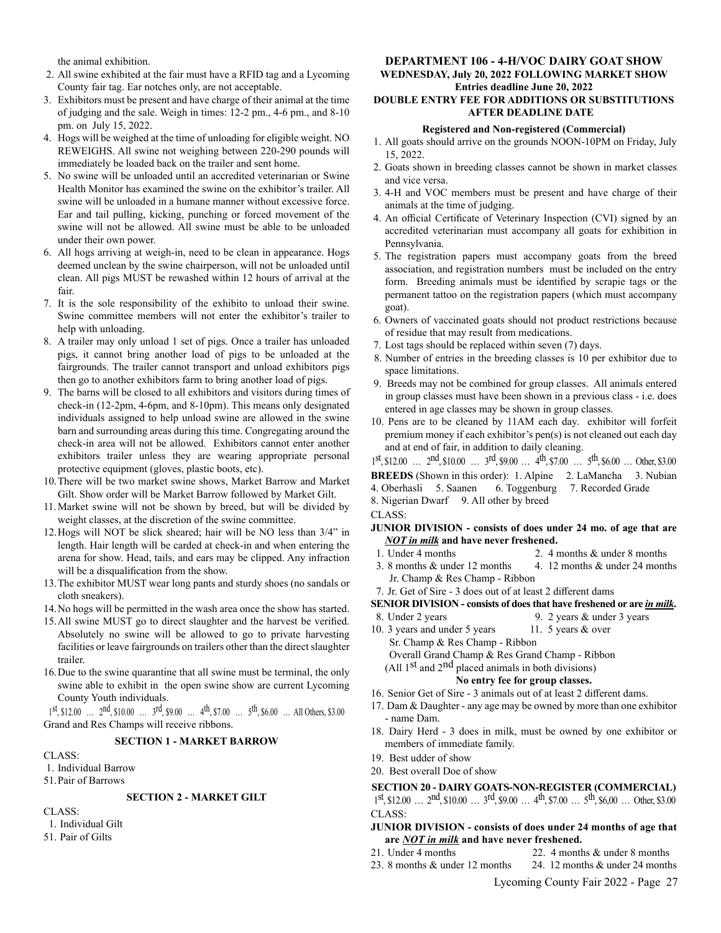the animal exhibition.

- 2. All swine exhibited at the fair must have a RFID tag and a Lycoming County fair tag. Ear notches only, are not acceptable.
- 3. Exhibitors must be present and have charge of their animal at the time of judging and the sale. Weigh in times: 12-2 pm., 4-6 pm., and 8-10 pm. on July 15, 2022.
- 4. Hogs will be weighed at the time of unloading for eligible weight. NO REWEIGHS. All swine not weighing between 220-290 pounds will immediately be loaded back on the trailer and sent home.
- 5. No swine will be unloaded until an accredited veterinarian or Swine Health Monitor has examined the swine on the exhibitor's trailer. All swine will be unloaded in a humane manner without excessive force. Ear and tail pulling, kicking, punching or forced movement of the swine will not be allowed. All swine must be able to be unloaded under their own power.
- 6. All hogs arriving at weigh-in, need to be clean in appearance. Hogs deemed unclean by the swine chairperson, will not be unloaded until clean. All pigs MUST be rewashed within 12 hours of arrival at the fair.
- 7. It is the sole responsibility of the exhibito to unload their swine. Swine committee members will not enter the exhibitor's trailer to help with unloading.
- 8. A trailer may only unload 1 set of pigs. Once a trailer has unloaded pigs, it cannot bring another load of pigs to be unloaded at the fairgrounds. The trailer cannot transport and unload exhibitors pigs then go to another exhibitors farm to bring another load of pigs.
- 9. The barns will be closed to all exhibitors and visitors during times of check-in (12-2pm, 4-6pm, and 8-10pm). This means only designated individuals assigned to help unload swine are allowed in the swine barn and surrounding areas during this time. Congregating around the check-in area will not be allowed. Exhibitors cannot enter another exhibitors trailer unless they are wearing appropriate personal protective equipment (gloves, plastic boots, etc).
- 10.There will be two market swine shows, Market Barrow and Market Gilt. Show order will be Market Barrow followed by Market Gilt.
- 11.Market swine will not be shown by breed, but will be divided by weight classes, at the discretion of the swine committee.
- 12.Hogs will NOT be slick sheared; hair will be NO less than 3/4" in length. Hair length will be carded at check-in and when entering the arena for show. Head, tails, and ears may be clipped. Any infraction will be a disqualification from the show.
- 13.The exhibitor MUST wear long pants and sturdy shoes (no sandals or cloth sneakers).
- 14.No hogs will be permitted in the wash area once the show has started.
- 15.All swine MUST go to direct slaughter and the harvest be verified. Absolutely no swine will be allowed to go to private harvesting facilities or leave fairgrounds on trailers other than the direct slaughter trailer.
- 16.Due to the swine quarantine that all swine must be terminal, the only swine able to exhibit in the open swine show are current Lycoming County Youth individuals.

 $1^{st}$ ,  $$12.00$  …  $2^{nd}$ ,  $$10.00$  …  $3^{rd}$ ,  $$9.00$  …  $4^{th}$ ,  $$7.00$  …  $5^{th}$ ,  $$6.00$  … All Others,  $$3.00$ Grand and Res Champs will receive ribbons.

#### **SECTION 1 - MARKET BARROW**

CLASS:

1. Individual Barrow

51.Pair of Barrows

#### **SECTION 2 - MARKET GILT**

 $CLASS$ 

- 1. Individual Gilt
- 51. Pair of Gilts

#### **DEPARTMENT 106 - 4-H/VOC DAIRY GOAT SHOW WEDNESDAY, July 20, 2022 FOLLOWING MARKET SHOW**

#### **Entries deadline June 20, 2022 DOUBLE ENTRY FEE FOR ADDITIONS OR SUBSTITUTIONS AFTER DEADLINE DATE**

#### **Registered and Non-registered (Commercial)**

- 1. All goats should arrive on the grounds NOON-10PM on Friday, July 15, 2022.
- 2. Goats shown in breeding classes cannot be shown in market classes and vice versa.
- 3. 4-H and VOC members must be present and have charge of their animals at the time of judging.
- 4. An official Certificate of Veterinary Inspection (CVI) signed by an accredited veterinarian must accompany all goats for exhibition in Pennsylvania.
- 5. The registration papers must accompany goats from the breed association, and registration numbers must be included on the entry form. Breeding animals must be identified by scrapie tags or the permanent tattoo on the registration papers (which must accompany goat).
- 6. Owners of vaccinated goats should not product restrictions because of residue that may result from medications.
- 7. Lost tags should be replaced within seven (7) days.
- 8. Number of entries in the breeding classes is 10 per exhibitor due to space limitations.
- 9. Breeds may not be combined for group classes. All animals entered in group classes must have been shown in a previous class - i.e. does entered in age classes may be shown in group classes.
- 10. Pens are to be cleaned by 11AM each day. exhibitor will forfeit premium money if each exhibitor's pen(s) is not cleaned out each day and at end of fair, in addition to daily cleaning.

 $1^{st}$ , \$12.00 …  $2^{nd}$ , \$10.00 …  $3^{rd}$ , \$9.00 …  $4^{th}$ , \$7.00 …  $5^{th}$ , \$6.00 … Other, \$3.00

- **BREEDS** (Shown in this order): 1. Alpine 2. LaMancha 3. Nubian
- 4. Oberhasli 5. Saanen 6. Toggenburg 7. Recorded Grade
- 8. Nigerian Dwarf 9. All other by breed

CLASS:

- **JUNIOR DIVISION consists of does under 24 mo. of age that are**  *NOT in milk* **and have never freshened.**
- 1. Under 4 months 2. 4 months & under 8 months
- 3. 8 months & under 12 months 4. 12 months & under 24 months Jr. Champ & Res Champ - Ribbon
- 7. Jr. Get of Sire 3 does out of at least 2 different dams

#### **SENIOR DIVISION - consists of does that have freshened or are** *in milk***.**

- 8. Under 2 years 9. 2 years & under 3 years
- 10. 3 years and under 5 years 11. 5 years & over Sr. Champ & Res Champ - Ribbon Overall Grand Champ & Res Grand Champ - Ribbon
	- (All  $1<sup>st</sup>$  and  $2<sup>nd</sup>$  placed animals in both divisions)

#### **No entry fee for group classes.**

- 16. Senior Get of Sire 3 animals out of at least 2 different dams.
- 17. Dam & Daughter any age may be owned by more than one exhibitor - name Dam.
- 18. Dairy Herd 3 does in milk, must be owned by one exhibitor or members of immediate family.
- 19. Best udder of show
- 20. Best overall Doe of show

#### **SECTION 20 - DAIRY GOATS-NON-REGISTER (COMMERCIAL)**

1st,  $$12.00$  …  $2<sup>nd</sup>$ ,  $$10.00$  …  $3<sup>rd</sup>$ ,  $$9.00$  …  $4<sup>th</sup>$ ,  $$7.00$  …  $5<sup>th</sup>$ ,  $$6,00$  … Other, \$3.00 CLASS:

- **JUNIOR DIVISION consists of does under 24 months of age that are** *NOT in milk* **and have never freshened.**
- 21. Under 4 months 22. 4 months & under 8 months
- 23. 8 months & under 12 months 24. 12 months & under 24 months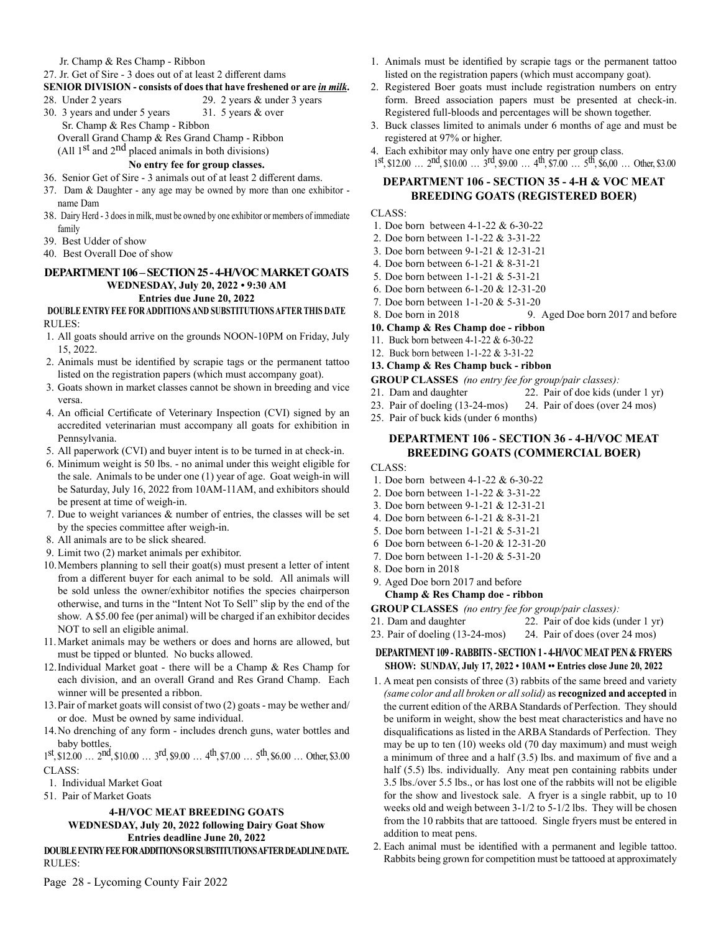#### Jr. Champ & Res Champ - Ribbon

27. Jr. Get of Sire - 3 does out of at least 2 different dams

#### **SENIOR DIVISION - consists of does that have freshened or are** *in milk***.**

28. Under 2 years 29. 2 years & under 3 years

30. 3 years and under 5 years 31. 5 years & over

 Sr. Champ & Res Champ - Ribbon Overall Grand Champ & Res Grand Champ - Ribbon

(All  $1<sup>st</sup>$  and  $2<sup>nd</sup>$  placed animals in both divisions)

#### **No entry fee for group classes.**

- 36. Senior Get of Sire 3 animals out of at least 2 different dams.
- 37. Dam & Daughter any age may be owned by more than one exhibitor name Dam
- 38. Dairy Herd 3 does in milk, must be owned by one exhibitor or members of immediate family
- 39. Best Udder of show

40. Best Overall Doe of show

#### **DEPARTMENT 106 – SECTION 25 - 4-H/VOC MARKET GOATS WEDNESDAY, July 20, 2022 • 9:30 AM Entries due June 20, 2022**

#### **DOUBLE ENTRY FEE FOR ADDITIONS AND SUBSTITUTIONS AFTER THIS DATE** RULES:

- 1. All goats should arrive on the grounds NOON-10PM on Friday, July 15, 2022.
- 2. Animals must be identified by scrapie tags or the permanent tattoo listed on the registration papers (which must accompany goat).
- 3. Goats shown in market classes cannot be shown in breeding and vice versa.
- 4. An official Certificate of Veterinary Inspection (CVI) signed by an accredited veterinarian must accompany all goats for exhibition in Pennsylvania.
- 5. All paperwork (CVI) and buyer intent is to be turned in at check-in.
- 6. Minimum weight is 50 lbs. no animal under this weight eligible for the sale. Animals to be under one (1) year of age. Goat weigh-in will be Saturday, July 16, 2022 from 10AM-11AM, and exhibitors should be present at time of weigh-in.
- 7. Due to weight variances & number of entries, the classes will be set by the species committee after weigh-in.
- 8. All animals are to be slick sheared.
- 9. Limit two (2) market animals per exhibitor.
- 10.Members planning to sell their goat(s) must present a letter of intent from a different buyer for each animal to be sold. All animals will be sold unless the owner/exhibitor notifies the species chairperson otherwise, and turns in the "Intent Not To Sell" slip by the end of the show. A \$5.00 fee (per animal) will be charged if an exhibitor decides NOT to sell an eligible animal.
- 11.Market animals may be wethers or does and horns are allowed, but must be tipped or blunted. No bucks allowed.
- 12.Individual Market goat there will be a Champ & Res Champ for each division, and an overall Grand and Res Grand Champ. Each winner will be presented a ribbon.
- 13.Pair of market goats will consist of two (2) goats may be wether and/ or doe. Must be owned by same individual.
- 14.No drenching of any form includes drench guns, water bottles and baby bottles.

 $1^{st}$ ,  $$12.00$  ...  $2^{nd}$ ,  $$10.00$  ...  $3^{rd}$ ,  $$9.00$  ...  $4^{th}$ ,  $$7.00$  ...  $5^{th}$ ,  $$6.00$  ... Other, \$3.00 CLASS:

- 1. Individual Market Goat
- 51. Pair of Market Goats

#### **4-H/VOC MEAT BREEDING GOATS**

#### **WEDNESDAY, July 20, 2022 following Dairy Goat Show Entries deadline June 20, 2022**

**DOUBLE ENTRY FEE FOR ADDITIONS OR SUBSTITUTIONS AFTER DEADLINE DATE.** RULES:

- 1. Animals must be identified by scrapie tags or the permanent tattoo listed on the registration papers (which must accompany goat).
- 2. Registered Boer goats must include registration numbers on entry form. Breed association papers must be presented at check-in. Registered full-bloods and percentages will be shown together.
- 3. Buck classes limited to animals under 6 months of age and must be registered at 97% or higher.
- 4. Each exhibitor may only have one entry per group class.
- $1^{st}$ ,  $$12.00$  ...  $2^{nd}$ ,  $$10.00$  ...  $3^{rd}$ ,  $$9.00$  ...  $4^{th}$ ,  $$7.00$  ...  $5^{th}$ ,  $$6,00$  ... Other, \$3.00

#### **DEPARTMENT 106 - SECTION 35 - 4-H & VOC MEAT BREEDING GOATS (REGISTERED BOER)**

#### CLASS:

- 1. Doe born between 4-1-22 & 6-30-22
- 2. Doe born between 1-1-22 & 3-31-22
- 3. Doe born between 9-1-21 & 12-31-21
- 4. Doe born between 6-1-21 & 8-31-21
- 5. Doe born between 1-1-21 & 5-31-21
- 6. Doe born between 6-1-20 & 12-31-20
- 7. Doe born between 1-1-20 & 5-31-20
- 8. Doe born in 2018 9. Aged Doe born 2017 and before
- **10. Champ & Res Champ doe ribbon**
- 11. Buck born between 4-1-22 & 6-30-22
- 12. Buck born between 1-1-22 & 3-31-22

#### **13. Champ & Res Champ buck - ribbon**

**GROUP CLASSES** *(no entry fee for group/pair classes):*

- 21. Dam and daughter 22. Pair of doe kids (under 1 yr)
- 23. Pair of doeling (13-24-mos) 24. Pair of does (over 24 mos)
- 25. Pair of buck kids (under 6 months)

#### **DEPARTMENT 106 - SECTION 36 - 4-H/VOC MEAT BREEDING GOATS (COMMERCIAL BOER)**

CLASS:

- 1. Doe born between 4-1-22 & 6-30-22
- 2. Doe born between 1-1-22 & 3-31-22
- 3. Doe born between 9-1-21 & 12-31-21
- 4. Doe born between 6-1-21 & 8-31-21
- 5. Doe born between 1-1-21 & 5-31-21
- 6 Doe born between 6-1-20 & 12-31-20
- 7. Doe born between 1-1-20 & 5-31-20
- 8. Doe born in 2018
- 9. Aged Doe born 2017 and before **Champ & Res Champ doe - ribbon**

**GROUP CLASSES** *(no entry fee for group/pair classes):*

- 21. Dam and daughter 22. Pair of doe kids (under 1 yr)
- 23. Pair of doeling (13-24-mos) 24. Pair of does (over 24 mos)

#### **DEPARTMENT 109 - RABBITS - SECTION 1 - 4-H/VOC MEAT PEN & FRYERS SHOW: SUNDAY, July 17, 2022 • 10AM •• Entries close June 20, 2022**

- 1. A meat pen consists of three (3) rabbits of the same breed and variety *(same color and all broken or all solid)* as **recognized and accepted** in the current edition of the ARBA Standards of Perfection. They should be uniform in weight, show the best meat characteristics and have no disqualifications as listed in the ARBA Standards of Perfection. They may be up to ten (10) weeks old (70 day maximum) and must weigh a minimum of three and a half (3.5) lbs. and maximum of five and a half (5.5) lbs. individually. Any meat pen containing rabbits under 3.5 lbs./over 5.5 lbs., or has lost one of the rabbits will not be eligible for the show and livestock sale. A fryer is a single rabbit, up to 10 weeks old and weigh between 3-1/2 to 5-1/2 lbs. They will be chosen from the 10 rabbits that are tattooed. Single fryers must be entered in addition to meat pens.
- 2. Each animal must be identified with a permanent and legible tattoo. Rabbits being grown for competition must be tattooed at approximately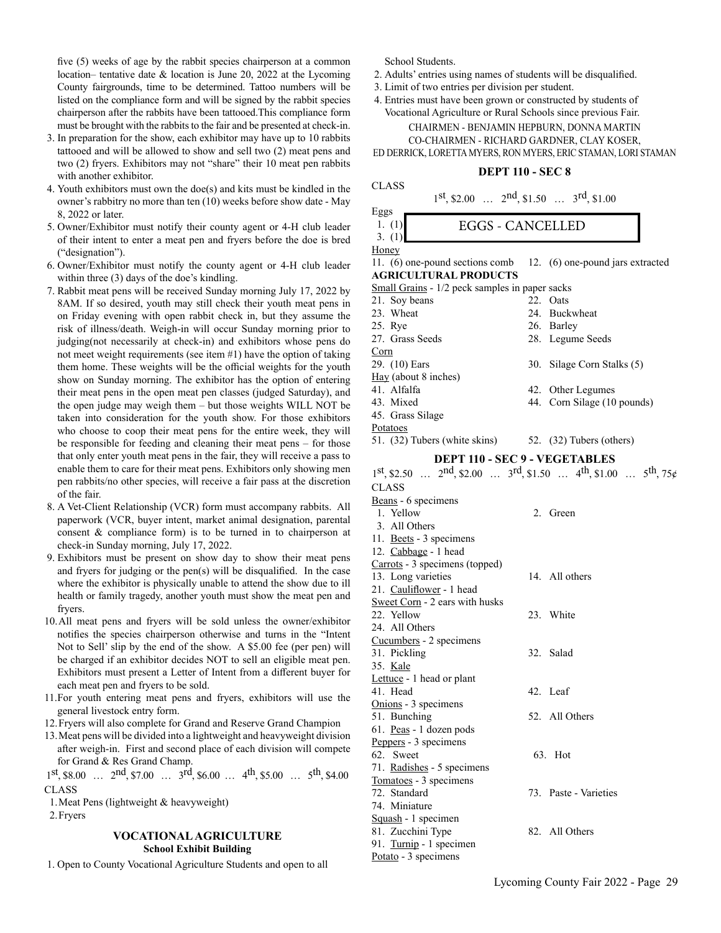five (5) weeks of age by the rabbit species chairperson at a common location– tentative date & location is June 20, 2022 at the Lycoming County fairgrounds, time to be determined. Tattoo numbers will be listed on the compliance form and will be signed by the rabbit species chairperson after the rabbits have been tattooed.This compliance form must be brought with the rabbits to the fair and be presented at check-in.

- 3. In preparation for the show, each exhibitor may have up to 10 rabbits tattooed and will be allowed to show and sell two (2) meat pens and two (2) fryers. Exhibitors may not "share" their 10 meat pen rabbits with another exhibitor.
- 4. Youth exhibitors must own the doe(s) and kits must be kindled in the owner's rabbitry no more than ten (10) weeks before show date - May 8, 2022 or later.
- 5. Owner/Exhibitor must notify their county agent or 4-H club leader of their intent to enter a meat pen and fryers before the doe is bred ("designation").
- 6. Owner/Exhibitor must notify the county agent or 4-H club leader within three (3) days of the doe's kindling.
- 7. Rabbit meat pens will be received Sunday morning July 17, 2022 by 8AM. If so desired, youth may still check their youth meat pens in on Friday evening with open rabbit check in, but they assume the risk of illness/death. Weigh-in will occur Sunday morning prior to judging(not necessarily at check-in) and exhibitors whose pens do not meet weight requirements (see item #1) have the option of taking them home. These weights will be the official weights for the youth show on Sunday morning. The exhibitor has the option of entering their meat pens in the open meat pen classes (judged Saturday), and the open judge may weigh them – but those weights WILL NOT be taken into consideration for the youth show. For those exhibitors who choose to coop their meat pens for the entire week, they will be responsible for feeding and cleaning their meat pens – for those that only enter youth meat pens in the fair, they will receive a pass to enable them to care for their meat pens. Exhibitors only showing men pen rabbits/no other species, will receive a fair pass at the discretion of the fair.
- 8. A Vet-Client Relationship (VCR) form must accompany rabbits. All paperwork (VCR, buyer intent, market animal designation, parental consent & compliance form) is to be turned in to chairperson at check-in Sunday morning, July 17, 2022.
- 9. Exhibitors must be present on show day to show their meat pens and fryers for judging or the pen(s) will be disqualified. In the case where the exhibitor is physically unable to attend the show due to ill health or family tragedy, another youth must show the meat pen and fryers.
- 10.All meat pens and fryers will be sold unless the owner/exhibitor notifies the species chairperson otherwise and turns in the "Intent Not to Sell' slip by the end of the show. A \$5.00 fee (per pen) will be charged if an exhibitor decides NOT to sell an eligible meat pen. Exhibitors must present a Letter of Intent from a different buyer for each meat pen and fryers to be sold.
- 11.For youth entering meat pens and fryers, exhibitors will use the general livestock entry form.
- 12.Fryers will also complete for Grand and Reserve Grand Champion
- 13.Meat pens will be divided into a lightweight and heavyweight division after weigh-in. First and second place of each division will compete for Grand & Res Grand Champ.
- 1st, \$8.00 … 2nd, \$7.00 … 3rd, \$6.00 … 4th, \$5.00 … 5th, \$4.00 CLASS
- 1.Meat Pens (lightweight & heavyweight)
- 2.Fryers

#### **VOCATIONAL AGRICULTURE School Exhibit Building**

1. Open to County Vocational Agriculture Students and open to all

School Students.

- 2. Adults' entries using names of students will be disqualified.
- 3. Limit of two entries per division per student.
- 4. Entries must have been grown or constructed by students of Vocational Agriculture or Rural Schools since previous Fair.

CHAIRMEN - BENJAMIN HEPBURN, DONNA MARTIN CO-CHAIRMEN - RICHARD GARDNER, CLAY KOSER,

### ED DERRICK, LORETTA MYERS, RON MYERS, ERIC STAMAN, LORI STAMAN

### **DEPT 110 - SEC 8**

1st, \$2.00 … 2nd, \$1.50 … 3rd, \$1.00

| Eggs  |                  |
|-------|------------------|
| 1. (1 | EGGS - CANCELLED |
|       |                  |

 $3<sub>1</sub>$ **Honey** 

CLASS

- 11. (6) one-pound sections comb 12. (6) one-pound jars extracted **AGRICULTURAL PRODUCTS**
- Small Grains  $1/2$  peck samples in paper sacks
- 21. Soy beans 22. Oats 23. Wheat 24. Buckwheat 25. Rye 26. Barley 27. Grass Seeds 28. Legume Seeds Corn 29. (10) Ears 30. Silage Corn Stalks (5) Hay (about 8 inches) 41. Alfalfa 42. Other Legumes 43. Mixed 44. Corn Silage (10 pounds) 45. Grass Silage **Potatoes**
- 51. (32) Tubers (white skins) 52. (32) Tubers (others)

#### **DEPT 110 - SEC 9 - VEGETABLES**

 $1^{st}$ , \$2.50 …  $2^{nd}$ , \$2.00 …  $3^{rd}$ , \$1.50 …  $4^{th}$ , \$1.00 …  $5^{th}$ , 75 $\circ$ CLASS

Beans - 6 specimens

Potato - 3 specimens

- 1. Yellow 2. Green 3. All Others 11. Beets - 3 specimens 12. Cabbage - 1 head
- Carrots 3 specimens (topped)
- 13. Long varieties 14. All others
- 21. Cauliflower 1 head Sweet Corn - 2 ears with husks 22. Yellow 23. White
- 24. All Others Cucumbers - 2 specimens 31. Pickling 32. Salad 35. Kale Lettuce - 1 head or plant 41. Head 42. Leaf Onions - 3 specimens 51. Bunching 52. All Others 61. Peas - 1 dozen pods Peppers - 3 specimens 62. Sweet 63. Hot 71. Radishes - 5 specimens Tomatoes - 3 specimens 72. Standard 73. Paste - Varieties 74. Miniature Squash - 1 specimen 81. Zucchini Type 82. All Others 91. Turnip - 1 specimen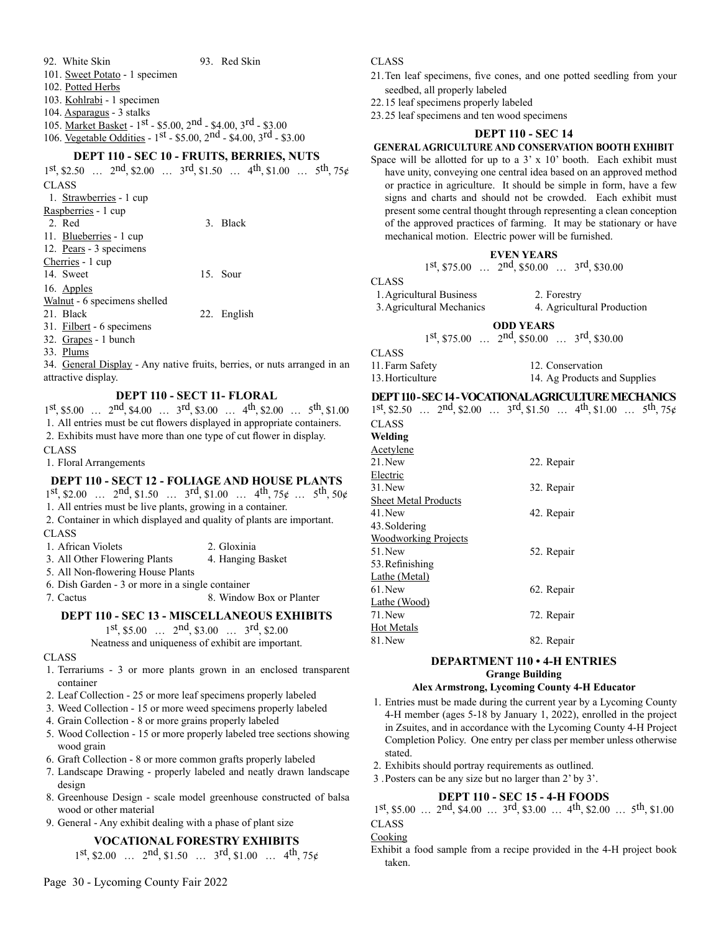- 
- 92. White Skin 93. Red Skin
- 101. Sweet Potato 1 specimen
- 102. Potted Herbs
- 103. Kohlrabi 1 specimen
- 104. Asparagus 3 stalks
- 105. Market Basket  $1^{st}$  \$5.00,  $2^{nd}$  \$4.00,  $3^{rd}$  \$3.00
- 106. Vegetable Oddities 1st \$5.00, 2nd \$4.00, 3rd \$3.00

#### **DEPT 110 - SEC 10 - FRUITS, BERRIES, NUTS**

 $1^{st}$ , \$2.50 …  $2^{nd}$ , \$2.00 …  $3^{rd}$ , \$1.50 …  $4^{th}$ , \$1.00 …  $5^{th}$ , 75¢ CLASS 1. Strawberries - 1 cup Raspberries - 1 cup 2. Red 3. Black 11. Blueberries - 1 cup 12. Pears - 3 specimens Cherries - 1 cup 14. Sweet 15. Sour 16. Apples Walnut - 6 specimens shelled 21. Black 22. English 31. Filbert - 6 specimens

- 32. Grapes 1 bunch
- 33. Plums

34. General Display - Any native fruits, berries, or nuts arranged in an attractive display.

#### **DEPT 110 - SECT 11- FLORAL**

 $1^{st}$ , \$5.00 …  $2^{nd}$ , \$4.00 …  $3^{rd}$ , \$3.00 …  $4^{th}$ , \$2.00 …  $5^{th}$ , \$1.00 1. All entries must be cut flowers displayed in appropriate containers. 2. Exhibits must have more than one type of cut flower in display.

- CLASS
- 1. Floral Arrangements

#### **DEPT 110 - SECT 12 - FOLIAGE AND HOUSE PLANTS**

 $1^{st}$ , \$2.00 …  $2^{nd}$ , \$1.50 …  $3^{rd}$ , \$1.00 …  $4^{th}$ ,  $75\epsilon$  …  $5^{th}$ ,  $50\epsilon$ 1. All entries must be live plants, growing in a container.

- 2. Container in which displayed and quality of plants are important.
- CLASS
- 1. African Violets 2. Gloxinia
- 3. All Other Flowering Plants 4. Hanging Basket
- 5. All Non-flowering House Plants
- 6. Dish Garden 3 or more in a single container
- 7. Cactus 8. Window Box or Planter

#### **DEPT 110 - SEC 13 - MISCELLANEOUS EXHIBITS**

1st, \$5.00 … 2nd, \$3.00 … 3rd, \$2.00

Neatness and uniqueness of exhibit are important.

#### CLASS

- 1. Terrariums 3 or more plants grown in an enclosed transparent container
- 2. Leaf Collection 25 or more leaf specimens properly labeled
- 3. Weed Collection 15 or more weed specimens properly labeled
- 4. Grain Collection 8 or more grains properly labeled
- 5. Wood Collection 15 or more properly labeled tree sections showing wood grain
- 6. Graft Collection 8 or more common grafts properly labeled
- 7. Landscape Drawing properly labeled and neatly drawn landscape design
- 8. Greenhouse Design scale model greenhouse constructed of balsa wood or other material
- 9. General Any exhibit dealing with a phase of plant size

#### **VOCATIONAL FORESTRY EXHIBITS**

 $1^{st}$ , \$2.00 …  $2^{nd}$ , \$1.50 …  $3^{rd}$ , \$1.00 …  $4^{th}$ , 75¢

#### CLASS

- 21.Ten leaf specimens, five cones, and one potted seedling from your seedbed, all properly labeled
- 22.15 leaf specimens properly labeled
- 23.25 leaf specimens and ten wood specimens

#### **DEPT 110 - SEC 14**

- **GENERAL AGRICULTURE AND CONSERVATION BOOTH EXHIBIT** Space will be allotted for up to a 3' x 10' booth. Each exhibit must
- have unity, conveying one central idea based on an approved method or practice in agriculture. It should be simple in form, have a few signs and charts and should not be crowded. Each exhibit must present some central thought through representing a clean conception of the approved practices of farming. It may be stationary or have mechanical motion. Electric power will be furnished.

```
EVEN YEARS<br>1<sup>st</sup>, $75.00 … 2<sup>nd</sup>, $50.00 … 3<sup>rd</sup>, $30.00
```
CLASS

| 1. Agricultural Business                  | 2. Forestry                |  |  |
|-------------------------------------------|----------------------------|--|--|
| 3. Agricultural Mechanics                 | 4. Agricultural Production |  |  |
| $\sim$ $\sim$ $\sim$ $\sim$ $\sim$ $\sim$ |                            |  |  |

- **ODD YEARS**<br>1<sup>st</sup>, \$75.00 … 2<sup>nd</sup>, \$50.00 … 3<sup>rd</sup>, \$30.00
- CLASS 11. Farm Safety 12. Conservation 13.Horticulture 14. Ag Products and Supplies

#### **DEPT 110 - SEC 14 - VOCATIONAL AGRICULTURE MECHANICS**

 $1^{st}$ , \$2.50 …  $2^{nd}$ , \$2.00 …  $3^{rd}$ , \$1.50 …  $4^{th}$ , \$1.00 …  $5^{th}$ ,  $75\phi$ 

| <b>CLASS</b>                |            |
|-----------------------------|------------|
| Welding                     |            |
| Acetylene                   |            |
| $21$ . New                  | 22. Repair |
| Electric                    |            |
| $31.$ New                   | 32. Repair |
| <b>Sheet Metal Products</b> |            |
| 41.New                      | 42. Repair |
| 43. Soldering               |            |
| <b>Woodworking Projects</b> |            |
| 51. New                     | 52. Repair |
| 53. Refinishing             |            |
| Lathe (Metal)               |            |
| $61.$ New                   | 62. Repair |
| Lathe (Wood)                |            |
| $71.$ New                   | 72. Repair |
| Hot Metals                  |            |
| 81. New                     | 82. Repair |
|                             |            |

#### **DEPARTMENT 110 • 4-H ENTRIES Grange Building**

#### **Alex Armstrong, Lycoming County 4-H Educator**

- 1. Entries must be made during the current year by a Lycoming County 4-H member (ages 5-18 by January 1, 2022), enrolled in the project in Zsuites, and in accordance with the Lycoming County 4-H Project Completion Policy. One entry per class per member unless otherwise stated.
- 2. Exhibits should portray requirements as outlined.
- 3 .Posters can be any size but no larger than 2' by 3'.

#### **DEPT 110 - SEC 15 - 4-H FOODS**

 $1^{st}$ , \$5.00 …  $2^{nd}$ , \$4.00 …  $3^{rd}$ , \$3.00 …  $4^{th}$ , \$2.00 …  $5^{th}$ , \$1.00 CLASS

#### Cooking

Exhibit a food sample from a recipe provided in the 4-H project book taken.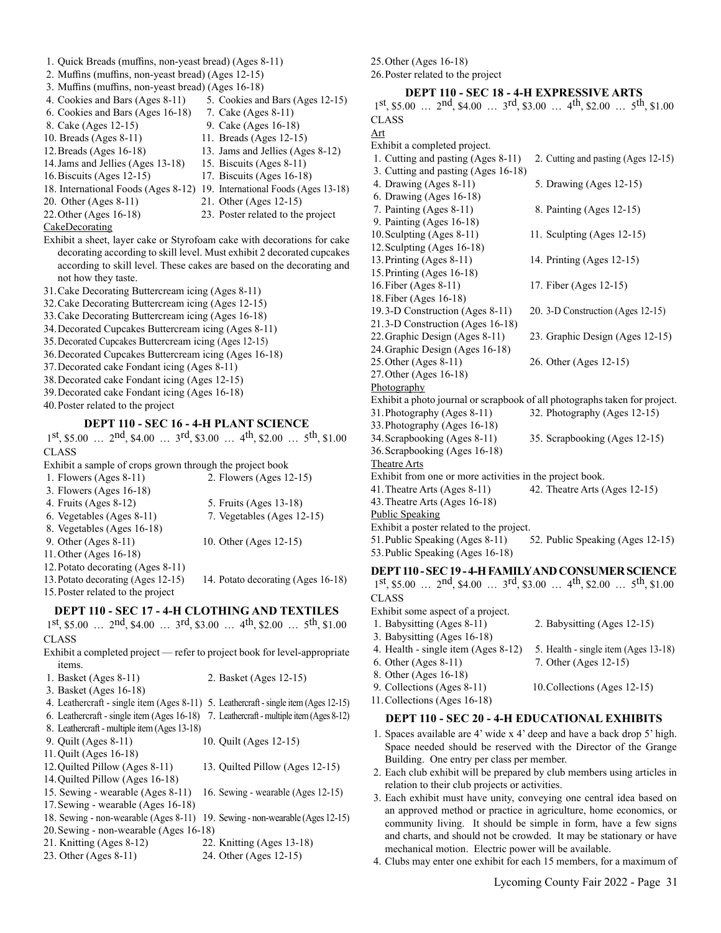- 1. Quick Breads (muffins, non-yeast bread) (Ages 8-11)
- 2. Muffins (muffins, non-yeast bread) (Ages 12-15)
- 3. Muffins (muffins, non-yeast bread) (Ages 16-18)
- 4. Cookies and Bars (Ages 8-11) 5. Cookies and Bars (Ages 12-15) 6. Cookies and Bars (Ages 16-18) 7. Cake (Ages 8-11)
- 8. Cake (Ages 12-15) 9. Cake (Ages 16-18)
- 10. Breads (Ages 8-11) 11. Breads (Ages 12-15)
- 12.Breads (Ages 16-18) 13. Jams and Jellies (Ages 8-12)
- 
- 14.Jams and Jellies (Ages 13-18) 15. Biscuits (Ages 8-11) 16.Biscuits (Ages 12-15) 17. Biscuits (Ages 16-18)
- 
- 
- 
- **CakeDecorating**
- 18. International Foods (Ages 8-12) 19. International Foods (Ages 13-18) 20. Other (Ages 8-11) 21. Other (Ages 12-15)
- 22.Other (Ages 16-18) 23. Poster related to the project
- Exhibit a sheet, layer cake or Styrofoam cake with decorations for cake decorating according to skill level. Must exhibit 2 decorated cupcakes according to skill level. These cakes are based on the decorating and not how they taste.
- 31.Cake Decorating Buttercream icing (Ages 8-11)
- 32.Cake Decorating Buttercream icing (Ages 12-15)
- 33.Cake Decorating Buttercream icing (Ages 16-18)
- 34.Decorated Cupcakes Buttercream icing (Ages 8-11)
- 35.Decorated Cupcakes Buttercream icing (Ages 12-15)
- 36.Decorated Cupcakes Buttercream icing (Ages 16-18)
- 37.Decorated cake Fondant icing (Ages 8-11)
- 38.Decorated cake Fondant icing (Ages 12-15)
- 39.Decorated cake Fondant icing (Ages 16-18)
- 40.Poster related to the project

### **DEPT 110 - SEC 16 - 4-H PLANT SCIENCE**

 $1^{st}$ , \$5.00 …  $2^{nd}$ , \$4.00 …  $3^{rd}$ , \$3.00 …  $4^{th}$ , \$2.00 …  $5^{th}$ , \$1.00 CLASS

Exhibit a sample of crops grown through the project book

- 1. Flowers (Ages 8-11) 2. Flowers (Ages 12-15) 3. Flowers (Ages 16-18) 4. Fruits (Ages 8-12) 5. Fruits (Ages 13-18) 6. Vegetables (Ages 8-11) 7. Vegetables (Ages 12-15) 8. Vegetables (Ages 16-18) 9. Other (Ages 8-11) 10. Other (Ages 12-15) 11.Other (Ages 16-18) 12.Potato decorating (Ages 8-11) 13.Potato decorating (Ages 12-15) 14. Potato decorating (Ages 16-18)
- 15.Poster related to the project

#### **DEPT 110 - SEC 17 - 4-H CLOTHING AND TEXTILES**

 $1^{st}$ , \$5.00 …  $2^{nd}$ , \$4.00 …  $3^{rd}$ , \$3.00 …  $4^{th}$ , \$2.00 …  $5^{th}$ , \$1.00 CLASS

- Exhibit a completed project refer to project book for level-appropriate items.
- 1. Basket (Ages 8-11) 2. Basket (Ages 12-15)
- 3. Basket (Ages 16-18)
- 4. Leathercraft single item (Ages 8-11) 5. Leathercraft single item (Ages 12-15)
- 6. Leathercraft single item (Ages 16-18) 7. Leathercraft multiple item (Ages 8-12)
- 8. Leathercraft multiple item (Ages 13-18)
- 9. Quilt (Ages 8-11) 10. Quilt (Ages 12-15)
- 11.Quilt (Ages 16-18)
- 12.Quilted Pillow (Ages 8-11) 13. Quilted Pillow (Ages 12-15)
- 14.Quilted Pillow (Ages 16-18)
- 15. Sewing wearable (Ages 8-11) 16. Sewing wearable (Ages 12-15)
- 17.Sewing wearable (Ages 16-18)
- 18. Sewing non-wearable (Ages 8-11) 19. Sewing non-wearable (Ages 12-15)
- 20.Sewing non-wearable (Ages 16-18)
- 21. Knitting (Ages 8-12) 22. Knitting (Ages 13-18)
- 23. Other (Ages 8-11) 24. Other (Ages 12-15)

25.Other (Ages 16-18)

26.Poster related to the project

#### **DEPT 110 - SEC 18 - 4-H EXPRESSIVE ARTS**

 $1^{st}$ , \$5.00 …  $2^{nd}$ , \$4.00 …  $3^{rd}$ , \$3.00 …  $4^{th}$ , \$2.00 …  $5^{th}$ , \$1.00 CLASS

#### Art

| Exhibit a completed project.                                               |                                     |
|----------------------------------------------------------------------------|-------------------------------------|
| 1. Cutting and pasting (Ages 8-11)                                         | 2. Cutting and pasting (Ages 12-15) |
| 3. Cutting and pasting (Ages 16-18)                                        |                                     |
| 4. Drawing (Ages 8-11)                                                     | 5. Drawing (Ages 12-15)             |
| 6. Drawing (Ages $16-18$ )                                                 |                                     |
| 7. Painting (Ages 8-11)                                                    | 8. Painting (Ages 12-15)            |
| 9. Painting (Ages 16-18)                                                   |                                     |
| 10. Sculpting (Ages 8-11)                                                  | 11. Sculpting (Ages 12-15)          |
| 12. Sculpting (Ages 16-18)                                                 |                                     |
| 13. Printing (Ages 8-11)                                                   | 14. Printing (Ages 12-15)           |
| 15. Printing (Ages 16-18)                                                  |                                     |
| 16. Fiber (Ages 8-11)                                                      | 17. Fiber (Ages 12-15)              |
| 18. Fiber (Ages 16-18)                                                     |                                     |
| 19.3-D Construction (Ages 8-11)                                            | 20. 3-D Construction (Ages 12-15)   |
| 21.3-D Construction (Ages 16-18)                                           |                                     |
| 22. Graphic Design (Ages 8-11)                                             | 23. Graphic Design (Ages 12-15)     |
| 24. Graphic Design (Ages 16-18)                                            |                                     |
| 25. Other (Ages 8-11)                                                      | 26. Other (Ages 12-15)              |
| 27. Other (Ages 16-18)                                                     |                                     |
| Photography                                                                |                                     |
| Exhibit a photo journal or scrapbook of all photographs taken for project. |                                     |
| 31. Photography (Ages 8-11)                                                | 32. Photography (Ages 12-15)        |
| 33. Photography (Ages 16-18)                                               |                                     |
| 34. Scrapbooking (Ages 8-11)                                               | 35. Scrapbooking (Ages 12-15)       |
| 36. Scrapbooking (Ages 16-18)                                              |                                     |
| <b>Theatre Arts</b>                                                        |                                     |
| Exhibit from one or more activities in the project book.                   |                                     |
| 41. Theatre Arts (Ages 8-11)                                               | 42. Theatre Arts (Ages 12-15)       |
| 43. Theatre Arts (Ages 16-18)                                              |                                     |
| <b>Public Speaking</b>                                                     |                                     |
| Exhibit a poster related to the project.                                   |                                     |
| 51. Public Speaking (Ages 8-11)                                            | 52. Public Speaking (Ages 12-15)    |
| 53. Public Speaking (Ages 16-18)                                           |                                     |

#### **DEPT 110 - SEC 19 - 4-H FAMILY AND CONSUMER SCIENCE**

1st, \$5.00 … 2nd, \$4.00 … 3rd, \$3.00 … 4th, \$2.00 … 5th, \$1.00 CLASS Exhibit some aspect of a project. 1. Babysitting (Ages 8-11) 2. Babysitting (Ages 12-15) 3. Babysitting (Ages 16-18)

- 4. Health single item (Ages 8-12) 5. Health single item (Ages 13-18) 6. Other (Ages 8-11) 7. Other (Ages 12-15)
- 8. Other (Ages 16-18)
- 9. Collections (Ages 8-11) 10.Collections (Ages 12-15)
- 11.Collections (Ages 16-18)

#### **DEPT 110 - SEC 20 - 4-H EDUCATIONAL EXHIBITS**

- 1. Spaces available are 4' wide x 4' deep and have a back drop 5' high. Space needed should be reserved with the Director of the Grange Building. One entry per class per member.
- 2. Each club exhibit will be prepared by club members using articles in relation to their club projects or activities.
- 3. Each exhibit must have unity, conveying one central idea based on an approved method or practice in agriculture, home economics, or community living. It should be simple in form, have a few signs and charts, and should not be crowded. It may be stationary or have mechanical motion. Electric power will be available.
- 4. Clubs may enter one exhibit for each 15 members, for a maximum of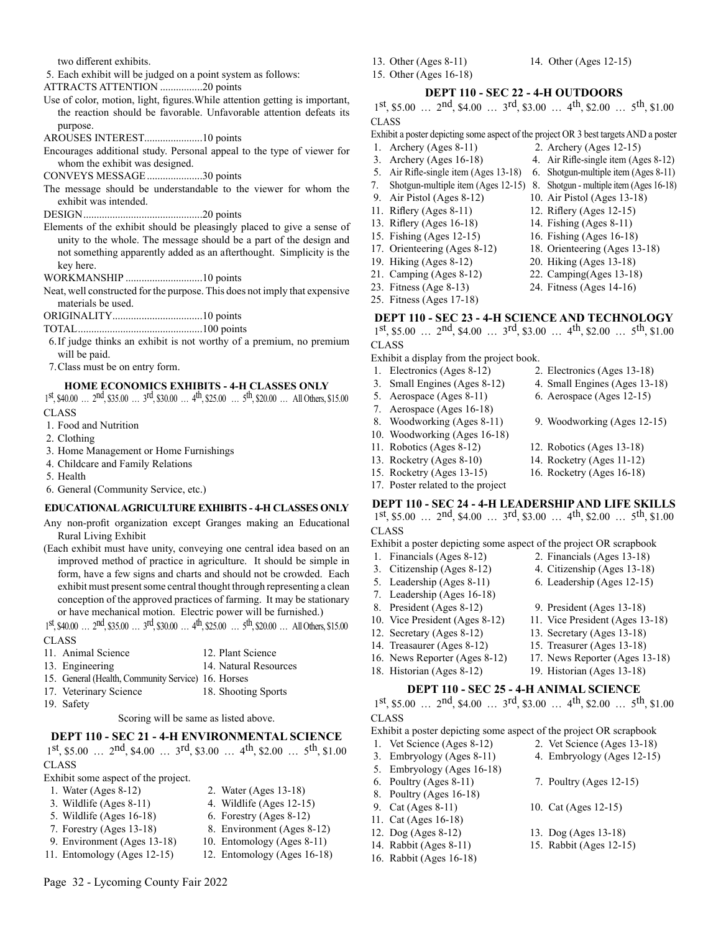two different exhibits.

5. Each exhibit will be judged on a point system as follows:

- ATTRACTS ATTENTION ................20 points
- Use of color, motion, light, figures.While attention getting is important, the reaction should be favorable. Unfavorable attention defeats its purpose.
- AROUSES INTEREST......................10 points
- Encourages additional study. Personal appeal to the type of viewer for whom the exhibit was designed.
- CONVEYS MESSAGE.....................30 points
- The message should be understandable to the viewer for whom the exhibit was intended.
- DESIGN.............................................20 points
- Elements of the exhibit should be pleasingly placed to give a sense of unity to the whole. The message should be a part of the design and not something apparently added as an afterthought. Simplicity is the key here.
- WORKMANSHIP .............................10 points
- Neat, well constructed for the purpose. This does not imply that expensive materials be used.
- ORIGINALITY..................................10 points

TOTAL...............................................100 points

- 6.If judge thinks an exhibit is not worthy of a premium, no premium will be paid.
- 7.Class must be on entry form.

#### **HOME ECONOMICS EXHIBITS - 4-H CLASSES ONLY**

- $1^{st}$ , \$40.00 …  $2^{nd}$ , \$35.00 …  $3^{rd}$ , \$30.00 …  $4^{th}$ , \$25.00 …  $5^{th}$ , \$20.00 … All Others, \$15.00 CLASS
- 1. Food and Nutrition
- 2. Clothing
- 3. Home Management or Home Furnishings
- 4. Childcare and Family Relations
- 5. Health
- 6. General (Community Service, etc.)

#### **EDUCATIONAL AGRICULTURE EXHIBITS - 4-H CLASSES ONLY**

- Any non-profit organization except Granges making an Educational Rural Living Exhibit
- (Each exhibit must have unity, conveying one central idea based on an improved method of practice in agriculture. It should be simple in form, have a few signs and charts and should not be crowded. Each exhibit must present some central thought through representing a clean conception of the approved practices of farming. It may be stationary or have mechanical motion. Electric power will be furnished.)
- 1st, \$40.00 … 2nd, \$35.00 … 3rd, \$30.00 … 4th, \$25.00 … 5th, \$20.00 … All Others, \$15.00 CLASS

- 13. Engineering 14. Natural Resources
- 15. General (Health, Community Service) 16. Horses
- 17. Veterinary Science 18. Shooting Sports
- 19. Safety

#### Scoring will be same as listed above.

### **DEPT 110 - SEC 21 - 4-H ENVIRONMENTAL SCIENCE**

 $1^{st}$ , \$5.00 …  $2^{nd}$ , \$4.00 …  $3^{rd}$ , \$3.00 …  $4^{th}$ , \$2.00 …  $5^{th}$ , \$1.00 **CLASS** 

Exhibit some aspect of the project.

Page 32 - Lycoming County Fair 2022

| EXIIIDII SOIIIC aspect of the project. |                            |
|----------------------------------------|----------------------------|
| 1. Water (Ages $8-12$ )                | 2. Water (Ages 13-18)      |
| 3. Wildlife $(Ages 8-11)$              | 4. Wildlife (Ages 12-15)   |
| 5. Wildlife (Ages $16-18$ )            | 6. Forestry (Ages $8-12$ ) |
| 7. Forestry (Ages $13-18$ )            | 8. Environment (Ages 8-12) |
| 9. Environment (Ages 13-18)            | 10. Entomology (Ages 8-11) |
|                                        |                            |

11. Entomology (Ages 12-15) 12. Entomology (Ages 16-18)

- 13. Other (Ages 8-11) 14. Other (Ages 12-15)
- 15. Other (Ages 16-18)
	- **DEPT 110 SEC 22 4-H OUTDOORS**

 $1^{st}$ , \$5.00 …  $2^{nd}$ , \$4.00 …  $3^{rd}$ , \$3.00 …  $4^{th}$ , \$2.00 …  $5^{th}$ , \$1.00 CLASS

Exhibit a poster depicting some aspect of the project OR 3 best targets AND a poster

- 1. Archery (Ages 8-11) 2. Archery (Ages 12-15)
- 3. Archery (Ages 16-18) 4. Air Rifle-single item (Ages 8-12)
- 5. Air Rifle-single item (Ages 13-18) 6. Shotgun-multiple item (Ages 8-11)
- 7. Shotgun-multiple item (Ages 12-15) 8. Shotgun multiple item (Ages 16-18)
- 9. Air Pistol (Ages 8-12) 10. Air Pistol (Ages 13-18)
- 11. Riflery (Ages 8-11) 12. Riflery (Ages 12-15)
- 13. Riflery (Ages 16-18) 14. Fishing (Ages 8-11)
- 15. Fishing (Ages 12-15) 16. Fishing (Ages 16-18)
- 17. Orienteering (Ages 8-12) 18. Orienteering (Ages 13-18)
- 19. Hiking (Ages 8-12) 20. Hiking (Ages 13-18)
- 21. Camping (Ages 8-12) 22. Camping(Ages 13-18)
	-
- 23. Fitness (Age 8-13) 24. Fitness (Ages 14-16)
- 25. Fitness (Ages 17-18)

#### **DEPT 110 - SEC 23 - 4-H SCIENCE AND TECHNOLOGY**

 $1^{st}$ , \$5.00 …  $2^{nd}$ , \$4.00 …  $3^{rd}$ , \$3.00 …  $4^{th}$ , \$2.00 …  $5^{th}$ , \$1.00 CLASS

Exhibit a display from the project book.

- 1. Electronics (Ages 8-12) 2. Electronics (Ages 13-18)
- 3. Small Engines (Ages 8-12) 4. Small Engines (Ages 13-18)
- 5. Aerospace (Ages 8-11) 6. Aerospace (Ages 12-15)
- 7. Aerospace (Ages 16-18)
- 8. Woodworking (Ages 8-11) 9. Woodworking (Ages 12-15)
- 10. Woodworking (Ages 16-18)
- 11. Robotics (Ages 8-12) 12. Robotics (Ages 13-18)
	-
- 13. Rocketry (Ages 8-10) 14. Rocketry (Ages 11-12)
- 15. Rocketry (Ages 13-15) 16. Rocketry (Ages 16-18)
- 17. Poster related to the project

#### **DEPT 110 - SEC 24 - 4-H LEADERSHIP AND LIFE SKILLS**

1st, \$5.00 … 2nd, \$4.00 … 3rd, \$3.00 … 4th, \$2.00 … 5th, \$1.00 CLASS

Exhibit a poster depicting some aspect of the project OR scrapbook

- 1. Financials (Ages 8-12) 2. Financials (Ages 13-18)
- 3. Citizenship (Ages 8-12) 4. Citizenship (Ages 13-18)
- 5. Leadership (Ages 8-11) 6. Leadership (Ages 12-15)
- 7. Leadership (Ages 16-18)
- 8. President (Ages 8-12) 9. President (Ages 13-18)
- 10. Vice President (Ages 8-12) 11. Vice President (Ages 13-18)
- 12. Secretary (Ages 8-12) 13. Secretary (Ages 13-18)
- 14. Treasaurer (Ages 8-12) 15. Treasurer (Ages 13-18)
- 16. News Reporter (Ages 8-12) 17. News Reporter (Ages 13-18)
- 18. Historian (Ages 8-12) 19. Historian (Ages 13-18)

#### **DEPT 110 - SEC 25 - 4-H ANIMAL SCIENCE**

 $1^{st}$ , \$5.00 …  $2^{nd}$ , \$4.00 …  $3^{rd}$ , \$3.00 …  $4^{th}$ , \$2.00 …  $5^{th}$ , \$1.00 CLASS

Exhibit a poster depicting some aspect of the project OR scrapbook

- 
- 
- 5. Embryology (Ages 16-18)
- 6. Poultry (Ages 8-11) 7. Poultry (Ages 12-15)
- 8. Poultry (Ages 16-18)
- 9. Cat (Ages 8-11) 10. Cat (Ages 12-15)
- 11. Cat (Ages 16-18)
- 12. Dog (Ages 8-12) 13. Dog (Ages 13-18)
- 14. Rabbit (Ages 8-11) 15. Rabbit (Ages 12-15)
- 16. Rabbit (Ages 16-18)
- 1. Vet Science (Ages 8-12) 2. Vet Science (Ages 13-18)
- 3. Embryology (Ages 8-11) 4. Embryology (Ages 12-15)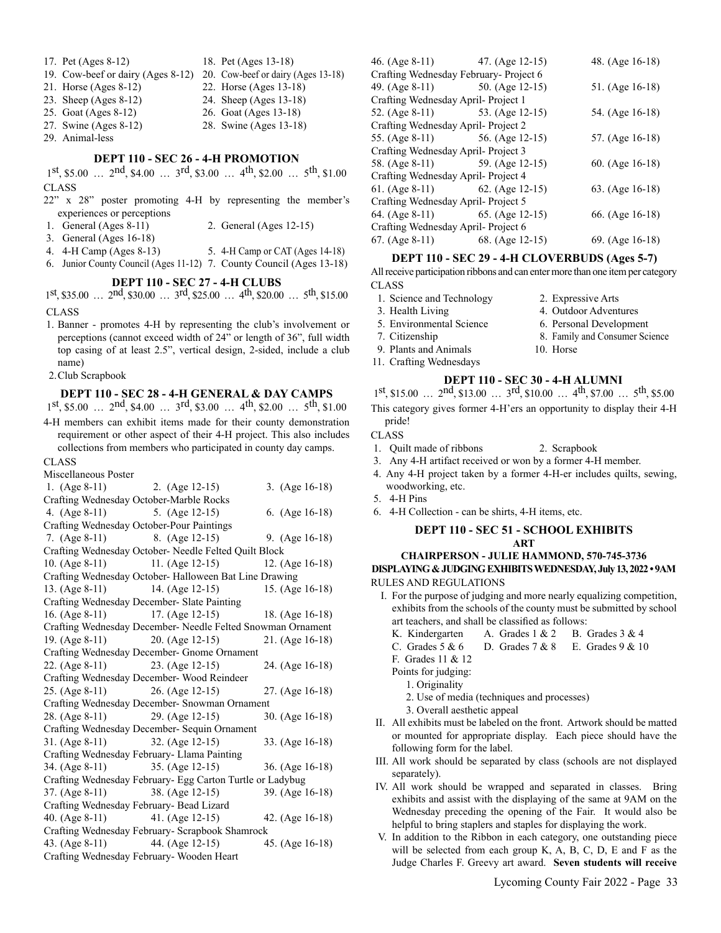- 
- 17. Pet (Ages 8-12) 18. Pet (Ages 13-18)
- 19. Cow-beef or dairy (Ages 8-12) 20. Cow-beef or dairy (Ages 13-18)
- 21. Horse (Ages 8-12) 22. Horse (Ages 13-18)
- 23. Sheep (Ages 8-12) 24. Sheep (Ages 13-18)
- 25. Goat (Ages 8-12) 26. Goat (Ages 13-18)
	-
- 27. Swine (Ages 8-12) 28. Swine (Ages 13-18) 29. Animal-less

#### **DEPT 110 - SEC 26 - 4-H PROMOTION**

#### 1st, \$5.00 … 2nd, \$4.00 … 3rd, \$3.00 … 4th, \$2.00 … 5th, \$1.00 CLASS

- 22" x 28" poster promoting 4-H by representing the member's experiences or perceptions
- 1. General (Ages 8-11) 2. General (Ages 12-15)
- 3. General (Ages 16-18)
- 4. 4-H Camp (Ages 8-13) 5. 4-H Camp or CAT (Ages 14-18)
- 6. Junior County Council (Ages 11-12) 7. County Council (Ages 13-18)

#### **DEPT 110 - SEC 27 - 4-H CLUBS**

 $1^{st}$ , \$35.00 …  $2^{nd}$ , \$30.00 …  $3^{rd}$ , \$25.00 …  $4^{th}$ , \$20.00 …  $5^{th}$ , \$15.00 CLASS

- 1. Banner promotes 4-H by representing the club's involvement or perceptions (cannot exceed width of 24" or length of 36", full width top casing of at least 2.5", vertical design, 2-sided, include a club name)
- 2.Club Scrapbook

#### **DEPT 110 - SEC 28 - 4-H GENERAL & DAY CAMPS**

 $1^{st}$ , \$5.00 …  $2^{nd}$ , \$4.00 …  $3^{rd}$ , \$3.00 …  $4^{th}$ , \$2.00 …  $5^{th}$ , \$1.00

4-H members can exhibit items made for their county demonstration requirement or other aspect of their 4-H project. This also includes collections from members who participated in county day camps. CLASS

Miscellaneous Poster

| 1. $(Age 8-11)$ 2. $(Age 12-15)$                          |                                                             | 3. $(Age 16-18)$   |  |
|-----------------------------------------------------------|-------------------------------------------------------------|--------------------|--|
| Crafting Wednesday October-Marble Rocks                   |                                                             |                    |  |
| 4. (Age 8-11) 5. (Age 12-15)                              |                                                             | 6. $(Age 16-18)$   |  |
| Crafting Wednesday October-Pour Paintings                 |                                                             |                    |  |
|                                                           | 7. (Age 8-11) 8. (Age 12-15) 9. (Age 16-18)                 |                    |  |
|                                                           | Crafting Wednesday October- Needle Felted Quilt Block       |                    |  |
|                                                           | 10. (Age 8-11) 11. (Age 12-15) 12. (Age 16-18)              |                    |  |
|                                                           | Crafting Wednesday October- Halloween Bat Line Drawing      |                    |  |
|                                                           | 13. (Age 8-11) 14. (Age 12-15) 15. (Age 16-18)              |                    |  |
| Crafting Wednesday December- Slate Painting               |                                                             |                    |  |
|                                                           | 16. (Age 8-11) 17. (Age 12-15) 18. (Age 16-18)              |                    |  |
|                                                           | Crafting Wednesday December- Needle Felted Snowman Ornament |                    |  |
|                                                           | 19. (Age 8-11) 20. (Age 12-15) 21. (Age 16-18)              |                    |  |
|                                                           | Crafting Wednesday December- Gnome Ornament                 |                    |  |
|                                                           | 22. (Age 8-11) 23. (Age 12-15)                              | 24. (Age 16-18)    |  |
|                                                           | Crafting Wednesday December- Wood Reindeer                  |                    |  |
|                                                           | 25. (Age 8-11) 26. (Age 12-15)                              | 27. (Age 16-18)    |  |
|                                                           | Crafting Wednesday December- Snowman Ornament               |                    |  |
|                                                           | 28. (Age 8-11) 29. (Age 12-15)                              | 30. (Age $16-18$ ) |  |
|                                                           | Crafting Wednesday December- Sequin Ornament                |                    |  |
| 31. (Age 8-11) 32. (Age 12-15)                            |                                                             | 33. (Age $16-18$ ) |  |
| Crafting Wednesday February- Llama Painting               |                                                             |                    |  |
|                                                           | 34. (Age 8-11) 35. (Age 12-15) 36. (Age 16-18)              |                    |  |
| Crafting Wednesday February- Egg Carton Turtle or Ladybug |                                                             |                    |  |
|                                                           | 37. (Age 8-11) 38. (Age 12-15)                              | 39. (Age 16-18)    |  |
| Crafting Wednesday February- Bead Lizard                  |                                                             |                    |  |
|                                                           | 40. (Age 8-11) 41. (Age 12-15) 42. (Age 16-18)              |                    |  |
| Crafting Wednesday February- Scrapbook Shamrock           |                                                             |                    |  |
|                                                           | 43. (Age 8-11) 44. (Age 12-15)                              | 45. (Age 16-18)    |  |
| Crafting Wednesday February- Wooden Heart                 |                                                             |                    |  |

| 46. (Age 8-11) 47. (Age 12-15)        |                                    | 48. (Age 16-18)   |  |  |  |
|---------------------------------------|------------------------------------|-------------------|--|--|--|
| Crafting Wednesday February-Project 6 |                                    |                   |  |  |  |
| 49. (Age 8-11) 50. (Age 12-15)        |                                    | 51. (Age 16-18)   |  |  |  |
| Crafting Wednesday April-Project 1    |                                    |                   |  |  |  |
| 52. (Age 8-11) 53. (Age 12-15)        |                                    | 54. (Age 16-18)   |  |  |  |
| Crafting Wednesday April-Project 2    |                                    |                   |  |  |  |
| 55. (Age 8-11) 56. (Age 12-15)        |                                    | 57. (Age 16-18)   |  |  |  |
|                                       | Crafting Wednesday April-Project 3 |                   |  |  |  |
| 58. (Age 8-11) 59. (Age 12-15)        |                                    | 60. $(Age 16-18)$ |  |  |  |
| Crafting Wednesday April-Project 4    |                                    |                   |  |  |  |
| 61. (Age 8-11) 62. (Age 12-15)        |                                    | 63. (Age 16-18)   |  |  |  |
| Crafting Wednesday April-Project 5    |                                    |                   |  |  |  |
| 64. (Age 8-11) 65. (Age 12-15)        |                                    | 66. (Age 16-18)   |  |  |  |
| Crafting Wednesday April-Project 6    |                                    |                   |  |  |  |
| 67. (Age 8-11) 68. (Age 12-15)        |                                    | 69. (Age 16-18)   |  |  |  |
|                                       |                                    |                   |  |  |  |

#### **DEPT 110 - SEC 29 - 4-H CLOVERBUDS (Ages 5-7)**

All receive participation ribbons and can enter more than one item per category CLASS

- -
- -
- 
- 9. Plants and Animals 10. Horse
	- **DEPT 110 SEC 30 4-H ALUMNI**
- 1st, \$15.00 … 2nd, \$13.00 … 3rd, \$10.00 … 4th, \$7.00 … 5th, \$5.00
- This category gives former 4-H'ers an opportunity to display their 4-H pride!
- CLASS
- 1. Quilt made of ribbons 2. Scrapbook
- 3. Any 4-H artifact received or won by a former 4-H member.
- 4. Any 4-H project taken by a former 4-H-er includes quilts, sewing, woodworking, etc.
- 5. 4-H Pins
- 6. 4-H Collection can be shirts, 4-H items, etc.

#### **DEPT 110 - SEC 51 - SCHOOL EXHIBITS**

#### **ART**

#### **CHAIRPERSON - JULIE HAMMOND, 570-745-3736 DISPLAYING & JUDGING EXHIBITS WEDNESDAY, July 13, 2022 • 9AM** RULES AND REGULATIONS

- I. For the purpose of judging and more nearly equalizing competition, exhibits from the schools of the county must be submitted by school art teachers, and shall be classified as follows:
	- K. Kindergarten A. Grades 1 & 2 B. Grades 3 & 4
	- C. Grades 5 & 6 D. Grades 7 & 8 E. Grades 9 & 10
	- F. Grades 11 & 12
	- Points for judging:
		- 1. Originality
		- 2. Use of media (techniques and processes)
		- 3. Overall aesthetic appeal
- II. All exhibits must be labeled on the front. Artwork should be matted or mounted for appropriate display. Each piece should have the following form for the label.
- III. All work should be separated by class (schools are not displayed separately).
- IV. All work should be wrapped and separated in classes. Bring exhibits and assist with the displaying of the same at 9AM on the Wednesday preceding the opening of the Fair. It would also be helpful to bring staplers and staples for displaying the work.
- V. In addition to the Ribbon in each category, one outstanding piece will be selected from each group K, A, B, C, D, E and F as the Judge Charles F. Greevy art award. **Seven students will receive**
- 1. Science and Technology 2. Expressive Arts 3. Health Living 4. Outdoor Adventures
	-
- 5. Environmental Science 6. Personal Development
- 7. Citizenship 8. Family and Consumer Science
	-
- 11. Crafting Wednesdays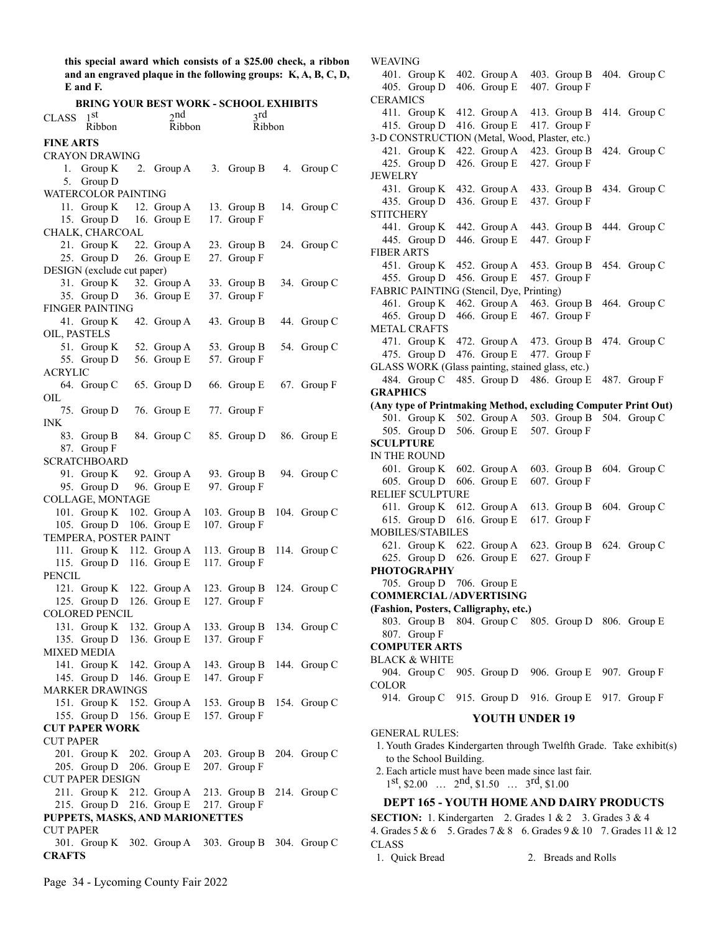**this special award which consists of a \$25.00 check, a ribbon and an engraved plaque in the following groups: K, A, B, C, D, E and F.**

| <b>BRING YOUR BEST WORK - SCHOOL EXHIBITS</b> |                                            |      |                                 |    |                              |    |                |
|-----------------------------------------------|--------------------------------------------|------|---------------------------------|----|------------------------------|----|----------------|
| <b>CLASS</b>                                  | 1 <sup>st</sup>                            |      | 2nd                             |    | <sub>3</sub> rd              |    |                |
|                                               | Ribbon                                     |      | Ribbon                          |    | Ribbon                       |    |                |
| <b>FINE ARTS</b>                              |                                            |      |                                 |    |                              |    |                |
|                                               | <b>CRAYON DRAWING</b>                      |      |                                 |    |                              |    |                |
|                                               | 1. Group K                                 | 2.   | Group A                         | 3. | Group B                      | 4. | Group C        |
|                                               | 5. Group D                                 |      |                                 |    |                              |    |                |
|                                               | <b>WATERCOLOR PAINTING</b>                 |      |                                 |    |                              |    |                |
|                                               | 11. Group K 12. Group A                    |      |                                 |    | 13. Group B                  |    | 14. Group C    |
|                                               | 15. Group D 16. Group E<br>CHALK, CHARCOAL |      |                                 |    | 17. Group F                  |    |                |
|                                               | 21. Group K                                |      | 22. Group A                     |    | 23. Group B                  |    | 24. Group C    |
|                                               | 25. Group D                                |      | 26. Group E                     |    | 27. Group F                  |    |                |
|                                               | DESIGN (exclude cut paper)                 |      |                                 |    |                              |    |                |
|                                               | 31. Group K                                |      | 32. Group A                     |    | 33. Group B                  |    | 34. Group C    |
|                                               | 35. Group D                                |      | 36. Group E                     |    | 37. Group F                  |    |                |
|                                               | <b>FINGER PAINTING</b>                     |      |                                 |    |                              |    |                |
|                                               | 41. Group K                                |      | 42. Group A                     |    | 43. Group B                  |    | 44. Group C    |
| OIL, PASTELS                                  |                                            |      |                                 |    |                              |    |                |
|                                               | 51. Group K                                |      | 52. Group A                     |    | 53. Group B                  |    | 54. Group C    |
|                                               | 55. Group D                                |      | 56. Group E                     |    | 57. Group F                  |    |                |
| <b>ACRYLIC</b>                                |                                            |      |                                 |    |                              |    |                |
|                                               | 64. Group C                                |      | 65. Group D                     |    | 66. Group E                  |    | 67. Group F    |
| OIL                                           |                                            |      |                                 |    |                              |    |                |
|                                               | 75. Group D                                |      | 76. Group E                     |    | 77. Group F                  |    |                |
| INK.                                          |                                            |      |                                 |    |                              |    |                |
|                                               | 83. Group B                                |      | 84. Group C                     |    | 85. Group D                  |    | 86. Group E    |
|                                               | 87. Group F                                |      |                                 |    |                              |    |                |
|                                               | <b>SCRATCHBOARD</b>                        |      |                                 |    |                              |    |                |
|                                               | 91. Group K                                |      | 92. Group A                     |    | 93. Group B                  |    | 94. Group C    |
|                                               | 95. Group D                                |      | 96. Group E                     |    | 97. Group F                  |    |                |
|                                               | COLLAGE, MONTAGE<br>101. Group K           |      | 102. Group A                    |    | 103. Group B                 |    | 104. Group C   |
|                                               | 105. Group D                               |      | 106. Group E                    |    | 107. Group F                 |    |                |
|                                               | TEMPERA, POSTER PAINT                      |      |                                 |    |                              |    |                |
|                                               | 111. Group K                               |      | 112. Group A                    |    | 113. Group B                 |    | 114. Group C   |
|                                               | 115. Group D                               |      | 116. Group E                    |    | 117. Group F                 |    |                |
| <b>PENCIL</b>                                 |                                            |      |                                 |    |                              |    |                |
|                                               | 121. Group K                               |      | 122. Group A                    |    | 123. Group B                 |    | 124. Group C   |
|                                               | 125. Group D                               |      | 126. Group E                    |    | 127. Group F                 |    |                |
|                                               | <b>COLORED PENCIL</b>                      |      |                                 |    |                              |    |                |
|                                               | 131. Group K                               |      | 132. Group A                    |    | 133. Group B 134. Group C    |    |                |
|                                               | 135. Group D                               |      | 136. Group E                    |    | 137. Group F                 |    |                |
|                                               | <b>MIXED MEDIA</b>                         |      |                                 |    |                              |    |                |
| 141.                                          | Group K                                    |      | 142. Group A                    |    | 143. Group B                 |    | 144. Group $C$ |
| 145.                                          | Group D                                    | 146. | Group E                         |    | 147. Group F                 |    |                |
|                                               | <b>MARKER DRAWINGS</b>                     |      |                                 |    |                              |    |                |
|                                               | 151. Group K                               |      | 152. Group A                    |    | 153. Group B                 |    | 154. Group $C$ |
|                                               | 155. Group D                               |      | 156. Group E                    |    | 157. Group F                 |    |                |
|                                               | <b>CUT PAPER WORK</b>                      |      |                                 |    |                              |    |                |
| CUT PAPER                                     |                                            |      |                                 |    |                              |    |                |
|                                               | 201. Group K                               |      | 202. Group A                    |    | 203. Group B                 |    | 204. Group C   |
| 205.                                          | Group D                                    |      | 206. Group $E$                  |    | 207. Group F                 |    |                |
| 211.                                          | CUT PAPER DESIGN                           |      | 212. Group A                    |    |                              |    | 214. Group $C$ |
|                                               | Group K<br>215. Group D                    |      | 216. Group E                    |    | 213. Group B<br>217. Group F |    |                |
|                                               |                                            |      | PUPPETS, MASKS, AND MARIONETTES |    |                              |    |                |
| <b>CUT PAPER</b>                              |                                            |      |                                 |    |                              |    |                |
|                                               |                                            |      | 301. Group K $302$ . Group A    |    | 303. Group B $304.$ Group C  |    |                |
| <b>CRAFTS</b>                                 |                                            |      |                                 |    |                              |    |                |
|                                               |                                            |      |                                 |    |                              |    |                |

WEAVING 401. Group K 402. Group A 403. Group B 404. Group C 405. Group D 406. Group E 407. Group F CERAMICS 411. Group K 412. Group A 413. Group B 414. Group C 415. Group D 416. Group E 417. Group F 3-D CONSTRUCTION (Metal, Wood, Plaster, etc.) 421. Group K 422. Group A 423. Group B 424. Group C 425. Group D 426. Group E 427. Group F JEWELRY 431. Group K 432. Group A 433. Group B 434. Group C 435. Group D 436. Group E 437. Group F **STITCHERY** 441. Group K 442. Group A 443. Group B 444. Group C 445. Group D 446. Group E 447. Group F FIBER ARTS 451. Group K 452. Group A 453. Group B 454. Group C 455. Group D 456. Group E 457. Group F FABRIC PAINTING (Stencil, Dye, Printing) 461. Group K 462. Group A 463. Group B 464. Group C 465. Group D 466. Group E 467. Group F METAL CRAFTS 471. Group K 472. Group A 473. Group B 474. Group C 475. Group D 476. Group E 477. Group F GLASS WORK (Glass painting, stained glass, etc.) 484. Group C 485. Group D 486. Group E 487. Group F **GRAPHICS (Any type of Printmaking Method, excluding Computer Print Out)** 501. Group K 502. Group A 503. Group B 504. Group C 505. Group D 506. Group E 507. Group F **SCULPTURE** IN THE ROUND 601. Group K 602. Group A 603. Group B 604. Group C 605. Group D 606. Group E 607. Group F RELIEF SCULPTURE 611. Group K 612. Group A 613. Group B 604. Group C 615. Group D 616. Group E 617. Group F MOBILES/STABILES 621. Group K 622. Group A 623. Group B 624. Group C 625. Group D 626. Group E 627. Group F **PHOTOGRAPHY** 705. Group D 706. Group E **COMMERCIAL /ADVERTISING (Fashion, Posters, Calligraphy, etc.)** 803. Group B 804. Group C 805. Group D 806. Group E 807. Group F **COMPUTER ARTS** BLACK & WHITE 904. Group C 905. Group D 906. Group E 907. Group F **COLOR** 914. Group C 915. Group D 916. Group E 917. Group F **YOUTH UNDER 19** GENERAL RULES: 1. Youth Grades Kindergarten through Twelfth Grade. Take exhibit(s) to the School Building. 2. Each article must have been made since last fair. 1st, \$2.00 … 2nd, \$1.50 … 3rd, \$1.00 **DEPT 165 - YOUTH HOME AND DAIRY PRODUCTS**

**SECTION:** 1. Kindergarten 2. Grades 1 & 2 3. Grades 3 & 4 4. Grades 5 & 6 5. Grades 7 & 8 6. Grades 9 & 10 7. Grades 11 & 12 CLASS

1. Quick Bread 2. Breads and Rolls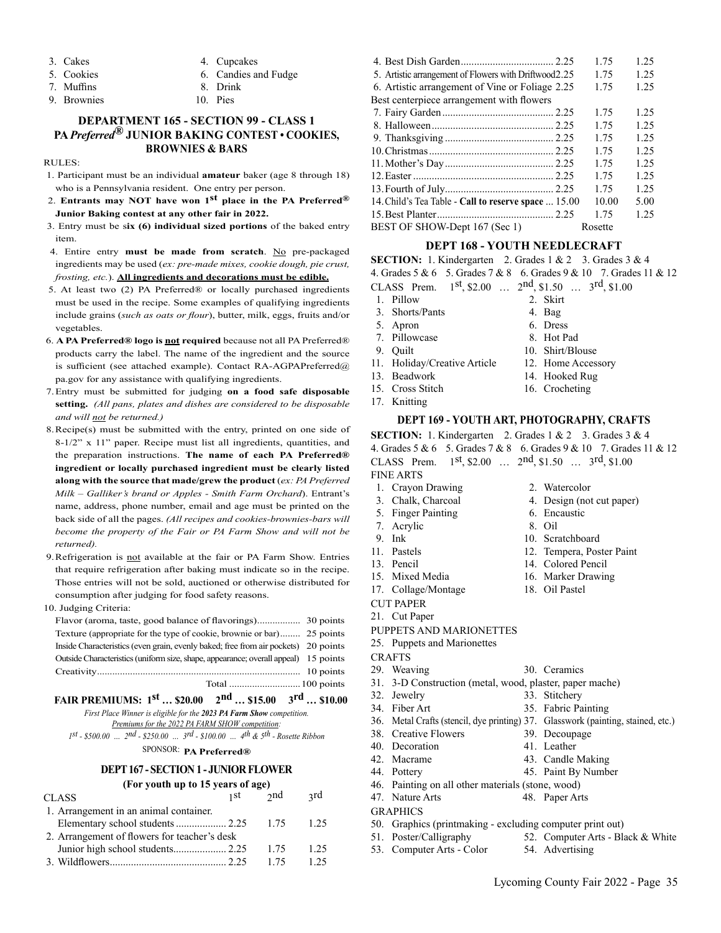- 
- 3. Cakes 4. Cupcakes
- 
- 
- 
- 5. Cookies 6. Candies and Fudge
- 7. Muffins 8. Drink
- 9. Brownies 10. Pies

#### **DEPARTMENT 165 - SECTION 99 - CLASS 1 PA** *Preferred®* **JUNIOR BAKING CONTEST • COOKIES, BROWNIES & BARS**

#### RULES:

- 1. Participant must be an individual **amateur** baker (age 8 through 18) who is a Pennsylvania resident. One entry per person.
- 2. **Entrants may NOT have won 1st place in the PA Preferred® Junior Baking contest at any other fair in 2022.**
- 3. Entry must be s**ix (6) individual sized portions** of the baked entry item.
- 4. Entire entry **must be made from scratch**. No pre-packaged ingredients may be used (*ex: pre-made mixes, cookie dough, pie crust, frosting, etc.*). **All ingredients and decorations must be edible.**
- 5. At least two (2) PA Preferred® or locally purchased ingredients must be used in the recipe. Some examples of qualifying ingredients include grains (*such as oats or flour*), butter, milk, eggs, fruits and/or vegetables.
- 6. **A PA Preferred® logo is not required** because not all PA Preferred® products carry the label. The name of the ingredient and the source is sufficient (see attached example). Contact RA-AGPAPreferred@ pa.gov for any assistance with qualifying ingredients.
- 7.Entry must be submitted for judging **on a food safe disposable setting.** *(All pans, plates and dishes are considered to be disposable and will not be returned.)*
- 8.Recipe(s) must be submitted with the entry, printed on one side of 8-1/2" x 11" paper. Recipe must list all ingredients, quantities, and the preparation instructions. **The name of each PA Preferred® ingredient or locally purchased ingredient must be clearly listed along with the source that made/grew the product** (*ex: PA Preferred Milk – Galliker's brand or Apples - Smith Farm Orchard*). Entrant's name, address, phone number, email and age must be printed on the back side of all the pages. *(All recipes and cookies-brownies-bars will become the property of the Fair or PA Farm Show and will not be returned).*
- 9.Refrigeration is not available at the fair or PA Farm Show. Entries that require refrigeration after baking must indicate so in the recipe. Those entries will not be sold, auctioned or otherwise distributed for consumption after judging for food safety reasons.
- 10. Judging Criteria:

| Texture (appropriate for the type of cookie, brownie or bar) 25 points              |
|-------------------------------------------------------------------------------------|
| Inside Characteristics (even grain, evenly baked; free from air pockets) 20 points  |
| Outside Characteristics (uniform size, shape, appearance; overall appeal) 15 points |
|                                                                                     |
|                                                                                     |
|                                                                                     |

### **FAIR PREMIUMS: 1st … \$20.00 2nd … \$15.00 3rd … \$10.00**

*First Place Winner is eligible for the 2023 PA Farm Show competition.*

*Premiums for the 2022 PA FARM SHOW competition:*

*1st - \$500.00 … 2nd - \$250.00 … 3rd - \$100.00 … 4th & 5th - Rosette Ribbon*

SPONSOR: **PA Preferred®** 

#### **DEPT 167 - SECTION 1 - JUNIOR FLOWER**

**(For youth up to 15 years of age)**

| <b>CLASS</b>                                 | $1$ st $2$ nd $3$ rd |      |
|----------------------------------------------|----------------------|------|
| 1. Arrangement in an animal container.       |                      |      |
|                                              |                      |      |
| 2. Arrangement of flowers for teacher's desk |                      |      |
|                                              |                      | 1.25 |
|                                              |                      | 1 25 |

|                                                        | 1.75    | 1.25                                                 |
|--------------------------------------------------------|---------|------------------------------------------------------|
| 5. Artistic arrangement of Flowers with Driftwood 2.25 | 1.75    | 1.25                                                 |
| 6. Artistic arrangement of Vine or Foliage 2.25        | 1.75    | 1.25                                                 |
| Best centerpiece arrangement with flowers              |         |                                                      |
|                                                        | 1.75    | 1.25                                                 |
|                                                        | 1.75    | 1.25                                                 |
|                                                        | 1.75    | 1.25                                                 |
|                                                        | 1.75    | 1.25                                                 |
|                                                        | 1.75    | 1.25                                                 |
|                                                        | 1.75    | 1.25                                                 |
|                                                        | 1.75    | 1.25                                                 |
|                                                        | 10.00   | 5.00                                                 |
|                                                        | 1.75    | 1.25                                                 |
|                                                        | Rosette |                                                      |
|                                                        |         | 14. Child's Tea Table - Call to reserve space  15.00 |

#### **DEPT 168 - YOUTH NEEDLECRAFT**

**SECTION:** 1. Kindergarten 2. Grades 1 & 2 3. Grades 3 & 4 4. Grades 5 & 6 5. Grades 7 & 8 6. Grades 9 & 10 7. Grades 11 & 12 CLASS Prem. 1st, \$2.00 … 2nd, \$1.50 … 3rd, \$1.00

- 1. Pillow 2. Skirt
- 3. Shorts/Pants 4. Bag
	-
- 5. Apron 6. Dress<br>
7. Pillowcase 8. Hot Pad
- 7. Pillowcase
- 9. Quilt 10. Shirt/Blouse
- 11. Holiday/Creative Article 12. Home Accessory
- 13. Beadwork 14. Hooked Rug
- 15. Cross Stitch 16. Crocheting
- 17. Knitting

#### **DEPT 169 - YOUTH ART, PHOTOGRAPHY, CRAFTS**

**SECTION:** 1. Kindergarten 2. Grades 1 & 2 3. Grades 3 & 4 4. Grades 5 & 6 5. Grades 7 & 8 6. Grades 9 & 10 7. Grades 11 & 12 CLASS Prem. 1st, \$2.00 … 2nd, \$1.50 … 3rd, \$1.00 FINE ARTS

- 1. Crayon Drawing 2. Watercolor 3. Chalk, Charcoal 4. Design (not cut paper) 5. Finger Painting 6. Encaustic 7. Acrylic 8. Oil 9. Ink 10. Scratchboard 11. Pastels 12. Tempera, Poster Paint 13. Pencil 14. Colored Pencil 15. Mixed Media 16. Marker Drawing 17. Collage/Montage 18. Oil Pastel CUT PAPER 21. Cut Paper PUPPETS AND MARIONETTES 25. Puppets and Marionettes
- CRAFTS 29. Weaving 30. Ceramics 31. 3-D Construction (metal, wood, plaster, paper mache) 32. Jewelry 33. Stitchery 34. Fiber Art 35. Fabric Painting 36. Metal Crafts (stencil, dye printing) 37. Glasswork (painting, stained, etc.) 38. Creative Flowers 39. Decoupage 40. Decoration 41. Leather 42. Macrame 43. Candle Making 44. Pottery 45. Paint By Number
- 46. Painting on all other materials (stone, wood)
- 47. Nature Arts 48. Paper Arts
- GRAPHICS
- 50. Graphics (printmaking excluding computer print out)
- 51. Poster/Calligraphy 52. Computer Arts Black & White
- 53. Computer Arts Color 54. Advertising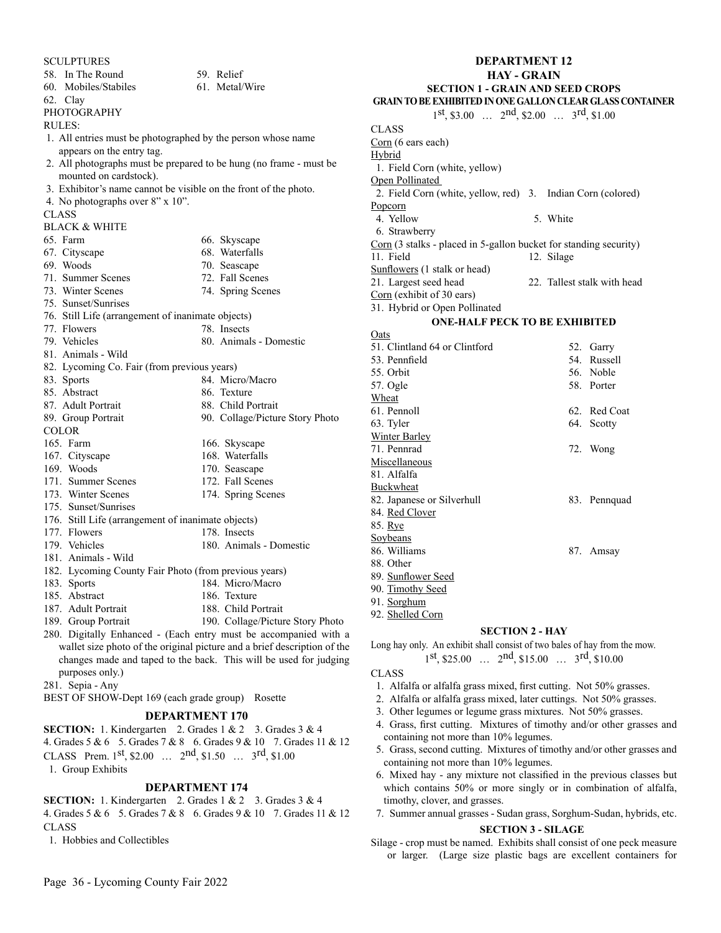| SCULPTURES                                                       |                                                                    |
|------------------------------------------------------------------|--------------------------------------------------------------------|
| 58. In The Round                                                 | 59. Relief                                                         |
| 60. Mobiles/Stabiles                                             | 61. Metal/Wire                                                     |
| 62. Clay                                                         |                                                                    |
| <b>PHOTOGRAPHY</b>                                               |                                                                    |
| <b>RULES:</b>                                                    |                                                                    |
| 1. All entries must be photographed by the person whose name     |                                                                    |
| appears on the entry tag.                                        |                                                                    |
|                                                                  | 2. All photographs must be prepared to be hung (no frame - must be |
| mounted on cardstock).                                           |                                                                    |
| 3. Exhibitor's name cannot be visible on the front of the photo. |                                                                    |
| 4. No photographs over 8" x 10".                                 |                                                                    |
| CLASS                                                            |                                                                    |
| <b>BLACK &amp; WHITE</b>                                         |                                                                    |
| 65. Farm                                                         | 66. Skyscape                                                       |
| 67. Cityscape                                                    | 68. Waterfalls                                                     |
| 69. Woods                                                        | 70. Seascape                                                       |
| 71. Summer Scenes                                                | 72. Fall Scenes                                                    |
| 73. Winter Scenes                                                | 74. Spring Scenes                                                  |
| 75. Sunset/Sunrises                                              |                                                                    |
| 76. Still Life (arrangement of inanimate objects)                |                                                                    |
| 77. Flowers                                                      | 78. Insects                                                        |
| 79. Vehicles                                                     | 80. Animals - Domestic                                             |
| 81. Animals - Wild                                               |                                                                    |
| 82. Lycoming Co. Fair (from previous years)                      |                                                                    |
| 83. Sports                                                       | 84. Micro/Macro                                                    |
| 85. Abstract                                                     | 86. Texture                                                        |
| 87. Adult Portrait                                               | 88. Child Portrait                                                 |
| 89. Group Portrait                                               | 90. Collage/Picture Story Photo                                    |
| <b>COLOR</b>                                                     |                                                                    |
| 165. Farm                                                        | 166. Skyscape                                                      |
| 167. Cityscape                                                   | 168. Waterfalls                                                    |
| 169. Woods                                                       | 170. Seascape                                                      |
| 171. Summer Scenes                                               | 172. Fall Scenes                                                   |
| 173. Winter Scenes                                               | 174. Spring Scenes                                                 |
| 175. Sunset/Sunrises                                             |                                                                    |
| 176. Still Life (arrangement of inanimate objects)               |                                                                    |
| 177. Flowers                                                     | 178. Insects                                                       |
| 179. Vehicles                                                    | 180. Animals - Domestic                                            |
| 181. Animals - Wild                                              |                                                                    |
| 182. Lycoming County Fair Photo (from previous years)            |                                                                    |
| 183. Sports                                                      | 184. Micro/Macro                                                   |
| 185. Abstract                                                    | 186. Texture                                                       |
| 187. Adult Portrait                                              | 188. Child Portrait                                                |
| 189. Group Portrait                                              | 190. Collage/Picture Story Photo                                   |

- 280. Digitally Enhanced (Each entry must be accompanied with a wallet size photo of the original picture and a brief description of the changes made and taped to the back. This will be used for judging purposes only.)
- 281. Sepia Any

BEST OF SHOW-Dept 169 (each grade group) Rosette

#### **DEPARTMENT 170**

**SECTION:** 1. Kindergarten 2. Grades 1 & 2 3. Grades 3 & 4 4. Grades 5 & 6 5. Grades 7 & 8 6. Grades 9 & 10 7. Grades 11 & 12 CLASS Prem.  $1^{st}$ , \$2.00 …  $2^{nd}$ , \$1.50 …  $3^{rd}$ , \$1.00 1. Group Exhibits

#### **DEPARTMENT 174**

**SECTION:** 1. Kindergarten 2. Grades 1 & 2 3. Grades 3 & 4 4. Grades 5 & 6 5. Grades 7 & 8 6. Grades 9 & 10 7. Grades 11 & 12 CLASS

1. Hobbies and Collectibles

#### **DEPARTMENT 12 HAY - GRAIN SECTION 1 - GRAIN AND SEED CROPS GRAIN TO BE EXHIBITED IN ONE GALLON CLEAR GLASS CONTAINER**  $1<sup>st</sup>$ , \$3.00 …  $2<sup>nd</sup>$ , \$2.00 …  $3<sup>rd</sup>$ , \$1.00 CLASS Corn (6 ears each) Hybrid 1. Field Corn (white, yellow) Open Pollinated 2. Field Corn (white, yellow, red) 3. Indian Corn (colored) Popcorn 4. Yellow 5. White 6. Strawberry Corn (3 stalks - placed in 5-gallon bucket for standing security) 11. Field 12. Silage Sunflowers (1 stalk or head) 21. Largest seed head 22. Tallest stalk with head Corn (exhibit of 30 ears) 31. Hybrid or Open Pollinated **ONE-HALF PECK TO BE EXHIBITED Oats** 51. Clintland 64 or Clintford 52. Garry

| 53. Pennfield              | 54. Russell  |
|----------------------------|--------------|
| 55. Orbit                  | 56. Noble    |
| 57. Ogle                   | 58. Porter   |
| Wheat                      |              |
| 61. Pennoll                | 62. Red Coat |
| 63. Tyler                  | 64. Scotty   |
| Winter Barley              |              |
| 71. Pennrad                | 72. Wong     |
| Miscellaneous              |              |
| 81. Alfalfa                |              |
| Buckwheat                  |              |
| 82. Japanese or Silverhull | 83. Pennquad |
| 84. Red Clover             |              |
| 85. Rye                    |              |
| Soybeans                   |              |
| 86. Williams               | 87. Amsay    |
| 88. Other                  |              |
| 89. Sunflower Seed         |              |
| 90. Timothy Seed           |              |
| 91. <u>Sorghum</u>         |              |

92. Shelled Corn

#### **SECTION 2 - HAY**

Long hay only. An exhibit shall consist of two bales of hay from the mow. 1st, \$25.00 … 2nd, \$15.00 … 3rd, \$10.00

#### CLASS

- 1. Alfalfa or alfalfa grass mixed, first cutting. Not 50% grasses.
- 2. Alfalfa or alfalfa grass mixed, later cuttings. Not 50% grasses.
- 3. Other legumes or legume grass mixtures. Not 50% grasses.
- 4. Grass, first cutting. Mixtures of timothy and/or other grasses and containing not more than 10% legumes.
- 5. Grass, second cutting. Mixtures of timothy and/or other grasses and containing not more than 10% legumes.
- 6. Mixed hay any mixture not classified in the previous classes but which contains 50% or more singly or in combination of alfalfa, timothy, clover, and grasses.
- 7. Summer annual grasses Sudan grass, Sorghum-Sudan, hybrids, etc. **SECTION 3 - SILAGE**

Silage - crop must be named. Exhibits shall consist of one peck measure or larger. (Large size plastic bags are excellent containers for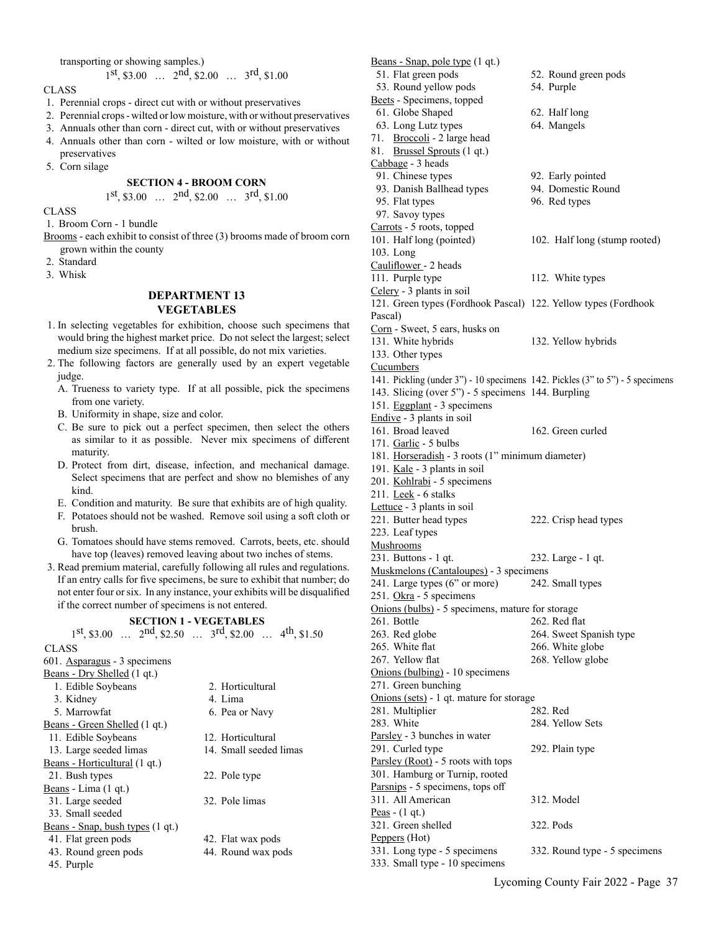transporting or showing samples.)

1st, \$3.00 … 2nd, \$2.00 … 3rd, \$1.00

#### CLASS

- 1. Perennial crops direct cut with or without preservatives
- 2. Perennial crops wilted or low moisture, with or without preservatives
- 3. Annuals other than corn direct cut, with or without preservatives
- 4. Annuals other than corn wilted or low moisture, with or without
- preservatives
- 5. Corn silage

### **SECTION 4 - BROOM CORN**

1st, \$3.00 … 2nd, \$2.00 … 3rd, \$1.00

#### CLASS

1. Broom Corn - 1 bundle

- Brooms each exhibit to consist of three (3) brooms made of broom corn grown within the county
- 2. Standard
- 3. Whisk

#### **DEPARTMENT 13 VEGETABLES**

- 1. In selecting vegetables for exhibition, choose such specimens that would bring the highest market price. Do not select the largest; select medium size specimens. If at all possible, do not mix varieties.
- 2. The following factors are generally used by an expert vegetable judge.
	- A. Trueness to variety type. If at all possible, pick the specimens from one variety.
	- B. Uniformity in shape, size and color.
	- C. Be sure to pick out a perfect specimen, then select the others as similar to it as possible. Never mix specimens of different maturity.
	- D. Protect from dirt, disease, infection, and mechanical damage. Select specimens that are perfect and show no blemishes of any kind.
	- E. Condition and maturity. Be sure that exhibits are of high quality.
	- F. Potatoes should not be washed. Remove soil using a soft cloth or brush.
	- G. Tomatoes should have stems removed. Carrots, beets, etc. should have top (leaves) removed leaving about two inches of stems.
- 3. Read premium material, carefully following all rules and regulations. If an entry calls for five specimens, be sure to exhibit that number; do not enter four or six. In any instance, your exhibits will be disqualified if the correct number of specimens is not entered.

#### **SECTION 1 - VEGETABLES**

 $1<sup>st</sup>$ , \$3.00 …  $2<sup>nd</sup>$ , \$2.50 …  $3<sup>rd</sup>$ , \$2.00 …  $4<sup>th</sup>$ , \$1.50 CLASS 601. Asparagus - 3 specimens Beans - Dry Shelled (1 qt.) 1. Edible Soybeans 2. Horticultural 3. Kidney 4. Lima 5. Marrowfat 6. Pea or Navy Beans - Green Shelled (1 qt.) 11. Edible Soybeans 12. Horticultural 13. Large seeded limas 14. Small seeded limas Beans - Horticultural (1 qt.) 21. Bush types 22. Pole type Beans - Lima (1 qt.) 31. Large seeded 32. Pole limas 33. Small seeded Beans - Snap, bush types (1 qt.) 41. Flat green pods 42. Flat wax pods 43. Round green pods 44. Round wax pods 45. Purple

Beans - Snap, pole type (1 qt.) 51. Flat green pods 52. Round green pods 53. Round yellow pods 54. Purple Beets - Specimens, topped 61. Globe Shaped 62. Half long 63. Long Lutz types 64. Mangels 71. Broccoli - 2 large head 81. Brussel Sprouts (1 qt.) Cabbage - 3 heads 91. Chinese types 92. Early pointed 93. Danish Ballhead types 94. Domestic Round 95. Flat types 96. Red types 97. Savoy types Carrots - 5 roots, topped 101. Half long (pointed) 102. Half long (stump rooted) 103. Long Cauliflower - 2 heads 111. Purple type 112. White types Celery - 3 plants in soil 121. Green types (Fordhook Pascal) 122. Yellow types (Fordhook Pascal) Corn - Sweet, 5 ears, husks on 131. White hybrids 132. Yellow hybrids 133. Other types Cucumbers 141. Pickling (under 3") - 10 specimens 142. Pickles (3" to 5") - 5 specimens 143. Slicing (over 5") - 5 specimens 144. Burpling 151. Eggplant - 3 specimens Endive - 3 plants in soil 161. Broad leaved 162. Green curled 171. Garlic - 5 bulbs 181. Horseradish - 3 roots (1" minimum diameter) 191. Kale - 3 plants in soil 201. Kohlrabi - 5 specimens 211. Leek - 6 stalks Lettuce - 3 plants in soil 221. Butter head types 222. Crisp head types 223. Leaf types Mushrooms 231. Buttons - 1 qt. 232. Large - 1 qt. Muskmelons (Cantaloupes) - 3 specimens 241. Large types (6" or more) 242. Small types 251. Okra - 5 specimens Onions (bulbs) - 5 specimens, mature for storage 261. Bottle 262. Red flat 263. Red globe 264. Sweet Spanish type 265. White flat 266. White globe 267. Yellow flat 268. Yellow globe Onions (bulbing) - 10 specimens 271. Green bunching Onions (sets) - 1 qt. mature for storage 281. Multiplier 282. Red 283. White 284. Yellow Sets Parsley - 3 bunches in water 291. Curled type 292. Plain type Parsley (Root) - 5 roots with tops 301. Hamburg or Turnip, rooted Parsnips - 5 specimens, tops off 311. All American 312. Model Peas - (1 qt.) 321. Green shelled 322. Pods Peppers (Hot) 331. Long type - 5 specimens 332. Round type - 5 specimens 333. Small type - 10 specimens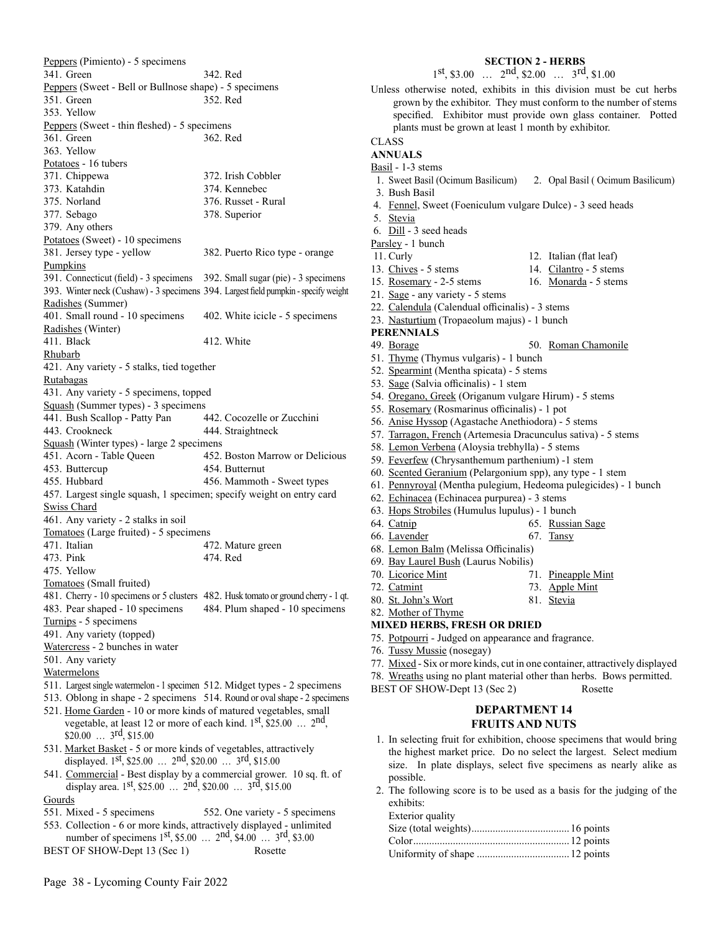Peppers (Pimiento) - 5 specimens 341. Green 342. Red Peppers (Sweet - Bell or Bullnose shape) - 5 specimens 351. Green 352. Red 353. Yellow Peppers (Sweet - thin fleshed) - 5 specimens 361. Green 362. Red 363. Yellow Potatoes - 16 tubers 371. Chippewa 372. Irish Cobbler 373. Katahdin 374. Kennebec 375. Norland 376. Russet - Rural 377. Sebago 378. Superior 379. Any others Potatoes (Sweet) - 10 specimens 381. Jersey type - yellow 382. Puerto Rico type - orange Pumpkins 391. Connecticut (field) - 3 specimens 392. Small sugar (pie) - 3 specimens 393. Winter neck (Cushaw) - 3 specimens 394. Largest field pumpkin - specify weight Radishes (Summer) 401. Small round - 10 specimens 402. White icicle - 5 specimens Radishes (Winter) 411. Black 412. White Rhubarb 421. Any variety - 5 stalks, tied together **Rutabagas** 431. Any variety - 5 specimens, topped Squash (Summer types) - 3 specimens<br>441. Bush Scallop - Patty Pan 442. Cocozelle or Zucchini 441. Bush Scallop - Patty Pan 443. Crookneck 444. Straightneck Squash (Winter types) - large 2 specimens 451. Acorn - Table Queen 452. Boston Marrow or Delicious 453. Buttercup 454. Butternut 455. Hubbard 456. Mammoth - Sweet types 457. Largest single squash, 1 specimen; specify weight on entry card Swiss Chard 461. Any variety - 2 stalks in soil Tomatoes (Large fruited) - 5 specimens 471. Italian 472. Mature green 473. Pink 474. Red 475. Yellow Tomatoes (Small fruited) 481. Cherry - 10 specimens or 5 clusters 482. Husk tomato or ground cherry - 1 qt. 483. Pear shaped - 10 specimens 484. Plum shaped - 10 specimens Turnips - 5 specimens 491. Any variety (topped) Watercress - 2 bunches in water 501. Any variety Watermelons 511. Largest single watermelon - 1 specimen 512. Midget types - 2 specimens 513. Oblong in shape - 2 specimens 514. Round or oval shape - 2 specimens 521. Home Garden - 10 or more kinds of matured vegetables, small vegetable, at least 12 or more of each kind.  $1<sup>st</sup>$ , \$25.00 ...  $2<sup>nd</sup>$ ,  $$20.00$  ...  $3^{\text{rd}}, $15.00$ 531. Market Basket - 5 or more kinds of vegetables, attractively displayed.  $1^{st}$ , \$25.00 ...  $2^{nd}$ , \$20.00 ...  $3^{rd}$ , \$15.00 541. Commercial - Best display by a commercial grower. 10 sq. ft. of display area.  $1^{st}$ , \$25.00 ...  $2^{nd}$ , \$20.00 ...  $3^{rd}$ , \$15.00 Gourds 551. Mixed - 5 specimens 552. One variety - 5 specimens 553. Collection - 6 or more kinds, attractively displayed - unlimited number of specimens 1st, \$5.00 … 2nd, \$4.00 … 3rd, \$3.00

BEST OF SHOW-Dept 13 (Sec 1) Rosette

**SECTION 2 - HERBS** 1st, \$3.00 … 2nd, \$2.00 … 3rd, \$1.00 Unless otherwise noted, exhibits in this division must be cut herbs grown by the exhibitor. They must conform to the number of stems specified. Exhibitor must provide own glass container. Potted plants must be grown at least 1 month by exhibitor. CLASS **ANNUALS** Basil - 1-3 stems 1. Sweet Basil (Ocimum Basilicum) 2. Opal Basil ( Ocimum Basilicum) 3. Bush Basil 4. Fennel, Sweet (Foeniculum vulgare Dulce) - 3 seed heads 5. Stevia 6. Dill - 3 seed heads Parsley - 1 bunch 11. Curly 12. Italian (flat leaf) 13. Chives - 5 stems 14. Cilantro - 5 stems 15. Rosemary - 2-5 stems 16. Monarda - 5 stems 21. Sage - any variety - 5 stems 22. Calendula (Calendual officinalis) - 3 stems 23. Nasturtium (Tropaeolum majus) - 1 bunch **PERENNIALS** 49. Borage 50. Roman Chamonile 51. Thyme (Thymus vulgaris) - 1 bunch 52. Spearmint (Mentha spicata) - 5 stems 53. Sage (Salvia officinalis) - 1 stem 54. Oregano, Greek (Origanum vulgare Hirum) - 5 stems 55. Rosemary (Rosmarinus officinalis) - 1 pot 56. Anise Hyssop (Agastache Anethiodora) - 5 stems 57. Tarragon, French (Artemesia Dracunculus sativa) - 5 stems 58. Lemon Verbena (Aloysia trebhylla) - 5 stems 59. Feverfew (Chrysanthemum parthenium) -1 stem 60. Scented Geranium (Pelargonium spp), any type - 1 stem 61. Pennyroyal (Mentha pulegium, Hedeoma pulegicides) - 1 bunch 62. Echinacea (Echinacea purpurea) - 3 stems 63. Hops Strobiles (Humulus lupulus) - 1 bunch 64. Catnip 65. Russian Sage 66. Lavender 67. Tansy 68. Lemon Balm (Melissa Officinalis) 69. Bay Laurel Bush (Laurus Nobilis) 70. Licorice Mint 71. Pineapple Mint 72. Catmint 73. Apple Mint 80. St. John's Wort 81. Stevia 82. Mother of Thyme **MIXED HERBS, FRESH OR DRIED** 75. Potpourri - Judged on appearance and fragrance. 76. Tussy Mussie (nosegay) 77. Mixed - Six or more kinds, cut in one container, attractively displayed

- 
- 78. Wreaths using no plant material other than herbs. Bows permitted.
- BEST OF SHOW-Dept 13 (Sec 2) Rosette

#### **DEPARTMENT 14 FRUITS AND NUTS**

- 1. In selecting fruit for exhibition, choose specimens that would bring the highest market price. Do no select the largest. Select medium size. In plate displays, select five specimens as nearly alike as possible.
- 2. The following score is to be used as a basis for the judging of the exhibits:

Exterior quality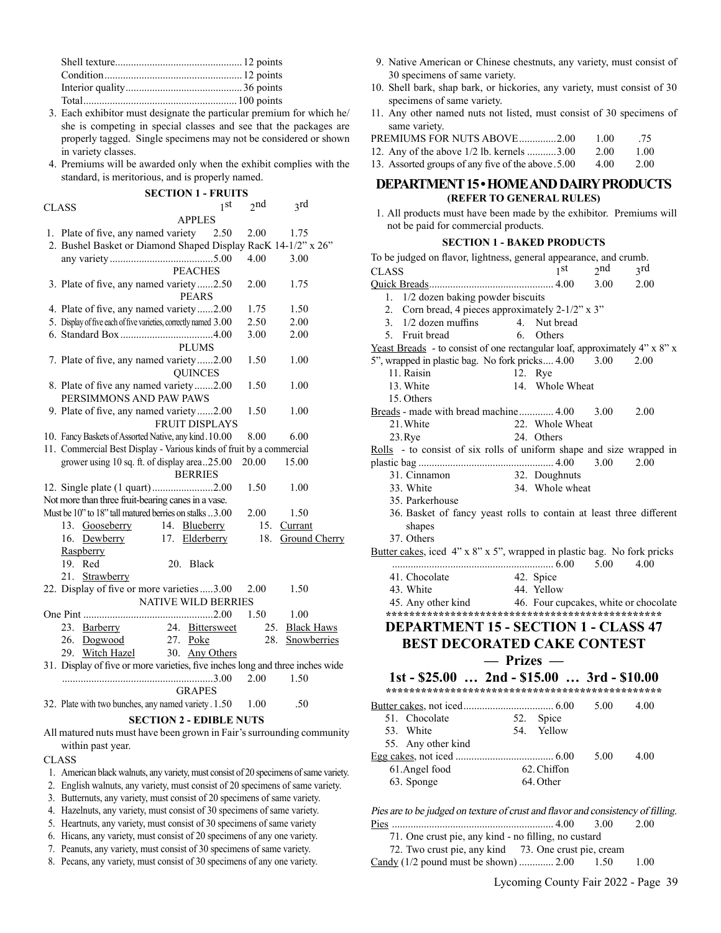- 3. Each exhibitor must designate the particular premium for which he/ she is competing in special classes and see that the packages are properly tagged. Single specimens may not be considered or shown in variety classes.
- 4. Premiums will be awarded only when the exhibit complies with the standard, is meritorious, and is properly named.

|                                                                               |  | <b>SECTION 1 - FRUITS</b>      |                 |                      |  |  |
|-------------------------------------------------------------------------------|--|--------------------------------|-----------------|----------------------|--|--|
| CLASS                                                                         |  | 1st                            | 2 <sub>nd</sub> | 3rd                  |  |  |
|                                                                               |  | <b>APPLES</b>                  |                 |                      |  |  |
| 1. Plate of five, any named variety 2.50                                      |  |                                | 2.00            | 1.75                 |  |  |
| 2. Bushel Basket or Diamond Shaped Display RacK 14-1/2" x 26"                 |  |                                |                 |                      |  |  |
|                                                                               |  |                                | 4.00            | 3.00                 |  |  |
|                                                                               |  | <b>PEACHES</b>                 |                 |                      |  |  |
| 3. Plate of five, any named variety 2.50                                      |  | <b>PEARS</b>                   | 2.00            | 1.75                 |  |  |
| 4. Plate of five, any named variety 2.00                                      |  |                                | 1.75            | 1.50                 |  |  |
| 5. Display of five each of five varieties, correctly named 3.00               |  |                                | 2.50            | 2.00                 |  |  |
|                                                                               |  |                                | 3.00            | 2.00                 |  |  |
|                                                                               |  | <b>PLUMS</b>                   |                 |                      |  |  |
| 7. Plate of five, any named variety 2.00                                      |  |                                | 1.50            | 1.00                 |  |  |
|                                                                               |  | <b>OUINCES</b>                 |                 |                      |  |  |
| 8. Plate of five any named variety 2.00                                       |  |                                | 1.50            | 1.00                 |  |  |
| PERSIMMONS AND PAW PAWS                                                       |  |                                |                 |                      |  |  |
| 9. Plate of five, any named variety2.00                                       |  |                                | 1.50            | 1.00                 |  |  |
|                                                                               |  | <b>FRUIT DISPLAYS</b>          |                 |                      |  |  |
| 10. Fancy Baskets of Assorted Native, any kind. 10.00                         |  |                                | 8.00            | 6.00                 |  |  |
| 11. Commercial Best Display - Various kinds of fruit by a commercial          |  |                                |                 |                      |  |  |
| grower using 10 sq. ft. of display area25.00                                  |  |                                | 20.00           | 15.00                |  |  |
|                                                                               |  | <b>BERRIES</b>                 |                 |                      |  |  |
| 12. Single plate (1 quart)2.00                                                |  |                                | 1.50            | 1.00                 |  |  |
| Not more than three fruit-bearing canes in a vase.                            |  |                                |                 |                      |  |  |
| Must be 10" to 18" tall matured berries on stalks 3.00                        |  |                                | 2.00            | 1.50                 |  |  |
| 13. Gooseberry                                                                |  | 14. Blueberry                  | 15.             | Currant              |  |  |
| 16. Dewberry                                                                  |  | 17. Elderberry                 | 18.             | <b>Ground Cherry</b> |  |  |
| Raspberry                                                                     |  |                                |                 |                      |  |  |
| Red<br>19.                                                                    |  | 20. Black                      |                 |                      |  |  |
| 21.<br>Strawberry                                                             |  |                                |                 |                      |  |  |
| 22. Display of five or more varieties  3.00                                   |  |                                | 2.00            | 1.50                 |  |  |
|                                                                               |  | <b>NATIVE WILD BERRIES</b>     |                 |                      |  |  |
|                                                                               |  |                                | 1.50            | 1.00                 |  |  |
| 23. Barberry                                                                  |  | 24. Bittersweet                |                 | 25. Black Haws       |  |  |
| 26. Dogwood                                                                   |  | 27. Poke                       |                 | 28. Snowberries      |  |  |
| 29. Witch Hazel                                                               |  | 30. Any Others                 |                 |                      |  |  |
| 31. Display of five or more varieties, five inches long and three inches wide |  |                                |                 |                      |  |  |
|                                                                               |  |                                | 2.00            | 1.50                 |  |  |
|                                                                               |  | <b>GRAPES</b>                  |                 |                      |  |  |
| 32. Plate with two bunches, any named variety . 1.50                          |  |                                | 1.00            | .50                  |  |  |
|                                                                               |  | <b>SECTION 2 - EDIBLE NUTS</b> |                 |                      |  |  |
| All matured nuts must have been grown in Fair's surrounding community         |  |                                |                 |                      |  |  |

CLASS

within past year.

- 1. American black walnuts, any variety, must consist of 20 specimens of same variety.
- 2. English walnuts, any variety, must consist of 20 specimens of same variety.
- 3. Butternuts, any variety, must consist of 20 specimens of same variety.
- 4. Hazelnuts, any variety, must consist of 30 specimens of same variety.
- 5. Heartnuts, any variety, must consist of 30 specimens of same variety
- 6. Hicans, any variety, must consist of 20 specimens of any one variety.
- 7. Peanuts, any variety, must consist of 30 specimens of same variety.
- 8. Pecans, any variety, must consist of 30 specimens of any one variety.
- 9. Native American or Chinese chestnuts, any variety, must consist of 30 specimens of same variety.
- 10. Shell bark, shap bark, or hickories, any variety, must consist of 30 specimens of same variety.
- 11. Any other named nuts not listed, must consist of 30 specimens of same variety.

| PREMIUMS FOR NUTS ABOVE2.00                    | - 1.00 | .75  |
|------------------------------------------------|--------|------|
| 12. Any of the above 1/2 lb. kernels 3.00 2.00 |        | 1.00 |

|  |  |  |  | 13. Assorted groups of any five of the above. 5.00 | 4.00 | 2.00 |
|--|--|--|--|----------------------------------------------------|------|------|
|--|--|--|--|----------------------------------------------------|------|------|

#### **DEPARTMENT 15 • HOME AND DAIRY PRODUCTS (REFER TO GENERAL RULES)**

 1. All products must have been made by the exhibitor. Premiums will not be paid for commercial products.

#### **SECTION 1 - BAKED PRODUCTS**

| To be judged on flavor, lightness, general appearance, and crumb.          |    |                 |      |                 |
|----------------------------------------------------------------------------|----|-----------------|------|-----------------|
| <b>CLASS</b>                                                               |    | 1 <sub>st</sub> | 2nd  | <sub>3</sub> rd |
|                                                                            |    |                 |      | 2.00            |
| 1. 1/2 dozen baking powder biscuits                                        |    |                 |      |                 |
| Corn bread, 4 pieces approximately 2-1/2" x 3"<br>2.                       |    |                 |      |                 |
| 3. $1/2$ dozen muffins                                                     |    | 4. Nut bread    |      |                 |
| 5. Fruit bread                                                             | 6. | Others          |      |                 |
| Yeast Breads - to consist of one rectangular loaf, approximately 4" x 8" x |    |                 |      |                 |
| 5", wrapped in plastic bag. No fork pricks 4.00                            |    |                 | 3.00 | 2.00            |
| 11. Raisin                                                                 |    | 12. Rye         |      |                 |
| 13. White                                                                  |    | 14. Whole Wheat |      |                 |
| 15. Others                                                                 |    |                 |      |                 |
| Breads - made with bread machine 4.00                                      |    |                 | 3.00 | 2.00            |
| 21. White                                                                  |    | 22. Whole Wheat |      |                 |
| $23.$ Rye                                                                  |    | 24. Others      |      |                 |
| Rolls - to consist of six rolls of uniform shape and size wrapped in       |    |                 |      |                 |
|                                                                            |    |                 | 3.00 | 2.00            |
| 31. Cinnamon                                                               |    | 32. Doughnuts   |      |                 |
| 33. White                                                                  |    | 34. Whole wheat |      |                 |
| 35. Parkerhouse                                                            |    |                 |      |                 |
| 36. Basket of fancy yeast rolls to contain at least three different        |    |                 |      |                 |
| shapes                                                                     |    |                 |      |                 |
| 37. Others                                                                 |    |                 |      |                 |
| Butter cakes, iced 4" x 8" x 5", wrapped in plastic bag. No fork pricks    |    |                 |      |                 |
|                                                                            |    |                 |      | 4.00            |
| 41. Chocolate                                                              |    | 42. Spice       |      |                 |
| 43. White                                                                  |    | 44. Yellow      |      |                 |
| 45. Any other kind 46. Four cupcakes, white or chocolate                   |    |                 |      |                 |
|                                                                            |    |                 |      |                 |
| <b>DEPARTMENT 15 - SECTION 1 - CLASS 47</b>                                |    |                 |      |                 |
| <b>BEST DECORATED CAKE CONTEST</b>                                         |    |                 |      |                 |
|                                                                            |    | $-$ Prizes $-$  |      |                 |
| 1st - \$25.00  2nd - \$15.00  3rd - \$10.00                                |    |                 |      |                 |
|                                                                            |    |                 |      |                 |
|                                                                            |    |                 | 5.00 | 4.00            |
| 51. Chocolate                                                              |    | 52. Spice       |      |                 |
| 53. White                                                                  |    | 54. Yellow      |      |                 |
| 55. Any other kind                                                         |    |                 |      |                 |
|                                                                            |    |                 | 5.00 | 4.00            |
| 61.Angel food                                                              |    | 62. Chiffon     |      |                 |

Pies are to be judged on texture of crust and flavor and consistency of filling.

Pies ............................................................. 4.00 3.00 2.00

71. One crust pie, any kind - no filling, no custard

63. Sponge 64.Other

Lycoming County Fair 2022 - Page 39

<sup>72.</sup> Two crust pie, any kind 73. One crust pie, cream

Candy (1/2 pound must be shown) ............. 2.00 1.50 1.00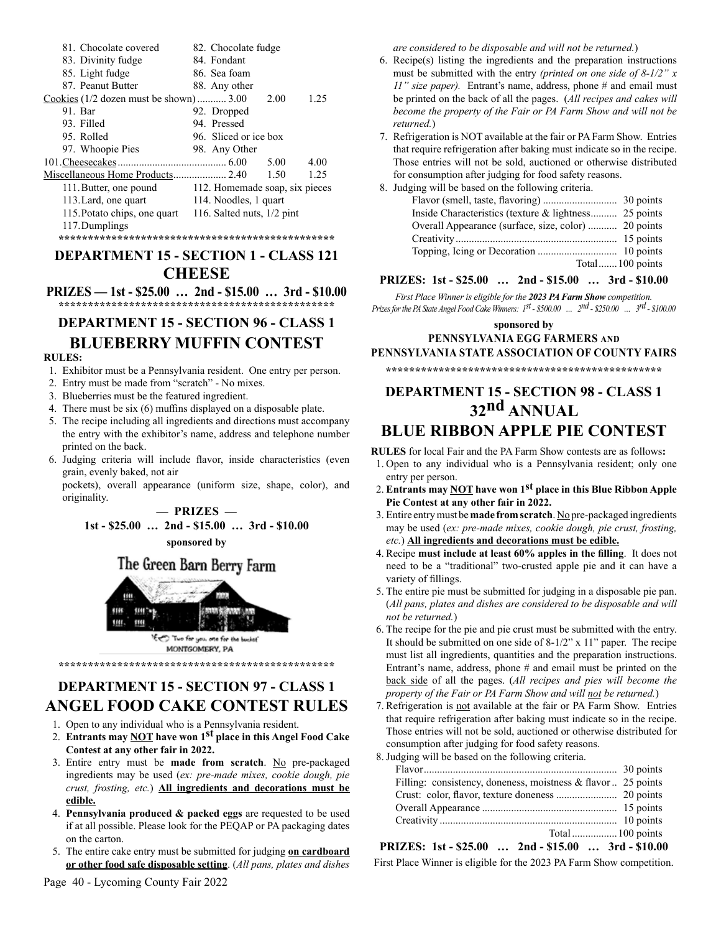| 81. Chocolate covered                    | 82. Chocolate fudge            |
|------------------------------------------|--------------------------------|
| 83. Divinity fudge                       | 84. Fondant                    |
| 85. Light fudge                          | 86. Sea foam                   |
| 87. Peanut Butter                        | 88. Any other                  |
| Cookies $(1/2$ dozen must be shown) 3.00 | 2.00<br>1.25                   |
| 91. Bar                                  | 92. Dropped                    |
| 93. Filled                               | 94. Pressed                    |
| 95. Rolled                               | 96. Sliced or ice box          |
| 97. Whoopie Pies                         | 98. Any Other                  |
| 101. Cheesecakes                         | 5.00<br>4.00                   |
|                                          | 1.50<br>1.25                   |
| 111. Butter, one pound                   | 112. Homemade soap, six pieces |
| 113. Lard, one quart                     | 114. Noodles, 1 quart          |
| 115. Potato chips, one quart             | 116. Salted nuts, 1/2 pint     |
| 117. Dumplings                           |                                |
|                                          |                                |
|                                          |                                |

### **DEPARTMENT 15 - SECTION 1 - CLASS 121 CHEESE**

**PRIZES — 1st - \$25.00 … 2nd - \$15.00 … 3rd - \$10.00 \*\*\*\*\*\*\*\*\*\*\*\*\*\*\*\*\*\*\*\*\*\*\*\*\*\*\*\*\*\*\*\*\*\*\*\*\*\*\*\*\*\*\*\*\*\*\***

### **DEPARTMENT 15 - SECTION 96 - CLASS 1 BLUEBERRY MUFFIN CONTEST**

#### **RULES:**

- 1. Exhibitor must be a Pennsylvania resident. One entry per person.
- 2. Entry must be made from "scratch" No mixes.
- 3. Blueberries must be the featured ingredient.
- 4. There must be six (6) muffins displayed on a disposable plate.
- 5. The recipe including all ingredients and directions must accompany the entry with the exhibitor's name, address and telephone number printed on the back.
- 6. Judging criteria will include flavor, inside characteristics (even grain, evenly baked, not air

pockets), overall appearance (uniform size, shape, color), and originality.





### **DEPARTMENT 15 - SECTION 97 - CLASS 1 ANGEL FOOD CAKE CONTEST RULES**

**\*\*\*\*\*\*\*\*\*\*\*\*\*\*\*\*\*\*\*\*\*\*\*\*\*\*\*\*\*\*\*\*\*\*\*\*\*\*\*\*\*\*\*\*\*\*\***

- 1. Open to any individual who is a Pennsylvania resident.
- 2. **Entrants may NOT have won 1st place in this Angel Food Cake Contest at any other fair in 2022.**
- 3. Entire entry must be **made from scratch**. No pre-packaged ingredients may be used (*ex: pre-made mixes, cookie dough, pie crust, frosting, etc.*) **All ingredients and decorations must be edible.**
- 4. **Pennsylvania produced & packed eggs** are requested to be used if at all possible. Please look for the PEQAP or PA packaging dates on the carton.
- 5. The entire cake entry must be submitted for judging **on cardboard or other food safe disposable setting**. (*All pans, plates and dishes*

*are considered to be disposable and will not be returned.*)

- 6. Recipe(s) listing the ingredients and the preparation instructions must be submitted with the entry *(printed on one side of 8-1/2" x 11" size paper).* Entrant's name, address, phone # and email must be printed on the back of all the pages. (*All recipes and cakes will become the property of the Fair or PA Farm Show and will not be returned.*)
- 7. Refrigeration is NOT available at the fair or PA Farm Show. Entries that require refrigeration after baking must indicate so in the recipe. Those entries will not be sold, auctioned or otherwise distributed for consumption after judging for food safety reasons.
- 8. Judging will be based on the following criteria. Flavor (smell, taste, flavoring) ............................ 30 points Inside Characteristics (texture & lightness.......... 25 points Overall Appearance (surface, size, color) ........... 20 points Creativity............................................................. 15 points Topping, Icing or Decoration .............................. 10 points Total.......100 points

#### **PRIZES: 1st - \$25.00 … 2nd - \$15.00 … 3rd - \$10.00**

*First Place Winner is eligible for the 2023 PA Farm Show competition. Prizes for the PA State Angel Food Cake Winners: 1st - \$500.00 … 2nd - \$250.00 … 3rd - \$100.00*

**sponsored by**

#### **PENNSYLVANIA EGG FARMERS AND PENNSYLVANIA STATE ASSOCIATION OF COUNTY FAIRS**

#### **\*\*\*\*\*\*\*\*\*\*\*\*\*\*\*\*\*\*\*\*\*\*\*\*\*\*\*\*\*\*\*\*\*\*\*\*\*\*\*\*\*\*\*\*\*\*\***

## **DEPARTMENT 15 - SECTION 98 - CLASS 1 32nd ANNUAL**

**BLUE RIBBON APPLE PIE CONTEST**

**RULES** for local Fair and the PA Farm Show contests are as follows**:**

- 1. Open to any individual who is a Pennsylvania resident; only one entry per person.
- 2. **Entrants may NOT have won 1st place in this Blue Ribbon Apple Pie Contest at any other fair in 2022.**
- 3. Entire entry must be **made from scratch**. No pre-packaged ingredients may be used (*ex: pre-made mixes, cookie dough, pie crust, frosting, etc.*) **All ingredients and decorations must be edible.**
- 4. Recipe **must include at least 60% apples in the filling**. It does not need to be a "traditional" two-crusted apple pie and it can have a variety of fillings.
- 5. The entire pie must be submitted for judging in a disposable pie pan. (*All pans, plates and dishes are considered to be disposable and will not be returned.*)
- 6. The recipe for the pie and pie crust must be submitted with the entry. It should be submitted on one side of 8-1/2" x 11" paper. The recipe must list all ingredients, quantities and the preparation instructions. Entrant's name, address, phone # and email must be printed on the back side of all the pages. (*All recipes and pies will become the property of the Fair or PA Farm Show and will not be returned.*)
- 7. Refrigeration is not available at the fair or PA Farm Show. Entries that require refrigeration after baking must indicate so in the recipe. Those entries will not be sold, auctioned or otherwise distributed for consumption after judging for food safety reasons.

| 8. Judging will be based on the following criteria.          |  |
|--------------------------------------------------------------|--|
|                                                              |  |
| Filling: consistency, doneness, moistness & flavor 25 points |  |
|                                                              |  |
|                                                              |  |
|                                                              |  |
|                                                              |  |
| PRIZES: 1st - \$25.00  2nd - \$15.00  3rd - \$10.00          |  |

First Place Winner is eligible for the 2023 PA Farm Show competition.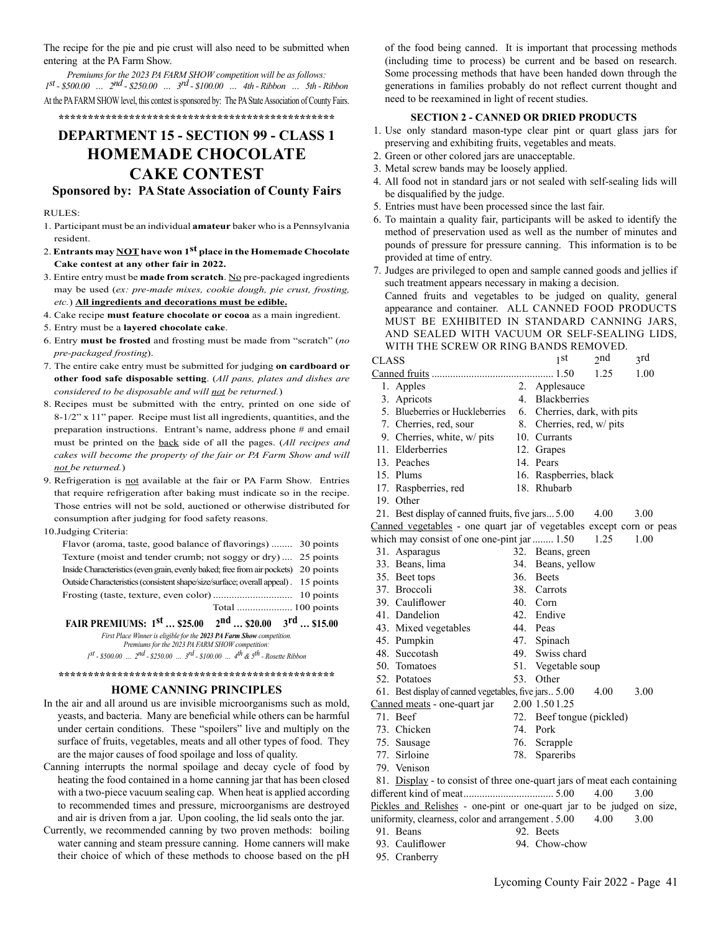The recipe for the pie and pie crust will also need to be submitted when entering at the PA Farm Show.

*Premiums for the 2023 PA FARM SHOW competition will be as follows: 1st - \$500.00 … 2nd - \$250.00 … 3rd - \$100.00 … 4th - Ribbon … 5th - Ribbon* At the PA FARM SHOW level, this contest is sponsored by: The PA State Association of County Fairs.

**\*\*\*\*\*\*\*\*\*\*\*\*\*\*\*\*\*\*\*\*\*\*\*\*\*\*\*\*\*\*\*\*\*\*\*\*\*\*\*\*\*\*\*\*\*\*\***

### **DEPARTMENT 15 - SECTION 99 - CLASS 1 HOMEMADE CHOCOLATE CAKE CONTEST**

#### **Sponsored by: PA State Association of County Fairs**

RULES:

- 1. Participant must be an individual **amateur** baker who is a Pennsylvania resident.
- 2. **Entrants may NOT have won 1st place in the Homemade Chocolate Cake contest at any other fair in 2022.**
- 3. Entire entry must be **made from scratch**. No pre-packaged ingredients may be used (*ex: pre-made mixes, cookie dough, pie crust, frosting, etc.*) **All ingredients and decorations must be edible.**
- 4. Cake recipe **must feature chocolate or cocoa** as a main ingredient.
- 5. Entry must be a **layered chocolate cake**.
- 6. Entry **must be frosted** and frosting must be made from "scratch" (*no pre-packaged frosting*).
- 7. The entire cake entry must be submitted for judging **on cardboard or other food safe disposable setting**. (*All pans, plates and dishes are considered to be disposable and will not be returned.*)
- 8. Recipes must be submitted with the entry, printed on one side of 8-1/2" x 11" paper. Recipe must list all ingredients, quantities, and the preparation instructions. Entrant's name, address phone # and email must be printed on the back side of all the pages. (*All recipes and cakes will become the property of the fair or PA Farm Show and will not be returned.*)
- 9. Refrigeration is not available at the fair or PA Farm Show. Entries that require refrigeration after baking must indicate so in the recipe. Those entries will not be sold, auctioned or otherwise distributed for consumption after judging for food safety reasons.

#### 10.Judging Criteria:

| Flavor (aroma, taste, good balance of flavorings)  30 points                       |  |
|------------------------------------------------------------------------------------|--|
| Texture (moist and tender crumb; not soggy or dry) 25 points                       |  |
| Inside Characteristics (even grain, evenly baked; free from air pockets) 20 points |  |
| Outside Characteristics (consistent shape/size/surface; overall appeal). 15 points |  |
|                                                                                    |  |
|                                                                                    |  |

**FAIR PREMIUMS: 1st … \$25.00 2nd … \$20.00 3rd … \$15.00**

*First Place Winner is eligible for the 2023 PA Farm Show competition.*

*Premiums for the 2023 PA FARM SHOW competition:* 

*1st - \$500.00 … 2nd - \$250.00 … 3rd - \$100.00 … 4th & 5th - Rosette Ribbon*

**\*\*\*\*\*\*\*\*\*\*\*\*\*\*\*\*\*\*\*\*\*\*\*\*\*\*\*\*\*\*\*\*\*\*\*\*\*\*\*\*\*\*\*\*\*\*\***

#### **HOME CANNING PRINCIPLES**

- In the air and all around us are invisible microorganisms such as mold, yeasts, and bacteria. Many are beneficial while others can be harmful under certain conditions. These "spoilers" live and multiply on the surface of fruits, vegetables, meats and all other types of food. They are the major causes of food spoilage and loss of quality.
- Canning interrupts the normal spoilage and decay cycle of food by heating the food contained in a home canning jar that has been closed with a two-piece vacuum sealing cap. When heat is applied according to recommended times and pressure, microorganisms are destroyed and air is driven from a jar. Upon cooling, the lid seals onto the jar.
- Currently, we recommended canning by two proven methods: boiling water canning and steam pressure canning. Home canners will make their choice of which of these methods to choose based on the pH

of the food being canned. It is important that processing methods (including time to process) be current and be based on research. Some processing methods that have been handed down through the generations in families probably do not reflect current thought and need to be reexamined in light of recent studies.

#### **SECTION 2 - CANNED OR DRIED PRODUCTS**

- 1. Use only standard mason-type clear pint or quart glass jars for preserving and exhibiting fruits, vegetables and meats.
- 2. Green or other colored jars are unacceptable.
- 3. Metal screw bands may be loosely applied.
- 4. All food not in standard jars or not sealed with self-sealing lids will be disqualified by the judge.
- 5. Entries must have been processed since the last fair.
- 6. To maintain a quality fair, participants will be asked to identify the method of preservation used as well as the number of minutes and pounds of pressure for pressure canning. This information is to be provided at time of entry.
- 7. Judges are privileged to open and sample canned goods and jellies if such treatment appears necessary in making a decision. Canned fruits and vegetables to be judged on quality, general

appearance and container. ALL CANNED FOOD PRODUCTS MUST BE EXHIBITED IN STANDARD CANNING JARS, AND SEALED WITH VACUUM OR SELF-SEALING LIDS,

|              | WITH THE SCREW OR RING BANDS REMOVED.                               |                              |      |
|--------------|---------------------------------------------------------------------|------------------------------|------|
| <b>CLASS</b> |                                                                     | $\gamma$ nd<br>1st           | 3rd  |
|              |                                                                     | 1.25                         | 1.00 |
|              | 1. Apples                                                           | 2. Applesauce                |      |
|              | 3. Apricots                                                         | 4. Blackberries              |      |
|              | 5. Blueberries or Huckleberries                                     | 6. Cherries, dark, with pits |      |
|              | 7. Cherries, red, sour                                              | 8. Cherries, red, w/ pits    |      |
|              | 9. Cherries, white, w/ pits                                         | 10. Currants                 |      |
|              | 11. Elderberries                                                    | 12. Grapes                   |      |
|              | 13. Peaches                                                         | 14. Pears                    |      |
|              | 15. Plums                                                           | 16. Raspberries, black       |      |
|              | 17. Raspberries, red                                                | 18. Rhubarb                  |      |
|              | 19. Other                                                           |                              |      |
|              | 21. Best display of canned fruits, five jars 5.00                   | 4.00                         | 3.00 |
|              | Canned vegetables - one quart jar of vegetables except corn or peas |                              |      |
|              | which may consist of one one-pint jar  1.50                         | 1.25                         | 1.00 |
|              | 31. Asparagus                                                       | 32. Beans, green             |      |
|              | 33. Beans, lima                                                     | 34. Beans, yellow            |      |
|              | 35. Beet tops                                                       | 36. Beets                    |      |
|              | 37. Broccoli                                                        | 38. Carrots                  |      |
|              | 39. Cauliflower                                                     | 40. Corn                     |      |
|              | 41. Dandelion                                                       | 42. Endive                   |      |
|              | 43. Mixed vegetables                                                | 44. Peas                     |      |
|              | 45. Pumpkin                                                         | 47. Spinach                  |      |
|              | 48. Succotash                                                       | 49. Swiss chard              |      |
|              | 50. Tomatoes                                                        | 51. Vegetable soup           |      |
|              | 52. Potatoes                                                        | 53. Other                    |      |
|              | 61. Best display of canned vegetables, five jars 5.00               | 4.00                         | 3.00 |
|              | Canned meats - one-quart jar                                        | 2.00 1.50 1.25               |      |
|              | 71. Beef                                                            | 72. Beef tongue (pickled)    |      |
|              | 73. Chicken                                                         | 74. Pork                     |      |
|              | $75$ Sousseg                                                        | 76 Seronnia                  |      |

- 75. Sausage 76. Scrapple
- 77. Sirloine 78. Spareribs
- 79. Venison

81. Display - to consist of three one-quart jars of meat each containing

different kind of meat.................................. 5.00 4.00 3.00

Pickles and Relishes - one-pint or one-quart jar to be judged on size, uniformity, clearness, color and arrangement . 5.00 4.00 3.00

- 91. Beans 92. Beets
- 93. Cauliflower 94. Chow-chow
- 95. Cranberry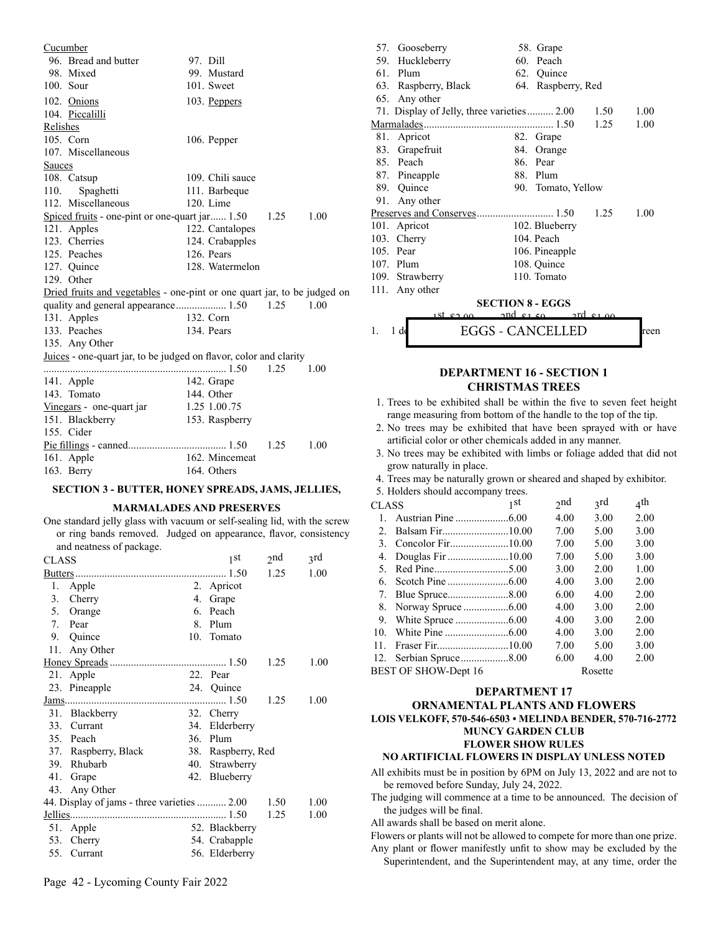|          | Cucumber                                                                 |                  |      |      |
|----------|--------------------------------------------------------------------------|------------------|------|------|
|          | 96. Bread and butter                                                     | 97. Dill         |      |      |
|          | 98. Mixed                                                                | 99. Mustard      |      |      |
|          | $100.$ Sour                                                              | 101. Sweet       |      |      |
|          | 102. Onions                                                              | 103. Peppers     |      |      |
|          | 104. Piccalilli                                                          |                  |      |      |
| Relishes |                                                                          |                  |      |      |
|          | 105. Corn                                                                | 106. Pepper      |      |      |
|          | 107. Miscellaneous                                                       |                  |      |      |
| Sauces   |                                                                          |                  |      |      |
|          | 108. Catsup                                                              | 109. Chili sauce |      |      |
|          | 110. Spaghetti                                                           | 111. Barbeque    |      |      |
|          | 112. Miscellaneous                                                       | 120. Lime        |      |      |
|          | Spiced fruits - one-pint or one-quart jar 1.50                           |                  | 1.25 | 1.00 |
|          | 121. Apples                                                              | 122. Cantalopes  |      |      |
|          | 123. Cherries                                                            | 124. Crabapples  |      |      |
|          | 125. Peaches                                                             | 126. Pears       |      |      |
|          | 127. Quince                                                              | 128. Watermelon  |      |      |
|          | 129. Other                                                               |                  |      |      |
|          | Dried fruits and vegetables - one-pint or one quart jar, to be judged on |                  |      |      |
|          |                                                                          |                  |      | 1.00 |
|          | 131. Apples                                                              | 132. Corn        |      |      |
|          | 133. Peaches                                                             | 134. Pears       |      |      |
|          | 135. Any Other                                                           |                  |      |      |
|          | Juices - one-quart jar, to be judged on flavor, color and clarity        |                  |      |      |
|          |                                                                          |                  | 1.25 | 1.00 |
|          | 141. Apple                                                               | 142. Grape       |      |      |
|          | 143. Tomato                                                              | 144. Other       |      |      |
|          | $\frac{\text{Vinegars}}{\text{1.25}}$ - one-quart jar 1.25 1.00.75       |                  |      |      |
|          | 151. Blackberry                                                          | 153. Raspberry   |      |      |
|          | 155. Cider                                                               |                  |      |      |
|          |                                                                          |                  | 1.25 | 1.00 |
|          | 161. Apple                                                               | 162. Mincemeat   |      |      |
|          | 163. Berry                                                               | 164. Others      |      |      |

#### **SECTION 3 - BUTTER, HONEY SPREADS, JAMS, JELLIES,**

#### **MARMALADES AND PRESERVES**

One standard jelly glass with vacuum or self-sealing lid, with the screw or ring bands removed. Judged on appearance, flavor, consistency and neatness of package.

| <b>CLASS</b> |                                             |          | 1 st               | 2nd  | 3rd  |
|--------------|---------------------------------------------|----------|--------------------|------|------|
|              |                                             |          |                    | 1.25 | 1.00 |
|              | 1. Apple                                    |          | 2. Apricot         |      |      |
|              | 3. Cherry                                   |          | 4. Grape           |      |      |
|              | 5. Orange                                   |          | 6. Peach           |      |      |
|              | 7. Pear                                     |          | 8. Plum            |      |      |
|              | 9. Quince                                   |          | 10. Tomato         |      |      |
|              | 11. Any Other                               |          |                    |      |      |
|              |                                             |          |                    | 1.25 | 1.00 |
|              | 21. Apple                                   | 22. Pear |                    |      |      |
|              | 23. Pineapple                               |          | 24. Quince         |      |      |
|              |                                             |          |                    | 1.25 | 1.00 |
|              | 31. Blackberry                              |          | 32. Cherry         |      |      |
|              | 33. Currant                                 |          | 34. Elderberry     |      |      |
|              | 35. Peach                                   |          | 36. Plum           |      |      |
|              | 37. Raspberry, Black                        |          | 38. Raspberry, Red |      |      |
|              | 39. Rhubarb                                 |          | 40. Strawberry     |      |      |
|              | 41. Grape                                   |          | 42. Blueberry      |      |      |
|              | 43. Any Other                               |          |                    |      |      |
|              | 44. Display of jams - three varieties  2.00 |          |                    | 1.50 | 1.00 |
|              |                                             |          |                    | 1.25 | 1.00 |
|              | 51. Apple                                   |          | 52. Blackberry     |      |      |
|              | 53. Cherry                                  |          | 54. Crabapple      |      |      |
|              | 55. Currant                                 |          | 56. Elderberry     |      |      |

| Gooseberry<br>57.                          |                         | 58. Grape          |      |      |
|--------------------------------------------|-------------------------|--------------------|------|------|
| Huckleberry<br>59.                         | 60.                     | Peach              |      |      |
| 61. Plum                                   |                         | 62. Quince         |      |      |
| 63. Raspberry, Black                       |                         | 64. Raspberry, Red |      |      |
| 65. Any other                              |                         |                    |      |      |
| 71. Display of Jelly, three varieties 2.00 |                         |                    | 1.50 | 1.00 |
|                                            |                         |                    | 1.25 | 1.00 |
| 81. Apricot                                |                         | 82. Grape          |      |      |
| 83. Grapefruit                             | 84.                     | Orange             |      |      |
| 85. Peach                                  |                         | 86. Pear           |      |      |
| 87. Pineapple                              |                         | 88. Plum           |      |      |
| 89. Quince                                 |                         | 90. Tomato, Yellow |      |      |
| 91. Any other                              |                         |                    |      |      |
|                                            |                         |                    | 1.25 | 1.00 |
| 101. Apricot                               |                         | 102. Blueberry     |      |      |
| 103. Cherry                                |                         | 104. Peach         |      |      |
| 105. Pear                                  |                         | 106. Pineapple     |      |      |
| 107. Plum                                  |                         | 108. Quince        |      |      |
| 109. Strawberry                            |                         | 110. Tomato        |      |      |
| 111. Any other                             |                         |                    |      |      |
|                                            | <b>SECTION 8 - EGGS</b> |                    |      |      |
|                                            | 151 po 00               | onderso order as   |      |      |
| 1.<br>1 de                                 | <b>EGGS - CANCELLED</b> |                    |      | reen |

#### **DEPARTMENT 16 - SECTION 1 CHRISTMAS TREES**

- 1. Trees to be exhibited shall be within the five to seven feet height range measuring from bottom of the handle to the top of the tip.
- 2. No trees may be exhibited that have been sprayed with or have artificial color or other chemicals added in any manner.
- 3. No trees may be exhibited with limbs or foliage added that did not grow naturally in place.
- 4. Trees may be naturally grown or sheared and shaped by exhibitor.
- 5. Holders should accompany trees.

| CLASS                | 1 St | 2nd                                         | 3rd     | 4 <sup>th</sup> |
|----------------------|------|---------------------------------------------|---------|-----------------|
|                      |      | 4.00                                        | 3.00    | 2.00            |
|                      |      | 7.00                                        | 5.00    | 3.00            |
|                      |      | 7.00                                        | 5.00    | 3.00            |
| 4.                   |      | 7.00                                        | 5.00    | 3.00            |
|                      |      | 3.00                                        | 2.00    | 1.00            |
|                      |      | 4.00                                        | 3.00    | 2.00            |
| 7.                   |      | 6.00                                        | 4.00    | 2.00            |
|                      |      | 4.00                                        | 3.00    | 2.00            |
|                      |      | 4.00                                        | 3.00    | 2.00            |
|                      |      | 4.00                                        | 3.00    | 2.00            |
|                      |      | 7.00                                        | 5.00    | 3.00            |
|                      |      | 6.00                                        | 4.00    | 2.00            |
| BEST OF SHOW-Dept 16 |      |                                             | Rosette |                 |
|                      |      | Douglas Fir 10.00<br>12. Serbian Spruce8.00 |         |                 |

#### **DEPARTMENT 17**

#### **ORNAMENTAL PLANTS AND FLOWERS LOIS VELKOFF, 570-546-6503 • MELINDA BENDER, 570-716-2772 MUNCY GARDEN CLUB FLOWER SHOW RULES**

#### **NO ARTIFICIAL FLOWERS IN DISPLAY UNLESS NOTED**

- All exhibits must be in position by 6PM on July 13, 2022 and are not to be removed before Sunday, July 24, 2022.
- The judging will commence at a time to be announced. The decision of the judges will be final.

All awards shall be based on merit alone.

Flowers or plants will not be allowed to compete for more than one prize.

Any plant or flower manifestly unfit to show may be excluded by the Superintendent, and the Superintendent may, at any time, order the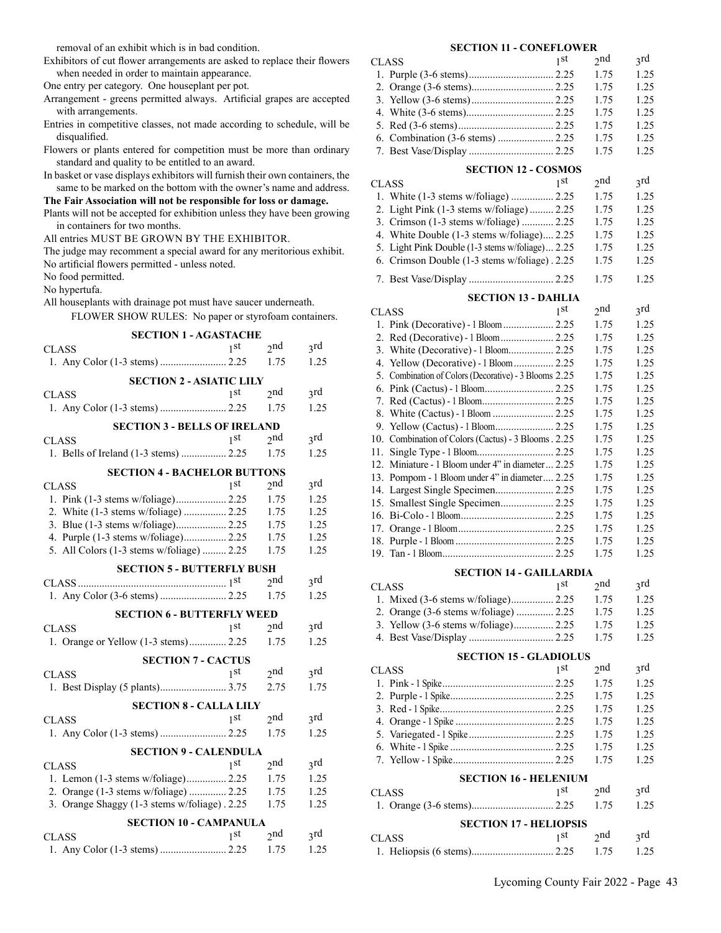removal of an exhibit which is in bad condition.

Exhibitors of cut flower arrangements are asked to replace their flowers when needed in order to maintain appearance.

One entry per category. One houseplant per pot.

- Arrangement greens permitted always. Artificial grapes are accepted with arrangements.
- Entries in competitive classes, not made according to schedule, will be disqualified.
- Flowers or plants entered for competition must be more than ordinary standard and quality to be entitled to an award.
- In basket or vase displays exhibitors will furnish their own containers, the same to be marked on the bottom with the owner's name and address.

#### **The Fair Association will not be responsible for loss or damage.**

Plants will not be accepted for exhibition unless they have been growing in containers for two months.

All entries MUST BE GROWN BY THE EXHIBITOR.

- The judge may recomment a special award for any meritorious exhibit. No artificial flowers permitted - unless noted.
- No food permitted.
- No hypertufa.

All houseplants with drainage pot must have saucer underneath.

FLOWER SHOW RULES: No paper or styrofoam containers.

| <b>SECTION 1 - AGASTACHE</b>                 |                 |             |                 |
|----------------------------------------------|-----------------|-------------|-----------------|
| <b>CLASS</b>                                 | 1 <sup>st</sup> | $\gamma$ nd | <sub>3</sub> rd |
|                                              |                 | 1.75        | 1.25            |
| <b>SECTION 2 - ASIATIC LILY</b>              |                 |             |                 |
| <b>CLASS</b>                                 | 1st             | 2nd         | 3rd             |
|                                              |                 | 1.75        | 1.25            |
| <b>SECTION 3 - BELLS OF IRELAND</b>          |                 |             |                 |
| <b>CLASS</b>                                 | 1 <sub>st</sub> | $\gamma$ nd | 3rd             |
| 1. Bells of Ireland (1-3 stems)  2.25        |                 | 1.75        | 1.25            |
| <b>SECTION 4 - BACHELOR BUTTONS</b>          |                 |             |                 |
| <b>CLASS</b>                                 | 1 <sub>st</sub> | $\gamma$ nd | 3rd             |
| 1. Pink (1-3 stems w/foliage) 2.25           |                 | 1.75        | 1.25            |
| 2. White (1-3 stems w/foliage)  2.25         |                 | 1.75        | 1.25            |
| 3. Blue (1-3 stems w/foliage) 2.25           |                 | 1.75        | 1.25            |
| 4. Purple (1-3 stems w/foliage) 2.25         |                 | 1.75        | 1.25            |
| 5. All Colors (1-3 stems w/foliage)  2.25    |                 | 1.75        | 1.25            |
| <b>SECTION 5 - BUTTERFLY BUSH</b>            |                 |             |                 |
|                                              |                 | 2nd         | 3rd             |
|                                              |                 | 1.75        | 1.25            |
| <b>SECTION 6 - BUTTERFLY WEED</b>            |                 |             |                 |
| <b>CLASS</b>                                 | 1 <sub>st</sub> | $\gamma$ nd | <sub>3</sub> rd |
| 1. Orange or Yellow (1-3 stems) 2.25         |                 | 1.75        | 1.25            |
| <b>SECTION 7 - CACTUS</b>                    |                 |             |                 |
| <b>CLASS</b>                                 | 1st             | 2nd         | 3rd             |
|                                              |                 | 2.75        | 1.75            |
| <b>SECTION 8 - CALLA LILY</b>                |                 |             |                 |
| <b>CLASS</b>                                 | 1st             | 2nd         | 3rd             |
|                                              |                 | 1.75        | 1.25            |
| <b>SECTION 9 - CALENDULA</b>                 |                 |             |                 |
| <b>CLASS</b>                                 | 1 <sub>st</sub> | 2nd         | 3rd             |
| 1. Lemon (1-3 stems w/foliage) 2.25          |                 | 1.75        | 1.25            |
| 2. Orange (1-3 stems w/foliage)  2.25        |                 | 1.75        | 1.25            |
| 3. Orange Shaggy (1-3 stems w/foliage). 2.25 |                 | 1.75        | 1.25            |
| <b>SECTION 10 - CAMPANULA</b>                |                 |             |                 |
| <b>CLASS</b>                                 | 1 <sub>st</sub> | 2nd         | 3rd             |
|                                              |                 | 1.75        | 1.25            |

## **SECTION 11 - CONEFLOWER**

| CLASS | 1 St | $\gamma$ nd | <sub>3</sub> rd |
|-------|------|-------------|-----------------|
|       |      | 1.75        | 1.25            |
|       |      | 1.75        | 1.25            |
|       |      | 1.75        | 1.25            |
|       |      | 1.75        | 1.25            |
|       |      | 1.75        | 1.25            |
|       |      | 1.75        | 1.25            |
|       |      | 1.75        | 1.25            |

|     | <b>SECTION 12 - COSMOS</b>                            |                 |                 |      |
|-----|-------------------------------------------------------|-----------------|-----------------|------|
|     | CLASS                                                 | 1 <sub>st</sub> | 2nd             | 3rd  |
|     | 1. White (1-3 stems w/foliage)  2.25                  |                 | 1.75            | 1.25 |
|     | 2. Light Pink (1-3 stems w/foliage)  2.25             |                 | 1.75            | 1.25 |
|     |                                                       |                 |                 | 1.25 |
|     | 3. Crimson (1-3 stems w/foliage)  2.25                |                 | 1.75<br>1.75    | 1.25 |
|     | 4. White Double (1-3 stems w/foliage) 2.25            |                 |                 |      |
|     | 5. Light Pink Double (1-3 stems w/foliage) 2.25       |                 | 1.75            | 1.25 |
| 6.  | Crimson Double (1-3 stems w/foliage). 2.25            |                 | 1.75            | 1.25 |
|     | 7. Best Vase/Display  2.25                            |                 | 1.75            | 1.25 |
|     | <b>SECTION 13 - DAHLIA</b>                            |                 |                 |      |
|     | CLASS                                                 | 1 st            | 2 <sub>nd</sub> | 3rd  |
|     | 1. Pink (Decorative) - 1 Bloom  2.25                  |                 | 1.75            | 1.25 |
|     | 2. Red (Decorative) - 1 Bloom 2.25                    |                 | 1.75            | 1.25 |
|     | 3. White (Decorative) - 1 Bloom 2.25                  |                 | 1.75            | 1.25 |
| 4.  | Yellow (Decorative) - 1 Bloom  2.25                   |                 | 1.75            | 1.25 |
|     | 5. Combination of Colors (Decorative) - 3 Blooms 2.25 |                 | 1.75            | 1.25 |
|     | 6. Pink (Cactus) - 1 Bloom 2.25                       |                 | 1.75            | 1.25 |
| 7.  | Red (Cactus) - 1 Bloom 2.25                           |                 | 1.75            | 1.25 |
| 8.  |                                                       |                 | 1.75            | 1.25 |
|     | 9. Yellow (Cactus) - 1 Bloom 2.25                     |                 | 1.75            | 1.25 |
|     | 10. Combination of Colors (Cactus) - 3 Blooms . 2.25  |                 | 1.75            | 1.25 |
| 11. |                                                       |                 |                 | 1.25 |
|     | Miniature - 1 Bloom under 4" in diameter  2.25        |                 | 1.75            |      |
| 12. |                                                       |                 | 1.75            | 1.25 |
| 13. | Pompom - 1 Bloom under 4" in diameter 2.25            |                 | 1.75            | 1.25 |
| 14. | Largest Single Specimen 2.25                          |                 | 1.75            | 1.25 |
|     | 15. Smallest Single Specimen 2.25                     |                 | 1.75            | 1.25 |
|     |                                                       |                 | 1.75            | 1.25 |
| 17. |                                                       |                 | 1.75            | 1.25 |
| 18. |                                                       |                 | 1.75            | 1.25 |
| 19. |                                                       |                 | 1.75            | 1.25 |
|     | <b>SECTION 14 - GAILLARDIA</b>                        |                 |                 |      |
|     | CLASS                                                 | 1st             | 2nd             | 3rd  |
|     | 1. Mixed (3-6 stems w/foliage) 2.25                   |                 | 1.75            | 1.25 |
|     | 2. Orange (3-6 stems w/foliage)  2.25                 |                 | 1.75            | 1.25 |
|     | 3. Yellow (3-6 stems w/foliage) 2.25                  |                 | 1.75            | 1.25 |
|     |                                                       |                 | 1.75            | 1.25 |
|     | <b>SECTION 15 - GLADIOLUS</b>                         |                 |                 |      |
|     | <b>CLASS</b>                                          | 1 <sub>st</sub> | 2nd             | 3rd  |
|     |                                                       |                 | 1.75            | 1.25 |
|     |                                                       |                 | 1.75            | 1.25 |
|     |                                                       |                 | 1.75            | 1.25 |
|     |                                                       |                 | 1.75            | 1.25 |
|     |                                                       |                 | 1.75            | 1.25 |
|     |                                                       |                 | 1.75            | 1.25 |
|     |                                                       |                 | 1.75            | 1.25 |
|     |                                                       |                 |                 |      |
|     | <b>SECTION 16 - HELENIUM</b>                          |                 | 2nd             | 3rd  |
|     | CLASS                                                 | 1 <sup>st</sup> |                 |      |
|     |                                                       |                 | 1.75            | 1.25 |
|     | <b>SECTION 17 - HELIOPSIS</b>                         |                 |                 |      |
|     | CLASS                                                 | 1 <sup>st</sup> | 2nd             | 3rd  |
|     |                                                       |                 | 1.75            | 1.25 |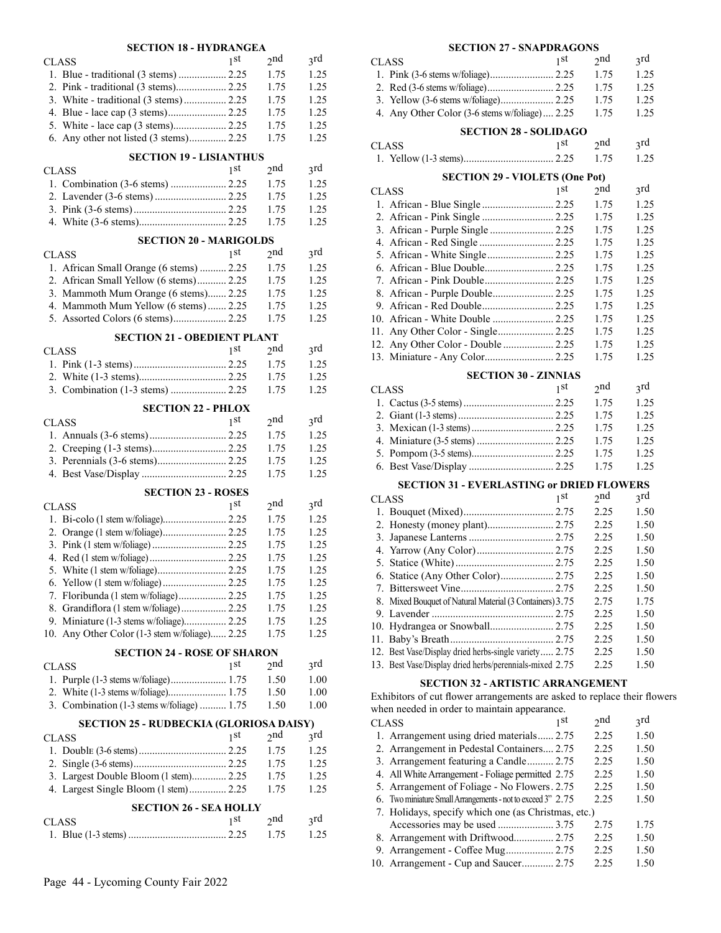|                                                | <b>SECTION 18 - HYDRANGEA</b> |                 |              |
|------------------------------------------------|-------------------------------|-----------------|--------------|
| CLASS                                          | 1st                           | <sub>2</sub> nd | 3rd          |
|                                                |                               | 1.75            | 1.25         |
| 2. Pink - traditional (3 stems) 2.25           |                               | 1.75            | 1.25         |
| 3. White - traditional (3 stems) 2.25          |                               | 1.75            | 1.25         |
| 4. Blue - lace cap (3 stems) 2.25              |                               | 1.75            | 1.25         |
| 5. White - lace cap (3 stems) 2.25             |                               | 1.75            | 1.25         |
| 6. Any other not listed (3 stems) 2.25         |                               | 1.75            | 1.25         |
| <b>SECTION 19 - LISIANTHUS</b>                 |                               |                 |              |
|                                                | 1 <sub>st</sub>               | 2 <sub>nd</sub> | 3rd          |
| <b>CLASS</b>                                   |                               |                 |              |
| 1. Combination (3-6 stems)  2.25               |                               | 1.75            | 1.25         |
|                                                |                               | 1.75            | 1.25         |
|                                                |                               | 1.75            | 1.25         |
|                                                |                               | 1.75            | 1.25         |
| <b>SECTION 20 - MARIGOLDS</b>                  |                               |                 |              |
| <b>CLASS</b>                                   | 1st                           | 2nd             | 3rd          |
| 1. African Small Orange (6 stems)  2.25        |                               | 1.75            | 1.25         |
| 2. African Small Yellow (6 stems) 2.25         |                               | 1.75            | 1.25         |
| 3. Mammoth Mum Orange (6 stems) 2.25           |                               | 1.75            | 1.25         |
| 4. Mammoth Mum Yellow (6 stems)  2.25          |                               | 1.75            | 1.25         |
| 5. Assorted Colors (6 stems) 2.25              |                               | 1.75            | 1.25         |
|                                                |                               |                 |              |
| <b>SECTION 21 - OBEDIENT PLANT</b>             |                               |                 |              |
| <b>CLASS</b>                                   | 1st                           | 2nd             | 3rd          |
|                                                |                               | 1.75            | 1.25         |
|                                                |                               | 1.75            | 1.25         |
| 3. Combination (1-3 stems)  2.25               |                               | 1.75            | 1.25         |
| <b>SECTION 22 - PHLOX</b>                      |                               |                 |              |
| <b>CLASS</b>                                   | 1st                           | 2 <sub>nd</sub> | 3rd          |
|                                                |                               |                 |              |
|                                                |                               | 1.75            | 1.25         |
|                                                |                               | 1.75            | 1.25         |
| 3. Perennials (3-6 stems) 2.25                 |                               | 1.75            | 1.25         |
|                                                |                               | 1.75            | 1.25         |
| <b>SECTION 23 - ROSES</b>                      |                               |                 |              |
|                                                |                               |                 |              |
| <b>CLASS</b>                                   | 1 <sup>st</sup>               | 2nd             | 3rd          |
|                                                |                               | 1.75            | 1.25         |
|                                                |                               | 1.75            | 1.25         |
|                                                |                               | 1.75            | 1.25         |
|                                                |                               | 1.75            | 1.25         |
|                                                |                               |                 |              |
|                                                |                               | 1.75<br>1.75    | 1.25         |
| 6. Yellow (1 stem w/foliage) 2.25              |                               |                 | 1.25         |
| 7. Floribunda (1 stem w/foliage) 2.25          |                               | 1.75<br>1.75    | 1.25<br>1.25 |
| 8. Grandiflora (1 stem w/foliage) 2.25         |                               |                 |              |
| 9. Miniature (1-3 stems w/foliage) 2.25        |                               | 1.75<br>1.75    | 1.25<br>1.25 |
| 10. Any Other Color (1-3 stem w/foliage) 2.25  |                               |                 |              |
| <b>SECTION 24 - ROSE OF SHARON</b>             |                               |                 |              |
| CLASS                                          | 1st                           | 2nd             | 3rd          |
| 1. Purple (1-3 stems w/foliage) 1.75           |                               | 1.50            | 1.00         |
|                                                |                               | 1.50            | 1.00         |
| 3. Combination (1-3 stems w/foliage)  1.75     |                               | 1.50            | 1.00         |
|                                                |                               |                 |              |
| <b>SECTION 25 - RUDBECKIA (GLORIOSA DAISY)</b> |                               | 2nd             |              |
| <b>CLASS</b>                                   | 1 <sup>st</sup>               |                 | 3rd          |
|                                                |                               | 1.75            | 1.25         |
|                                                |                               | 1.75            | 1.25         |
| 3. Largest Double Bloom (1 stem) 2.25          |                               | 1.75            | 1.25         |
| 4. Largest Single Bloom (1 stem) 2.25          |                               | 1.75            | 1.25         |
| <b>SECTION 26 - SEA HOLLY</b>                  |                               |                 |              |
| <b>CLASS</b>                                   | 1st                           | 2nd             | 3rd          |
|                                                |                               | 1.75            | 1.25         |

#### **SECTION 27 - SNAPDRAGONS**

| <b>CLASS</b>                                                             | 1 <sub>st</sub> | 2 <sub>nd</sub> | 3rd  |
|--------------------------------------------------------------------------|-----------------|-----------------|------|
|                                                                          |                 | 1.75            | 1.25 |
|                                                                          |                 | 1.75            | 1.25 |
| 3. Yellow (3-6 stems w/foliage) 2.25                                     |                 | 1.75            | 1.25 |
| 4. Any Other Color (3-6 stems w/foliage) 2.25                            |                 | 1.75            | 1.25 |
| <b>SECTION 28 - SOLIDAGO</b>                                             |                 |                 |      |
| CLASS                                                                    | 1st             | 2nd             | 3rd  |
|                                                                          |                 | 1.75            | 1.25 |
|                                                                          |                 |                 |      |
| <b>SECTION 29 - VIOLETS (One Pot)</b>                                    |                 |                 |      |
| <b>CLASS</b>                                                             | 1st             | 2 <sub>nd</sub> | 3rd  |
|                                                                          |                 | 1.75            | 1.25 |
| 2. African - Pink Single  2.25                                           |                 | 1.75            | 1.25 |
| 3. African - Purple Single  2.25                                         |                 | 1.75            | 1.25 |
|                                                                          |                 | 1.75            | 1.25 |
|                                                                          |                 | 1.75            | 1.25 |
| 6. African - Blue Double 2.25                                            |                 | 1.75            | 1.25 |
|                                                                          |                 | 1.75            | 1.25 |
| 8. African - Purple Double 2.25                                          |                 | 1.75            | 1.25 |
|                                                                          |                 | 1.75            | 1.25 |
|                                                                          |                 | 1.75            | 1.25 |
| 11. Any Other Color - Single 2.25                                        |                 | 1.75            | 1.25 |
| 12. Any Other Color - Double  2.25                                       |                 | 1.75            | 1.25 |
| 13. Miniature - Any Color 2.25                                           |                 | 1.75            | 1.25 |
| <b>SECTION 30 - ZINNIAS</b>                                              |                 |                 |      |
| <b>CLASS</b>                                                             | 1st             | 2nd             | 3rd  |
|                                                                          |                 | 1.75            | 1.25 |
|                                                                          |                 | 1.75            | 1.25 |
|                                                                          |                 | 1.75            | 1.25 |
|                                                                          |                 | 1.75            | 1.25 |
|                                                                          |                 | 1.75            | 1.25 |
|                                                                          |                 | 1.75            | 1.25 |
|                                                                          |                 |                 |      |
| <b>SECTION 31 - EVERLASTING or DRIED FLOWERS</b>                         |                 |                 |      |
| CLASS                                                                    | 1 <sub>st</sub> | 2nd             | 3rd  |
|                                                                          |                 | 2.25            | 1.50 |
|                                                                          |                 | 2.25            | 1.50 |
|                                                                          |                 | 2.25            | 1.50 |
|                                                                          |                 | 2.25            | 1.50 |
|                                                                          |                 | 2.25            | 1.50 |
| 6. Statice (Any Other Color) 2.75                                        |                 | 2.25            | 1.50 |
|                                                                          |                 | 2.25            | 1.50 |
| 8. Mixed Bouquet of Natural Material (3 Containers) 3.75                 |                 | 2.75            | 1.75 |
|                                                                          |                 | 2.25            | 1.50 |
| 10. Hydrangea or Snowball 2.75                                           |                 | 2.25            | 1.50 |
|                                                                          |                 | 2.25            | 1.50 |
| 12. Best Vase/Display dried herbs-single variety 2.75                    |                 | 2.25            | 1.50 |
| 13. Best Vase/Display dried herbs/perennials-mixed 2.75                  |                 | 2.25            | 1.50 |
| <b>SECTION 32 - ARTISTIC ARRANGEMENT</b>                                 |                 |                 |      |
| Exhibitors of cut flower arrangements are asked to replace their flowers |                 |                 |      |
| when needed in order to maintain appearance.                             |                 |                 |      |

| <b>CLASS</b>                                                | 1 st | 2nd  | 3rd  |
|-------------------------------------------------------------|------|------|------|
| 1. Arrangement using dried materials 2.75                   |      | 2.25 | 1.50 |
| 2. Arrangement in Pedestal Containers 2.75                  |      | 2.25 | 1.50 |
| 3. Arrangement featuring a Candle 2.75                      |      | 2.25 | 1.50 |
| 4. All White Arrangement - Foliage permitted 2.75           |      | 2.25 | 1.50 |
| 5. Arrangement of Foliage - No Flowers. 2.75                |      | 2.25 | 1.50 |
| 6. Two miniature Small Arrangements - not to exceed 3" 2.75 |      | 2.25 | 1.50 |
| 7. Holidays, specify which one (as Christmas, etc.)         |      |      |      |
|                                                             |      | 2.75 | 1.75 |
| 8. Arrangement with Driftwood 2.75                          |      | 2.25 | 1.50 |
|                                                             |      | 2.25 | 1.50 |
| 10. Arrangement - Cup and Saucer 2.75                       |      | 2.25 | 1.50 |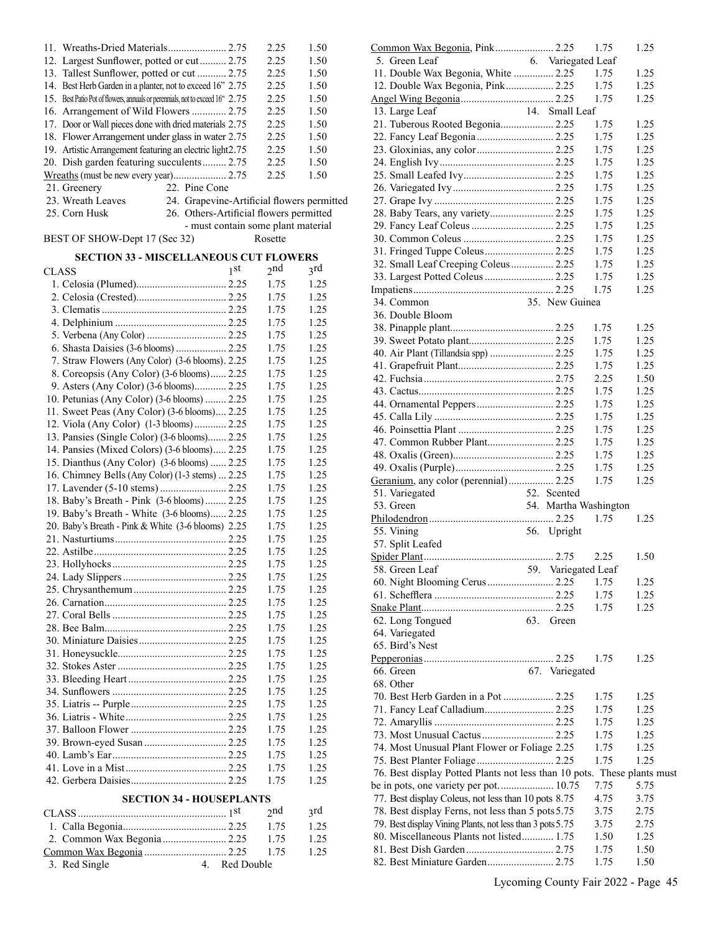| 11.          |                                                                              |                 | 2.25    | 1.50 |
|--------------|------------------------------------------------------------------------------|-----------------|---------|------|
|              | 12. Largest Sunflower, potted or cut 2.75                                    |                 | 2.25    | 1.50 |
| 13.          | Tallest Sunflower, potted or cut  2.75                                       |                 | 2.25    | 1.50 |
|              | 14. Best Herb Garden in a planter, not to exceed 16" 2.75                    |                 | 2.25    | 1.50 |
|              | 15. Best Patio Pot of flowers, annuals or perennials, not to exceed 16" 2.75 |                 | 2.25    | 1.50 |
| 16.          | Arrangement of Wild Flowers  2.75                                            |                 | 2.25    | 1.50 |
|              | 17. Door or Wall pieces done with dried materials 2.75                       |                 | 2.25    | 1.50 |
|              | 18. Flower Arrangement under glass in water 2.75                             |                 | 2.25    | 1.50 |
|              | 19. Artistic Arrangement featuring an electric light2.75                     |                 | 2.25    | 1.50 |
|              | 20. Dish garden featuring succulents 2.75                                    |                 | 2.25    | 1.50 |
|              | Wreaths (must be new every year) 2.75                                        |                 | 2.25    | 1.50 |
|              | 22. Pine Cone<br>21. Greenery                                                |                 |         |      |
|              | 23. Wreath Leaves<br>24. Grapevine-Artificial flowers permitted              |                 |         |      |
|              | 25. Corn Husk<br>26. Others-Artificial flowers permitted                     |                 |         |      |
|              | - must contain some plant material                                           |                 |         |      |
|              | BEST OF SHOW-Dept 17 (Sec 32)                                                |                 | Rosette |      |
|              |                                                                              |                 |         |      |
|              | <b>SECTION 33 - MISCELLANEOUS CUT FLOWERS</b>                                |                 |         |      |
| <b>CLASS</b> |                                                                              | 1 <sub>st</sub> | 2nd     | 3rd  |
|              |                                                                              |                 | 1.75    | 1.25 |
|              |                                                                              |                 | 1.75    | 1.25 |
|              |                                                                              |                 | 1.75    | 1.25 |
|              |                                                                              |                 | 1.75    | 1.25 |
|              | 5. Verbena (Any Color)  2.25                                                 |                 | 1.75    | 1.25 |
|              | 6. Shasta Daisies (3-6 blooms)  2.25                                         |                 | 1.75    | 1.25 |
|              | 7. Straw Flowers (Any Color) (3-6 blooms). 2.25                              |                 | 1.75    | 1.25 |
|              | 8. Coreopsis (Any Color) (3-6 blooms) 2.25                                   |                 | 1.75    | 1.25 |
|              | 9. Asters (Any Color) (3-6 blooms) 2.25                                      |                 | 1.75    | 1.25 |
|              | 10. Petunias (Any Color) (3-6 blooms)  2.25                                  |                 | 1.75    | 1.25 |
|              | 11. Sweet Peas (Any Color) (3-6 blooms) 2.25                                 |                 | 1.75    | 1.25 |
|              | 12. Viola (Any Color) (1-3 blooms) 2.25                                      |                 | 1.75    | 1.25 |
|              | 13. Pansies (Single Color) (3-6 blooms) 2.25                                 |                 | 1.75    | 1.25 |
|              | 14. Pansies (Mixed Colors) (3-6 blooms) 2.25                                 |                 | 1.75    | 1.25 |
|              | 15. Dianthus (Any Color) (3-6 blooms)  2.25                                  |                 | 1.75    | 1.25 |
|              | 16. Chimney Bells (Any Color) (1-3 stems)  2.25                              |                 | 1.75    | 1.25 |
|              | 17. Lavender (5-10 stems)  2.25                                              |                 | 1.75    | 1.25 |
|              | 18. Baby's Breath - Pink (3-6 blooms)  2.25                                  |                 | 1.75    | 1.25 |
|              | 19. Baby's Breath - White (3-6 blooms) 2.25                                  |                 | 1.75    | 1.25 |
|              | 20. Baby's Breath - Pink & White (3-6 blooms) 2.25                           |                 | 1.75    | 1.25 |
|              |                                                                              |                 | 1.75    | 1.25 |
|              |                                                                              |                 | 1.75    | 1.25 |
|              |                                                                              |                 | 1.75    | 1.25 |
|              |                                                                              |                 | 1.75    | 1.25 |
|              |                                                                              |                 | 1.75    | 1.25 |
|              |                                                                              |                 | 1.75    | 1.25 |
|              |                                                                              |                 | 1.75    | 1.25 |
|              |                                                                              |                 | 1.75    | 1.25 |
|              |                                                                              |                 | 1.75    | 1.25 |
|              |                                                                              |                 | 1.75    | 1.25 |
|              |                                                                              |                 | 1.75    | 1.25 |
|              |                                                                              |                 | 1.75    | 1.25 |
|              |                                                                              |                 | 1.75    | 1.25 |
|              |                                                                              |                 | 1.75    | 1.25 |
|              |                                                                              |                 | 1.75    | 1.25 |
|              |                                                                              |                 | 1.75    | 1.25 |
|              | 39. Brown-eyed Susan  2.25                                                   |                 | 1.75    | 1.25 |
|              |                                                                              |                 | 1.75    | 1.25 |
|              |                                                                              |                 | 1.75    | 1.25 |
|              |                                                                              |                 | 1.75    | 1.25 |
|              | <b>SECTION 34 - HOUSEPLANTS</b>                                              |                 |         |      |
|              |                                                                              |                 | 2nd     | 3rd  |
|              |                                                                              |                 | 1.75    | 1.25 |
|              | 2. Common Wax Begonia  2.25                                                  |                 | 1.75    | 1.25 |
|              |                                                                              |                 |         |      |

Common Wax Begonia ............................... 2.25 1.75 1.25

3. Red Single 4. Red Double

| Common Wax Begonia, Pink 2.25                                           |                       | 1.75 | 1.25 |  |
|-------------------------------------------------------------------------|-----------------------|------|------|--|
| 5. Green Leaf                                                           | 6. Variegated Leaf    |      |      |  |
| 11. Double Wax Begonia, White  2.25                                     |                       | 1.75 | 1.25 |  |
| 12. Double Wax Begonia, Pink 2.25                                       |                       | 1.75 | 1.25 |  |
|                                                                         |                       | 1.75 | 1.25 |  |
| 13. Large Leaf                                                          | 14. Small Leaf        |      |      |  |
| 21. Tuberous Rooted Begonia 2.25                                        |                       | 1.75 | 1.25 |  |
|                                                                         |                       |      |      |  |
| 22. Fancy Leaf Begonia  2.25                                            |                       | 1.75 | 1.25 |  |
|                                                                         |                       | 1.75 | 1.25 |  |
|                                                                         |                       | 1.75 | 1.25 |  |
|                                                                         |                       | 1.75 | 1.25 |  |
|                                                                         |                       | 1.75 | 1.25 |  |
|                                                                         |                       | 1.75 | 1.25 |  |
| 28. Baby Tears, any variety 2.25                                        |                       | 1.75 | 1.25 |  |
|                                                                         |                       | 1.75 | 1.25 |  |
|                                                                         |                       | 1.75 | 1.25 |  |
|                                                                         |                       |      |      |  |
| 31. Fringed Tuppe Coleus 2.25                                           |                       | 1.75 | 1.25 |  |
| 32. Small Leaf Creeping Coleus 2.25                                     |                       | 1.75 | 1.25 |  |
| 33. Largest Potted Coleus  2.25                                         |                       | 1.75 | 1.25 |  |
|                                                                         |                       | 1.75 | 1.25 |  |
| 34. Common                                                              | 35. New Guinea        |      |      |  |
| 36. Double Bloom                                                        |                       |      |      |  |
|                                                                         |                       | 1.75 | 1.25 |  |
|                                                                         |                       | 1.75 | 1.25 |  |
| 40. Air Plant (Tillandsia spp)  2.25                                    |                       | 1.75 | 1.25 |  |
|                                                                         |                       |      |      |  |
|                                                                         |                       | 1.75 | 1.25 |  |
|                                                                         |                       | 2.25 | 1.50 |  |
|                                                                         |                       | 1.75 | 1.25 |  |
| 44. Ornamental Peppers 2.25                                             |                       | 1.75 | 1.25 |  |
|                                                                         |                       | 1.75 | 1.25 |  |
|                                                                         |                       | 1.75 | 1.25 |  |
| 47. Common Rubber Plant 2.25                                            |                       | 1.75 | 1.25 |  |
|                                                                         |                       | 1.75 | 1.25 |  |
|                                                                         |                       | 1.75 | 1.25 |  |
| Geranium, any color (perennial) 2.25                                    |                       | 1.75 | 1.25 |  |
| 51. Variegated                                                          | 52. Scented           |      |      |  |
|                                                                         |                       |      |      |  |
| 53. Green                                                               | 54. Martha Washington |      |      |  |
|                                                                         |                       | 1.75 | 1.25 |  |
| 55. Vining                                                              | 56. Upright           |      |      |  |
| 57. Split Leafed                                                        |                       |      |      |  |
|                                                                         |                       | 2.25 | 1.50 |  |
| 58. Green Leaf                                                          | 59. Variegated Leaf   |      |      |  |
| 60. Night Blooming Cerus 2.25                                           |                       | 1.75 | 1.25 |  |
|                                                                         |                       | 1.75 | 1.25 |  |
|                                                                         |                       | 1.75 | 1.25 |  |
| 62. Long Tongued                                                        | 63.<br>Green          |      |      |  |
| 64. Variegated                                                          |                       |      |      |  |
|                                                                         |                       |      |      |  |
| 65. Bird's Nest                                                         |                       |      |      |  |
|                                                                         |                       | 1.75 | 1.25 |  |
| 66. Green                                                               | 67. Variegated        |      |      |  |
| 68. Other                                                               |                       |      |      |  |
| 70. Best Herb Garden in a Pot  2.25                                     |                       | 1.75 | 1.25 |  |
| 71. Fancy Leaf Calladium 2.25                                           |                       | 1.75 | 1.25 |  |
|                                                                         |                       | 1.75 | 1.25 |  |
| 73. Most Unusual Cactus 2.25                                            |                       | 1.75 | 1.25 |  |
| 74. Most Unusual Plant Flower or Foliage 2.25                           |                       | 1.75 | 1.25 |  |
|                                                                         |                       |      |      |  |
| 75. Best Planter Foliage 2.25                                           |                       | 1.75 | 1.25 |  |
| 76. Best display Potted Plants not less than 10 pots. These plants must |                       |      |      |  |
| be in pots, one variety per pot 10.75                                   |                       | 7.75 | 5.75 |  |
| 77. Best display Coleus, not less than 10 pots 8.75                     |                       | 4.75 | 3.75 |  |
| 78. Best display Ferns, not less than 5 pots 5.75                       |                       | 3.75 | 2.75 |  |
| 79. Best display Vining Plants, not less than 3 pots 5.75               |                       | 3.75 | 2.75 |  |
| 80. Miscellaneous Plants not listed 1.75                                |                       | 1.50 | 1.25 |  |
|                                                                         |                       | 1.75 | 1.50 |  |
|                                                                         |                       | 1.75 | 1.50 |  |
|                                                                         |                       |      |      |  |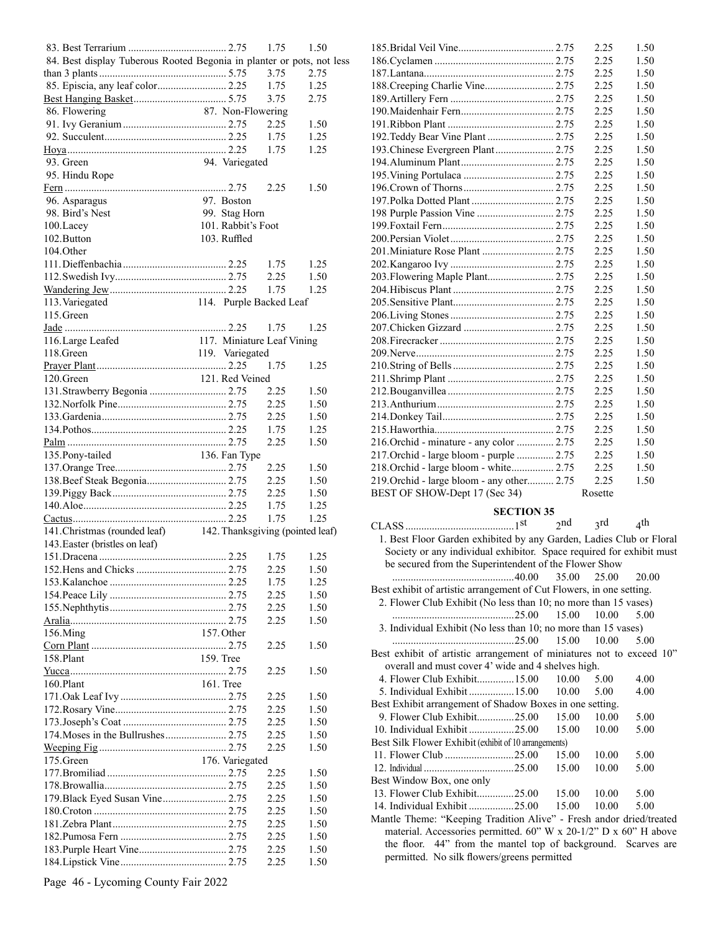|                                                                       |                            | 1.75 | 1.50 |
|-----------------------------------------------------------------------|----------------------------|------|------|
| 84. Best display Tuberous Rooted Begonia in planter or pots, not less |                            |      |      |
|                                                                       |                            | 3.75 | 2.75 |
| 85. Episcia, any leaf color 2.25                                      |                            | 1.75 | 1.25 |
|                                                                       |                            | 3.75 | 2.75 |
| 86. Flowering                                                         | 87. Non-Flowering          |      |      |
|                                                                       |                            | 2.25 | 1.50 |
|                                                                       |                            | 1.75 | 1.25 |
|                                                                       |                            | 1.75 | 1.25 |
| 93. Green                                                             | 94. Variegated             |      |      |
|                                                                       |                            |      |      |
| 95. Hindu Rope                                                        |                            |      |      |
|                                                                       |                            | 2.25 | 1.50 |
| 96. Asparagus                                                         | 97. Boston                 |      |      |
| 98. Bird's Nest                                                       | 99. Stag Horn              |      |      |
| 100.Lacey                                                             | 101. Rabbit's Foot         |      |      |
| 102. Button                                                           | 103. Ruffled               |      |      |
| 104.Other                                                             |                            |      |      |
|                                                                       |                            | 1.75 | 1.25 |
|                                                                       |                            | 2.25 | 1.50 |
|                                                                       |                            | 1.75 | 1.25 |
| 113. Variegated                                                       | 114. Purple Backed Leaf    |      |      |
| 115. Green                                                            |                            |      |      |
|                                                                       |                            | 1.75 | 1.25 |
| 116. Large Leafed                                                     | 117. Miniature Leaf Vining |      |      |
| 118.Green                                                             | 119. Variegated            |      |      |
|                                                                       |                            | 1.75 | 1.25 |
| 120. Green                                                            | 121. Red Veined            |      |      |
| 131. Strawberry Begonia  2.75                                         |                            | 2.25 | 1.50 |
|                                                                       |                            | 2.25 | 1.50 |
|                                                                       |                            | 2.25 | 1.50 |
|                                                                       |                            | 1.75 | 1.25 |
|                                                                       |                            | 2.25 | 1.50 |
|                                                                       |                            |      |      |
| 135. Pony-tailed                                                      | 136. Fan Type              |      |      |
|                                                                       |                            | 2.25 | 1.50 |
| 138. Beef Steak Begonia 2.75                                          |                            | 2.25 | 1.50 |
|                                                                       |                            | 2.25 | 1.50 |
|                                                                       |                            | 1.75 | 1.25 |
|                                                                       |                            | 1.75 | 1.25 |
| 141. Christmas (rounded leaf) 142. Thanksgiving (pointed leaf)        |                            |      |      |
| 143. Easter (bristles on leaf)                                        |                            |      |      |
|                                                                       |                            | 1.75 | 1.25 |
|                                                                       |                            | 2.25 | 1.50 |
|                                                                       |                            | 1.75 | 1.25 |
|                                                                       |                            | 2.25 | 1.50 |
|                                                                       |                            | 2.25 | 1.50 |
|                                                                       |                            | 2.25 | 1.50 |
| 156.Ming                                                              | 157. Other                 |      |      |
|                                                                       |                            | 2.25 | 1.50 |
| 158.Plant                                                             | 159. Tree                  |      |      |
|                                                                       |                            | 2.25 | 1.50 |
| 160.Plant                                                             | 161. Tree                  |      |      |
|                                                                       |                            | 2.25 | 1.50 |
|                                                                       |                            | 2.25 | 1.50 |
|                                                                       |                            | 2.25 | 1.50 |
| 174. Moses in the Bullrushes 2.75                                     |                            | 2.25 | 1.50 |
|                                                                       |                            | 2.25 | 1.50 |
| 175. Green                                                            | 176. Variegated            |      |      |
|                                                                       |                            | 2.25 | 1.50 |
|                                                                       |                            |      |      |
|                                                                       |                            | 2.25 | 1.50 |
| 179. Black Eyed Susan Vine 2.75                                       |                            | 2.25 | 1.50 |
|                                                                       |                            | 2.25 | 1.50 |
|                                                                       |                            | 2.25 | 1.50 |
|                                                                       |                            | 2.25 | 1.50 |
|                                                                       |                            | 2.25 | 1.50 |
|                                                                       |                            | 2.25 | 1.50 |

|                                            | 2.25    | 1.50 |
|--------------------------------------------|---------|------|
|                                            | 2.25    | 1.50 |
|                                            | 2.25    | 1.50 |
| 188. Creeping Charlie Vine 2.75            | 2.25    | 1.50 |
|                                            | 2.25    | 1.50 |
|                                            | 2.25    | 1.50 |
|                                            | 2.25    | 1.50 |
| 192. Teddy Bear Vine Plant  2.75           | 2.25    | 1.50 |
| 193. Chinese Evergreen Plant 2.75          | 2.25    | 1.50 |
|                                            | 2.25    | 1.50 |
|                                            | 2.25    | 1.50 |
|                                            | 2.25    | 1.50 |
| 197. Polka Dotted Plant  2.75              | 2.25    | 1.50 |
| 198 Purple Passion Vine  2.75              | 2.25    | 1.50 |
|                                            | 2.25    | 1.50 |
|                                            | 2.25    | 1.50 |
|                                            | 2.25    | 1.50 |
|                                            | 2.25    | 1.50 |
| 203. Flowering Maple Plant 2.75            | 2.25    | 1.50 |
|                                            | 2.25    | 1.50 |
|                                            | 2.25    | 1.50 |
|                                            | 2.25    | 1.50 |
|                                            | 2.25    | 1.50 |
|                                            | 2.25    | 1.50 |
|                                            | 2.25    | 1.50 |
|                                            | 2.25    | 1.50 |
|                                            | 2.25    | 1.50 |
|                                            | 2.25    | 1.50 |
|                                            | 2.25    | 1.50 |
|                                            | 2.25    | 1.50 |
|                                            | 2.25    | 1.50 |
| 216. Orchid - minature - any color  2.75   | 2.25    | 1.50 |
| 217. Orchid - large bloom - purple  2.75   | 2.25    | 1.50 |
| 218. Orchid - large bloom - white 2.75     | 2.25    | 1.50 |
| 219. Orchid - large bloom - any other 2.75 | 2.25    | 1.50 |
| BEST OF SHOW-Dept 17 (Sec 34)              | Rosette |      |
|                                            |         |      |

#### **SECTION 35**

|                                                                      |       |       | $_4$ th |  |
|----------------------------------------------------------------------|-------|-------|---------|--|
| 1. Best Floor Garden exhibited by any Garden, Ladies Club or Floral  |       |       |         |  |
| Society or any individual exhibitor. Space required for exhibit must |       |       |         |  |
| be secured from the Superintendent of the Flower Show                |       |       |         |  |
|                                                                      |       |       | 20.00   |  |
| Best exhibit of artistic arrangement of Cut Flowers, in one setting. |       |       |         |  |
| 2. Flower Club Exhibit (No less than 10; no more than 15 vases)      |       |       |         |  |
|                                                                      |       |       | 5.00    |  |
| 3. Individual Exhibit (No less than 10; no more than 15 vases)       |       |       |         |  |
|                                                                      |       |       | 5.00    |  |
| Best exhibit of artistic arrangement of miniatures not to exceed 10" |       |       |         |  |
| overall and must cover 4' wide and 4 shelves high.                   |       |       |         |  |
| 4. Flower Club Exhibit 15.00                                         | 10.00 | 5.00  | 4.00    |  |
| 5. Individual Exhibit  15.00 10.00                                   |       | 5.00  | 4.00    |  |
| Best Exhibit arrangement of Shadow Boxes in one setting.             |       |       |         |  |
| 9. Flower Club Exhibit25.00                                          | 15.00 | 10.00 | 5.00    |  |
| 10. Individual Exhibit 25.00                                         | 15.00 | 10.00 | 5.00    |  |
| Best Silk Flower Exhibit (exhibit of 10 arrangements)                |       |       |         |  |
| 11. Flower Club 25.00                                                | 15.00 | 10.00 | 5.00    |  |
|                                                                      | 15.00 | 10.00 | 5.00    |  |
| Best Window Box, one only                                            |       |       |         |  |
| 13. Flower Club Exhibit25.00 15.00                                   |       | 10.00 | 5.00    |  |
| 14. Individual Exhibit 25.00 15.00                                   |       | 10.00 | 5.00    |  |
| Mantle Theme: "Keeping Tradition Alive" - Fresh andor dried/treated  |       |       |         |  |

material. Accessories permitted. 60" W x 20-1/2" D x 60" H above the floor. 44" from the mantel top of background. Scarves are permitted. No silk flowers/greens permitted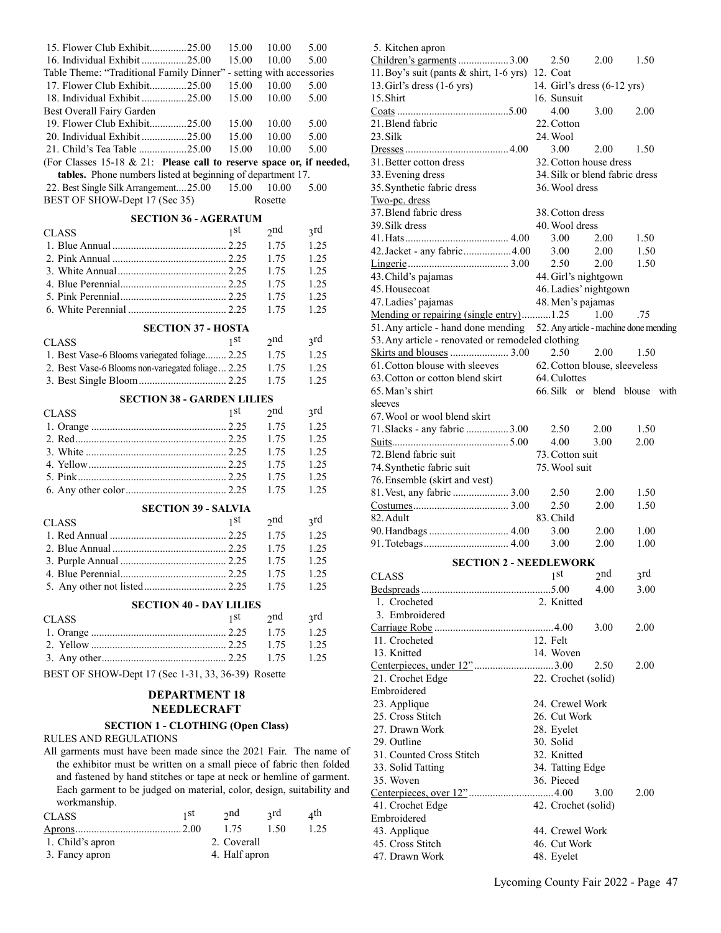| 15. Flower Club Exhibit25.00                                         | 15.00           | 10.00   | 5.00 |
|----------------------------------------------------------------------|-----------------|---------|------|
| 16. Individual Exhibit 25.00                                         | 15.00           | 10.00   | 5.00 |
| Table Theme: "Traditional Family Dinner" - setting with accessories  |                 |         |      |
| 17. Flower Club Exhibit25.00                                         | 15.00           | 10.00   | 5.00 |
| 18. Individual Exhibit 25.00                                         | 15.00           | 10.00   | 5.00 |
| Best Overall Fairy Garden                                            |                 |         |      |
| 19. Flower Club Exhibit25.00                                         | 15.00           | 10.00   | 5.00 |
| 20. Individual Exhibit 25.00                                         | 15.00           | 10.00   | 5.00 |
| 21. Child's Tea Table 25.00                                          | 15.00           | 10.00   | 5.00 |
| (For Classes 15-18 & 21: Please call to reserve space or, if needed, |                 |         |      |
| tables. Phone numbers listed at beginning of department 17.          |                 |         |      |
| 22. Best Single Silk Arrangement25.00                                | 15.00           | 10.00   | 5.00 |
| BEST OF SHOW-Dept 17 (Sec 35)                                        |                 | Rosette |      |
| <b>SECTION 36 - AGERATUM</b>                                         |                 |         |      |
| <b>CLASS</b>                                                         | 1 <sub>st</sub> | 2nd     | 3rd  |
|                                                                      |                 | 1.75    | 1.25 |
|                                                                      |                 | 1.75    | 1.25 |
|                                                                      |                 | 1.75    | 1.25 |
|                                                                      |                 | 1.75    | 1.25 |
|                                                                      |                 | 1.75    | 1.25 |
|                                                                      |                 | 1.75    | 1.25 |
| <b>SECTION 37 - HOSTA</b>                                            |                 |         |      |
| <b>CLASS</b>                                                         | 1 <sub>st</sub> | 2nd     | 3rd  |
| 1. Best Vase-6 Blooms variegated foliage 2.25                        |                 | 1.75    | 1.25 |
| 2. Best Vase-6 Blooms non-variegated foliage 2.25                    |                 | 1.75    | 1.25 |
|                                                                      |                 | 1.75    | 1.25 |
|                                                                      |                 |         |      |
| <b>SECTION 38 - GARDEN LILIES</b>                                    |                 |         |      |
| <b>CLASS</b>                                                         | 1st             | 2nd     | 3rd  |
|                                                                      |                 | 1.75    | 1.25 |
|                                                                      |                 | 1.75    | 1.25 |
|                                                                      |                 | 1.75    | 1.25 |
|                                                                      |                 | 1.75    | 1.25 |
|                                                                      |                 | 1.75    | 1.25 |
|                                                                      |                 | 1.75    | 1.25 |
| <b>SECTION 39 - SALVIA</b>                                           |                 |         |      |
| <b>CLASS</b>                                                         | 1 <sup>st</sup> | 2nd     | 3rd  |
|                                                                      |                 | 1.75    | 1.25 |
|                                                                      |                 | 1.75    | 1.25 |
|                                                                      |                 | 1.75    | 1.25 |
|                                                                      |                 | 1.75    | 1.25 |
|                                                                      |                 | 1.75    | 1.25 |
| <b>SECTION 40 - DAY LILIES</b>                                       |                 |         |      |
| <b>CLASS</b>                                                         | 1 <sub>st</sub> | 2nd     | 3rd  |
|                                                                      |                 | 1.75    | 1.25 |
|                                                                      |                 | 1.75    | 1.25 |
|                                                                      |                 | 1.75    | 1.25 |
| BEST OF SHOW-Dept 17 (Sec 1-31, 33, 36-39) Rosette                   |                 |         |      |
|                                                                      |                 |         |      |
| <b>DEDADTMENT 10</b>                                                 |                 |         |      |

#### **DEPARTMENT 18 NEEDLECRAFT**

### **SECTION 1 - CLOTHING (Open Class)**

### RULES AND REGULATIONS

All garments must have been made since the 2021 Fair. The name of the exhibitor must be written on a small piece of fabric then folded and fastened by hand stitches or tape at neck or hemline of garment. Each garment to be judged on material, color, design, suitability and workmanship.

| <b>CLASS</b>     | 1 St | $\gamma$ nd   | 3rd  | $_1$ th |
|------------------|------|---------------|------|---------|
|                  |      | 1.75          | 1.50 | 1.25    |
| 1. Child's apron |      | 2. Coverall   |      |         |
| 3. Fancy apron   |      | 4. Half apron |      |         |

| 5. Kitchen apron                                                           |                             |                 |                                |  |
|----------------------------------------------------------------------------|-----------------------------|-----------------|--------------------------------|--|
| Children's garments 3.00                                                   | 2.50                        | 2.00            | 1.50                           |  |
| 11. Boy's suit (pants & shirt, 1-6 yrs)                                    | 12. Coat                    |                 |                                |  |
| 13. Girl's dress $(1-6$ yrs)                                               | 14. Girl's dress (6-12 yrs) |                 |                                |  |
| 15. Shirt                                                                  | 16. Sunsuit                 |                 |                                |  |
|                                                                            | 4.00                        | 3.00            | 2.00                           |  |
| 21.Blend fabric                                                            | 22. Cotton                  |                 |                                |  |
| 23. Silk                                                                   | 24. Wool                    |                 |                                |  |
|                                                                            | 3.00                        | 2.00            | 1.50                           |  |
| 31. Better cotton dress                                                    | 32. Cotton house dress      |                 |                                |  |
| 33. Evening dress                                                          |                             |                 | 34. Silk or blend fabric dress |  |
| 35. Synthetic fabric dress                                                 | 36. Wool dress              |                 |                                |  |
| Two-pc. dress                                                              |                             |                 |                                |  |
| 37. Blend fabric dress                                                     | 38. Cotton dress            |                 |                                |  |
| 39. Silk dress                                                             | 40. Wool dress              |                 |                                |  |
|                                                                            | 3.00                        | 2.00            | 1.50                           |  |
| 42. Jacket - any fabric4.00                                                | 3.00                        | 2.00            | 1.50                           |  |
|                                                                            | 2.50                        | 2.00            | 1.50                           |  |
| 43. Child's pajamas                                                        | 44. Girl's nightgown        |                 |                                |  |
| 45. Housecoat                                                              | 46. Ladies' nightgown       |                 |                                |  |
| 47. Ladies' pajamas                                                        | 48. Men's pajamas           |                 |                                |  |
| Mending or repairing (single entry)1.25                                    |                             | 1.00            | .75                            |  |
| 51. Any article - hand done mending 52. Any article - machine done mending |                             |                 |                                |  |
| 53. Any article - renovated or remodeled clothing                          |                             |                 |                                |  |
|                                                                            | 2.50                        | 2.00            | 1.50                           |  |
| 61. Cotton blouse with sleeves                                             |                             |                 | 62. Cotton blouse, sleeveless  |  |
| 63. Cotton or cotton blend skirt                                           | 64. Culottes                |                 |                                |  |
|                                                                            |                             |                 | 66. Silk or blend blouse with  |  |
| 65. Man's shirt                                                            |                             |                 |                                |  |
| sleeves                                                                    |                             |                 |                                |  |
| 67. Wool or wool blend skirt                                               |                             |                 |                                |  |
| 71. Slacks - any fabric  3.00                                              | 2.50                        | 2.00            | 1.50                           |  |
|                                                                            | 4.00                        | 3.00            | 2.00                           |  |
| 72. Blend fabric suit                                                      | 73. Cotton suit             |                 |                                |  |
| 74. Synthetic fabric suit                                                  | 75. Wool suit               |                 |                                |  |
| 76. Ensemble (skirt and vest)                                              |                             |                 |                                |  |
| 81. Vest, any fabric  3.00                                                 | 2.50                        | 2.00            | 1.50                           |  |
|                                                                            | 2.50                        | 2.00            | 1.50                           |  |
| 82. Adult                                                                  | 83. Child                   |                 |                                |  |
| 90. Handbags  4.00                                                         | 3.00                        | 2.00            | 1.00                           |  |
|                                                                            | 3.00                        | 2.00            | 1.00                           |  |
| <b>SECTION 2 - NEEDLEWORK</b>                                              |                             |                 |                                |  |
| <b>CLASS</b>                                                               | 1 <sup>st</sup>             | 2 <sub>nd</sub> | 3rd                            |  |
|                                                                            |                             | 4.00            | 3.00                           |  |
| 1. Crocheted                                                               | 2. Knitted                  |                 |                                |  |
| 3. Embroidered                                                             |                             |                 |                                |  |
|                                                                            |                             | 3.00            | 2.00                           |  |
|                                                                            | 12. Felt                    |                 |                                |  |
| 11. Crocheted                                                              | 14. Woven                   |                 |                                |  |
| 13. Knitted                                                                |                             |                 |                                |  |
| Centerpieces, under 12"3.00                                                |                             | 2.50            | 2.00                           |  |
| 21. Crochet Edge                                                           |                             |                 |                                |  |
| Embroidered                                                                | 22. Crochet (solid)         |                 |                                |  |
|                                                                            |                             |                 |                                |  |
| 23. Applique                                                               | 24. Crewel Work             |                 |                                |  |
| 25. Cross Stitch                                                           | 26. Cut Work                |                 |                                |  |
| 27. Drawn Work                                                             | 28. Eyelet                  |                 |                                |  |
| 29. Outline                                                                | 30. Solid                   |                 |                                |  |
| 31. Counted Cross Stitch                                                   | 32. Knitted                 |                 |                                |  |
| 33. Solid Tatting                                                          | 34. Tatting Edge            |                 |                                |  |
| 35. Woven                                                                  | 36. Pieced                  |                 |                                |  |
|                                                                            |                             | 3.00            | 2.00                           |  |
| 41. Crochet Edge                                                           | 42. Crochet (solid)         |                 |                                |  |
| Embroidered                                                                |                             |                 |                                |  |
| 43. Applique                                                               | 44. Crewel Work             |                 |                                |  |
| 45. Cross Stitch                                                           | 46. Cut Work                |                 |                                |  |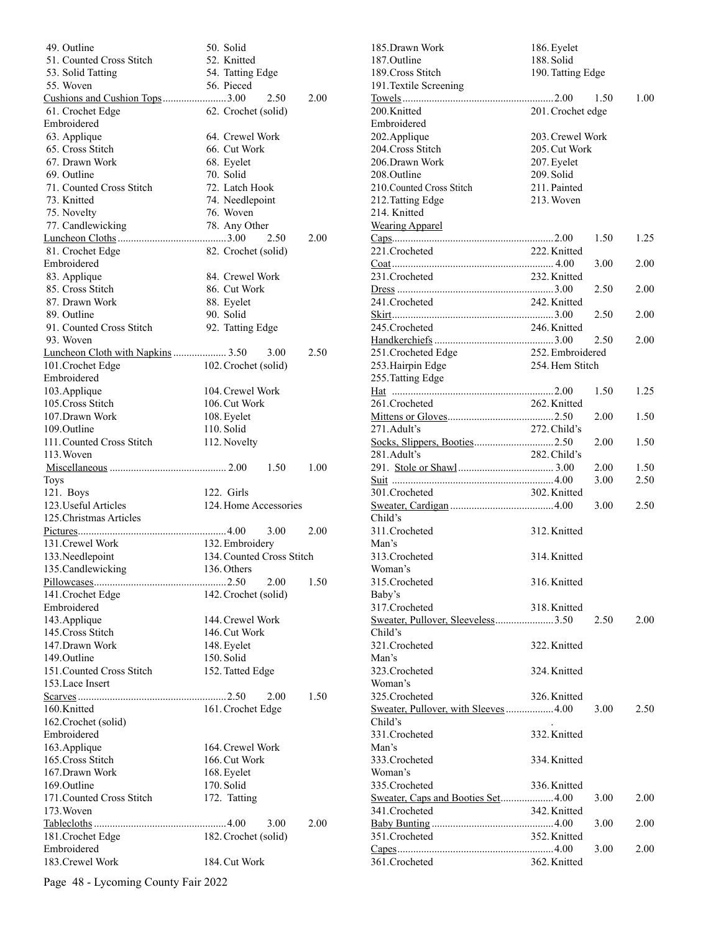| 49. Outline                       | 50. Solid                    |  |
|-----------------------------------|------------------------------|--|
| 51. Counted Cross Stitch          | 52. Knitted                  |  |
| 53. Solid Tatting                 | 54. Tatting Edge             |  |
| 55. Woven                         | 56. Pieced                   |  |
| Cushions and Cushion Tops3.00     | 2.50<br>2.00                 |  |
| 61. Crochet Edge                  | 62. Crochet (solid)          |  |
| Embroidered                       |                              |  |
| 63. Applique                      | 64. Crewel Work              |  |
| 65. Cross Stitch                  | 66. Cut Work                 |  |
| 67. Drawn Work<br>69. Outline     | 68. Eyelet<br>70. Solid      |  |
| 71. Counted Cross Stitch          | 72. Latch Hook               |  |
| 73. Knitted                       |                              |  |
| 75. Novelty                       | 74. Needlepoint<br>76. Woven |  |
| 77. Candlewicking                 | 78. Any Other                |  |
|                                   | 2.50<br>2.00                 |  |
| 81. Crochet Edge                  | 82. Crochet (solid)          |  |
| Embroidered                       |                              |  |
| 83. Applique                      | 84. Crewel Work              |  |
| 85. Cross Stitch                  | 86. Cut Work                 |  |
| 87. Drawn Work                    | 88. Eyelet                   |  |
| 89. Outline                       | 90. Solid                    |  |
| 91. Counted Cross Stitch          | 92. Tatting Edge             |  |
| 93. Woven                         |                              |  |
| Luncheon Cloth with Napkins  3.50 | 2.50<br>3.00                 |  |
| 101. Crochet Edge                 | 102. Crochet (solid)         |  |
| Embroidered                       |                              |  |
| 103. Applique                     | 104. Crewel Work             |  |
| 105. Cross Stitch                 | 106. Cut Work                |  |
| 107.Drawn Work                    | 108. Eyelet                  |  |
| 109. Outline                      | 110. Solid                   |  |
| 111. Counted Cross Stitch         | 112. Novelty                 |  |
| 113. Woven                        |                              |  |
|                                   |                              |  |
|                                   | 1.50<br>1.00                 |  |
| Toys                              |                              |  |
| 121. Boys                         | 122. Girls                   |  |
| 123. Useful Articles              | 124. Home Accessories        |  |
| 125. Christmas Articles           |                              |  |
|                                   | 3.00<br>2.00                 |  |
| 131. Crewel Work                  | 132. Embroidery              |  |
| 133. Needlepoint                  | 134. Counted Cross Stitch    |  |
| 135.Candlewicking                 | 136. Others                  |  |
|                                   | 1.50<br>2.00                 |  |
| 141. Crochet Edge                 | 142. Crochet (solid)         |  |
| Embroidered                       |                              |  |
| 143. Applique                     | 144. Crewel Work             |  |
| 145. Cross Stitch                 | 146. Cut Work                |  |
| 147. Drawn Work<br>149. Outline   | 148. Eyelet<br>150. Solid    |  |
| 151. Counted Cross Stitch         |                              |  |
| 153. Lace Insert                  | 152. Tatted Edge             |  |
|                                   | 2.00<br>1.50                 |  |
| 160.Knitted                       | 161. Crochet Edge            |  |
| 162. Crochet (solid)              |                              |  |
| Embroidered                       |                              |  |
| 163. Applique                     | 164. Crewel Work             |  |
| 165. Cross Stitch                 | 166. Cut Work                |  |
| 167. Drawn Work                   | 168. Eyelet                  |  |
| 169. Outline                      | 170. Solid                   |  |
| 171. Counted Cross Stitch         | 172. Tatting                 |  |
| 173. Woven                        |                              |  |
|                                   | 3.00<br>2.00                 |  |
| 181. Crochet Edge                 | 182. Crochet (solid)         |  |
| Embroidered<br>183. Crewel Work   | 184. Cut Work                |  |

| 185.Drawn Work                        | 186. Eyelet       |      |      |
|---------------------------------------|-------------------|------|------|
| 187. Outline                          | 188. Solid        |      |      |
| 189. Cross Stitch                     | 190. Tatting Edge |      |      |
| 191. Textile Screening                |                   | 1.50 | 1.00 |
| 200.Knitted                           | 201. Crochet edge |      |      |
| Embroidered                           |                   |      |      |
| 202. Applique                         | 203. Crewel Work  |      |      |
| 204. Cross Stitch                     | 205. Cut Work     |      |      |
| 206.Drawn Work                        | 207. Eyelet       |      |      |
| 208. Outline                          | 209. Solid        |      |      |
| 210. Counted Cross Stitch             | 211. Painted      |      |      |
| 212. Tatting Edge                     | 213. Woven        |      |      |
| 214. Knitted                          |                   |      |      |
| <b>Wearing Apparel</b>                |                   |      |      |
|                                       |                   | 1.50 | 1.25 |
| 221.Crocheted                         | 222. Knitted      |      |      |
|                                       | 232. Knitted      | 3.00 | 2.00 |
| 231. Crocheted                        |                   | 2.50 | 2.00 |
| 241.Crocheted                         | 242. Knitted      |      |      |
|                                       |                   | 2.50 | 2.00 |
| 245. Crocheted                        | 246. Knitted      |      |      |
|                                       |                   | 2.50 | 2.00 |
| 251. Crocheted Edge                   | 252. Embroidered  |      |      |
| 253. Hairpin Edge                     | 254. Hem Stitch   |      |      |
| 255. Tatting Edge                     |                   |      |      |
|                                       |                   | 1.50 | 1.25 |
| 261. Crocheted                        | 262. Knitted      |      |      |
|                                       |                   | 2.00 | 1.50 |
| 271.Adult's                           | 272. Child's      |      |      |
| Socks, Slippers, Booties2.50          |                   | 2.00 | 1.50 |
| 281.Adult's                           | 282. Child's      |      |      |
|                                       |                   | 2.00 | 1.50 |
| 301. Crocheted                        | 302. Knitted      | 3.00 | 2.50 |
|                                       |                   | 3.00 | 2.50 |
| Child's                               |                   |      |      |
| 311. Crocheted                        | 312. Knitted      |      |      |
| Man's                                 |                   |      |      |
| 313. Crocheted                        | 314. Knitted      |      |      |
| Woman's                               |                   |      |      |
| 315. Crocheted                        | 316. Knitted      |      |      |
| Baby's                                |                   |      |      |
| 317. Crocheted                        | 318. Knitted      |      |      |
| Sweater, Pullover, Sleeveless3.50     |                   | 2.50 | 2.00 |
| Child's                               |                   |      |      |
| 321. Crocheted                        | 322. Knitted      |      |      |
| Man's                                 |                   |      |      |
| 323. Crocheted<br>Woman's             | 324. Knitted      |      |      |
| 325. Crocheted                        | 326. Knitted      |      |      |
| Sweater, Pullover, with Sleeves  4.00 |                   | 3.00 | 2.50 |
| Child's                               |                   |      |      |
| 331. Crocheted                        | 332. Knitted      |      |      |
| Man's                                 |                   |      |      |
| 333. Crocheted                        | 334. Knitted      |      |      |
| Woman's                               |                   |      |      |
| 335. Crocheted                        | 336. Knitted      |      |      |
| Sweater, Caps and Booties Set 4.00    |                   | 3.00 | 2.00 |
| 341. Crocheted                        | 342. Knitted      |      |      |
|                                       |                   | 3.00 | 2.00 |
| 351. Crocheted                        | 352. Knitted      |      |      |
|                                       |                   | 3.00 | 2.00 |
| 361.Crocheted                         | 362. Knitted      |      |      |
|                                       |                   |      |      |

Page 48 - Lycoming County Fair 2022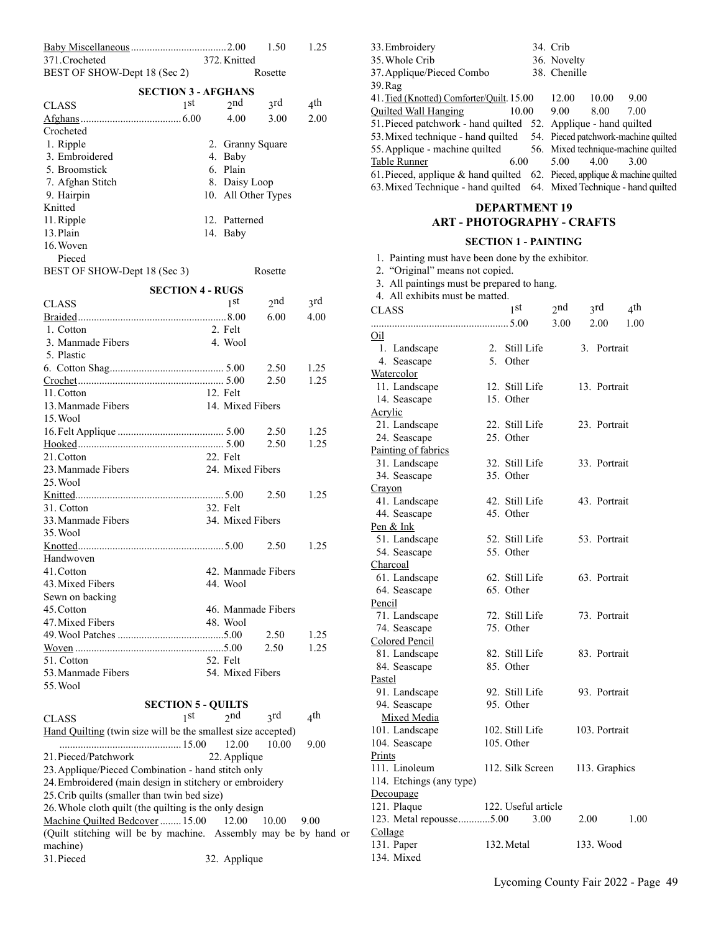|                                                                 |  |                     | 1.50            | 1.25    |  |  |  |  |
|-----------------------------------------------------------------|--|---------------------|-----------------|---------|--|--|--|--|
| 371. Crocheted                                                  |  | 372. Knitted        |                 |         |  |  |  |  |
| BEST OF SHOW-Dept 18 (Sec 2)                                    |  |                     | Rosette         |         |  |  |  |  |
| <b>SECTION 3 - AFGHANS</b>                                      |  |                     |                 |         |  |  |  |  |
| 1 <sup>st</sup><br><b>CLASS</b>                                 |  | 2nd                 | $3^{\text{rd}}$ | $_4$ th |  |  |  |  |
|                                                                 |  |                     |                 |         |  |  |  |  |
|                                                                 |  |                     | 3.00            | 2.00    |  |  |  |  |
| Crocheted                                                       |  |                     |                 |         |  |  |  |  |
| 1. Ripple                                                       |  | 2. Granny Square    |                 |         |  |  |  |  |
| 3. Embroidered                                                  |  | 4. Baby             |                 |         |  |  |  |  |
| 5. Broomstick                                                   |  | 6. Plain            |                 |         |  |  |  |  |
| 7. Afghan Stitch                                                |  | 8. Daisy Loop       |                 |         |  |  |  |  |
| 9. Hairpin                                                      |  | 10. All Other Types |                 |         |  |  |  |  |
| Knitted                                                         |  |                     |                 |         |  |  |  |  |
| 11. Ripple                                                      |  | 12. Patterned       |                 |         |  |  |  |  |
| 13. Plain                                                       |  | 14. Baby            |                 |         |  |  |  |  |
| 16. Woven                                                       |  |                     |                 |         |  |  |  |  |
|                                                                 |  |                     |                 |         |  |  |  |  |
| Pieced                                                          |  |                     |                 |         |  |  |  |  |
| BEST OF SHOW-Dept 18 (Sec 3)                                    |  |                     | Rosette         |         |  |  |  |  |
| <b>SECTION 4 - RUGS</b>                                         |  |                     |                 |         |  |  |  |  |
| <b>CLASS</b>                                                    |  | 1 <sup>st</sup>     | 2nd             | 3rd     |  |  |  |  |
|                                                                 |  |                     | 6.00            | 4.00    |  |  |  |  |
| 1. Cotton                                                       |  | 2. Felt             |                 |         |  |  |  |  |
|                                                                 |  |                     |                 |         |  |  |  |  |
| 3. Manmade Fibers                                               |  | 4. Wool             |                 |         |  |  |  |  |
| 5. Plastic                                                      |  |                     |                 |         |  |  |  |  |
|                                                                 |  |                     | 2.50            | 1.25    |  |  |  |  |
|                                                                 |  |                     | 2.50            | 1.25    |  |  |  |  |
| 11. Cotton                                                      |  | $12.$ Felt          |                 |         |  |  |  |  |
| 13. Manmade Fibers                                              |  | 14. Mixed Fibers    |                 |         |  |  |  |  |
| 15. Wool                                                        |  |                     |                 |         |  |  |  |  |
|                                                                 |  |                     | 2.50            | 1.25    |  |  |  |  |
|                                                                 |  |                     | 2.50            | 1.25    |  |  |  |  |
| 21. Cotton                                                      |  | 22. Felt            |                 |         |  |  |  |  |
|                                                                 |  |                     |                 |         |  |  |  |  |
| 23.Manmade Fibers                                               |  | 24. Mixed Fibers    |                 |         |  |  |  |  |
| 25. Wool                                                        |  |                     |                 |         |  |  |  |  |
|                                                                 |  |                     | 2.50            | 1.25    |  |  |  |  |
| 31. Cotton                                                      |  | 32. Felt            |                 |         |  |  |  |  |
| 33. Manmade Fibers                                              |  | 34. Mixed Fibers    |                 |         |  |  |  |  |
| 35. Wool                                                        |  |                     |                 |         |  |  |  |  |
|                                                                 |  |                     | 2.50            | 1.25    |  |  |  |  |
| Handwoven                                                       |  |                     |                 |         |  |  |  |  |
| 41. Cotton                                                      |  | 42. Manmade Fibers  |                 |         |  |  |  |  |
| 43. Mixed Fibers                                                |  | 44. Wool            |                 |         |  |  |  |  |
| Sewn on backing                                                 |  |                     |                 |         |  |  |  |  |
| 45. Cotton                                                      |  | 46. Manmade Fibers  |                 |         |  |  |  |  |
| 47. Mixed Fibers                                                |  |                     |                 |         |  |  |  |  |
|                                                                 |  | 48. Wool            |                 |         |  |  |  |  |
|                                                                 |  |                     | 2.50            | 1.25    |  |  |  |  |
|                                                                 |  |                     | 2.50            | 1.25    |  |  |  |  |
| 51. Cotton                                                      |  | 52. Felt            |                 |         |  |  |  |  |
| 53.Manmade Fibers                                               |  | 54. Mixed Fibers    |                 |         |  |  |  |  |
| 55. Wool                                                        |  |                     |                 |         |  |  |  |  |
| <b>SECTION 5 - QUILTS</b>                                       |  |                     |                 |         |  |  |  |  |
|                                                                 |  | 2nd                 | 3rd             | $_4$ th |  |  |  |  |
| 1 <sup>st</sup><br>CLASS                                        |  |                     |                 |         |  |  |  |  |
| Hand Quilting (twin size will be the smallest size accepted)    |  |                     |                 |         |  |  |  |  |
|                                                                 |  | 12.00               | 10.00           | 9.00    |  |  |  |  |
| 21. Pieced/Patchwork                                            |  | 22. Applique        |                 |         |  |  |  |  |
| 23. Applique/Pieced Combination - hand stitch only              |  |                     |                 |         |  |  |  |  |
| 24. Embroidered (main design in stitchery or embroidery         |  |                     |                 |         |  |  |  |  |
| 25. Crib quilts (smaller than twin bed size)                    |  |                     |                 |         |  |  |  |  |
| 26. Whole cloth quilt (the quilting is the only design          |  |                     |                 |         |  |  |  |  |
|                                                                 |  |                     | 10.00           | 9.00    |  |  |  |  |
| Machine Quilted Bedcover  15.00                                 |  | 12.00               |                 |         |  |  |  |  |
| (Quilt stitching will be by machine. Assembly may be by hand or |  |                     |                 |         |  |  |  |  |
| machine)                                                        |  |                     |                 |         |  |  |  |  |
| 31. Pieced                                                      |  | 32. Applique        |                 |         |  |  |  |  |

| 33. Embroidery                                                             |       | 34. Crib     |       |                                     |  |
|----------------------------------------------------------------------------|-------|--------------|-------|-------------------------------------|--|
| 35. Whole Crib                                                             |       | 36. Novelty  |       |                                     |  |
| 37. Applique/Pieced Combo                                                  |       | 38. Chenille |       |                                     |  |
| $39.$ Rag                                                                  |       |              |       |                                     |  |
| 41. Tied (Knotted) Comforter/Quilt. 15.00                                  |       | 12.00        | 10.00 | 9.00                                |  |
| Quilted Wall Hanging                                                       | 10.00 | 9.00         | 8.00  | 7.00                                |  |
| 51. Pieced patchwork - hand quilted 52. Applique - hand quilted            |       |              |       |                                     |  |
| 53. Mixed technique - hand quilted 54. Pieced patchwork-machine quilted    |       |              |       |                                     |  |
| 55. Applique - machine quilted                                             |       |              |       | 56. Mixed technique-machine quilted |  |
| Table Runner                                                               | 6.00  | 5.00         | 4.00  | 3.00                                |  |
| 61. Pieced, applique & hand quilted 62. Pieced, applique & machine quilted |       |              |       |                                     |  |
| 63. Mixed Technique - hand quilted 64. Mixed Technique - hand quilted      |       |              |       |                                     |  |

### **DEPARTMENT 19 ART - PHOTOGRAPHY - CRAFTS**

#### **SECTION 1 - PAINTING**

1. Painting must have been done by the exhibitor.

2. "Original" means not copied.

3. All paintings must be prepared to hang.

4. All exhibits must be matted.

| CLASS                    | 1 <sup>st</sup>     | 2 <sub>nd</sub> |      | 3rd           | 4 <sup>th</sup> |
|--------------------------|---------------------|-----------------|------|---------------|-----------------|
|                          |                     | 3.00            |      | 2.00          | 1.00            |
| Oil                      |                     |                 |      |               |                 |
| 1. Landscape             | 2. Still Life       |                 |      | 3. Portrait   |                 |
| 4. Seascape              | 5. Other            |                 |      |               |                 |
| <b>Watercolor</b>        |                     |                 |      |               |                 |
| 11. Landscape            | 12. Still Life      |                 |      | 13. Portrait  |                 |
| 14. Seascape             | 15. Other           |                 |      |               |                 |
| Acrylic                  |                     |                 |      |               |                 |
| 21. Landscape            | 22. Still Life      |                 |      | 23. Portrait  |                 |
| 24. Seascape             | 25. Other           |                 |      |               |                 |
| Painting of fabrics      |                     |                 |      |               |                 |
| 31. Landscape            | 32. Still Life      |                 |      | 33. Portrait  |                 |
| 34. Seascape             | 35. Other           |                 |      |               |                 |
| <b>Crayon</b>            |                     |                 |      |               |                 |
| 41. Landscape            | 42. Still Life      |                 |      | 43. Portrait  |                 |
| 44. Seascape             | 45. Other           |                 |      |               |                 |
| <u>Pen &amp; Ink</u>     |                     |                 |      |               |                 |
| 51. Landscape            | 52. Still Life      |                 |      | 53. Portrait  |                 |
| 54. Seascape             | 55. Other           |                 |      |               |                 |
| Charcoal                 |                     |                 |      |               |                 |
| 61. Landscape            | 62. Still Life      |                 |      | 63. Portrait  |                 |
| 64. Seascape             | 65. Other           |                 |      |               |                 |
| Pencil                   |                     |                 |      |               |                 |
| 71. Landscape            | 72. Still Life      |                 |      | 73. Portrait  |                 |
| 74. Seascape             | 75. Other           |                 |      |               |                 |
| <b>Colored Pencil</b>    |                     |                 |      |               |                 |
| 81. Landscape            | 82. Still Life      |                 |      | 83. Portrait  |                 |
| 84. Seascape             | 85. Other           |                 |      |               |                 |
| Pastel                   |                     |                 |      |               |                 |
| 91. Landscape            | 92. Still Life      |                 |      | 93. Portrait  |                 |
| 94. Seascape             | 95. Other           |                 |      |               |                 |
| Mixed Media              |                     |                 |      |               |                 |
| 101. Landscape           | 102. Still Life     |                 |      | 103. Portrait |                 |
| 104. Seascape            | 105. Other          |                 |      |               |                 |
| Prints                   |                     |                 |      |               |                 |
| 111. Linoleum            | 112. Silk Screen    |                 |      | 113. Graphics |                 |
| 114. Etchings (any type) |                     |                 |      |               |                 |
| Decoupage                |                     |                 |      |               |                 |
| 121. Plaque              | 122. Useful article |                 |      |               |                 |
| 123. Metal repousse5.00  | 3.00                |                 | 2.00 |               | 1.00            |
| Collage                  |                     |                 |      |               |                 |
| 131. Paper               | 132. Metal          |                 |      | 133. Wood     |                 |
| 134. Mixed               |                     |                 |      |               |                 |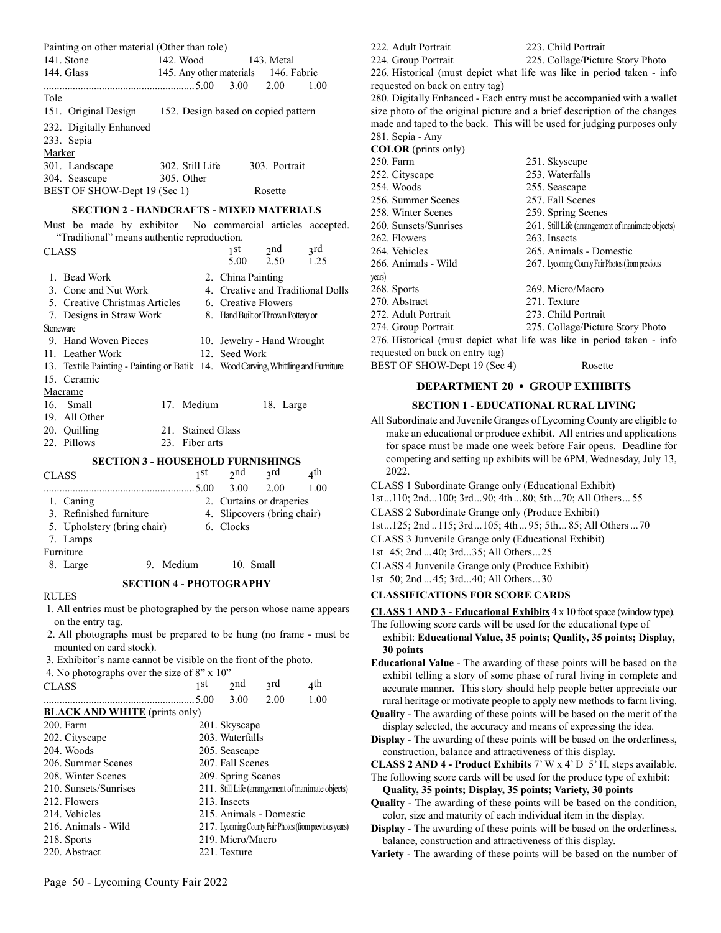|        | $\alpha$ and $\alpha$ on other material (Other than tole) |                                      |      |         |               |      |
|--------|-----------------------------------------------------------|--------------------------------------|------|---------|---------------|------|
|        | 141. Stone                                                | 142. Wood                            |      |         | 143. Metal    |      |
|        | 144. Glass                                                | 145. Any other materials 146. Fabric |      |         |               |      |
|        |                                                           |                                      | 3.00 |         | 2.00          | 1.00 |
| Tole   |                                                           |                                      |      |         |               |      |
|        | 151. Original Design                                      | 152. Design based on copied pattern  |      |         |               |      |
|        | 232. Digitally Enhanced                                   |                                      |      |         |               |      |
|        | 233. Sepia                                                |                                      |      |         |               |      |
| Marker |                                                           |                                      |      |         |               |      |
|        | 301. Landscape                                            | 302. Still Life                      |      |         | 303. Portrait |      |
|        | 304. Seascape                                             | 305. Other                           |      |         |               |      |
|        | BEST OF SHOW-Dept 19 (Sec 1)                              |                                      |      | Rosette |               |      |
|        |                                                           |                                      |      |         |               |      |

Painting on other material (Other than tole)

#### **SECTION 2 - HANDCRAFTS - MIXED MATERIALS**

Must be made by exhibitor No commercial articles accepted. "Traditional" means authentic reproduction.

| <b>CLASS</b> |                                                                                    |  |                | 1st<br>5.00       | 2nd<br>2.50                        | <sub>3</sub> rd<br>1.25           |
|--------------|------------------------------------------------------------------------------------|--|----------------|-------------------|------------------------------------|-----------------------------------|
|              | 1. Bead Work                                                                       |  |                | 2. China Painting |                                    |                                   |
|              | 3. Cone and Nut Work                                                               |  |                |                   |                                    | 4. Creative and Traditional Dolls |
|              | 5. Creative Christmas Articles                                                     |  |                |                   | 6. Creative Flowers                |                                   |
|              | 7. Designs in Straw Work                                                           |  |                |                   | 8. Hand Built or Thrown Pottery or |                                   |
| Stoneware    |                                                                                    |  |                |                   |                                    |                                   |
|              | 9. Hand Woven Pieces                                                               |  |                |                   | 10. Jewelry - Hand Wrought         |                                   |
|              | 11. Leather Work                                                                   |  |                | 12. Seed Work     |                                    |                                   |
|              | 13. Textile Painting - Painting or Batik 14. Wood Carving, Whittling and Furniture |  |                |                   |                                    |                                   |
|              | 15. Ceramic                                                                        |  |                |                   |                                    |                                   |
|              | Macrame                                                                            |  |                |                   |                                    |                                   |
|              | 16. Small                                                                          |  | 17. Medium     |                   | 18. Large                          |                                   |
|              | 19. All Other                                                                      |  |                |                   |                                    |                                   |
|              | 20. Quilling                                                                       |  |                | 21. Stained Glass |                                    |                                   |
|              | 22. Pillows                                                                        |  | 23. Fiber arts |                   |                                    |                                   |
|              | <b>SECTION 3 - HOUSEHOLD FURNISHINGS</b>                                           |  |                |                   |                                    |                                   |
| <b>CLASS</b> |                                                                                    |  | 1 St           | 2nd               | 3rd                                | $_4$ th                           |
|              |                                                                                    |  | $\sim$ 00      |                   | $200 - 200$                        | $1 \cap \Omega$                   |

| <b>CLASS</b> |                             |  |        | 1 SU  | 2nd       | 2rd                         | ⊿th  |
|--------------|-----------------------------|--|--------|-------|-----------|-----------------------------|------|
|              |                             |  |        | .5.00 | 3.00      | 2.00                        | 1.00 |
|              | 1. Caning                   |  |        |       |           | 2. Curtains or draperies    |      |
|              | 3. Refinished furniture     |  |        |       |           | 4. Slipcovers (bring chair) |      |
|              | 5. Upholstery (bring chair) |  |        |       | 6. Clocks |                             |      |
|              | 7. Lamps                    |  |        |       |           |                             |      |
|              | Furniture                   |  |        |       |           |                             |      |
|              | 8. Large                    |  | Medium |       |           | 10. Small                   |      |
|              |                             |  |        |       |           |                             |      |

#### **SECTION 4 - PHOTOGRAPHY**

- RULES
- 1. All entries must be photographed by the person whose name appears on the entry tag.
- 2. All photographs must be prepared to be hung (no frame must be mounted on card stock).
- 3. Exhibitor's name cannot be visible on the front of the photo.
- 4. No photographs over the size of 8" x 10"

| <b>CLASS</b>                         | 1st   | 2nd                     | 3rd  | 4th                                                    |
|--------------------------------------|-------|-------------------------|------|--------------------------------------------------------|
|                                      | .5.00 | 3.00                    | 2.00 | 1.00                                                   |
| <b>BLACK AND WHITE</b> (prints only) |       |                         |      |                                                        |
| 200. Farm                            |       | 201. Skyscape           |      |                                                        |
| 202. Cityscape                       |       | 203. Waterfalls         |      |                                                        |
| 204. Woods                           |       | 205. Seascape           |      |                                                        |
| 206. Summer Scenes                   |       | 207. Fall Scenes        |      |                                                        |
| 208. Winter Scenes                   |       | 209. Spring Scenes      |      |                                                        |
| 210. Sunsets/Sunrises                |       |                         |      | 211. Still Life (arrangement of inanimate objects)     |
| 212. Flowers                         |       | 213. Insects            |      |                                                        |
| 214. Vehicles                        |       | 215. Animals - Domestic |      |                                                        |
| 216. Animals - Wild                  |       |                         |      | 217. Lycoming County Fair Photos (from previous years) |
| 218. Sports                          |       | 219. Micro/Macro        |      |                                                        |
| 220. Abstract                        |       | 221. Texture            |      |                                                        |
|                                      |       |                         |      |                                                        |

222. Adult Portrait 223. Child Portrait

- 
- 
- 224. Group Portrait 225. Collage/Picture Story Photo 226. Historical (must depict what life was like in period taken - info requested on back on entry tag)

280. Digitally Enhanced - Each entry must be accompanied with a wallet size photo of the original picture and a brief description of the changes made and taped to the back. This will be used for judging purposes only 281. Sepia - Any

**COLOR** (prints only) 250. Farm 251. Skyscape 252. Cityscape 253. Waterfalls 254. Woods 255. Seascape 256. Summer Scenes 257. Fall Scenes 258. Winter Scenes 259. Spring Scenes 260. Sunsets/Sunrises 261. Still Life (arrangement of inanimate objects) 262. Flowers 263. Insects 264. Vehicles 265. Animals - Domestic 266. Animals - Wild 267. Lycoming County Fair Photos (from previous years) 268. Sports 269. Micro/Macro 270. Abstract 271. Texture 272. Adult Portrait 273. Child Portrait 274. Group Portrait 275. Collage/Picture Story Photo 276. Historical (must depict what life was like in period taken - info

requested on back on entry tag) BEST OF SHOW-Dept 19 (Sec 4) Rosette

#### **DEPARTMENT 20 • GROUP EXHIBITS**

#### **SECTION 1 - EDUCATIONAL RURAL LIVING**

- All Subordinate and Juvenile Granges of Lycoming County are eligible to make an educational or produce exhibit. All entries and applications for space must be made one week before Fair opens. Deadline for competing and setting up exhibits will be 6PM, Wednesday, July 13, 2022.
- CLASS 1 Subordinate Grange only (Educational Exhibit)
- 1st...110; 2nd...100; 3rd...90; 4th ...80; 5th...70; All Others... 55
- CLASS 2 Subordinate Grange only (Produce Exhibit)
- 1st...125; 2nd ..115; 3rd...105; 4th ... 95; 5th... 85; All Others...70
- CLASS 3 Junvenile Grange only (Educational Exhibit)
- 1st 45; 2nd ... 40; 3rd...35; All Others...25
- CLASS 4 Junvenile Grange only (Produce Exhibit)
- 1st 50; 2nd ... 45; 3rd...40; All Others...30

#### **CLASSIFICATIONS FOR SCORE CARDS**

**CLASS 1 AND 3 - Educational Exhibits** 4 x 10 foot space (window type). The following score cards will be used for the educational type of

exhibit: **Educational Value, 35 points; Quality, 35 points; Display, 30 points**

**Educational Value** - The awarding of these points will be based on the exhibit telling a story of some phase of rural living in complete and accurate manner. This story should help people better appreciate our rural heritage or motivate people to apply new methods to farm living.

**Quality** - The awarding of these points will be based on the merit of the display selected, the accuracy and means of expressing the idea.

**Display** - The awarding of these points will be based on the orderliness, construction, balance and attractiveness of this display.

**CLASS 2 AND 4 - Product Exhibits** 7' W x 4' D 5' H, steps available.

- The following score cards will be used for the produce type of exhibit: **Quality, 35 points; Display, 35 points; Variety, 30 points**
- **Quality** The awarding of these points will be based on the condition, color, size and maturity of each individual item in the display.

**Display** - The awarding of these points will be based on the orderliness, balance, construction and attractiveness of this display.

**Variety** - The awarding of these points will be based on the number of

Page 50 - Lycoming County Fair 2022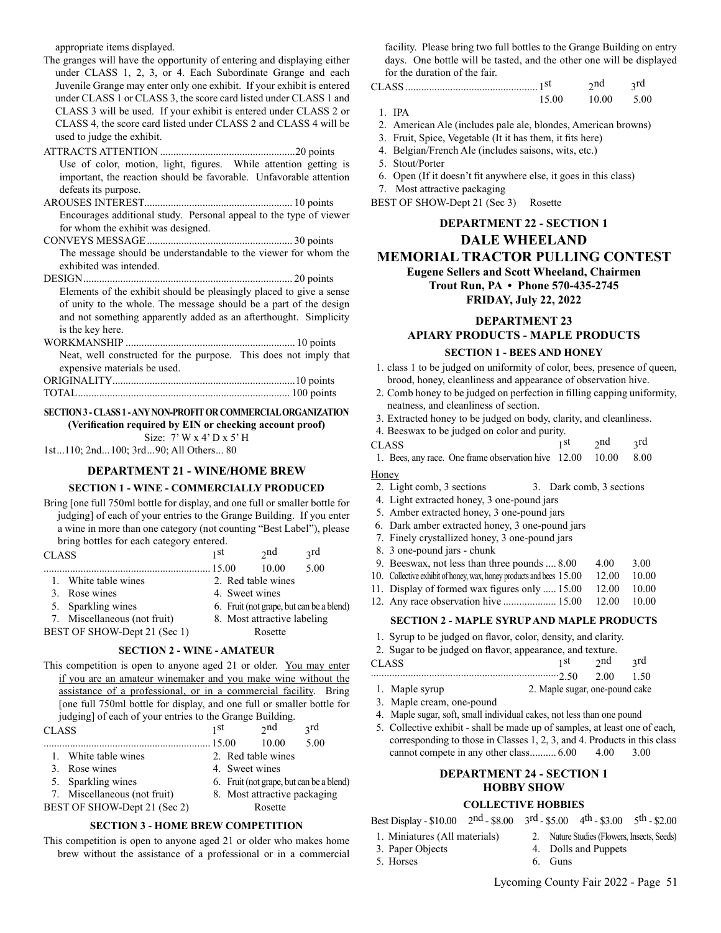appropriate items displayed.

- The granges will have the opportunity of entering and displaying either under CLASS 1, 2, 3, or 4. Each Subordinate Grange and each Juvenile Grange may enter only one exhibit. If your exhibit is entered under CLASS 1 or CLASS 3, the score card listed under CLASS 1 and CLASS 3 will be used. If your exhibit is entered under CLASS 2 or CLASS 4, the score card listed under CLASS 2 and CLASS 4 will be used to judge the exhibit.
- ATTRACTS ATTENTION ...................................................20 points Use of color, motion, light, figures. While attention getting is important, the reaction should be favorable. Unfavorable attention defeats its purpose.
- AROUSES INTEREST........................................................ 10 points Encourages additional study. Personal appeal to the type of viewer for whom the exhibit was designed.
- CONVEYS MESSAGE....................................................... 30 points The message should be understandable to the viewer for whom the exhibited was intended.
- DESIGN............................................................................... 20 points Elements of the exhibit should be pleasingly placed to give a sense of unity to the whole. The message should be a part of the design and not something apparently added as an afterthought. Simplicity is the key here.
- WORKMANSHIP ................................................................ 10 points Neat, well constructed for the purpose. This does not imply that expensive materials be used. ORIGINALITY.....................................................................10 points

#### **SECTION 3 - CLASS 1 - ANY NON-PROFIT OR COMMERCIAL ORGANIZATION (Verification required by EIN or checking account proof)**

Size: 7' W x 4' D x 5' H

1st...110; 2nd...100; 3rd...90; All Others... 80

### **DEPARTMENT 21 - WINE/HOME BREW**

#### **SECTION 1 - WINE - COMMERCIALLY PRODUCED**

Bring [one full 750ml bottle for display, and one full or smaller bottle for judging] of each of your entries to the Grange Building. If you enter a wine in more than one category (not counting "Best Label"), please bring bottles for each category entered.

| <b>CLASS</b>                 | 1 St                                     | $\gamma$ nd | <sub>3</sub> rd |
|------------------------------|------------------------------------------|-------------|-----------------|
|                              | $\dots$ 15.00                            | 10.00       | 5.00            |
| 1. White table wines         | 2. Red table wines                       |             |                 |
| 3. Rose wines                | 4. Sweet wines                           |             |                 |
| 5. Sparkling wines           | 6. Fruit (not grape, but can be a blend) |             |                 |
| 7. Miscellaneous (not fruit) | 8. Most attractive labeling              |             |                 |
| BEST OF SHOW-Dept 21 (Sec 1) |                                          | Rosette     |                 |

#### **SECTION 2 - WINE - AMATEUR**

- This competition is open to anyone aged 21 or older. You may enter if you are an amateur winemaker and you make wine without the assistance of a professional, or in a commercial facility. Bring [one full 750ml bottle for display, and one full or smaller bottle for judging] of each of your entries to the Grange Building.<br>ASS 1st 2nd CLASS 1st 2nd 3rd ............................................................... 15.00 10.00 5.00 1. White table wines 2. Red table wines 3. Rose wines 4. Sweet wines
- 
- 5. Sparkling wines 6. Fruit (not grape, but can be a blend)
- 7. Miscellaneous (not fruit) 8. Most attractive packaging BEST OF SHOW-Dept 21 (Sec 2) Rosette
	-

#### **SECTION 3 - HOME BREW COMPETITION**

This competition is open to anyone aged 21 or older who makes home brew without the assistance of a professional or in a commercial facility. Please bring two full bottles to the Grange Building on entry days. One bottle will be tasted, and the other one will be displayed for the duration of the fair.

| CLASS |  |  |  |
|-------|--|--|--|
|       |  |  |  |

- 1. IPA
- 2. American Ale (includes pale ale, blondes, American browns)
- 3. Fruit, Spice, Vegetable (It it has them, it fits here)
- 4. Belgian/French Ale (includes saisons, wits, etc.)
- 5. Stout/Porter
- 6. Open (If it doesn't fit anywhere else, it goes in this class)
- 7. Most attractive packaging
- BEST OF SHOW-Dept 21 (Sec 3) Rosette

### **DEPARTMENT 22 - SECTION 1 DALE WHEELAND MEMORIAL TRACTOR PULLING CONTEST Eugene Sellers and Scott Wheeland, Chairmen Trout Run, PA • Phone 570-435-2745**

**FRIDAY, July 22, 2022**

#### **DEPARTMENT 23 APIARY PRODUCTS - MAPLE PRODUCTS SECTION 1 - BEES AND HONEY**

- 1. class 1 to be judged on uniformity of color, bees, presence of queen, brood, honey, cleanliness and appearance of observation hive.
- 2. Comb honey to be judged on perfection in filling capping uniformity, neatness, and cleanliness of section.
- 3. Extracted honey to be judged on body, clarity, and cleanliness.
- 4. Beeswax to be judged on color and purity.<br>CLASS
- CLASS  $1<sup>st</sup>$   $2<sup>nd</sup>$   $3<sup>rd</sup>$
- 1. Bees, any race. One frame observation hive 12.00 10.00 8.00

Honey

- 2. Light comb, 3 sections 3. Dark comb, 3 sections
- 4. Light extracted honey, 3 one-pound jars
- 5. Amber extracted honey, 3 one-pound jars
- 6. Dark amber extracted honey, 3 one-pound jars
- 7. Finely crystallized honey, 3 one-pound jars
- 8. 3 one-pound jars chunk
- 9. Beeswax, not less than three pounds .... 8.00 4.00 3.00
- 10. Collective exhibit of honey, wax, honey products and bees  $15.00$  12.00 10.00
- 11. Display of formed wax figures only ..... 15.00 12.00 10.00
- 12. Any race observation hive ................... 15.00 12.00 10.00

#### **SECTION 2 - MAPLE SYRUP AND MAPLE PRODUCTS**

- 1. Syrup to be judged on flavor, color, density, and clarity.
- 2. Sugar to be judged on flavor, appearance, and texture.

| --           | -- |      |             |     |
|--------------|----|------|-------------|-----|
| <b>CLASS</b> |    | 1 St | $\gamma$ nd | 3rd |

- .......................................................................2.50 2.00 1.50
- 1. Maple syrup 2. Maple sugar, one-pound cake
- 3. Maple cream, one-pound
- 4. Maple sugar, soft, small individual cakes, not less than one pound
- 5. Collective exhibit shall be made up of samples, at least one of each, corresponding to those in Classes 1, 2, 3, and 4. Products in this class cannot compete in any other class.......... 6.00 4.00 3.00

#### **DEPARTMENT 24 - SECTION 1 HOBBY SHOW**

#### **COLLECTIVE HOBBIES**

Best Display -  $$10.00$   $2^{nd}$  -  $$8.00$   $3^{rd}$  -  $$5.00$   $4^{th}$  -  $$3.00$   $5^{th}$  -  $$2.00$ 

- 1. Miniatures (All materials) 2. Nature Studies (Flowers, Insects, Seeds)
- 3. Paper Objects 4. Dolls and Puppets
- 5. Horses 6. Guns
	-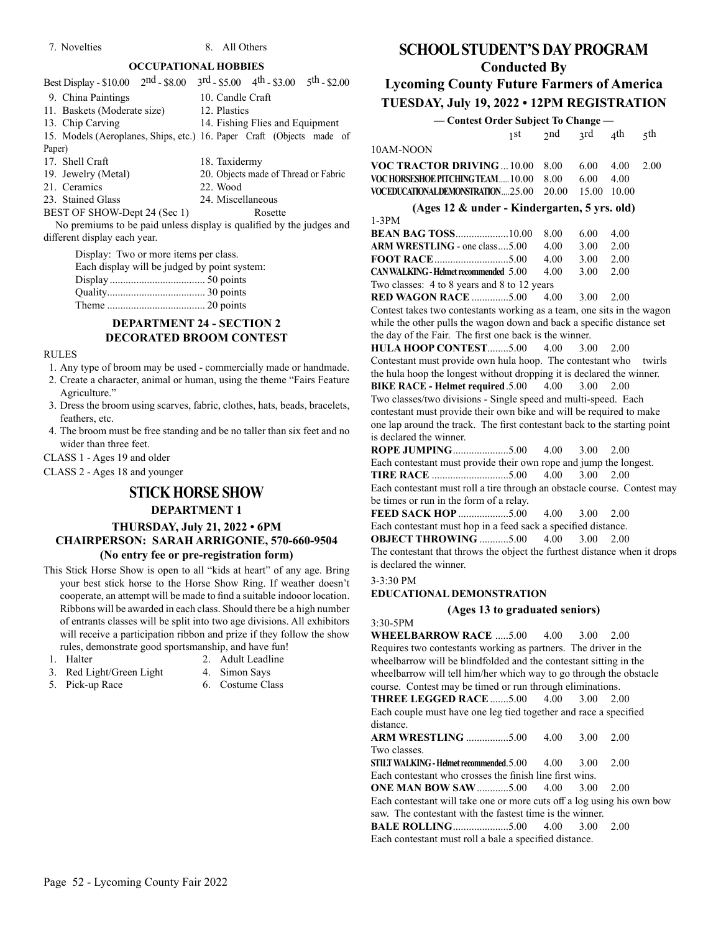#### 7. Novelties 8. All Others

#### **OCCUPATIONAL HOBBIES**

| Best Display - $$10.00 \quad 2nd$ - $$8.00$ | $3^{\text{rd}} - \$5.00 = 4^{\text{th}} - \$3.00 = 5^{\text{th}} - \$2.00$ |
|---------------------------------------------|----------------------------------------------------------------------------|
| 9. China Paintings                          | 10. Candle Craft                                                           |
| 11. Baskets (Moderate size)                 | 12. Plastics                                                               |
| 13. Chip Carving                            | 14. Fishing Flies and Equipment                                            |
|                                             | 15. Models (Aeroplanes, Ships, etc.) 16. Paper Craft (Objects made of      |
| Paper)                                      |                                                                            |
| 17. Shell Craft                             | 18. Taxidermy                                                              |
| 19. Jewelry (Metal)                         | 20. Objects made of Thread or Fabric                                       |
| 21. Ceramics                                | 22. Wood                                                                   |
| 23. Stained Glass                           | 24. Miscellaneous                                                          |
| BEST OF SHOW-Dept 24 (Sec 1)                | Rosette                                                                    |
|                                             | No premiums to be noid unless display is qualified by the judges and       |

No premiums to be paid unless display is qualified by the judges and different display each year.

> Display: Two or more items per class. Each display will be judged by point system: Display .................................... 50 points Quality..................................... 30 points Theme ..................................... 20 points

#### **DEPARTMENT 24 - SECTION 2 DECORATED BROOM CONTEST**

#### RULES

- 1. Any type of broom may be used commercially made or handmade.
- 2. Create a character, animal or human, using the theme "Fairs Feature Agriculture."
- 3. Dress the broom using scarves, fabric, clothes, hats, beads, bracelets, feathers, etc.
- 4. The broom must be free standing and be no taller than six feet and no wider than three feet.

CLASS 1 - Ages 19 and older

CLASS 2 - Ages 18 and younger

#### **STICK HORSE SHOW**

#### **DEPARTMENT 1**

#### **THURSDAY, July 21, 2022 • 6PM CHAIRPERSON: SARAH ARRIGONIE, 570-660-9504 (No entry fee or pre-registration form)**

- This Stick Horse Show is open to all "kids at heart" of any age. Bring your best stick horse to the Horse Show Ring. If weather doesn't cooperate, an attempt will be made to find a suitable indooor location. Ribbons will be awarded in each class. Should there be a high number of entrants classes will be split into two age divisions. All exhibitors will receive a participation ribbon and prize if they follow the show rules, demonstrate good sportsmanship, and have fun!
- 
- 1. Halter 2. Adult Leadline
- 3. Red Light/Green Light 4. Simon Says
	-
	-
- 5. Pick-up Race 6. Costume Class

### **SCHOOL STUDENT'S DAY PROGRAM**

#### **Conducted By**

## **Lycoming County Future Farmers of America**

### **TUESDAY, July 19, 2022 • 12PM REGISTRATION**

**— Contest Order Subject To Change —**

|                                                     | 1st | $2^{nd}$ $2^{rd}$ $4^{th}$ |      |        | $\lt t$ h |  |
|-----------------------------------------------------|-----|----------------------------|------|--------|-----------|--|
| 10AM-NOON                                           |     |                            |      |        |           |  |
| <b>VOC TRACTOR DRIVING10.00</b> 8.00 6.00 4.00 2.00 |     |                            |      |        |           |  |
| VOC HORSESHOE PITCHING TEAM10.00 8.00               |     |                            | 6.00 | - 4.00 |           |  |
| VOCEDUCATIONALDEMONSTRATION25.00 20.00 15.00 10.00  |     |                            |      |        |           |  |
| (Ages 12 & under - Kindergarten, 5 yrs. old)        |     |                            |      |        |           |  |

| $1-3PM$                                      |      |      |         |
|----------------------------------------------|------|------|---------|
| <b>BEAN BAG TOSS10.00</b>                    | 8.00 | 6.00 | 4.00    |
| <b>ARM WRESTLING - one class5.00</b>         | 4.00 | 3.00 | 2.00    |
|                                              | 4.00 | 3.00 | 2.00    |
| <b>CAN WALKING - Helmet recommended 5.00</b> | 4.00 | 3.00 | $-2.00$ |
| Two classes: 4 to 8 years and 8 to 12 years  |      |      |         |
| <b>RED WAGON RACE</b> 5.00 4.00              |      | 3.00 | 2.00    |

Contest takes two contestants working as a team, one sits in the wagon while the other pulls the wagon down and back a specific distance set the day of the Fair. The first one back is the winner.

**HULA HOOP CONTEST**........5.00 4.00 3.00 2.00 Contestant must provide own hula hoop. The contestant who twirls the hula hoop the longest without dropping it is declared the winner.

**BIKE RACE - Helmet required**.5.00 4.00 3.00 2.00 Two classes/two divisions - Single speed and multi-speed. Each contestant must provide their own bike and will be required to make one lap around the track. The first contestant back to the starting point is declared the winner.

**ROPE JUMPING.....................5.00** 4.00 3.00 2.00

```
Each contestant must provide their own rope and jump the longest.
TIRE RACE .............................5.00 4.00 3.00 2.00
```
Each contestant must roll a tire through an obstacle course. Contest may be times or run in the form of a relay.

**FEED SACK HOP**...................5.00 4.00 3.00 2.00

Each contestant must hop in a feed sack a specified distance.<br> **OBJECT THROWING** ...........5.00 4.00 3.00 2.00

**OBJECT THROWING** ...........5.00 4.00 3.00 2.00

The contestant that throws the object the furthest distance when it drops is declared the winner.

3-3:30 PM

**EDUCATIONAL DEMONSTRATION**

#### **(Ages 13 to graduated seniors)**

3:30-5PM

**WHEELBARROW RACE** .....5.00 4.00 3.00 2.00 Requires two contestants working as partners. The driver in the wheelbarrow will be blindfolded and the contestant sitting in the wheelbarrow will tell him/her which way to go through the obstacle course. Contest may be timed or run through eliminations. **THREE LEGGED RACE**.......5.00 4.00 3.00 2.00 Each couple must have one leg tied together and race a specified distance. **ARM WRESTLING** ................5.00 4.00 3.00 2.00 Two classes. **STILT WALKING - Helmet recommended**.5.00 4.00 3.00 2.00 Each contestant who crosses the finish line first wins. **ONE MAN BOW SAW ............5.00** 4.00 3.00 2.00 Each contestant will take one or more cuts off a log using his own bow saw. The contestant with the fastest time is the winner. **BALE ROLLING**.....................5.00 4.00 3.00 2.00

Each contestant must roll a bale a specified distance.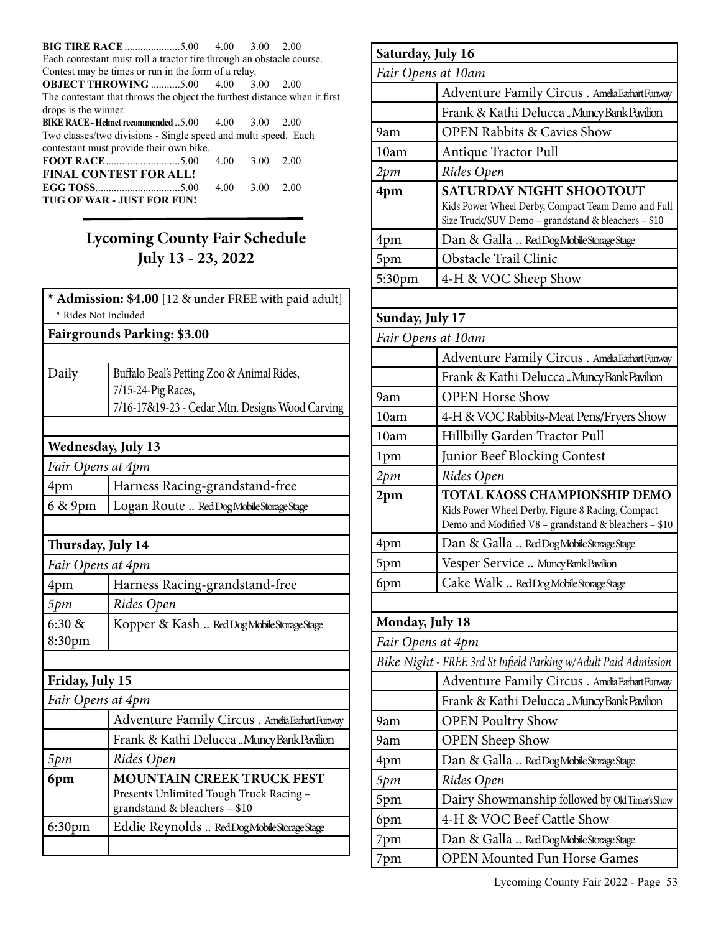|                                                                           |      | 3.00 | 2.00 |
|---------------------------------------------------------------------------|------|------|------|
| Each contestant must roll a tractor tire through an obstacle course.      |      |      |      |
| Contest may be times or run in the form of a relay.                       |      |      |      |
| <b>OBJECT THROWING</b> 5.00 4.00                                          |      | 3.00 | 2.00 |
| The contestant that throws the object the furthest distance when it first |      |      |      |
| drops is the winner.                                                      |      |      |      |
| <b>BIKE RACE - Helmet recommended 5.00 4.00</b>                           |      | 3.00 | 2.00 |
| Two classes/two divisions - Single speed and multi speed. Each            |      |      |      |
| contestant must provide their own bike.                                   |      |      |      |
|                                                                           | 4.00 | 3.00 | 2.00 |
| <b>FINAL CONTEST FOR ALL!</b>                                             |      |      |      |
|                                                                           | 4.00 | 3.00 | 2.00 |
| <b>TUG OF WAR - JUST FOR FUN!</b>                                         |      |      |      |

## **Lycoming County Fair Schedule July 13 - 23, 2022**

|                                                     | * Admission: \$4.00 [12 & under FREE with paid adult]<br>* Rides Not Included |  |  |  |  |
|-----------------------------------------------------|-------------------------------------------------------------------------------|--|--|--|--|
|                                                     | <b>Fairgrounds Parking: \$3.00</b>                                            |  |  |  |  |
|                                                     |                                                                               |  |  |  |  |
| Daily<br>Buffalo Beal's Petting Zoo & Animal Rides, |                                                                               |  |  |  |  |
|                                                     | 7/15-24-Pig Races,                                                            |  |  |  |  |
|                                                     | 7/16-17&19-23 - Cedar Mtn. Designs Wood Carving                               |  |  |  |  |
|                                                     |                                                                               |  |  |  |  |
| Wednesday, July 13                                  |                                                                               |  |  |  |  |
| Fair Opens at 4pm                                   |                                                                               |  |  |  |  |
| 4pm                                                 | Harness Racing-grandstand-free                                                |  |  |  |  |
| 6 & 9pm                                             | Logan Route  RedDogMobileStorageStage                                         |  |  |  |  |
|                                                     |                                                                               |  |  |  |  |
| Thursday, July 14                                   |                                                                               |  |  |  |  |
| Fair Opens at 4pm                                   |                                                                               |  |  |  |  |
| 4pm                                                 | Harness Racing-grandstand-free                                                |  |  |  |  |
| 5pm                                                 | Rides Open                                                                    |  |  |  |  |
| 6:30 &                                              | Kopper & Kash  RedDogMobileStorageStage                                       |  |  |  |  |
| 8:30pm                                              |                                                                               |  |  |  |  |
|                                                     |                                                                               |  |  |  |  |
| Friday, July 15                                     |                                                                               |  |  |  |  |
| Fair Opens at 4pm                                   |                                                                               |  |  |  |  |
|                                                     | Adventure Family Circus . Amelia Earhart Funway                               |  |  |  |  |
|                                                     | Frank & Kathi Delucca  Muncy Bank Pavilion                                    |  |  |  |  |
| 5pm                                                 | Rides Open                                                                    |  |  |  |  |
| 6pm                                                 | <b>MOUNTAIN CREEK TRUCK FEST</b>                                              |  |  |  |  |
|                                                     | Presents Unlimited Tough Truck Racing -                                       |  |  |  |  |
|                                                     | grandstand & bleachers - \$10                                                 |  |  |  |  |
| 6:30pm                                              | Eddie Reynolds  RedDogMobileStorageStage                                      |  |  |  |  |
|                                                     |                                                                               |  |  |  |  |

| Saturday, July 16  |                                                                                                                                             |  |  |  |  |
|--------------------|---------------------------------------------------------------------------------------------------------------------------------------------|--|--|--|--|
| Fair Opens at 10am |                                                                                                                                             |  |  |  |  |
|                    | Adventure Family Circus. Amelia Earhart Funway                                                                                              |  |  |  |  |
|                    | Frank & Kathi Delucca Muncy Bank Pavilion                                                                                                   |  |  |  |  |
| 9am                | <b>OPEN Rabbits &amp; Cavies Show</b>                                                                                                       |  |  |  |  |
| 10am               | Antique Tractor Pull                                                                                                                        |  |  |  |  |
| 2pm                | Rides Open                                                                                                                                  |  |  |  |  |
| 4pm                | <b>SATURDAY NIGHT SHOOTOUT</b><br>Kids Power Wheel Derby, Compact Team Demo and Full<br>Size Truck/SUV Demo - grandstand & bleachers - \$10 |  |  |  |  |
| 4pm                | Dan & Galla  RedDogMobile Storage Stage                                                                                                     |  |  |  |  |
| 5pm                | Obstacle Trail Clinic                                                                                                                       |  |  |  |  |
| 5:30pm             | 4-H & VOC Sheep Show                                                                                                                        |  |  |  |  |
|                    |                                                                                                                                             |  |  |  |  |
| Sunday, July 17    |                                                                                                                                             |  |  |  |  |
| Fair Opens at 10am |                                                                                                                                             |  |  |  |  |
|                    | Adventure Family Circus. Amelia Earhart Funway                                                                                              |  |  |  |  |
|                    | Frank & Kathi Delucca Muncy Bank Pavilion                                                                                                   |  |  |  |  |
| 9am                | <b>OPEN Horse Show</b>                                                                                                                      |  |  |  |  |
| 10am               | 4-H & VOC Rabbits-Meat Pens/Fryers Show                                                                                                     |  |  |  |  |
| 10am               | Hillbilly Garden Tractor Pull                                                                                                               |  |  |  |  |
| 1pm                | Junior Beef Blocking Contest                                                                                                                |  |  |  |  |
| 2pm                | Rides Open                                                                                                                                  |  |  |  |  |
| 2pm                | TOTAL KAOSS CHAMPIONSHIP DEMO<br>Kids Power Wheel Derby, Figure 8 Racing, Compact<br>Demo and Modified V8 - grandstand & bleachers - \$10   |  |  |  |  |
| 4pm                | Dan & Galla  RedDogMobile Storage Stage                                                                                                     |  |  |  |  |
| 5pm                | Vesper Service  MuncyBankPavilion                                                                                                           |  |  |  |  |
| 6pm                | Cake Walk  RedDogMobileStorageStage                                                                                                         |  |  |  |  |
|                    |                                                                                                                                             |  |  |  |  |
| Monday, July 18    |                                                                                                                                             |  |  |  |  |
| Fair Opens at 4pm  |                                                                                                                                             |  |  |  |  |
|                    | Bike Night - FREE 3rd St Infield Parking w/Adult Paid Admission                                                                             |  |  |  |  |
|                    | Adventure Family Circus . Amelia Earhart Funway                                                                                             |  |  |  |  |
|                    | Frank & Kathi Delucca  Muncy Bank Pavilion                                                                                                  |  |  |  |  |
| 9am                | <b>OPEN Poultry Show</b>                                                                                                                    |  |  |  |  |
| 9am                | <b>OPEN</b> Sheep Show                                                                                                                      |  |  |  |  |
| 4pm                | Dan & Galla  RedDogMobile Storage Stage                                                                                                     |  |  |  |  |
| 5pm                | Rides Open                                                                                                                                  |  |  |  |  |
| 5pm                | Dairy Showmanship followed by Old Timer's Show                                                                                              |  |  |  |  |
| 6pm                | 4-H & VOC Beef Cattle Show                                                                                                                  |  |  |  |  |
| 7pm                | Dan & Galla  RedDogMobile Storage Stage                                                                                                     |  |  |  |  |
| 7pm                | <b>OPEN Mounted Fun Horse Games</b>                                                                                                         |  |  |  |  |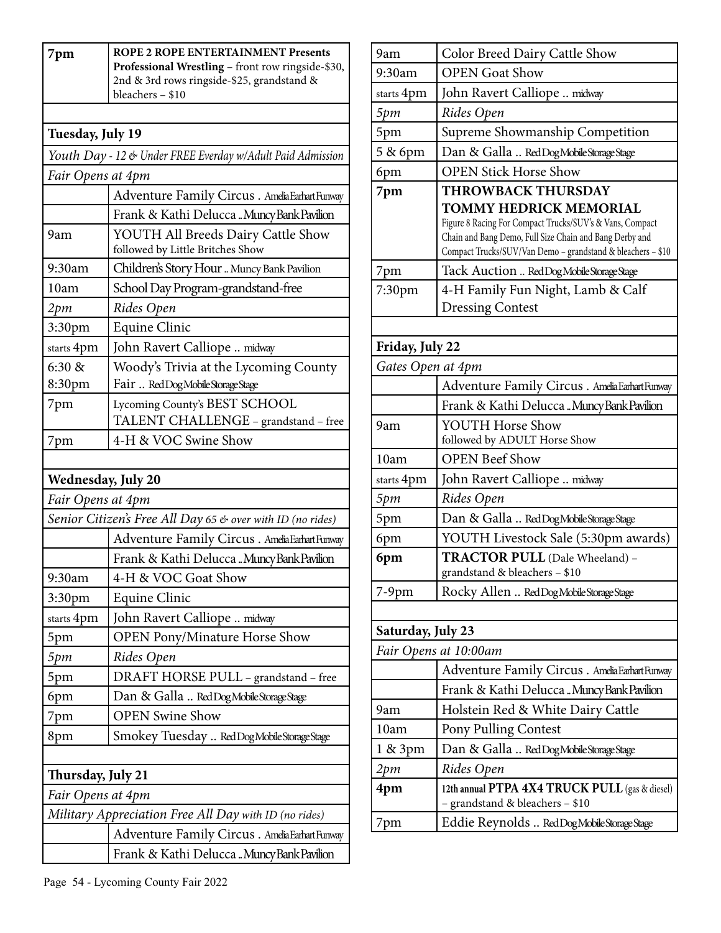| 7pm                                                        | <b>ROPE 2 ROPE ENTERTAINMENT Presents</b><br>Professional Wrestling - front row ringside-\$30,<br>2nd & 3rd rows ringside-\$25, grandstand &<br>bleachers - \$10 |  |  |  |
|------------------------------------------------------------|------------------------------------------------------------------------------------------------------------------------------------------------------------------|--|--|--|
| Tuesday, July 19                                           |                                                                                                                                                                  |  |  |  |
|                                                            | Youth Day - 12 & Under FREE Everday w/Adult Paid Admission                                                                                                       |  |  |  |
| Fair Opens at 4pm                                          |                                                                                                                                                                  |  |  |  |
|                                                            | Adventure Family Circus. Amelia Earhart Funway                                                                                                                   |  |  |  |
|                                                            | Frank & Kathi Delucca  Muncy Bank Pavilion                                                                                                                       |  |  |  |
| 9am                                                        | YOUTH All Breeds Dairy Cattle Show<br>followed by Little Britches Show                                                                                           |  |  |  |
| 9:30am                                                     | Children's Story Hour  Muncy Bank Pavilion                                                                                                                       |  |  |  |
| 10am                                                       | School Day Program-grandstand-free                                                                                                                               |  |  |  |
| 2pm                                                        | Rides Open                                                                                                                                                       |  |  |  |
| 3:30pm                                                     | Equine Clinic                                                                                                                                                    |  |  |  |
| starts 4pm                                                 | John Ravert Calliope  midway                                                                                                                                     |  |  |  |
| 6:30 &                                                     | Woody's Trivia at the Lycoming County                                                                                                                            |  |  |  |
| 8:30pm                                                     | Fair  Red Dog Mobile Storage Stage                                                                                                                               |  |  |  |
| 7pm                                                        | Lycoming County's BEST SCHOOL                                                                                                                                    |  |  |  |
|                                                            | TALENT CHALLENGE - grandstand - free                                                                                                                             |  |  |  |
| 7pm                                                        | 4-H & VOC Swine Show                                                                                                                                             |  |  |  |
| <b>Wednesday, July 20</b>                                  |                                                                                                                                                                  |  |  |  |
| Fair Opens at 4pm                                          |                                                                                                                                                                  |  |  |  |
| Senior Citizen's Free All Day 65 & over with ID (no rides) |                                                                                                                                                                  |  |  |  |
|                                                            | Adventure Family Circus. Amelia Earhart Funway                                                                                                                   |  |  |  |
|                                                            | Frank & Kathi Delucca Muncy Bank Pavilion                                                                                                                        |  |  |  |
| 9:30am                                                     | 4-H & VOC Goat Show                                                                                                                                              |  |  |  |
| 3:30pm                                                     | Equine Clinic                                                                                                                                                    |  |  |  |
| starts 4pm                                                 | John Ravert Calliope  midway                                                                                                                                     |  |  |  |
| 5pm                                                        | <b>OPEN Pony/Minature Horse Show</b>                                                                                                                             |  |  |  |
| 5pm                                                        | Rides Open                                                                                                                                                       |  |  |  |
| 5pm                                                        | DRAFT HORSE PULL - grandstand - free                                                                                                                             |  |  |  |
| 6pm                                                        | Dan & Galla  RedDogMobile Storage Stage                                                                                                                          |  |  |  |
| 7pm                                                        | <b>OPEN Swine Show</b>                                                                                                                                           |  |  |  |
| 8pm                                                        | Smokey Tuesday  RedDogMobileStorageStage                                                                                                                         |  |  |  |
|                                                            |                                                                                                                                                                  |  |  |  |
| Thursday, July 21                                          |                                                                                                                                                                  |  |  |  |
| Fair Opens at 4pm                                          |                                                                                                                                                                  |  |  |  |
| Military Appreciation Free All Day with ID (no rides)      |                                                                                                                                                                  |  |  |  |
|                                                            | Adventure Family Circus. Amelia Earhart Funway                                                                                                                   |  |  |  |
|                                                            | Frank & Kathi Delucca Muncy Bank Pavilion                                                                                                                        |  |  |  |

| <b>OPEN Goat Show</b><br>9:30am<br>John Ravert Calliope  midway<br>starts 4pm<br>Rides Open<br>5pm<br>Supreme Showmanship Competition<br>5pm<br>Dan & Galla  RedDogMobile Storage Stage<br>5 & 6pm<br><b>OPEN Stick Horse Show</b><br>6pm<br><b>THROWBACK THURSDAY</b><br>7pm<br><b>TOMMY HEDRICK MEMORIAL</b><br>Figure 8 Racing For Compact Trucks/SUV's & Vans, Compact<br>Chain and Bang Demo, Full Size Chain and Bang Derby and<br>Compact Trucks/SUV/Van Demo - grandstand & bleachers - \$10<br>Tack Auction  RedDogMobileStorageStage<br>7pm<br>4-H Family Fun Night, Lamb & Calf<br>7:30pm<br><b>Dressing Contest</b><br>Friday, July 22<br>Gates Open at 4pm<br>Adventure Family Circus. Amelia Earhart Funway<br>Frank & Kathi Delucca  Muncy Bank Pavilion<br><b>YOUTH Horse Show</b><br>9am<br>followed by ADULT Horse Show<br><b>OPEN Beef Show</b><br>10am<br>John Ravert Calliope  midway<br>starts 4pm<br>Rides Open<br>5pm |  |  |  |  |  |
|-----------------------------------------------------------------------------------------------------------------------------------------------------------------------------------------------------------------------------------------------------------------------------------------------------------------------------------------------------------------------------------------------------------------------------------------------------------------------------------------------------------------------------------------------------------------------------------------------------------------------------------------------------------------------------------------------------------------------------------------------------------------------------------------------------------------------------------------------------------------------------------------------------------------------------------------------|--|--|--|--|--|
|                                                                                                                                                                                                                                                                                                                                                                                                                                                                                                                                                                                                                                                                                                                                                                                                                                                                                                                                               |  |  |  |  |  |
|                                                                                                                                                                                                                                                                                                                                                                                                                                                                                                                                                                                                                                                                                                                                                                                                                                                                                                                                               |  |  |  |  |  |
|                                                                                                                                                                                                                                                                                                                                                                                                                                                                                                                                                                                                                                                                                                                                                                                                                                                                                                                                               |  |  |  |  |  |
|                                                                                                                                                                                                                                                                                                                                                                                                                                                                                                                                                                                                                                                                                                                                                                                                                                                                                                                                               |  |  |  |  |  |
|                                                                                                                                                                                                                                                                                                                                                                                                                                                                                                                                                                                                                                                                                                                                                                                                                                                                                                                                               |  |  |  |  |  |
|                                                                                                                                                                                                                                                                                                                                                                                                                                                                                                                                                                                                                                                                                                                                                                                                                                                                                                                                               |  |  |  |  |  |
|                                                                                                                                                                                                                                                                                                                                                                                                                                                                                                                                                                                                                                                                                                                                                                                                                                                                                                                                               |  |  |  |  |  |
|                                                                                                                                                                                                                                                                                                                                                                                                                                                                                                                                                                                                                                                                                                                                                                                                                                                                                                                                               |  |  |  |  |  |
|                                                                                                                                                                                                                                                                                                                                                                                                                                                                                                                                                                                                                                                                                                                                                                                                                                                                                                                                               |  |  |  |  |  |
|                                                                                                                                                                                                                                                                                                                                                                                                                                                                                                                                                                                                                                                                                                                                                                                                                                                                                                                                               |  |  |  |  |  |
|                                                                                                                                                                                                                                                                                                                                                                                                                                                                                                                                                                                                                                                                                                                                                                                                                                                                                                                                               |  |  |  |  |  |
|                                                                                                                                                                                                                                                                                                                                                                                                                                                                                                                                                                                                                                                                                                                                                                                                                                                                                                                                               |  |  |  |  |  |
|                                                                                                                                                                                                                                                                                                                                                                                                                                                                                                                                                                                                                                                                                                                                                                                                                                                                                                                                               |  |  |  |  |  |
|                                                                                                                                                                                                                                                                                                                                                                                                                                                                                                                                                                                                                                                                                                                                                                                                                                                                                                                                               |  |  |  |  |  |
|                                                                                                                                                                                                                                                                                                                                                                                                                                                                                                                                                                                                                                                                                                                                                                                                                                                                                                                                               |  |  |  |  |  |
|                                                                                                                                                                                                                                                                                                                                                                                                                                                                                                                                                                                                                                                                                                                                                                                                                                                                                                                                               |  |  |  |  |  |
|                                                                                                                                                                                                                                                                                                                                                                                                                                                                                                                                                                                                                                                                                                                                                                                                                                                                                                                                               |  |  |  |  |  |
|                                                                                                                                                                                                                                                                                                                                                                                                                                                                                                                                                                                                                                                                                                                                                                                                                                                                                                                                               |  |  |  |  |  |
|                                                                                                                                                                                                                                                                                                                                                                                                                                                                                                                                                                                                                                                                                                                                                                                                                                                                                                                                               |  |  |  |  |  |
|                                                                                                                                                                                                                                                                                                                                                                                                                                                                                                                                                                                                                                                                                                                                                                                                                                                                                                                                               |  |  |  |  |  |
|                                                                                                                                                                                                                                                                                                                                                                                                                                                                                                                                                                                                                                                                                                                                                                                                                                                                                                                                               |  |  |  |  |  |
|                                                                                                                                                                                                                                                                                                                                                                                                                                                                                                                                                                                                                                                                                                                                                                                                                                                                                                                                               |  |  |  |  |  |
| Dan & Galla  RedDogMobile Storage Stage<br>5pm                                                                                                                                                                                                                                                                                                                                                                                                                                                                                                                                                                                                                                                                                                                                                                                                                                                                                                |  |  |  |  |  |
| YOUTH Livestock Sale (5:30pm awards)<br>6pm                                                                                                                                                                                                                                                                                                                                                                                                                                                                                                                                                                                                                                                                                                                                                                                                                                                                                                   |  |  |  |  |  |
| TRACTOR PULL (Dale Wheeland) -<br>6pm<br>grandstand & bleachers – \$10                                                                                                                                                                                                                                                                                                                                                                                                                                                                                                                                                                                                                                                                                                                                                                                                                                                                        |  |  |  |  |  |
| Rocky Allen  RedDogMobileStorageStage<br>$7-9$ pm                                                                                                                                                                                                                                                                                                                                                                                                                                                                                                                                                                                                                                                                                                                                                                                                                                                                                             |  |  |  |  |  |
|                                                                                                                                                                                                                                                                                                                                                                                                                                                                                                                                                                                                                                                                                                                                                                                                                                                                                                                                               |  |  |  |  |  |
| Saturday, July 23                                                                                                                                                                                                                                                                                                                                                                                                                                                                                                                                                                                                                                                                                                                                                                                                                                                                                                                             |  |  |  |  |  |
| Fair Opens at 10:00am                                                                                                                                                                                                                                                                                                                                                                                                                                                                                                                                                                                                                                                                                                                                                                                                                                                                                                                         |  |  |  |  |  |
| Adventure Family Circus . Amelia Earhart Funway                                                                                                                                                                                                                                                                                                                                                                                                                                                                                                                                                                                                                                                                                                                                                                                                                                                                                               |  |  |  |  |  |
| Frank & Kathi Delucca Muncy Bank Pavilion                                                                                                                                                                                                                                                                                                                                                                                                                                                                                                                                                                                                                                                                                                                                                                                                                                                                                                     |  |  |  |  |  |
| Holstein Red & White Dairy Cattle<br>9am                                                                                                                                                                                                                                                                                                                                                                                                                                                                                                                                                                                                                                                                                                                                                                                                                                                                                                      |  |  |  |  |  |
| 10am<br>Pony Pulling Contest                                                                                                                                                                                                                                                                                                                                                                                                                                                                                                                                                                                                                                                                                                                                                                                                                                                                                                                  |  |  |  |  |  |
| 1 & 3pm<br>Dan & Galla  RedDogMobile Storage Stage                                                                                                                                                                                                                                                                                                                                                                                                                                                                                                                                                                                                                                                                                                                                                                                                                                                                                            |  |  |  |  |  |
| Rides Open<br>2pm                                                                                                                                                                                                                                                                                                                                                                                                                                                                                                                                                                                                                                                                                                                                                                                                                                                                                                                             |  |  |  |  |  |
| 12th annual PTPA 4X4 TRUCK PULL (gas & diesel)<br>4pm<br>- grandstand & bleachers - \$10                                                                                                                                                                                                                                                                                                                                                                                                                                                                                                                                                                                                                                                                                                                                                                                                                                                      |  |  |  |  |  |
| Eddie Reynolds  RedDogMobileStorageStage<br>7pm                                                                                                                                                                                                                                                                                                                                                                                                                                                                                                                                                                                                                                                                                                                                                                                                                                                                                               |  |  |  |  |  |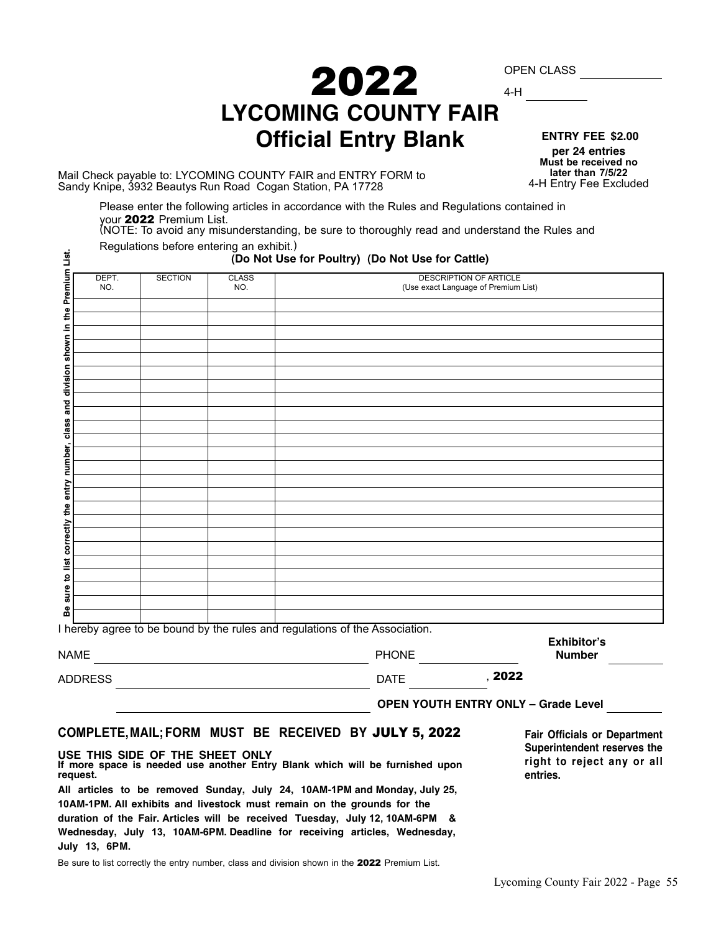**Superintendent reserves the right to reject any or all**

**entries.**

# 2022 **LYCOMING COUNTY FAIR Official Entry Blank**

**ENTRY FEE \$2.00 per 24 entries Must be received no later than 7/5/22** 4-H Entry Fee Excluded

Mail Check payable to: LYCOMING COUNTY FAIR and ENTRY FORM to Sandy Knipe, 3932 Beautys Run Road Cogan Station, PA 17728

Please enter the following articles in accordance with the Rules and Regulations contained in your **2022** Premium List.<br>(NOTE: To avoid any misunderstanding, be sure to thoroughly read and understand the Rules and

Regulations before entering an exhibit.)

### **(Do Not Use for Poultry) (Do Not Use for Cattle)**

| DEPT.<br><b>SECTION</b>       | <b>CLASS</b>                                                                | <b>DESCRIPTION OF ARTICLE</b>        |                                            |
|-------------------------------|-----------------------------------------------------------------------------|--------------------------------------|--------------------------------------------|
| NO.                           | NO.                                                                         | (Use exact Language of Premium List) |                                            |
|                               |                                                                             |                                      |                                            |
|                               |                                                                             |                                      |                                            |
|                               |                                                                             |                                      |                                            |
|                               |                                                                             |                                      |                                            |
|                               |                                                                             |                                      |                                            |
|                               |                                                                             |                                      |                                            |
|                               |                                                                             |                                      |                                            |
|                               |                                                                             |                                      |                                            |
|                               |                                                                             |                                      |                                            |
|                               |                                                                             |                                      |                                            |
|                               |                                                                             |                                      |                                            |
|                               |                                                                             |                                      |                                            |
|                               |                                                                             |                                      |                                            |
|                               |                                                                             |                                      |                                            |
|                               |                                                                             |                                      |                                            |
|                               |                                                                             |                                      |                                            |
|                               |                                                                             |                                      |                                            |
|                               |                                                                             |                                      |                                            |
|                               |                                                                             |                                      |                                            |
|                               | I hereby agree to be bound by the rules and regulations of the Association. |                                      |                                            |
|                               |                                                                             |                                      | <b>Exhibitor's</b>                         |
| <b>NAME</b>                   |                                                                             | <b>PHONE</b>                         | <b>Number</b>                              |
|                               |                                                                             |                                      | , 2022                                     |
| <b>DATE</b><br><b>ADDRESS</b> |                                                                             |                                      |                                            |
|                               |                                                                             |                                      | <b>OPEN YOUTH ENTRY ONLY - Grade Level</b> |
|                               |                                                                             |                                      |                                            |

### **COMPLETE, MAIL;FORM MUST BE RECEIVED BY** JULY 5, 2022

**USE THIS SIDE OF THE SHEET ONLY If more space is needed use another Entry Blank which will be furnished upon request. All articles to be removed Sunday, July 24, 10AM-1PM and Monday, July 25, 10AM-1PM. All exhibits and livestock must remain on the grounds for the duration of the Fair. Articles will be received Tuesday, July 12, 10AM-6PM & Wednesday, July 13, 10AM-6PM. Deadline for receiving articles, Wednesday, July 13, 6PM.** 

Be sure to list correctly the entry number, class and division shown in the **2022** Premium List.

OPEN CLASS

4-H